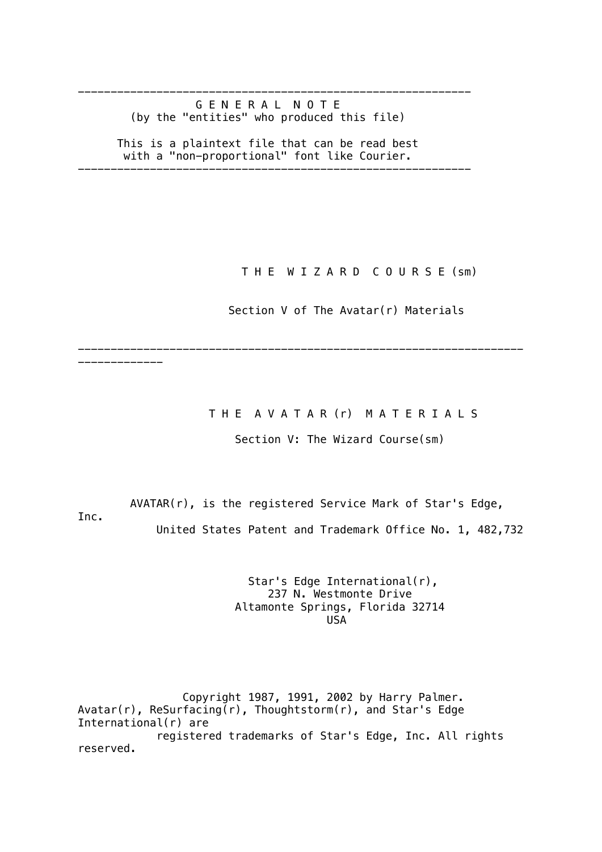------------------------------------------------------------ G E N E R A L N O T E (by the "entities" who produced this file)

 This is a plaintext file that can be read best with a "non-proportional" font like Courier.

------------------------------------------------------------

T H E W I Z A R D C O U R S E (sm)

Section V of The Avatar(r) Materials

THE AVATAR (r) MATERIALS

Section V: The Wizard Course(sm)

 AVATAR(r), is the registered Service Mark of Star's Edge, Inc. United States Patent and Trademark Office No. 1, 482,732

--------------------------------------------------------------------

-------------

 Star's Edge International(r), 237 N. Westmonte Drive Altamonte Springs, Florida 32714 USA

 Copyright 1987, 1991, 2002 by Harry Palmer. Avatar(r), ReSurfacing(r), Thoughtstorm(r), and Star's Edge International(r) are registered trademarks of Star's Edge, Inc. All rights reserved.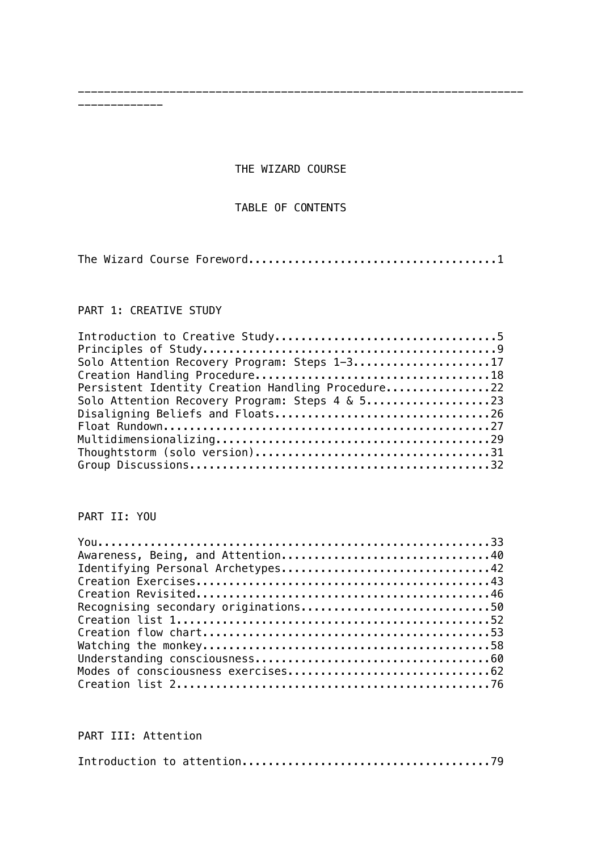THE WIZARD COURSE

--------------------------------------------------------------------

## TABLE OF CONTENTS

The Wizard Course Foreword......................................1

### PART 1: CREATIVE STUDY

-------------

| Solo Attention Recovery Program: Steps 1-317                                          |  |
|---------------------------------------------------------------------------------------|--|
|                                                                                       |  |
| Persistent Identity Creation Handling Procedure22                                     |  |
| Solo Attention Recovery Program: Steps $4 \& 5 \ldots \ldots \ldots \ldots \ldots 23$ |  |
|                                                                                       |  |
|                                                                                       |  |
|                                                                                       |  |
|                                                                                       |  |
|                                                                                       |  |

## PART II: YOU

| Awareness, Being, and Attention40 |  |
|-----------------------------------|--|
| Identifying Personal Archetypes42 |  |
|                                   |  |
|                                   |  |
|                                   |  |
|                                   |  |
|                                   |  |
|                                   |  |
|                                   |  |
|                                   |  |
|                                   |  |

## PART III: Attention

|--|--|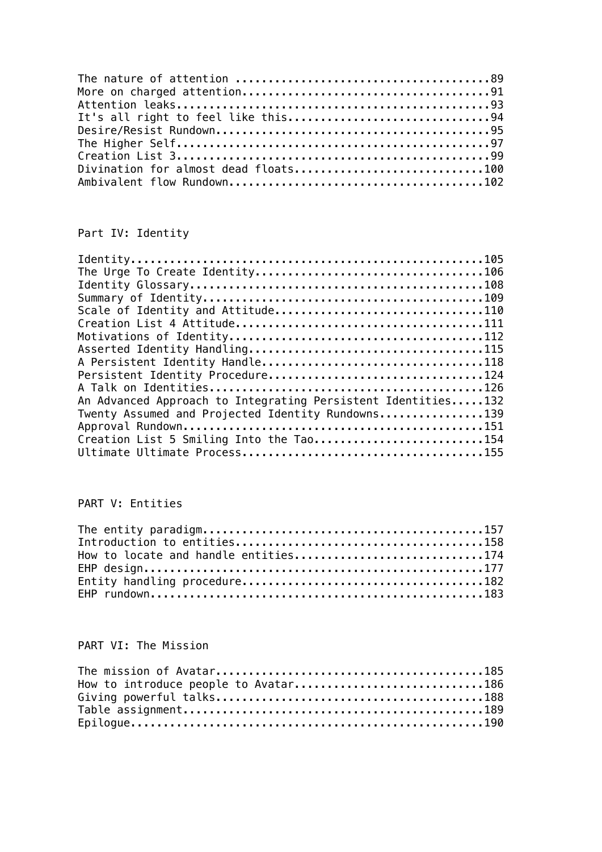| Divination for almost dead floats100 |  |
|--------------------------------------|--|
|                                      |  |

# Part IV: Identity

| Scale of Identity and Attitude110                            |
|--------------------------------------------------------------|
|                                                              |
|                                                              |
|                                                              |
|                                                              |
| Persistent Identity Procedure124                             |
|                                                              |
| An Advanced Approach to Integrating Persistent Identities132 |
| Twenty Assumed and Projected Identity Rundowns139            |
|                                                              |
| Creation List 5 Smiling Into the Tao154                      |
|                                                              |

# PART V: Entities

| How to locate and handle entities174 |  |
|--------------------------------------|--|
|                                      |  |
|                                      |  |
|                                      |  |

# PART VI: The Mission

| How to introduce people to Avatar186 |  |
|--------------------------------------|--|
|                                      |  |
|                                      |  |
|                                      |  |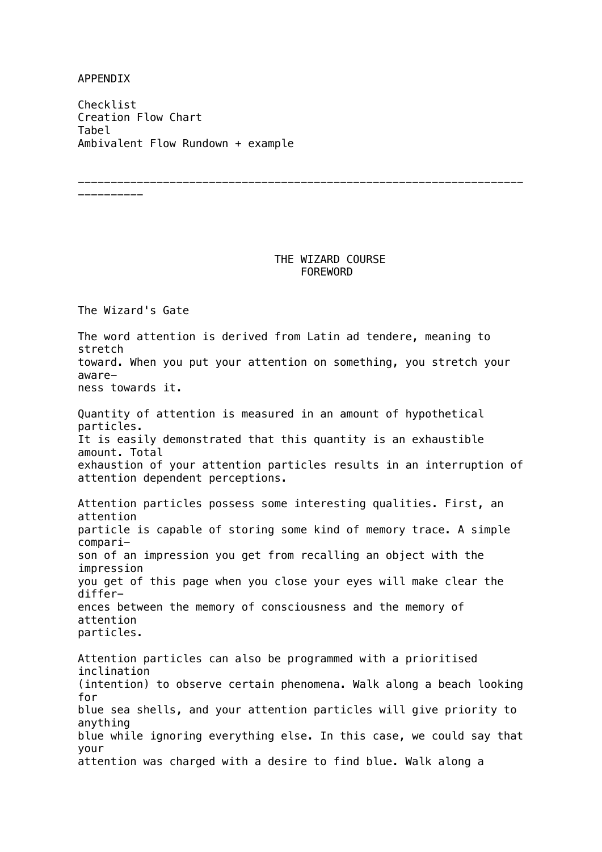APPENDIX

Checklist Creation Flow Chart Tabel Ambivalent Flow Rundown + example

----------

### THE WIZARD COURSE FOREWORD

--------------------------------------------------------------------

The Wizard's Gate The word attention is derived from Latin ad tendere, meaning to stretch toward. When you put your attention on something, you stretch your awareness towards it. Quantity of attention is measured in an amount of hypothetical particles. It is easily demonstrated that this quantity is an exhaustible amount. Total exhaustion of your attention particles results in an interruption of attention dependent perceptions. Attention particles possess some interesting qualities. First, an attention particle is capable of storing some kind of memory trace. A simple comparison of an impression you get from recalling an object with the impression you get of this page when you close your eyes will make clear the differences between the memory of consciousness and the memory of attention particles. Attention particles can also be programmed with a prioritised inclination (intention) to observe certain phenomena. Walk along a beach looking for blue sea shells, and your attention particles will give priority to anything blue while ignoring everything else. In this case, we could say that your attention was charged with a desire to find blue. Walk along a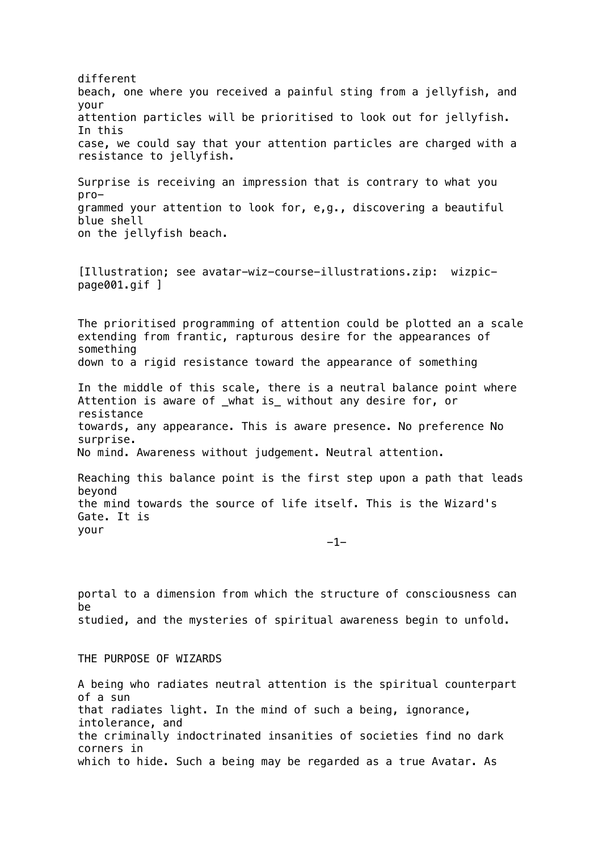different beach, one where you received a painful sting from a jellyfish, and your attention particles will be prioritised to look out for jellyfish. In this case, we could say that your attention particles are charged with a resistance to jellyfish. Surprise is receiving an impression that is contrary to what you programmed your attention to look for, e,g., discovering a beautiful blue shell on the jellyfish beach. [Illustration; see avatar-wiz-course-illustrations.zip: wizpicpage001.gif ] The prioritised programming of attention could be plotted an a scale extending from frantic, rapturous desire for the appearances of something down to a rigid resistance toward the appearance of something In the middle of this scale, there is a neutral balance point where Attention is aware of what is without any desire for, or resistance towards, any appearance. This is aware presence. No preference No surprise. No mind. Awareness without judgement. Neutral attention. Reaching this balance point is the first step upon a path that leads beyond the mind towards the source of life itself. This is the Wizard's Gate. It is your  $-1$ portal to a dimension from which the structure of consciousness can be studied, and the mysteries of spiritual awareness begin to unfold. THE PURPOSE OF WIZARDS A being who radiates neutral attention is the spiritual counterpart of a sun that radiates light. In the mind of such a being, ignorance, intolerance, and

the criminally indoctrinated insanities of societies find no dark corners in which to hide. Such a being may be regarded as a true Avatar. As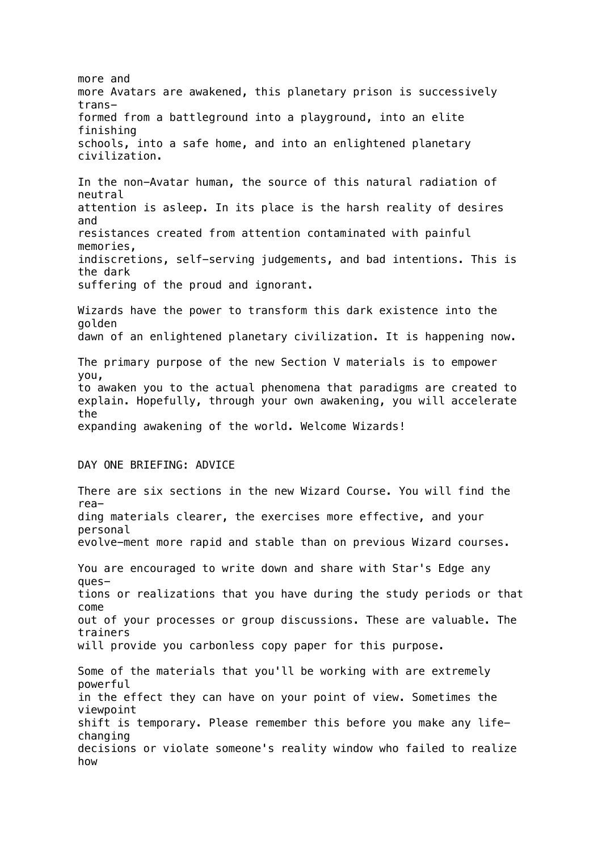more and more Avatars are awakened, this planetary prison is successively transformed from a battleground into a playground, into an elite finishing schools, into a safe home, and into an enlightened planetary civilization. In the non-Avatar human, the source of this natural radiation of neutral attention is asleep. In its place is the harsh reality of desires and resistances created from attention contaminated with painful memories, indiscretions, self-serving judgements, and bad intentions. This is the dark suffering of the proud and ignorant. Wizards have the power to transform this dark existence into the golden dawn of an enlightened planetary civilization. It is happening now. The primary purpose of the new Section V materials is to empower you, to awaken you to the actual phenomena that paradigms are created to explain. Hopefully, through your own awakening, you will accelerate the expanding awakening of the world. Welcome Wizards! DAY ONE BRIEFING: ADVICE There are six sections in the new Wizard Course. You will find the reading materials clearer, the exercises more effective, and your personal evolve-ment more rapid and stable than on previous Wizard courses. You are encouraged to write down and share with Star's Edge any questions or realizations that you have during the study periods or that come out of your processes or group discussions. These are valuable. The trainers will provide you carbonless copy paper for this purpose. Some of the materials that you'll be working with are extremely powerful in the effect they can have on your point of view. Sometimes the viewpoint shift is temporary. Please remember this before you make any lifechanging decisions or violate someone's reality window who failed to realize how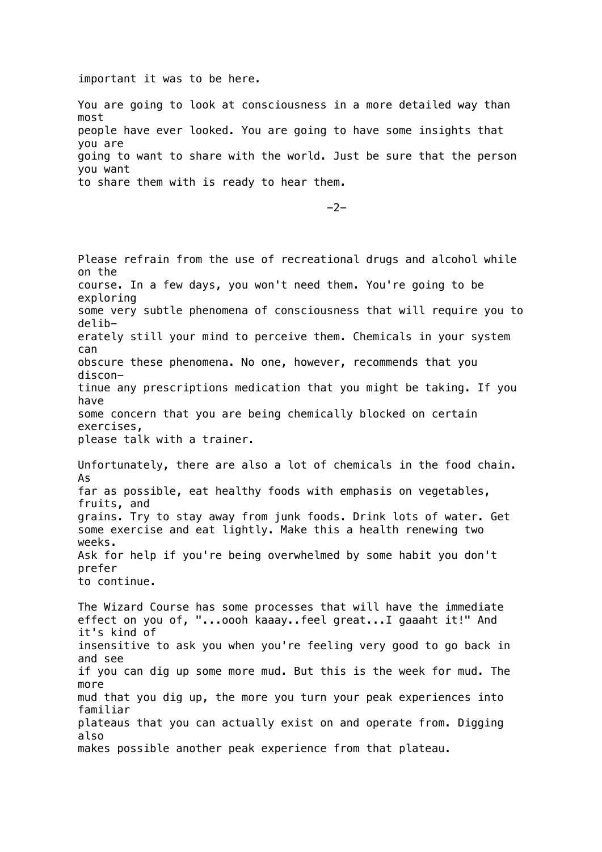important it was to be here.

You are going to look at consciousness in a more detailed way than most people have ever looked. You are going to have some insights that you are going to want to share with the world. Just be sure that the person you want to share them with is ready to hear them.

-2-

Please refrain from the use of recreational drugs and alcohol while on the course. In a few days, you won't need them. You're going to be exploring some very subtle phenomena of consciousness that will require you to deliberately still your mind to perceive them. Chemicals in your system can obscure these phenomena. No one, however, recommends that you discontinue any prescriptions medication that you might be taking. If you have some concern that you are being chemically blocked on certain exercises, please talk with a trainer. Unfortunately, there are also a lot of chemicals in the food chain. As far as possible, eat healthy foods with emphasis on vegetables, fruits, and grains. Try to stay away from junk foods. Drink lots of water. Get some exercise and eat lightly. Make this a health renewing two weeks. Ask for help if you're being overwhelmed by some habit you don't prefer to continue. The Wizard Course has some processes that will have the immediate effect on you of, "...oooh kaaay..feel great...I gaaaht it!" And it's kind of insensitive to ask you when you're feeling very good to go back in and see if you can dig up some more mud. But this is the week for mud. The more mud that you dig up, the more you turn your peak experiences into familiar plateaus that you can actually exist on and operate from. Digging also makes possible another peak experience from that plateau.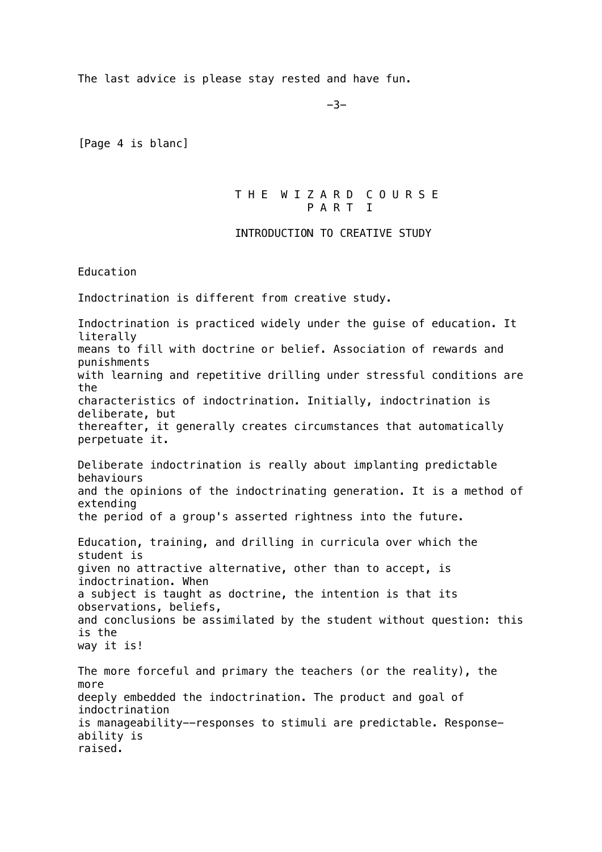The last advice is please stay rested and have fun.

-3-

[Page 4 is blanc]

 T H E W I Z A R D C O U R S E P A R T T

#### INTRODUCTION TO CREATIVE STUDY

Education

Indoctrination is different from creative study.

Indoctrination is practiced widely under the guise of education. It literally means to fill with doctrine or belief. Association of rewards and punishments with learning and repetitive drilling under stressful conditions are the characteristics of indoctrination. Initially, indoctrination is deliberate, but thereafter, it generally creates circumstances that automatically perpetuate it. Deliberate indoctrination is really about implanting predictable behaviours and the opinions of the indoctrinating generation. It is a method of extending the period of a group's asserted rightness into the future. Education, training, and drilling in curricula over which the student is given no attractive alternative, other than to accept, is indoctrination. When a subject is taught as doctrine, the intention is that its observations, beliefs, and conclusions be assimilated by the student without question: this is the way it is! The more forceful and primary the teachers (or the reality), the more deeply embedded the indoctrination. The product and goal of indoctrination is manageability--responses to stimuli are predictable. Responseability is raised.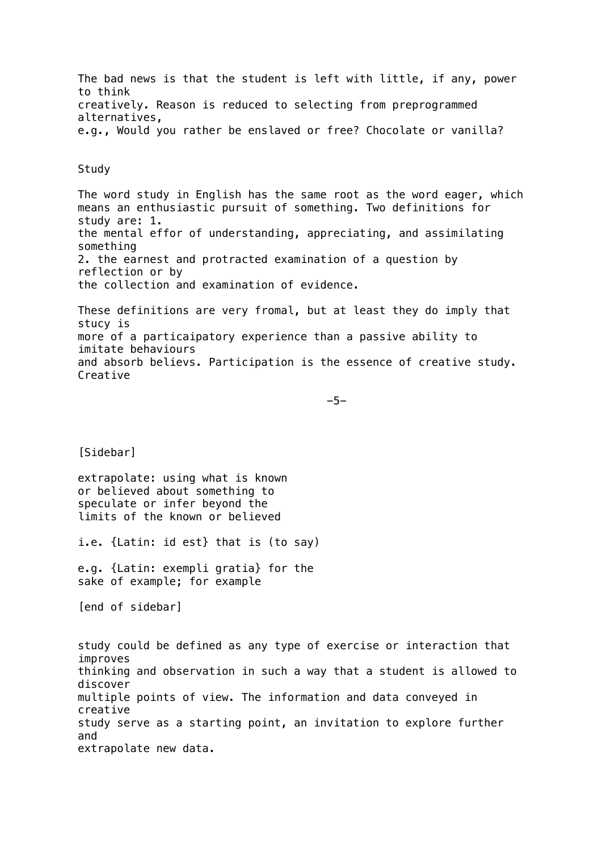The bad news is that the student is left with little, if any, power to think creatively. Reason is reduced to selecting from preprogrammed alternatives, e.g., Would you rather be enslaved or free? Chocolate or vanilla?

Study

The word study in English has the same root as the word eager, which means an enthusiastic pursuit of something. Two definitions for study are: 1. the mental effor of understanding, appreciating, and assimilating something 2. the earnest and protracted examination of a question by reflection or by the collection and examination of evidence.

These definitions are very fromal, but at least they do imply that stucy is more of a particaipatory experience than a passive ability to imitate behaviours and absorb believs. Participation is the essence of creative study. Creative

-5-

[Sidebar]

extrapolate: using what is known or believed about something to speculate or infer beyond the limits of the known or believed

i.e. {Latin: id est} that is (to say)

e.g. {Latin: exempli gratia} for the sake of example; for example

[end of sidebar]

study could be defined as any type of exercise or interaction that improves thinking and observation in such a way that a student is allowed to discover multiple points of view. The information and data conveyed in creative study serve as a starting point, an invitation to explore further and extrapolate new data.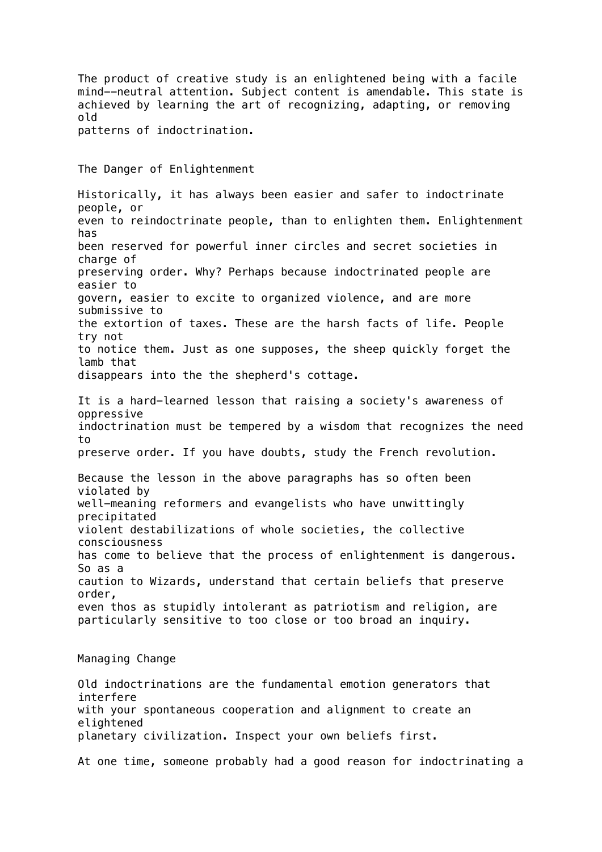The product of creative study is an enlightened being with a facile mind--neutral attention. Subject content is amendable. This state is achieved by learning the art of recognizing, adapting, or removing old patterns of indoctrination. The Danger of Enlightenment Historically, it has always been easier and safer to indoctrinate people, or even to reindoctrinate people, than to enlighten them. Enlightenment has been reserved for powerful inner circles and secret societies in charge of preserving order. Why? Perhaps because indoctrinated people are easier to govern, easier to excite to organized violence, and are more submissive to the extortion of taxes. These are the harsh facts of life. People try not to notice them. Just as one supposes, the sheep quickly forget the lamb that disappears into the the shepherd's cottage. It is a hard-learned lesson that raising a society's awareness of oppressive indoctrination must be tempered by a wisdom that recognizes the need to preserve order. If you have doubts, study the French revolution. Because the lesson in the above paragraphs has so often been violated by well-meaning reformers and evangelists who have unwittingly precipitated violent destabilizations of whole societies, the collective consciousness has come to believe that the process of enlightenment is dangerous. So as a caution to Wizards, understand that certain beliefs that preserve order, even thos as stupidly intolerant as patriotism and religion, are particularly sensitive to too close or too broad an inquiry. Managing Change Old indoctrinations are the fundamental emotion generators that interfere with your spontaneous cooperation and alignment to create an elightened planetary civilization. Inspect your own beliefs first. At one time, someone probably had a good reason for indoctrinating a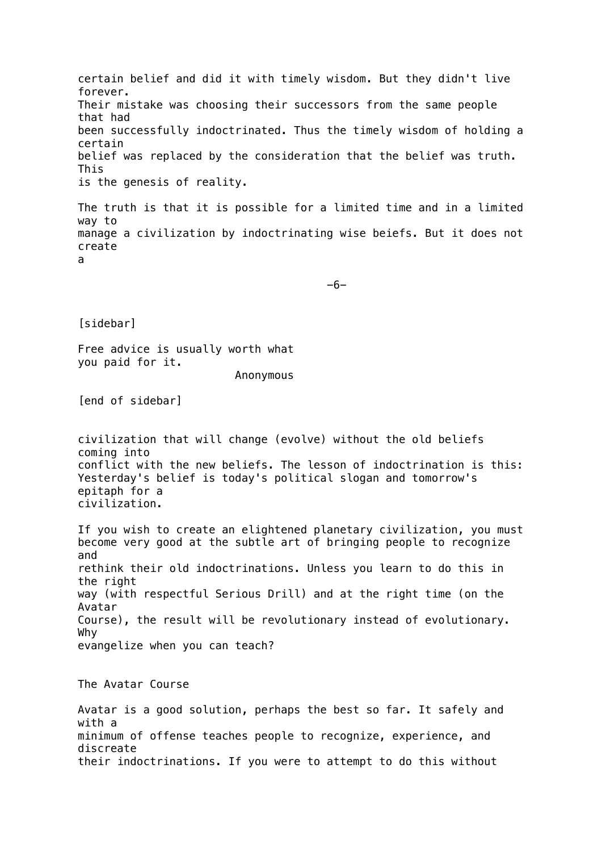certain belief and did it with timely wisdom. But they didn't live forever. Their mistake was choosing their successors from the same people that had been successfully indoctrinated. Thus the timely wisdom of holding a certain belief was replaced by the consideration that the belief was truth. This is the genesis of reality.

The truth is that it is possible for a limited time and in a limited way to manage a civilization by indoctrinating wise beiefs. But it does not create a

 $-6-$ 

[sidebar]

Free advice is usually worth what you paid for it.

Anonymous

[end of sidebar]

civilization that will change (evolve) without the old beliefs coming into conflict with the new beliefs. The lesson of indoctrination is this: Yesterday's belief is today's political slogan and tomorrow's epitaph for a civilization.

If you wish to create an elightened planetary civilization, you must become very good at the subtle art of bringing people to recognize and rethink their old indoctrinations. Unless you learn to do this in the right way (with respectful Serious Drill) and at the right time (on the Avatar Course), the result will be revolutionary instead of evolutionary. Why evangelize when you can teach?

The Avatar Course

Avatar is a good solution, perhaps the best so far. It safely and with a minimum of offense teaches people to recognize, experience, and discreate their indoctrinations. If you were to attempt to do this without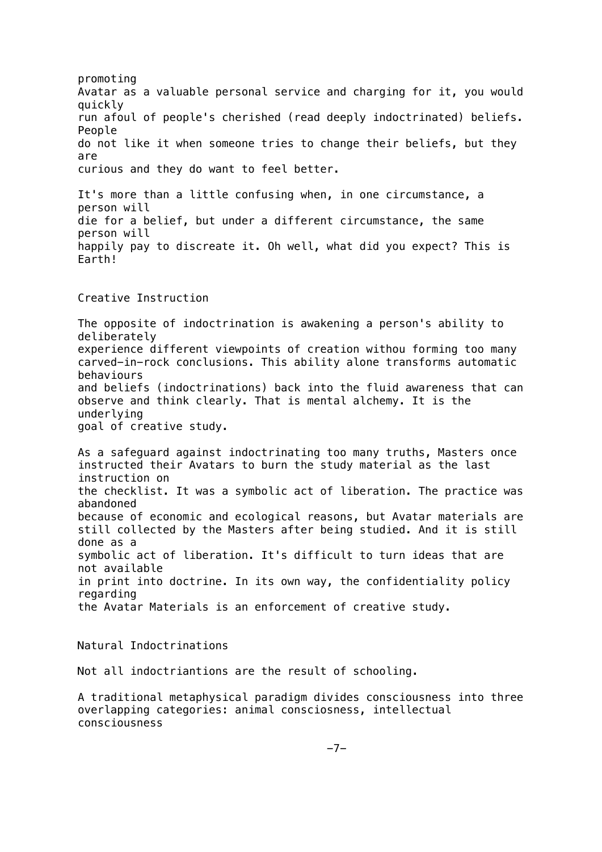promoting Avatar as a valuable personal service and charging for it, you would quickly run afoul of people's cherished (read deeply indoctrinated) beliefs. People do not like it when someone tries to change their beliefs, but they are curious and they do want to feel better. It's more than a little confusing when, in one circumstance, a person will die for a belief, but under a different circumstance, the same person will happily pay to discreate it. Oh well, what did you expect? This is Earth! Creative Instruction The opposite of indoctrination is awakening a person's ability to deliberately experience different viewpoints of creation withou forming too many carved-in-rock conclusions. This ability alone transforms automatic behaviours and beliefs (indoctrinations) back into the fluid awareness that can observe and think clearly. That is mental alchemy. It is the underlying goal of creative study. As a safeguard against indoctrinating too many truths, Masters once instructed their Avatars to burn the study material as the last instruction on the checklist. It was a symbolic act of liberation. The practice was abandoned because of economic and ecological reasons, but Avatar materials are still collected by the Masters after being studied. And it is still done as a symbolic act of liberation. It's difficult to turn ideas that are not available in print into doctrine. In its own way, the confidentiality policy regarding the Avatar Materials is an enforcement of creative study. Natural Indoctrinations Not all indoctriantions are the result of schooling. A traditional metaphysical paradigm divides consciousness into three overlapping categories: animal consciosness, intellectual consciousness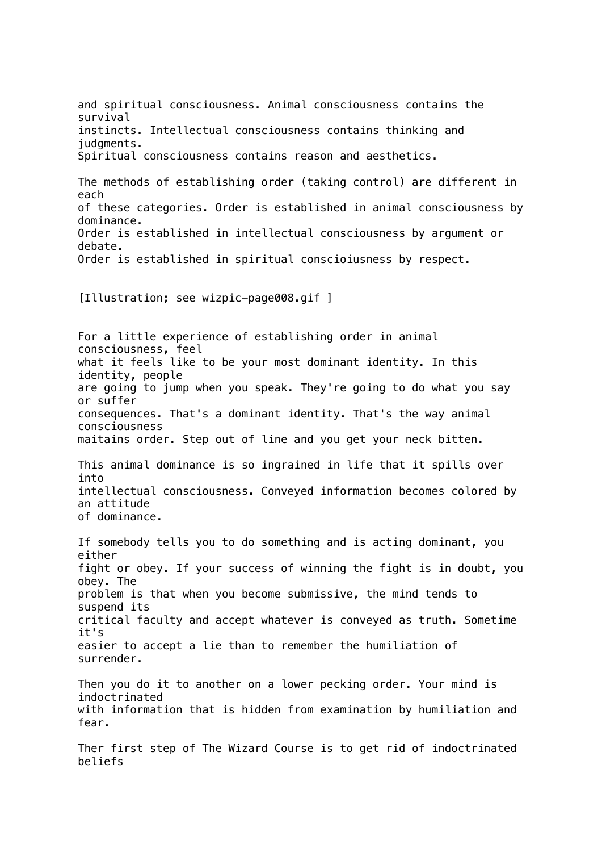and spiritual consciousness. Animal consciousness contains the survival instincts. Intellectual consciousness contains thinking and judgments. Spiritual consciousness contains reason and aesthetics. The methods of establishing order (taking control) are different in each of these categories. Order is established in animal consciousness by dominance. Order is established in intellectual consciousness by argument or debate. Order is established in spiritual conscioiusness by respect. [Illustration; see wizpic-page008.gif ] For a little experience of establishing order in animal consciousness, feel what it feels like to be your most dominant identity. In this identity, people are going to jump when you speak. They're going to do what you say or suffer consequences. That's a dominant identity. That's the way animal consciousness maitains order. Step out of line and you get your neck bitten. This animal dominance is so ingrained in life that it spills over into intellectual consciousness. Conveyed information becomes colored by an attitude of dominance. If somebody tells you to do something and is acting dominant, you either fight or obey. If your success of winning the fight is in doubt, you obey. The problem is that when you become submissive, the mind tends to suspend its critical faculty and accept whatever is conveyed as truth. Sometime it's easier to accept a lie than to remember the humiliation of surrender. Then you do it to another on a lower pecking order. Your mind is indoctrinated with information that is hidden from examination by humiliation and fear. Ther first step of The Wizard Course is to get rid of indoctrinated beliefs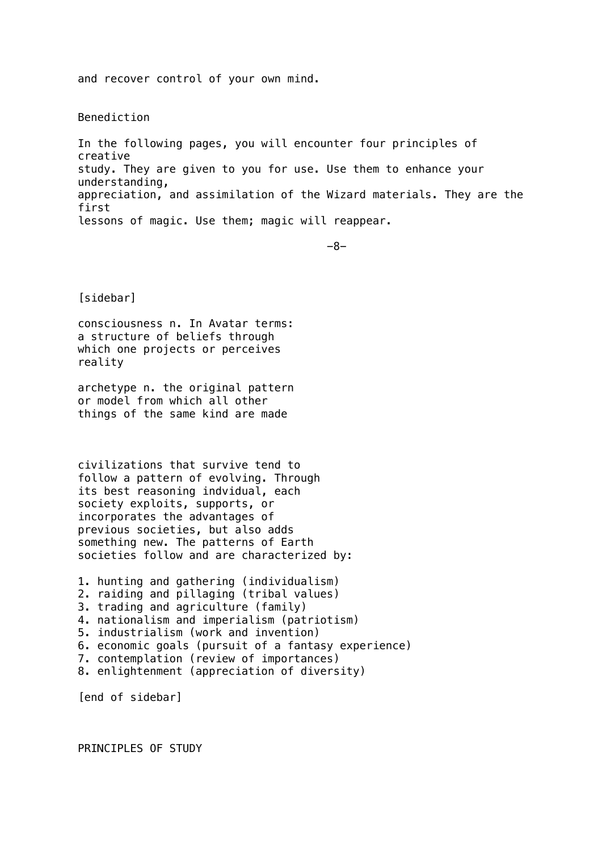and recover control of your own mind.

Benediction

In the following pages, you will encounter four principles of creative study. They are given to you for use. Use them to enhance your understanding, appreciation, and assimilation of the Wizard materials. They are the first lessons of magic. Use them; magic will reappear.

-8-

[sidebar]

consciousness n. In Avatar terms: a structure of beliefs through which one projects or perceives reality

archetype n. the original pattern or model from which all other things of the same kind are made

civilizations that survive tend to follow a pattern of evolving. Through its best reasoning indvidual, each society exploits, supports, or incorporates the advantages of previous societies, but also adds something new. The patterns of Earth societies follow and are characterized by:

```
1. hunting and gathering (individualism)
2. raiding and pillaging (tribal values)
3. trading and agriculture (family)
4. nationalism and imperialism (patriotism)
5. industrialism (work and invention)
6. economic goals (pursuit of a fantasy experience)
7. contemplation (review of importances)
8. enlightenment (appreciation of diversity)
```
[end of sidebar]

PRINCIPLES OF STUDY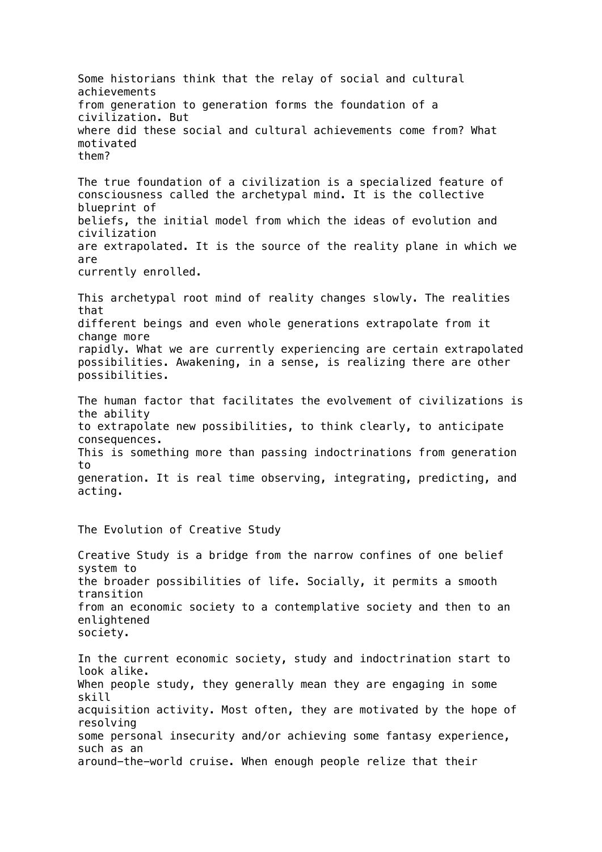Some historians think that the relay of social and cultural achievements from generation to generation forms the foundation of a civilization. But where did these social and cultural achievements come from? What motivated them? The true foundation of a civilization is a specialized feature of consciousness called the archetypal mind. It is the collective blueprint of beliefs, the initial model from which the ideas of evolution and civilization are extrapolated. It is the source of the reality plane in which we are currently enrolled. This archetypal root mind of reality changes slowly. The realities that different beings and even whole generations extrapolate from it change more rapidly. What we are currently experiencing are certain extrapolated possibilities. Awakening, in a sense, is realizing there are other possibilities. The human factor that facilitates the evolvement of civilizations is the ability to extrapolate new possibilities, to think clearly, to anticipate consequences. This is something more than passing indoctrinations from generation to generation. It is real time observing, integrating, predicting, and acting. The Evolution of Creative Study Creative Study is a bridge from the narrow confines of one belief system to the broader possibilities of life. Socially, it permits a smooth transition from an economic society to a contemplative society and then to an enlightened society. In the current economic society, study and indoctrination start to look alike. When people study, they generally mean they are engaging in some skill acquisition activity. Most often, they are motivated by the hope of resolving some personal insecurity and/or achieving some fantasy experience, such as an around-the-world cruise. When enough people relize that their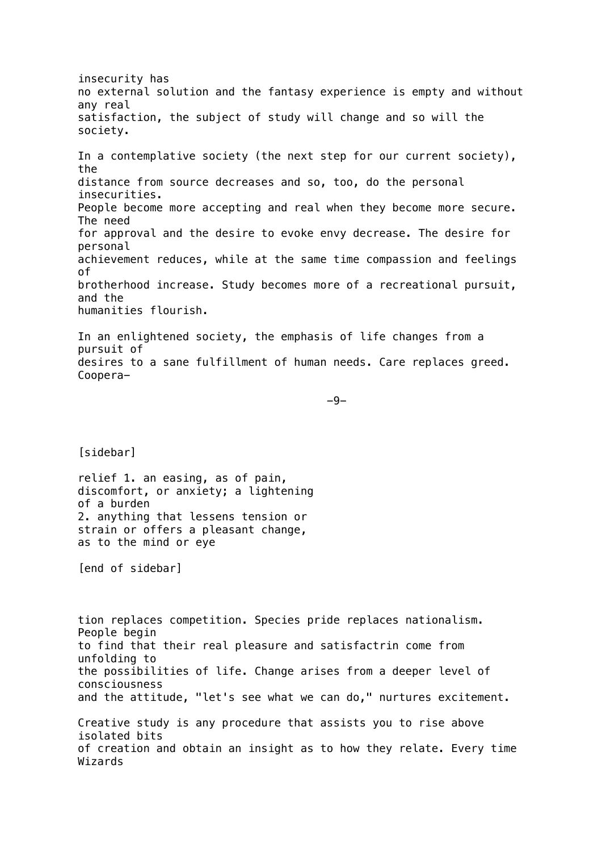insecurity has no external solution and the fantasy experience is empty and without any real satisfaction, the subject of study will change and so will the society. In a contemplative society (the next step for our current society), the distance from source decreases and so, too, do the personal insecurities. People become more accepting and real when they become more secure. The need for approval and the desire to evoke envy decrease. The desire for personal achievement reduces, while at the same time compassion and feelings of brotherhood increase. Study becomes more of a recreational pursuit, and the humanities flourish. In an enlightened society, the emphasis of life changes from a pursuit of desires to a sane fulfillment of human needs. Care replaces greed. Coopera- -9- [sidebar] relief 1. an easing, as of pain, discomfort, or anxiety; a lightening of a burden 2. anything that lessens tension or strain or offers a pleasant change, as to the mind or eye [end of sidebar] tion replaces competition. Species pride replaces nationalism. People begin to find that their real pleasure and satisfactrin come from unfolding to the possibilities of life. Change arises from a deeper level of consciousness and the attitude, "let's see what we can do," nurtures excitement. Creative study is any procedure that assists you to rise above isolated bits of creation and obtain an insight as to how they relate. Every time Wizards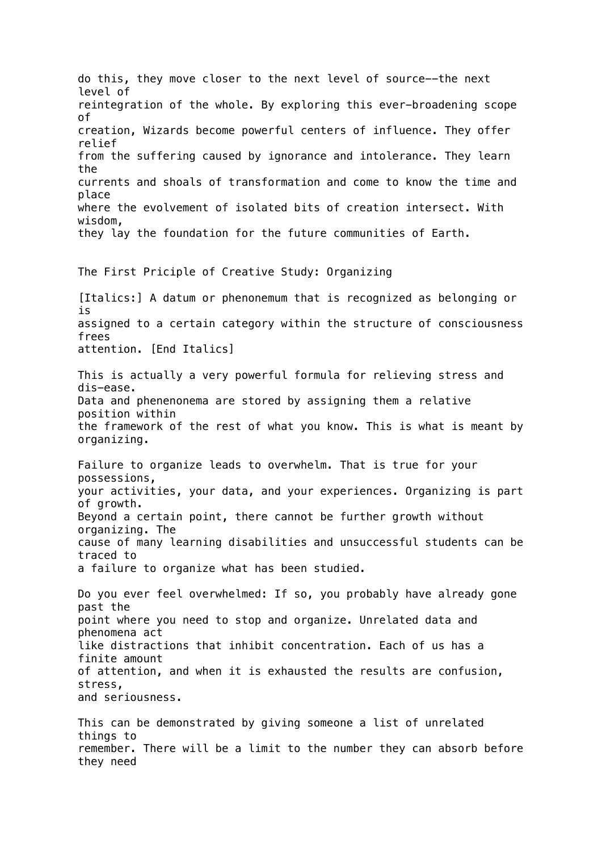do this, they move closer to the next level of source--the next level of reintegration of the whole. By exploring this ever-broadening scope of creation, Wizards become powerful centers of influence. They offer relief from the suffering caused by ignorance and intolerance. They learn the currents and shoals of transformation and come to know the time and place where the evolvement of isolated bits of creation intersect. With wisdom, they lay the foundation for the future communities of Earth. The First Priciple of Creative Study: Organizing [Italics:] A datum or phenonemum that is recognized as belonging or is assigned to a certain category within the structure of consciousness frees attention. [End Italics] This is actually a very powerful formula for relieving stress and dis-ease. Data and phenenonema are stored by assigning them a relative position within the framework of the rest of what you know. This is what is meant by organizing. Failure to organize leads to overwhelm. That is true for your possessions, your activities, your data, and your experiences. Organizing is part of growth. Beyond a certain point, there cannot be further growth without organizing. The cause of many learning disabilities and unsuccessful students can be traced to a failure to organize what has been studied. Do you ever feel overwhelmed: If so, you probably have already gone past the point where you need to stop and organize. Unrelated data and phenomena act like distractions that inhibit concentration. Each of us has a finite amount of attention, and when it is exhausted the results are confusion, stress, and seriousness. This can be demonstrated by giving someone a list of unrelated things to remember. There will be a limit to the number they can absorb before they need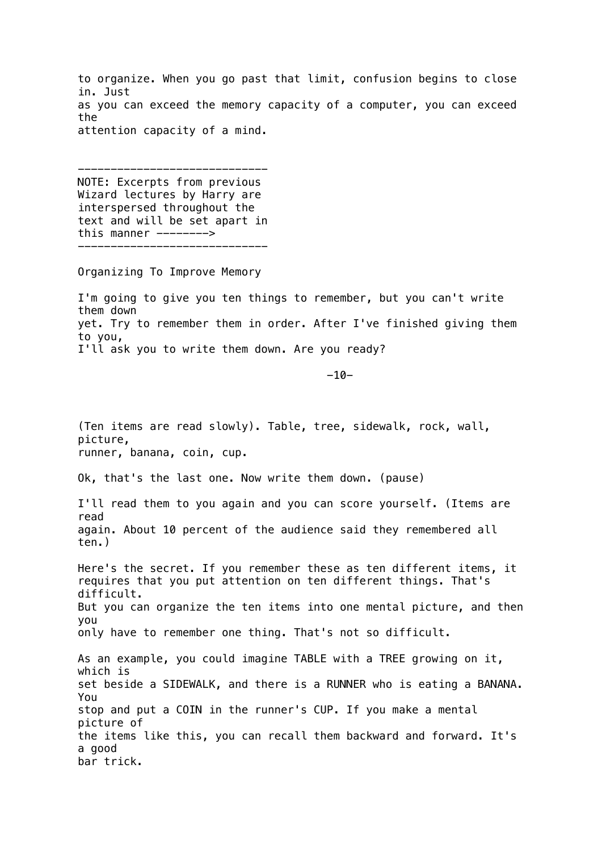to organize. When you go past that limit, confusion begins to close in. Just as you can exceed the memory capacity of a computer, you can exceed the attention capacity of a mind.

----------------------------- NOTE: Excerpts from previous Wizard lectures by Harry are interspersed throughout the text and will be set apart in this manner --------> -----------------------------

Organizing To Improve Memory

I'm going to give you ten things to remember, but you can't write them down yet. Try to remember them in order. After I've finished giving them to you, I'll ask you to write them down. Are you ready?

-10-

(Ten items are read slowly). Table, tree, sidewalk, rock, wall, picture, runner, banana, coin, cup. Ok, that's the last one. Now write them down. (pause) I'll read them to you again and you can score yourself. (Items are read again. About 10 percent of the audience said they remembered all ten.) Here's the secret. If you remember these as ten different items, it requires that you put attention on ten different things. That's difficult. But you can organize the ten items into one mental picture, and then you only have to remember one thing. That's not so difficult. As an example, you could imagine TABLE with a TREE growing on it, which is set beside a SIDEWALK, and there is a RUNNER who is eating a BANANA. You stop and put a COIN in the runner's CUP. If you make a mental picture of the items like this, you can recall them backward and forward. It's a good bar trick.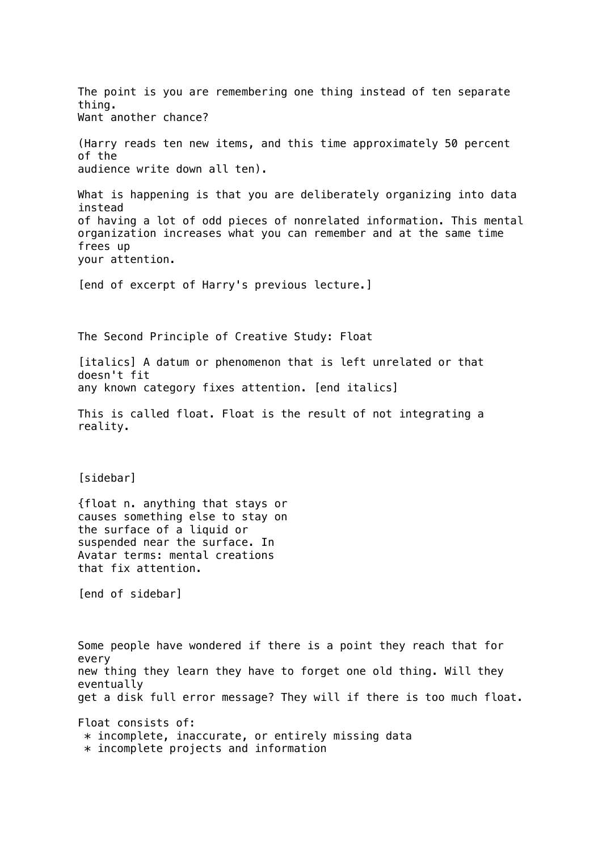The point is you are remembering one thing instead of ten separate thing. Want another chance? (Harry reads ten new items, and this time approximately 50 percent of the audience write down all ten). What is happening is that you are deliberately organizing into data instead of having a lot of odd pieces of nonrelated information. This mental organization increases what you can remember and at the same time frees up your attention. [end of excerpt of Harry's previous lecture.] The Second Principle of Creative Study: Float [italics] A datum or phenomenon that is left unrelated or that doesn't fit any known category fixes attention. [end italics] This is called float. Float is the result of not integrating a reality. [sidebar] {float n. anything that stays or causes something else to stay on the surface of a liquid or suspended near the surface. In Avatar terms: mental creations that fix attention. [end of sidebar] Some people have wondered if there is a point they reach that for every new thing they learn they have to forget one old thing. Will they eventually get a disk full error message? They will if there is too much float. Float consists of: \* incomplete, inaccurate, or entirely missing data \* incomplete projects and information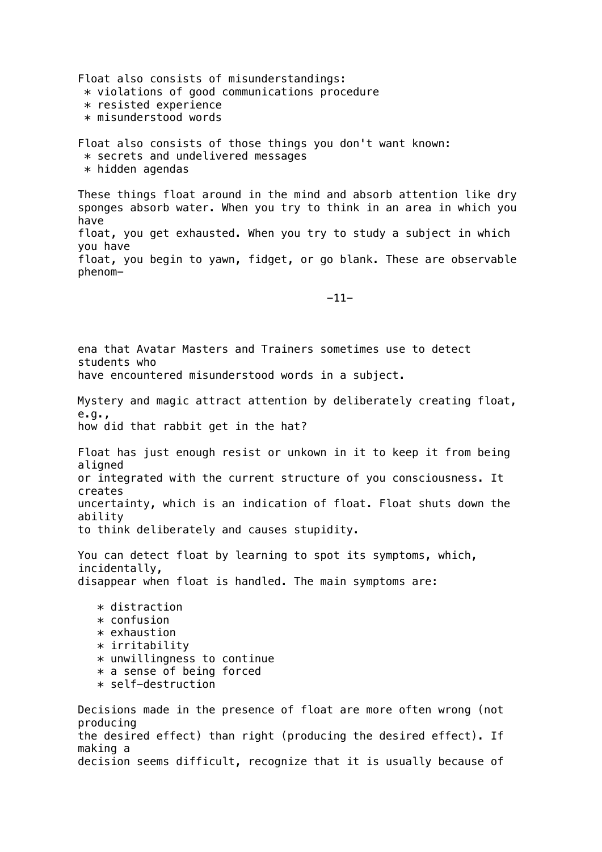Float also consists of misunderstandings: \* violations of good communications procedure \* resisted experience \* misunderstood words

Float also consists of those things you don't want known: \* secrets and undelivered messages  $*$  hidden agendas

These things float around in the mind and absorb attention like dry sponges absorb water. When you try to think in an area in which you have float, you get exhausted. When you try to study a subject in which you have float, you begin to yawn, fidget, or go blank. These are observable phenom-

-11-

ena that Avatar Masters and Trainers sometimes use to detect students who have encountered misunderstood words in a subject. Mystery and magic attract attention by deliberately creating float, e.g., how did that rabbit get in the hat? Float has just enough resist or unkown in it to keep it from being aligned or integrated with the current structure of you consciousness. It creates uncertainty, which is an indication of float. Float shuts down the ability to think deliberately and causes stupidity. You can detect float by learning to spot its symptoms, which, incidentally, disappear when float is handled. The main symptoms are:  $*$  distraction \* confusion \* exhaustion \* irritability \* unwillingness to continue \* a sense of being forced \* self-destruction Decisions made in the presence of float are more often wrong (not producing the desired effect) than right (producing the desired effect). If making a decision seems difficult, recognize that it is usually because of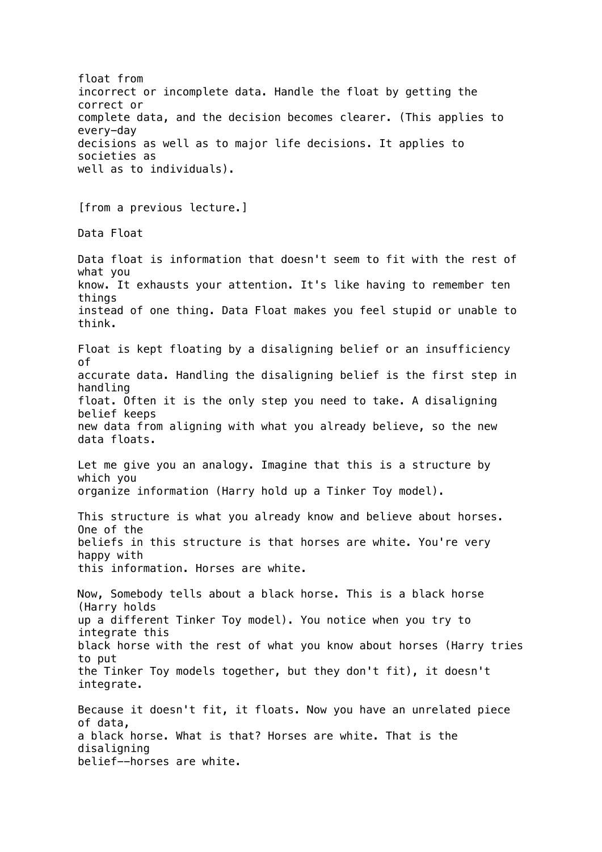float from incorrect or incomplete data. Handle the float by getting the correct or complete data, and the decision becomes clearer. (This applies to every-day decisions as well as to major life decisions. It applies to societies as well as to individuals). [from a previous lecture.] Data Float Data float is information that doesn't seem to fit with the rest of what you know. It exhausts your attention. It's like having to remember ten things instead of one thing. Data Float makes you feel stupid or unable to think. Float is kept floating by a disaligning belief or an insufficiency of accurate data. Handling the disaligning belief is the first step in handling float. Often it is the only step you need to take. A disaligning belief keeps new data from aligning with what you already believe, so the new data floats. Let me give you an analogy. Imagine that this is a structure by which you organize information (Harry hold up a Tinker Toy model). This structure is what you already know and believe about horses. One of the beliefs in this structure is that horses are white. You're very happy with this information. Horses are white. Now, Somebody tells about a black horse. This is a black horse (Harry holds up a different Tinker Toy model). You notice when you try to integrate this black horse with the rest of what you know about horses (Harry tries to put the Tinker Toy models together, but they don't fit), it doesn't integrate. Because it doesn't fit, it floats. Now you have an unrelated piece of data, a black horse. What is that? Horses are white. That is the disaligning belief--horses are white.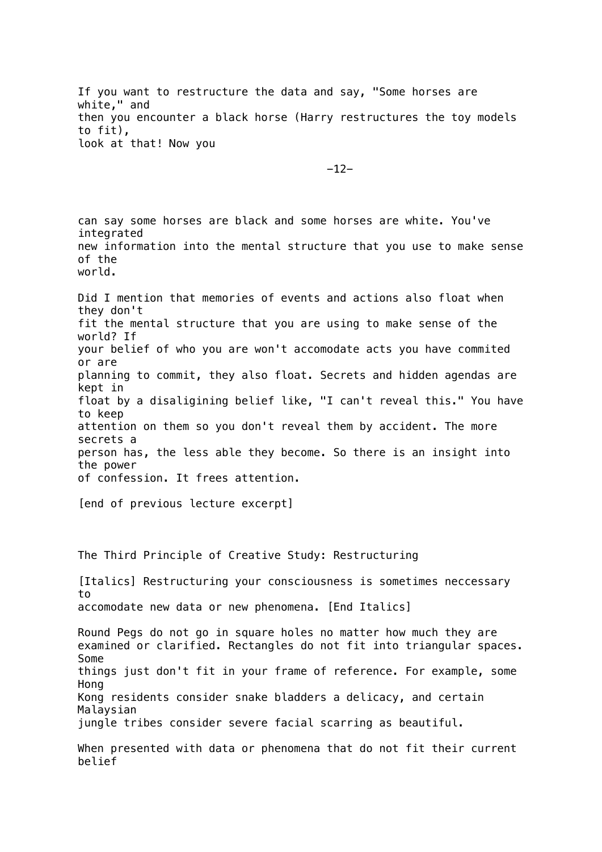If you want to restructure the data and say, "Some horses are white," and then you encounter a black horse (Harry restructures the toy models to fit), look at that! Now you

-12-

can say some horses are black and some horses are white. You've integrated new information into the mental structure that you use to make sense of the world. Did I mention that memories of events and actions also float when they don't fit the mental structure that you are using to make sense of the world? If your belief of who you are won't accomodate acts you have commited or are planning to commit, they also float. Secrets and hidden agendas are kept in float by a disaligining belief like, "I can't reveal this." You have to keep attention on them so you don't reveal them by accident. The more secrets a person has, the less able they become. So there is an insight into the power of confession. It frees attention. [end of previous lecture excerpt] The Third Principle of Creative Study: Restructuring [Italics] Restructuring your consciousness is sometimes neccessary to accomodate new data or new phenomena. [End Italics] Round Pegs do not go in square holes no matter how much they are examined or clarified. Rectangles do not fit into triangular spaces. Some things just don't fit in your frame of reference. For example, some Hong Kong residents consider snake bladders a delicacy, and certain Malaysian jungle tribes consider severe facial scarring as beautiful. When presented with data or phenomena that do not fit their current belief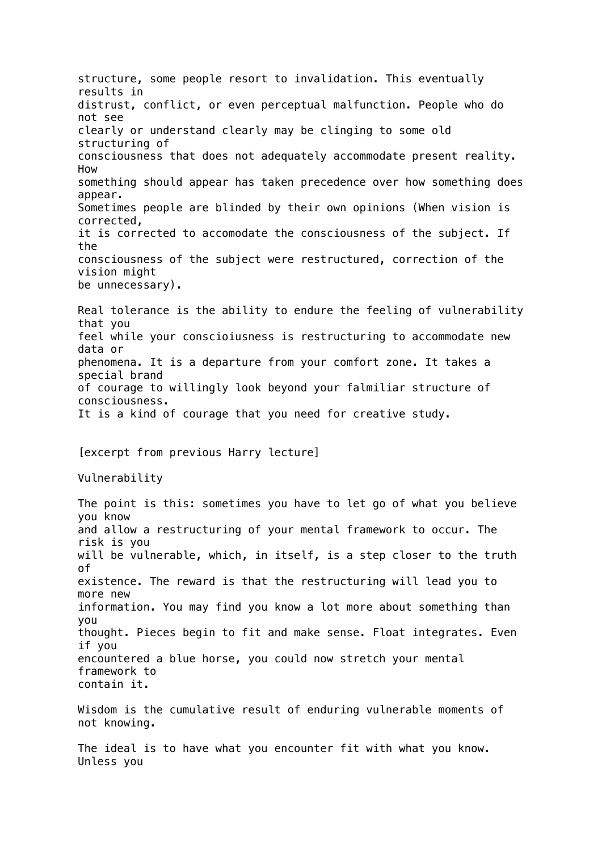structure, some people resort to invalidation. This eventually results in distrust, conflict, or even perceptual malfunction. People who do not see clearly or understand clearly may be clinging to some old structuring of consciousness that does not adequately accommodate present reality. How something should appear has taken precedence over how something does appear. Sometimes people are blinded by their own opinions (When vision is corrected, it is corrected to accomodate the consciousness of the subject. If the consciousness of the subject were restructured, correction of the vision might be unnecessary). Real tolerance is the ability to endure the feeling of vulnerability that you feel while your conscioiusness is restructuring to accommodate new data or phenomena. It is a departure from your comfort zone. It takes a special brand of courage to willingly look beyond your falmiliar structure of consciousness. It is a kind of courage that you need for creative study. [excerpt from previous Harry lecture] Vulnerability The point is this: sometimes you have to let go of what you believe you know and allow a restructuring of your mental framework to occur. The risk is you will be vulnerable, which, in itself, is a step closer to the truth of existence. The reward is that the restructuring will lead you to more new information. You may find you know a lot more about something than you thought. Pieces begin to fit and make sense. Float integrates. Even if you encountered a blue horse, you could now stretch your mental framework to contain it. Wisdom is the cumulative result of enduring vulnerable moments of not knowing. The ideal is to have what you encounter fit with what you know. Unless you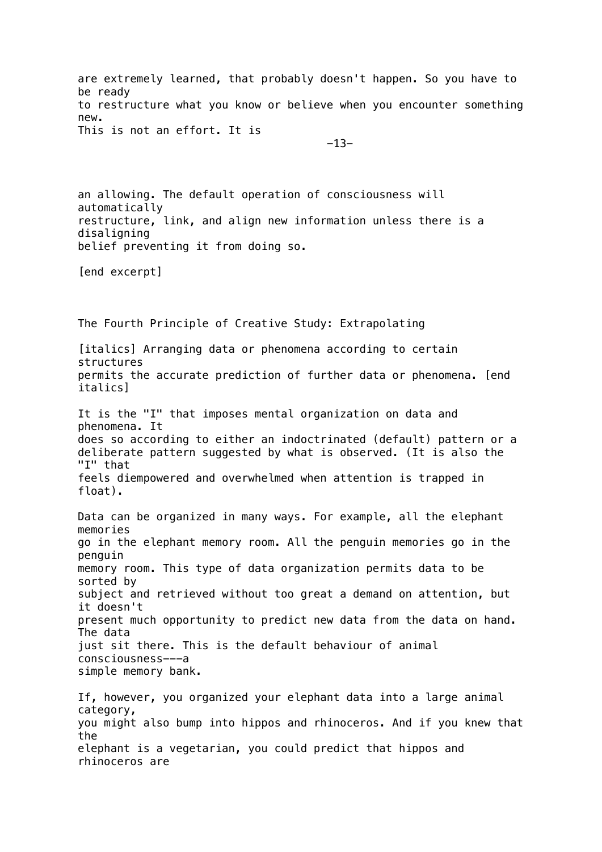are extremely learned, that probably doesn't happen. So you have to be ready to restructure what you know or believe when you encounter something new. This is not an effort. It is

-13-

an allowing. The default operation of consciousness will automatically restructure, link, and align new information unless there is a disaligning belief preventing it from doing so.

[end excerpt]

The Fourth Principle of Creative Study: Extrapolating [italics] Arranging data or phenomena according to certain structures permits the accurate prediction of further data or phenomena. [end italics] It is the "I" that imposes mental organization on data and phenomena. It does so according to either an indoctrinated (default) pattern or a deliberate pattern suggested by what is observed. (It is also the "I" that feels diempowered and overwhelmed when attention is trapped in float). Data can be organized in many ways. For example, all the elephant memories go in the elephant memory room. All the penguin memories go in the penguin memory room. This type of data organization permits data to be sorted by subject and retrieved without too great a demand on attention, but it doesn't present much opportunity to predict new data from the data on hand. The data just sit there. This is the default behaviour of animal consciousness---a simple memory bank. If, however, you organized your elephant data into a large animal category, you might also bump into hippos and rhinoceros. And if you knew that the

elephant is a vegetarian, you could predict that hippos and rhinoceros are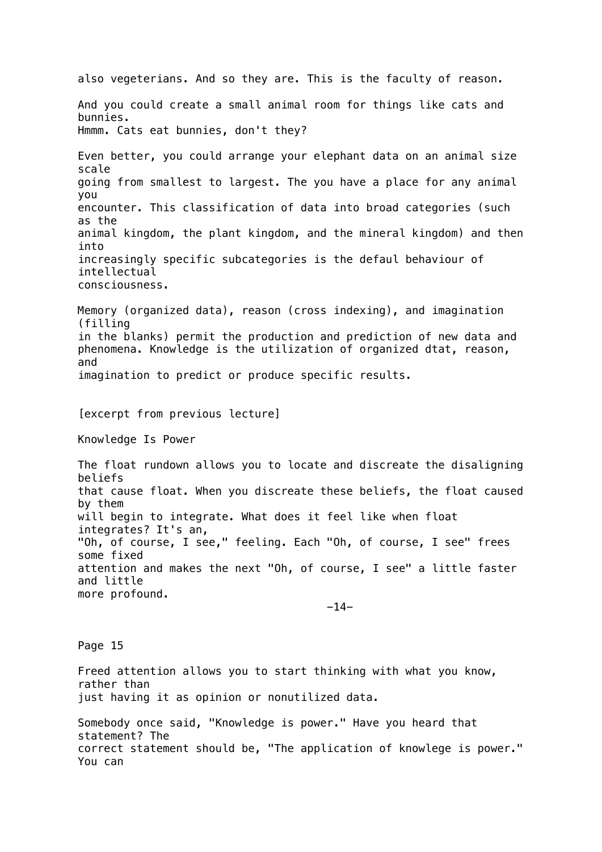also vegeterians. And so they are. This is the faculty of reason. And you could create a small animal room for things like cats and bunnies. Hmmm. Cats eat bunnies, don't they? Even better, you could arrange your elephant data on an animal size scale going from smallest to largest. The you have a place for any animal you encounter. This classification of data into broad categories (such as the animal kingdom, the plant kingdom, and the mineral kingdom) and then into increasingly specific subcategories is the defaul behaviour of intellectual consciousness. Memory (organized data), reason (cross indexing), and imagination (filling in the blanks) permit the production and prediction of new data and phenomena. Knowledge is the utilization of organized dtat, reason, and imagination to predict or produce specific results. [excerpt from previous lecture] Knowledge Is Power The float rundown allows you to locate and discreate the disaligning beliefs that cause float. When you discreate these beliefs, the float caused by them will begin to integrate. What does it feel like when float integrates? It's an, "Oh, of course, I see," feeling. Each "Oh, of course, I see" frees some fixed attention and makes the next "Oh, of course, I see" a little faster and little more profound. -14- Page 15 Freed attention allows you to start thinking with what you know, rather than just having it as opinion or nonutilized data. Somebody once said, "Knowledge is power." Have you heard that statement? The correct statement should be, "The application of knowlege is power." You can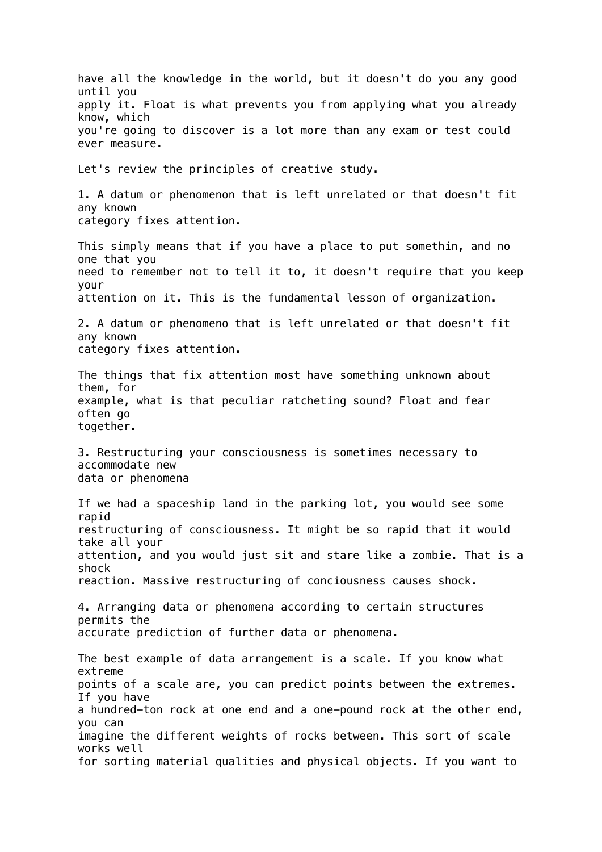have all the knowledge in the world, but it doesn't do you any good until you apply it. Float is what prevents you from applying what you already know, which you're going to discover is a lot more than any exam or test could ever measure. Let's review the principles of creative study. 1. A datum or phenomenon that is left unrelated or that doesn't fit any known category fixes attention. This simply means that if you have a place to put somethin, and no one that you need to remember not to tell it to, it doesn't require that you keep your attention on it. This is the fundamental lesson of organization. 2. A datum or phenomeno that is left unrelated or that doesn't fit any known category fixes attention. The things that fix attention most have something unknown about them, for example, what is that peculiar ratcheting sound? Float and fear often go together. 3. Restructuring your consciousness is sometimes necessary to accommodate new data or phenomena If we had a spaceship land in the parking lot, you would see some rapid restructuring of consciousness. It might be so rapid that it would take all your attention, and you would just sit and stare like a zombie. That is a shock reaction. Massive restructuring of conciousness causes shock. 4. Arranging data or phenomena according to certain structures permits the accurate prediction of further data or phenomena. The best example of data arrangement is a scale. If you know what extreme points of a scale are, you can predict points between the extremes. If you have a hundred-ton rock at one end and a one-pound rock at the other end, you can imagine the different weights of rocks between. This sort of scale works well for sorting material qualities and physical objects. If you want to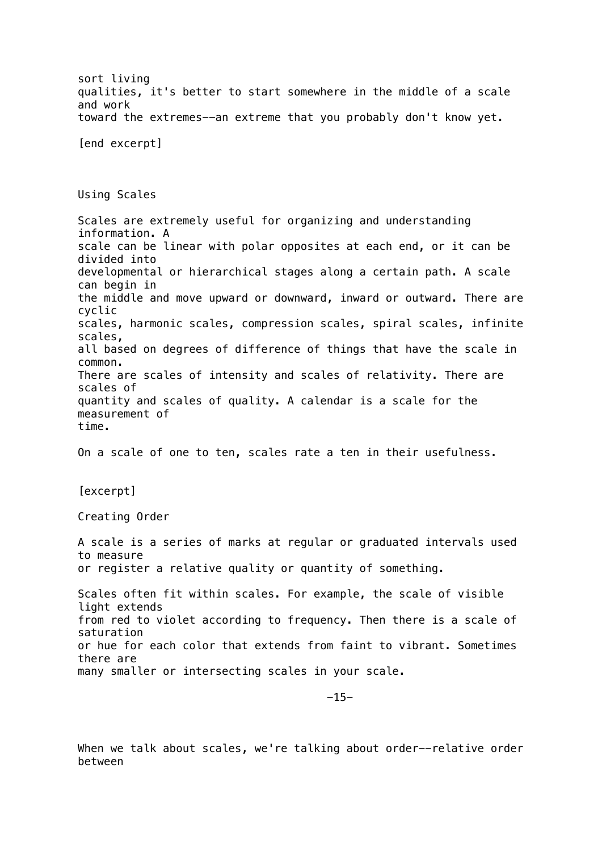sort living qualities, it's better to start somewhere in the middle of a scale and work toward the extremes--an extreme that you probably don't know yet. [end excerpt] Using Scales Scales are extremely useful for organizing and understanding information. A scale can be linear with polar opposites at each end, or it can be divided into developmental or hierarchical stages along a certain path. A scale can begin in the middle and move upward or downward, inward or outward. There are cyclic scales, harmonic scales, compression scales, spiral scales, infinite scales, all based on degrees of difference of things that have the scale in common. There are scales of intensity and scales of relativity. There are scales of quantity and scales of quality. A calendar is a scale for the measurement of time. On a scale of one to ten, scales rate a ten in their usefulness. [excerpt] Creating Order A scale is a series of marks at regular or graduated intervals used to measure or register a relative quality or quantity of something. Scales often fit within scales. For example, the scale of visible light extends from red to violet according to frequency. Then there is a scale of saturation or hue for each color that extends from faint to vibrant. Sometimes there are many smaller or intersecting scales in your scale. -15-

When we talk about scales, we're talking about order--relative order between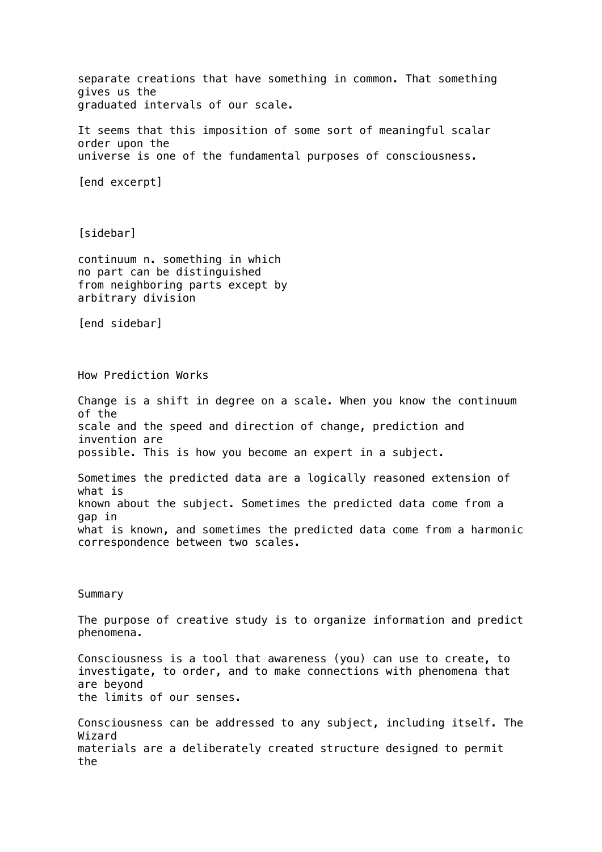separate creations that have something in common. That something gives us the graduated intervals of our scale. It seems that this imposition of some sort of meaningful scalar order upon the universe is one of the fundamental purposes of consciousness. [end excerpt] [sidebar] continuum n. something in which no part can be distinguished from neighboring parts except by arbitrary division [end sidebar] How Prediction Works Change is a shift in degree on a scale. When you know the continuum of the scale and the speed and direction of change, prediction and invention are possible. This is how you become an expert in a subject. Sometimes the predicted data are a logically reasoned extension of what is known about the subject. Sometimes the predicted data come from a gap in what is known, and sometimes the predicted data come from a harmonic correspondence between two scales. **Summary** The purpose of creative study is to organize information and predict phenomena. Consciousness is a tool that awareness (you) can use to create, to investigate, to order, and to make connections with phenomena that are beyond the limits of our senses. Consciousness can be addressed to any subject, including itself. The Wizard materials are a deliberately created structure designed to permit the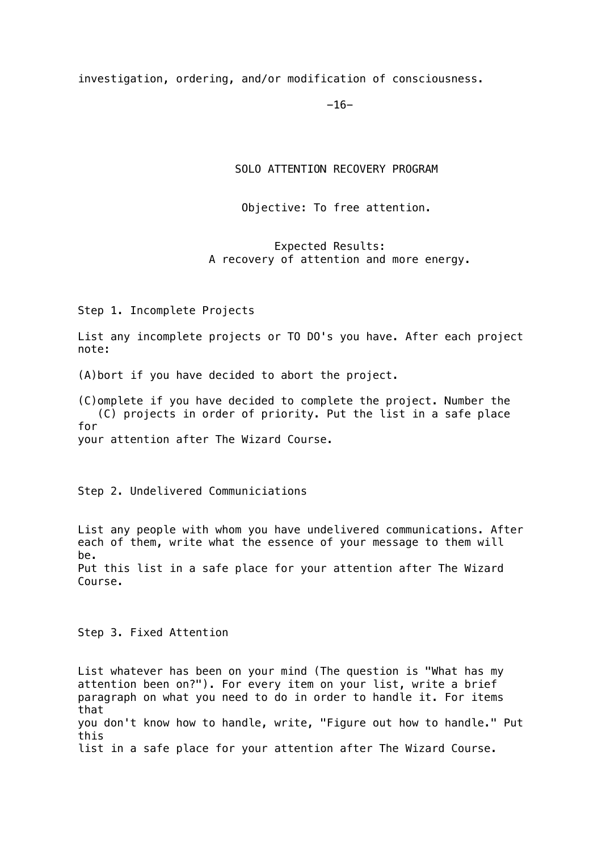investigation, ordering, and/or modification of consciousness.

-16-

SOLO ATTENTION RECOVERY PROGRAM

Objective: To free attention.

 Expected Results: A recovery of attention and more energy.

Step 1. Incomplete Projects

List any incomplete projects or TO DO's you have. After each project note:

(A)bort if you have decided to abort the project.

(C)omplete if you have decided to complete the project. Number the (C) projects in order of priority. Put the list in a safe place for your attention after The Wizard Course.

Step 2. Undelivered Communiciations

List any people with whom you have undelivered communications. After each of them, write what the essence of your message to them will be. Put this list in a safe place for your attention after The Wizard Course.

Step 3. Fixed Attention

List whatever has been on your mind (The question is "What has my attention been on?"). For every item on your list, write a brief paragraph on what you need to do in order to handle it. For items that you don't know how to handle, write, "Figure out how to handle." Put this list in a safe place for your attention after The Wizard Course.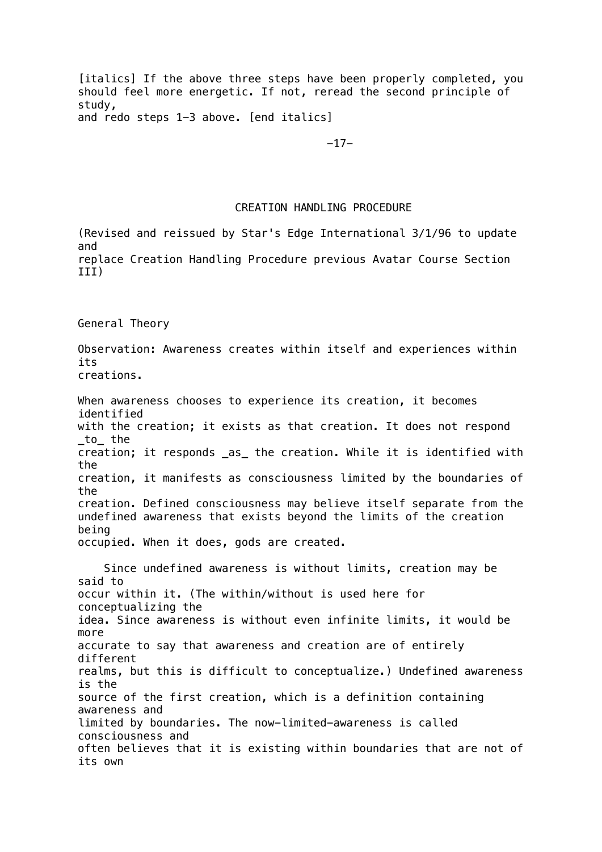[italics] If the above three steps have been properly completed, you should feel more energetic. If not, reread the second principle of study, and redo steps 1-3 above. [end italics]

-17-

#### CREATION HANDLING PROCEDURE

(Revised and reissued by Star's Edge International 3/1/96 to update and replace Creation Handling Procedure previous Avatar Course Section III)

General Theory

Observation: Awareness creates within itself and experiences within its creations.

When awareness chooses to experience its creation, it becomes identified with the creation; it exists as that creation. It does not respond \_to\_ the creation; it responds \_as\_ the creation. While it is identified with the creation, it manifests as consciousness limited by the boundaries of the creation. Defined consciousness may believe itself separate from the undefined awareness that exists beyond the limits of the creation being occupied. When it does, gods are created.

 Since undefined awareness is without limits, creation may be said to occur within it. (The within/without is used here for conceptualizing the idea. Since awareness is without even infinite limits, it would be more accurate to say that awareness and creation are of entirely different realms, but this is difficult to conceptualize.) Undefined awareness is the source of the first creation, which is a definition containing awareness and limited by boundaries. The now-limited-awareness is called consciousness and often believes that it is existing within boundaries that are not of its own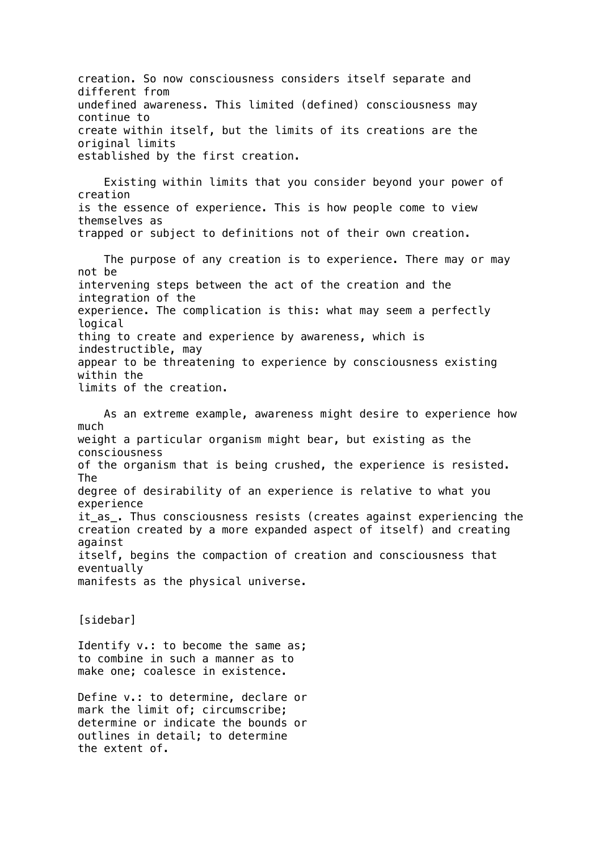creation. So now consciousness considers itself separate and different from undefined awareness. This limited (defined) consciousness may continue to create within itself, but the limits of its creations are the original limits established by the first creation.

 Existing within limits that you consider beyond your power of creation is the essence of experience. This is how people come to view themselves as trapped or subject to definitions not of their own creation.

 The purpose of any creation is to experience. There may or may not be intervening steps between the act of the creation and the integration of the experience. The complication is this: what may seem a perfectly logical thing to create and experience by awareness, which is indestructible, may appear to be threatening to experience by consciousness existing within the limits of the creation.

 As an extreme example, awareness might desire to experience how much weight a particular organism might bear, but existing as the consciousness of the organism that is being crushed, the experience is resisted. The degree of desirability of an experience is relative to what you experience it as. Thus consciousness resists (creates against experiencing the creation created by a more expanded aspect of itself) and creating against itself, begins the compaction of creation and consciousness that eventually manifests as the physical universe.

[sidebar]

Identify v.: to become the same as; to combine in such a manner as to make one; coalesce in existence.

Define v.: to determine, declare or mark the limit of; circumscribe; determine or indicate the bounds or outlines in detail; to determine the extent of.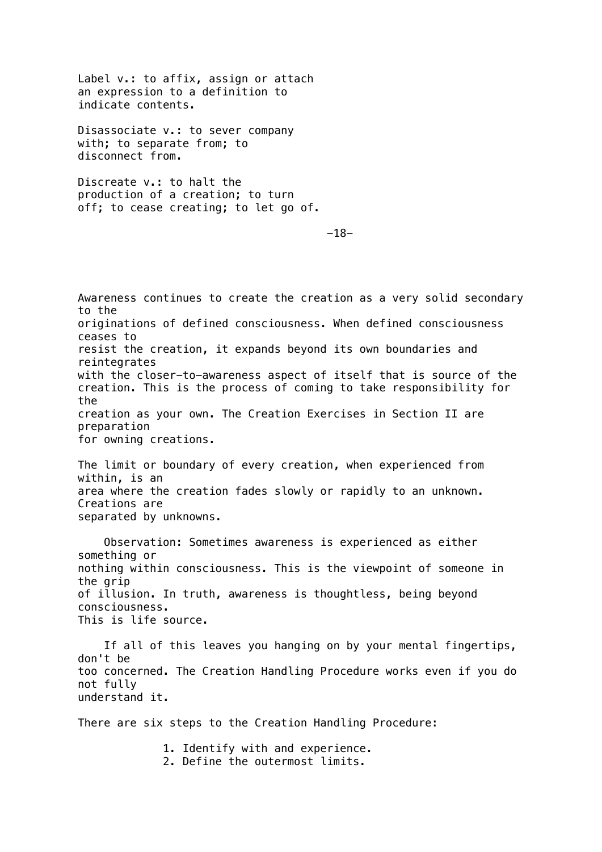Label v.: to affix, assign or attach an expression to a definition to indicate contents.

Disassociate v.: to sever company with; to separate from; to disconnect from.

Discreate v.: to halt the production of a creation; to turn off; to cease creating; to let go of.

-18-

Awareness continues to create the creation as a very solid secondary to the originations of defined consciousness. When defined consciousness ceases to resist the creation, it expands beyond its own boundaries and reintegrates with the closer-to-awareness aspect of itself that is source of the creation. This is the process of coming to take responsibility for the creation as your own. The Creation Exercises in Section II are preparation for owning creations. The limit or boundary of every creation, when experienced from

within, is an area where the creation fades slowly or rapidly to an unknown. Creations are separated by unknowns.

 Observation: Sometimes awareness is experienced as either something or nothing within consciousness. This is the viewpoint of someone in the grip of illusion. In truth, awareness is thoughtless, being beyond consciousness. This is life source.

If all of this leaves you hanging on by your mental fingertips, don't be too concerned. The Creation Handling Procedure works even if you do not fully understand it.

There are six steps to the Creation Handling Procedure:

 1. Identify with and experience. 2. Define the outermost limits.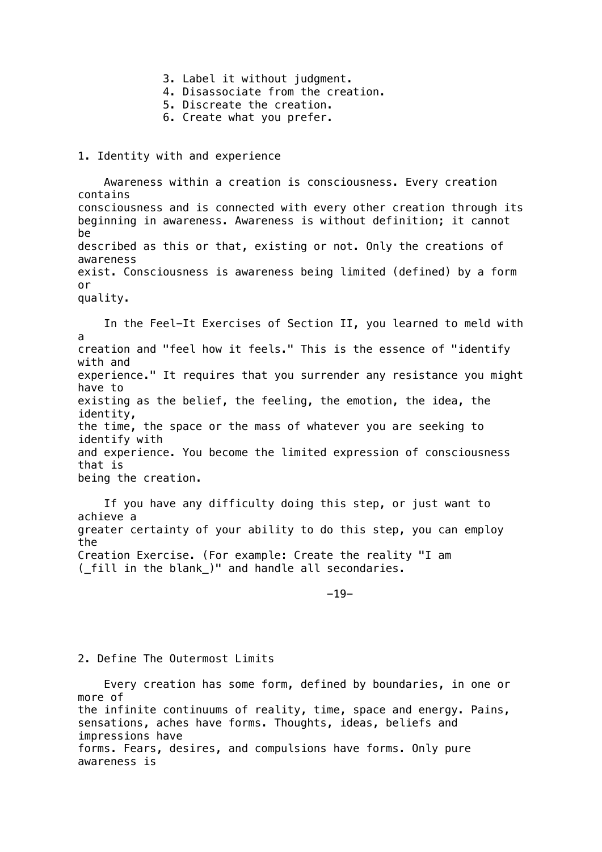- 3. Label it without judgment.
- 4. Disassociate from the creation.
- 5. Discreate the creation.
- 6. Create what you prefer.

#### 1. Identity with and experience

 Awareness within a creation is consciousness. Every creation contains consciousness and is connected with every other creation through its beginning in awareness. Awareness is without definition; it cannot be described as this or that, existing or not. Only the creations of awareness exist. Consciousness is awareness being limited (defined) by a form or quality.

 In the Feel-It Exercises of Section II, you learned to meld with a creation and "feel how it feels." This is the essence of "identify with and experience." It requires that you surrender any resistance you might have to existing as the belief, the feeling, the emotion, the idea, the identity, the time, the space or the mass of whatever you are seeking to identify with and experience. You become the limited expression of consciousness that is being the creation.

 If you have any difficulty doing this step, or just want to achieve a greater certainty of your ability to do this step, you can employ the Creation Exercise. (For example: Create the reality "I am (\_fill in the blank\_)" and handle all secondaries.

-19-

### 2. Define The Outermost Limits

 Every creation has some form, defined by boundaries, in one or more of the infinite continuums of reality, time, space and energy. Pains, sensations, aches have forms. Thoughts, ideas, beliefs and impressions have forms. Fears, desires, and compulsions have forms. Only pure awareness is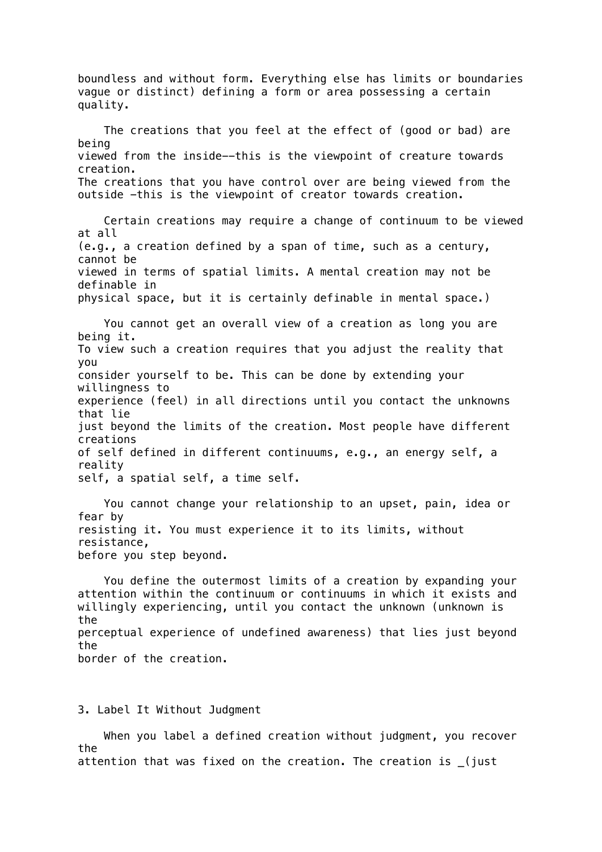boundless and without form. Everything else has limits or boundaries vague or distinct) defining a form or area possessing a certain quality. The creations that you feel at the effect of (good or bad) are being viewed from the inside--this is the viewpoint of creature towards creation. The creations that you have control over are being viewed from the outside -this is the viewpoint of creator towards creation. Certain creations may require a change of continuum to be viewed at all (e.g., a creation defined by a span of time, such as a century, cannot be viewed in terms of spatial limits. A mental creation may not be definable in physical space, but it is certainly definable in mental space.) You cannot get an overall view of a creation as long you are being it. To view such a creation requires that you adjust the reality that you consider yourself to be. This can be done by extending your willingness to experience (feel) in all directions until you contact the unknowns that lie just beyond the limits of the creation. Most people have different creations of self defined in different continuums, e.g., an energy self, a reality self, a spatial self, a time self. You cannot change your relationship to an upset, pain, idea or fear by resisting it. You must experience it to its limits, without resistance, before you step beyond. You define the outermost limits of a creation by expanding your attention within the continuum or continuums in which it exists and willingly experiencing, until you contact the unknown (unknown is the perceptual experience of undefined awareness) that lies just beyond the border of the creation.

3. Label It Without Judgment

 When you label a defined creation without judgment, you recover the attention that was fixed on the creation. The creation is \_(just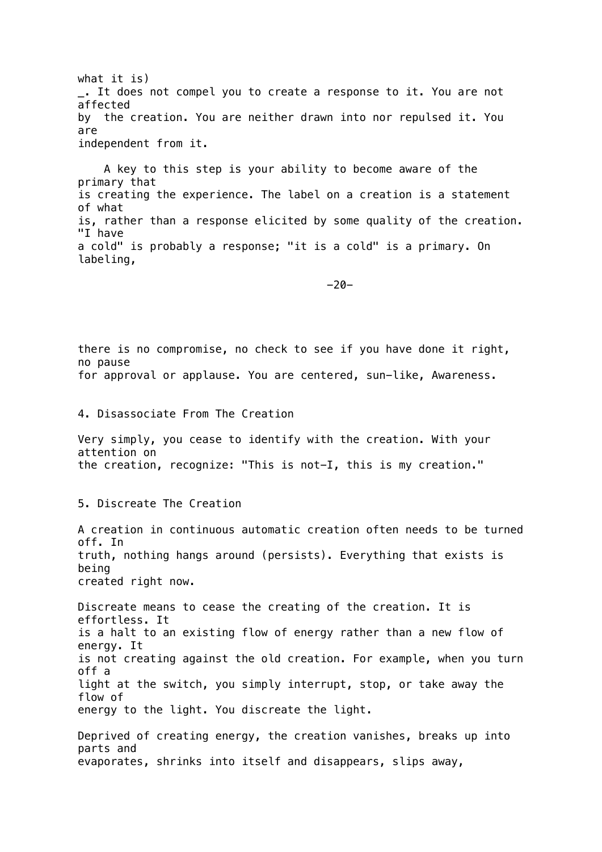what it is) \_. It does not compel you to create a response to it. You are not affected by the creation. You are neither drawn into nor repulsed it. You are independent from it.

 A key to this step is your ability to become aware of the primary that is creating the experience. The label on a creation is a statement of what is, rather than a response elicited by some quality of the creation. "I have a cold" is probably a response; "it is a cold" is a primary. On labeling,

-20-

there is no compromise, no check to see if you have done it right, no pause for approval or applause. You are centered, sun-like, Awareness.

4. Disassociate From The Creation

Very simply, you cease to identify with the creation. With your attention on the creation, recognize: "This is not-I, this is my creation."

5. Discreate The Creation

A creation in continuous automatic creation often needs to be turned off. In truth, nothing hangs around (persists). Everything that exists is being created right now.

Discreate means to cease the creating of the creation. It is effortless. It is a halt to an existing flow of energy rather than a new flow of energy. It is not creating against the old creation. For example, when you turn off a light at the switch, you simply interrupt, stop, or take away the flow of energy to the light. You discreate the light.

Deprived of creating energy, the creation vanishes, breaks up into parts and evaporates, shrinks into itself and disappears, slips away,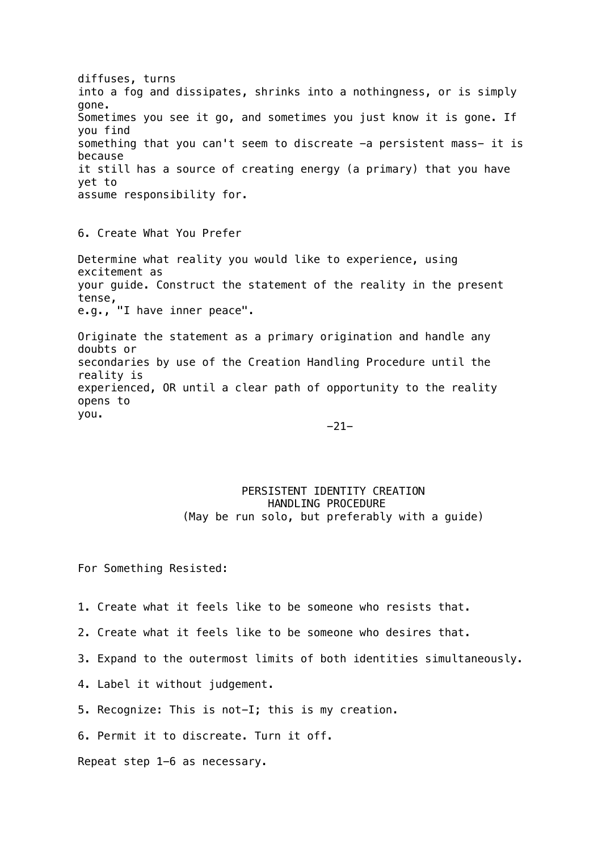diffuses, turns into a fog and dissipates, shrinks into a nothingness, or is simply gone. Sometimes you see it go, and sometimes you just know it is gone. If you find something that you can't seem to discreate -a persistent mass- it is because it still has a source of creating energy (a primary) that you have yet to assume responsibility for.

6. Create What You Prefer

Determine what reality you would like to experience, using excitement as your guide. Construct the statement of the reality in the present tense, e.g., "I have inner peace".

Originate the statement as a primary origination and handle any doubts or secondaries by use of the Creation Handling Procedure until the reality is experienced, OR until a clear path of opportunity to the reality opens to you.

-21-

### PERSISTENT IDENTITY CREATION HANDLING PROCEDURE (May be run solo, but preferably with a guide)

For Something Resisted:

- 1. Create what it feels like to be someone who resists that.
- 2. Create what it feels like to be someone who desires that.
- 3. Expand to the outermost limits of both identities simultaneously.
- 4. Label it without judgement.
- 5. Recognize: This is not-I; this is my creation.
- 6. Permit it to discreate. Turn it off.

Repeat step 1-6 as necessary.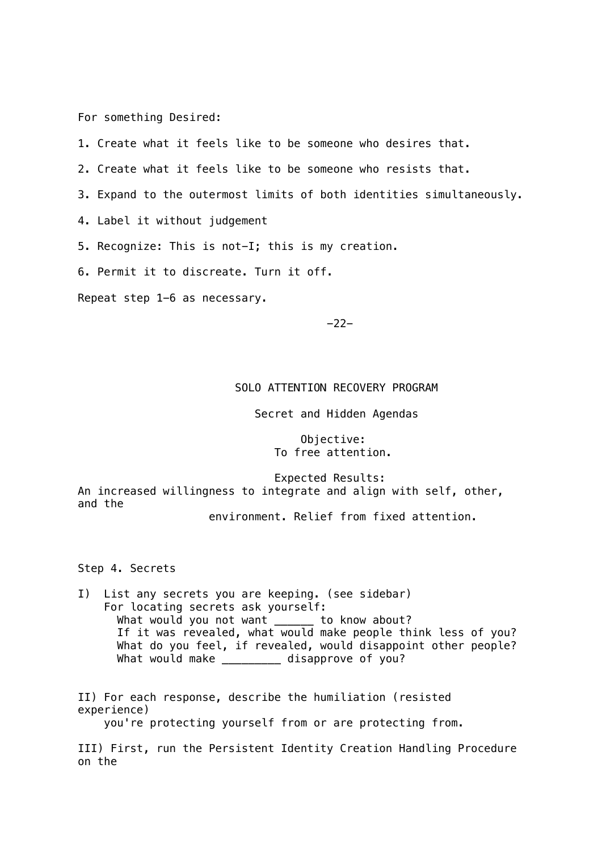For something Desired:

- 1. Create what it feels like to be someone who desires that.
- 2. Create what it feels like to be someone who resists that.
- 3. Expand to the outermost limits of both identities simultaneously.
- 4. Label it without judgement
- 5. Recognize: This is not-I; this is my creation.
- 6. Permit it to discreate. Turn it off.

Repeat step 1-6 as necessary.

-22-

## SOLO ATTENTION RECOVERY PROGRAM

Secret and Hidden Agendas

 Objective: To free attention.

 Expected Results: An increased willingness to integrate and align with self, other, and the

environment. Relief from fixed attention.

Step 4. Secrets

I) List any secrets you are keeping. (see sidebar) For locating secrets ask yourself: What would you not want \_\_\_\_\_\_ to know about? If it was revealed, what would make people think less of you? What do you feel, if revealed, would disappoint other people? What would make \_\_\_\_\_\_\_\_\_ disapprove of you?

II) For each response, describe the humiliation (resisted experience) you're protecting yourself from or are protecting from.

III) First, run the Persistent Identity Creation Handling Procedure on the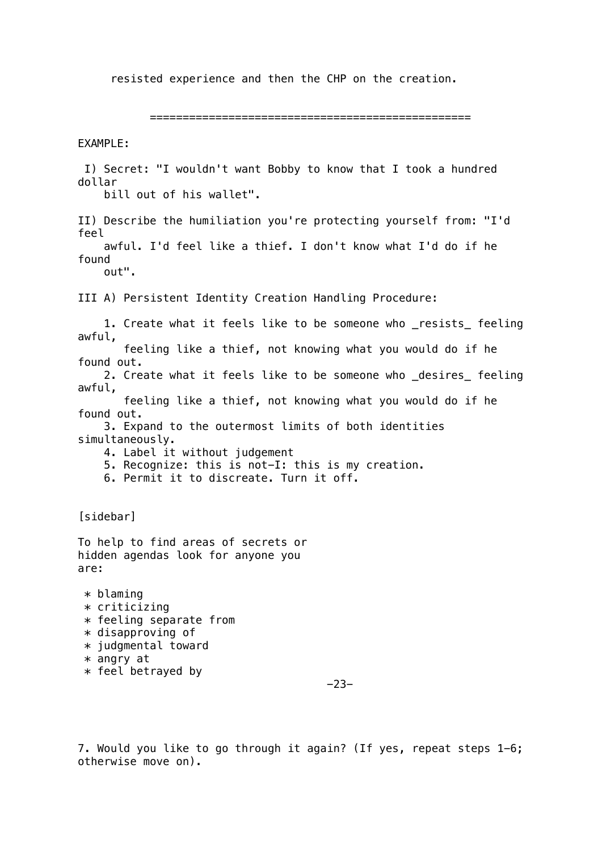resisted experience and then the CHP on the creation.

=================================================

EXAMPLE:

 I) Secret: "I wouldn't want Bobby to know that I took a hundred dollar bill out of his wallet". II) Describe the humiliation you're protecting yourself from: "I'd feel awful. I'd feel like a thief. I don't know what I'd do if he found out". III A) Persistent Identity Creation Handling Procedure: 1. Create what it feels like to be someone who \_resists\_ feeling awful, feeling like a thief, not knowing what you would do if he found out. 2. Create what it feels like to be someone who desires feeling awful, feeling like a thief, not knowing what you would do if he found out. 3. Expand to the outermost limits of both identities simultaneously. 4. Label it without judgement 5. Recognize: this is not-I: this is my creation. 6. Permit it to discreate. Turn it off. [sidebar] To help to find areas of secrets or hidden agendas look for anyone you are: \* blaming \* criticizing  $*$  feeling separate from  $*$  disapproving of \* judgmental toward \* angry at \* feel betrayed by -23-

7. Would you like to go through it again? (If yes, repeat steps 1-6; otherwise move on).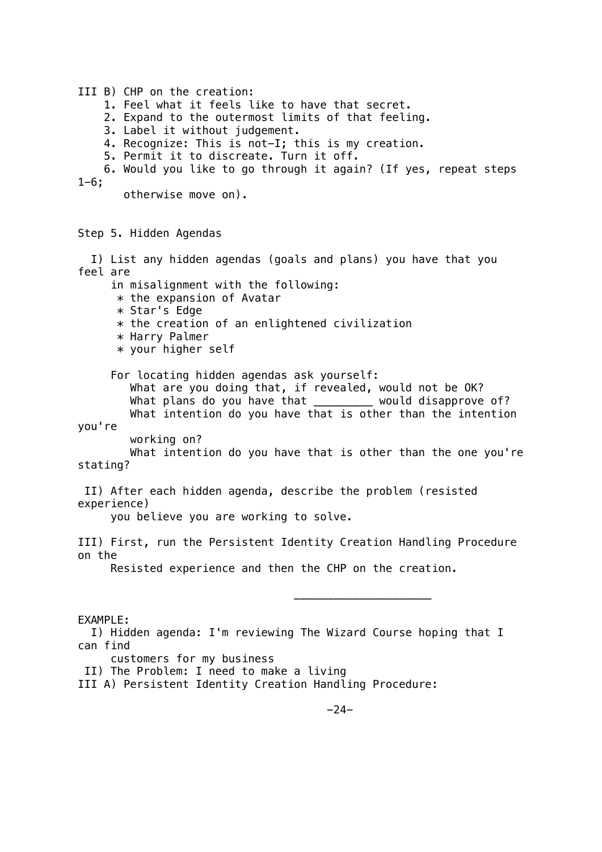III B) CHP on the creation: 1. Feel what it feels like to have that secret. 2. Expand to the outermost limits of that feeling. 3. Label it without judgement. 4. Recognize: This is not-I; this is my creation. 5. Permit it to discreate. Turn it off. 6. Would you like to go through it again? (If yes, repeat steps  $1 - 6:$  otherwise move on). Step 5. Hidden Agendas I) List any hidden agendas (goals and plans) you have that you feel are in misalignment with the following:  $*$  the expansion of Avatar \* Star's Edge  $*$  the creation of an enlightened civilization \* Harry Palmer \* your higher self For locating hidden agendas ask yourself: What are you doing that, if revealed, would not be OK? What plans do you have that would disapprove of? What intention do you have that is other than the intention you're working on? What intention do you have that is other than the one you're stating? II) After each hidden agenda, describe the problem (resisted experience) you believe you are working to solve. III) First, run the Persistent Identity Creation Handling Procedure on the Resisted experience and then the CHP on the creation.  $\overline{\phantom{a}}$  , and the contract of the contract of the contract of the contract of the contract of the contract of the contract of the contract of the contract of the contract of the contract of the contract of the contrac EXAMPLE: I) Hidden agenda: I'm reviewing The Wizard Course hoping that I can find customers for my business II) The Problem: I need to make a living III A) Persistent Identity Creation Handling Procedure: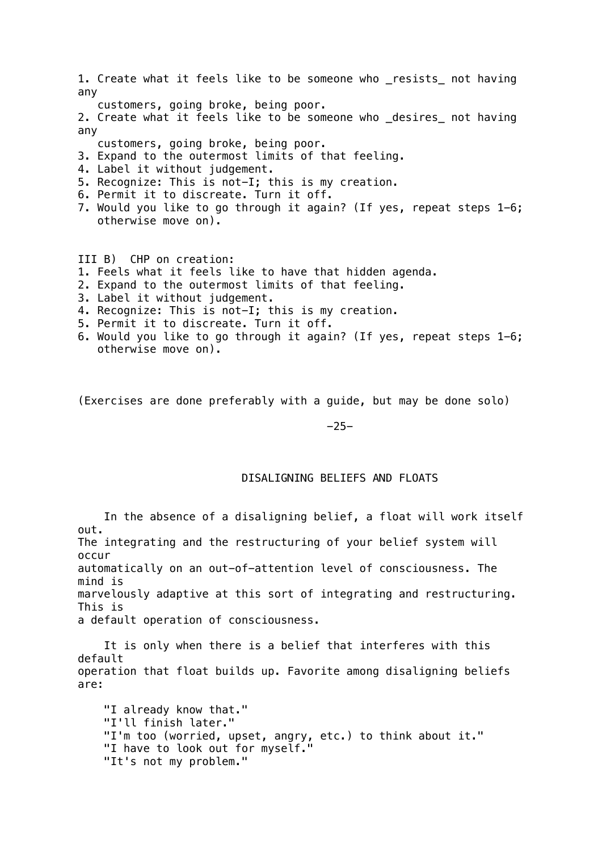1. Create what it feels like to be someone who \_resists\_ not having any customers, going broke, being poor. 2. Create what it feels like to be someone who desires not having any customers, going broke, being poor. 3. Expand to the outermost limits of that feeling.

- 4. Label it without judgement.
- 5. Recognize: This is not-I; this is my creation.
- 6. Permit it to discreate. Turn it off.
- 7. Would you like to go through it again? (If yes, repeat steps 1-6; otherwise move on).

III B) CHP on creation:

- 1. Feels what it feels like to have that hidden agenda.
- 2. Expand to the outermost limits of that feeling.
- 3. Label it without judgement.
- 4. Recognize: This is not-I; this is my creation.
- 5. Permit it to discreate. Turn it off.
- 6. Would you like to go through it again? (If yes, repeat steps 1-6; otherwise move on).

(Exercises are done preferably with a guide, but may be done solo)

-25-

### DISALIGNING BELIEFS AND FLOATS

 In the absence of a disaligning belief, a float will work itself out. The integrating and the restructuring of your belief system will occur automatically on an out-of-attention level of consciousness. The mind is marvelously adaptive at this sort of integrating and restructuring. This is a default operation of consciousness.

 It is only when there is a belief that interferes with this default operation that float builds up. Favorite among disaligning beliefs are:

 "I already know that." "I'll finish later." "I'm too (worried, upset, angry, etc.) to think about it." "I have to look out for myself." "It's not my problem."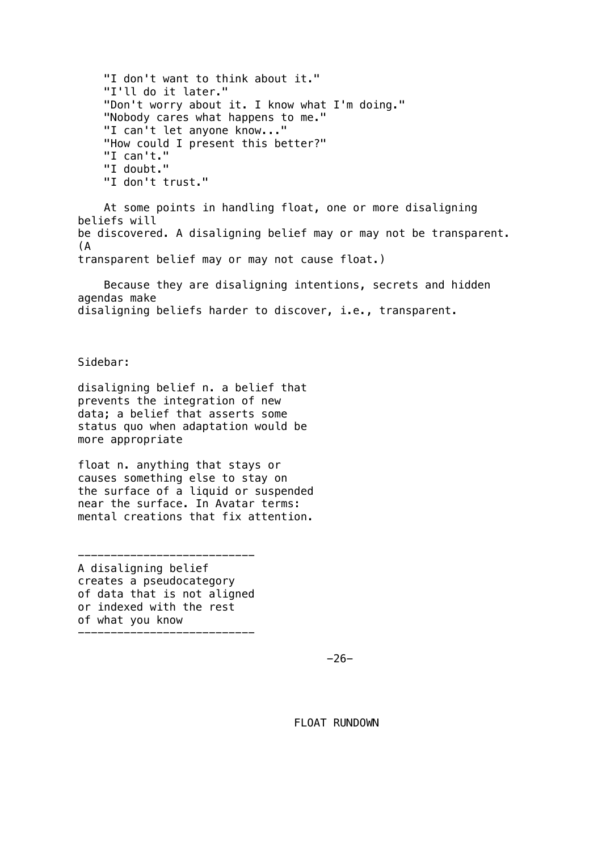"I don't want to think about it." "I'll do it later." "Don't worry about it. I know what I'm doing." "Nobody cares what happens to me." "I can't let anyone know..." "How could I present this better?" "I can't." "I doubt." "I don't trust."

 At some points in handling float, one or more disaligning beliefs will be discovered. A disaligning belief may or may not be transparent. (A transparent belief may or may not cause float.)

 Because they are disaligning intentions, secrets and hidden agendas make disaligning beliefs harder to discover, i.e., transparent.

Sidebar:

disaligning belief n. a belief that prevents the integration of new data; a belief that asserts some status quo when adaptation would be more appropriate

float n. anything that stays or causes something else to stay on the surface of a liquid or suspended near the surface. In Avatar terms: mental creations that fix attention.

A disaligning belief creates a pseudocategory of data that is not aligned or indexed with the rest of what you know ---------------------------

---------------------------

-26-

FLOAT RUNDOWN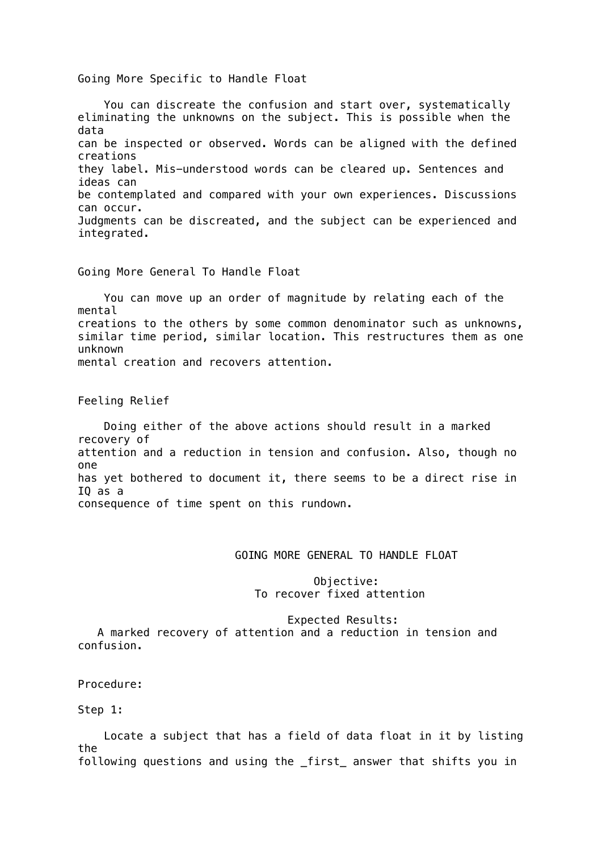Going More Specific to Handle Float

 You can discreate the confusion and start over, systematically eliminating the unknowns on the subject. This is possible when the data can be inspected or observed. Words can be aligned with the defined creations they label. Mis-understood words can be cleared up. Sentences and ideas can be contemplated and compared with your own experiences. Discussions can occur. Judgments can be discreated, and the subject can be experienced and integrated.

Going More General To Handle Float

 You can move up an order of magnitude by relating each of the mental creations to the others by some common denominator such as unknowns, similar time period, similar location. This restructures them as one unknown mental creation and recovers attention.

Feeling Relief

 Doing either of the above actions should result in a marked recovery of attention and a reduction in tension and confusion. Also, though no one has yet bothered to document it, there seems to be a direct rise in IQ as a consequence of time spent on this rundown.

# GOING MORE GENERAL TO HANDLE FLOAT

 Objective: To recover fixed attention

Expected Results:

 A marked recovery of attention and a reduction in tension and confusion.

Procedure:

Step 1:

 Locate a subject that has a field of data float in it by listing the following questions and using the \_first\_ answer that shifts you in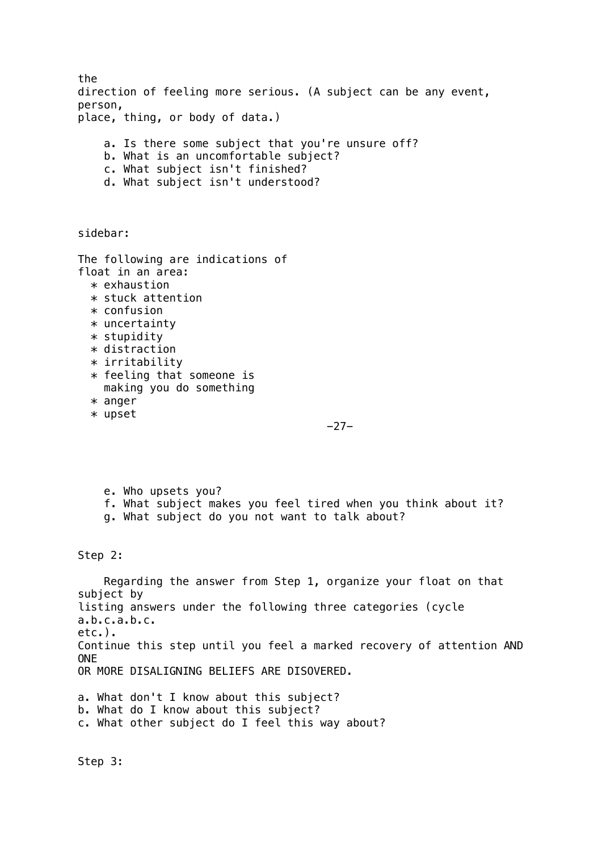the direction of feeling more serious. (A subject can be any event, person, place, thing, or body of data.) a. Is there some subject that you're unsure off? b. What is an uncomfortable subject? c. What subject isn't finished? d. What subject isn't understood? sidebar: The following are indications of float in an area: \* exhaustion \* stuck attention \* confusion \* uncertainty \* stupidity \* distraction \* irritability \* feeling that someone is making you do something \* anger \* upset -27 e. Who upsets you? f. What subject makes you feel tired when you think about it? g. What subject do you not want to talk about? Step 2: Regarding the answer from Step 1, organize your float on that subject by listing answers under the following three categories (cycle a.b.c.a.b.c. etc.). Continue this step until you feel a marked recovery of attention AND ONE OR MORE DISALIGNING BELIEFS ARE DISOVERED.

a. What don't I know about this subject? b. What do I know about this subject? c. What other subject do I feel this way about?

Step 3: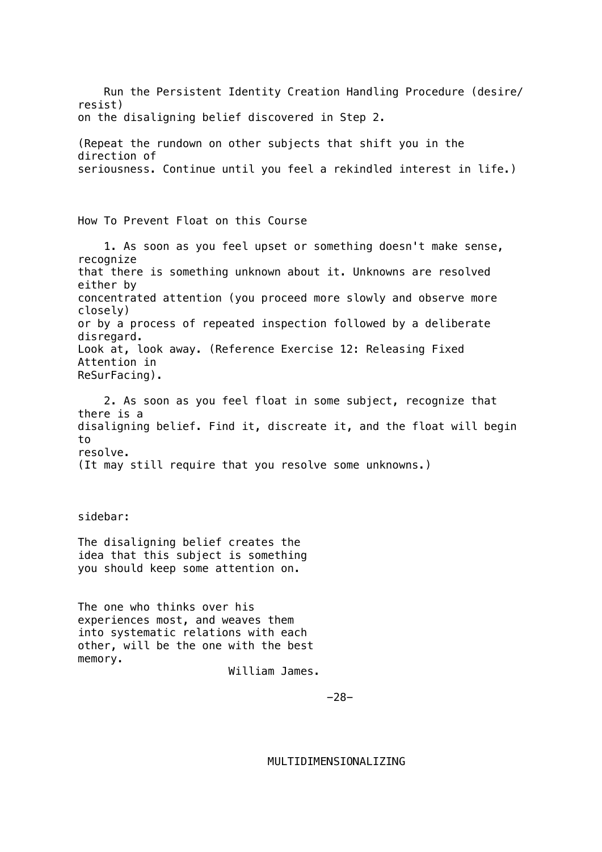Run the Persistent Identity Creation Handling Procedure (desire/ resist) on the disaligning belief discovered in Step 2. (Repeat the rundown on other subjects that shift you in the direction of seriousness. Continue until you feel a rekindled interest in life.) How To Prevent Float on this Course 1. As soon as you feel upset or something doesn't make sense, recognize that there is something unknown about it. Unknowns are resolved either by concentrated attention (you proceed more slowly and observe more closely) or by a process of repeated inspection followed by a deliberate disregard. Look at, look away. (Reference Exercise 12: Releasing Fixed Attention in ReSurFacing). 2. As soon as you feel float in some subject, recognize that there is a disaligning belief. Find it, discreate it, and the float will begin to resolve. (It may still require that you resolve some unknowns.) sidebar: The disaligning belief creates the idea that this subject is something you should keep some attention on. The one who thinks over his experiences most, and weaves them into systematic relations with each other, will be the one with the best memory. William James. -28-

MULTIDIMENSIONALIZING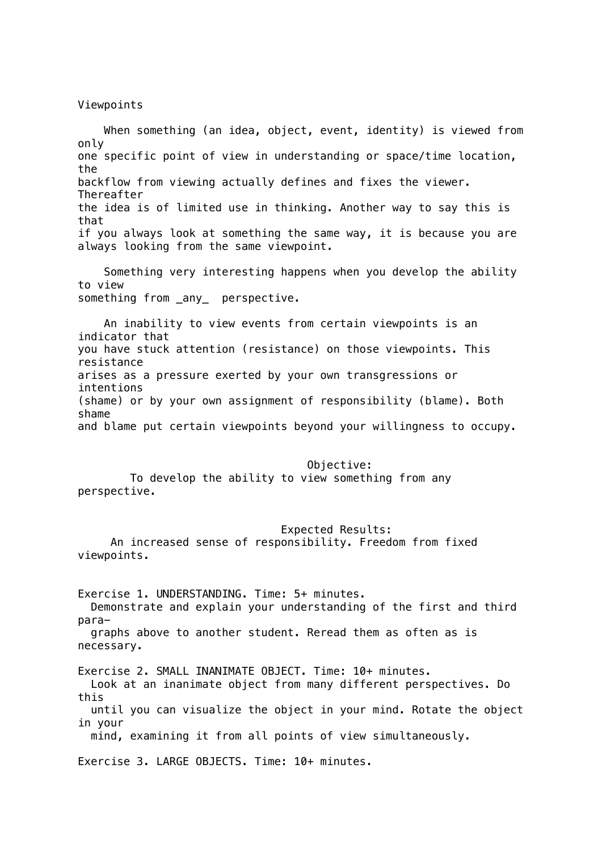Viewpoints

 When something (an idea, object, event, identity) is viewed from only one specific point of view in understanding or space/time location, the backflow from viewing actually defines and fixes the viewer. Thereafter the idea is of limited use in thinking. Another way to say this is that if you always look at something the same way, it is because you are always looking from the same viewpoint.

 Something very interesting happens when you develop the ability to view something from \_any\_ perspective.

 An inability to view events from certain viewpoints is an indicator that you have stuck attention (resistance) on those viewpoints. This resistance arises as a pressure exerted by your own transgressions or intentions (shame) or by your own assignment of responsibility (blame). Both shame and blame put certain viewpoints beyond your willingness to occupy.

#### Objective:

 To develop the ability to view something from any perspective.

#### Expected Results:

 An increased sense of responsibility. Freedom from fixed viewpoints.

Exercise 1. UNDERSTANDING. Time: 5+ minutes. Demonstrate and explain your understanding of the first and third para graphs above to another student. Reread them as often as is necessary. Exercise 2. SMALL INANIMATE OBJECT. Time: 10+ minutes. Look at an inanimate object from many different perspectives. Do this until you can visualize the object in your mind. Rotate the object in your mind, examining it from all points of view simultaneously. Exercise 3. LARGE OBJECTS. Time: 10+ minutes.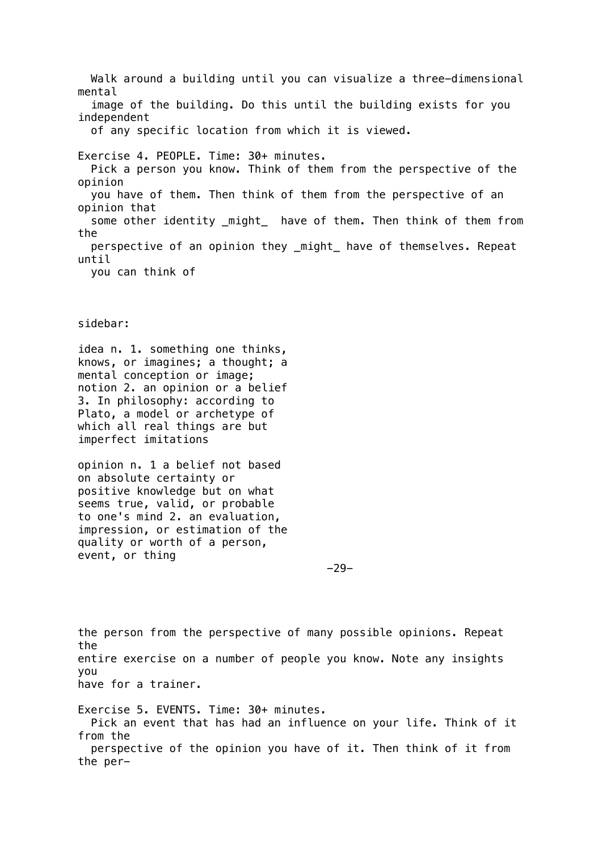Walk around a building until you can visualize a three-dimensional mental image of the building. Do this until the building exists for you independent of any specific location from which it is viewed. Exercise 4. PEOPLE. Time: 30+ minutes. Pick a person you know. Think of them from the perspective of the opinion you have of them. Then think of them from the perspective of an opinion that some other identity might have of them. Then think of them from the perspective of an opinion they \_might\_ have of themselves. Repeat until you can think of

sidebar:

idea n. 1. something one thinks, knows, or imagines; a thought; a mental conception or image; notion 2. an opinion or a belief 3. In philosophy: according to Plato, a model or archetype of which all real things are but imperfect imitations

opinion n. 1 a belief not based on absolute certainty or positive knowledge but on what seems true, valid, or probable to one's mind 2. an evaluation, impression, or estimation of the quality or worth of a person, event, or thing

-29-

the person from the perspective of many possible opinions. Repeat the entire exercise on a number of people you know. Note any insights you have for a trainer.

Exercise 5. EVENTS. Time: 30+ minutes. Pick an event that has had an influence on your life. Think of it from the perspective of the opinion you have of it. Then think of it from the per-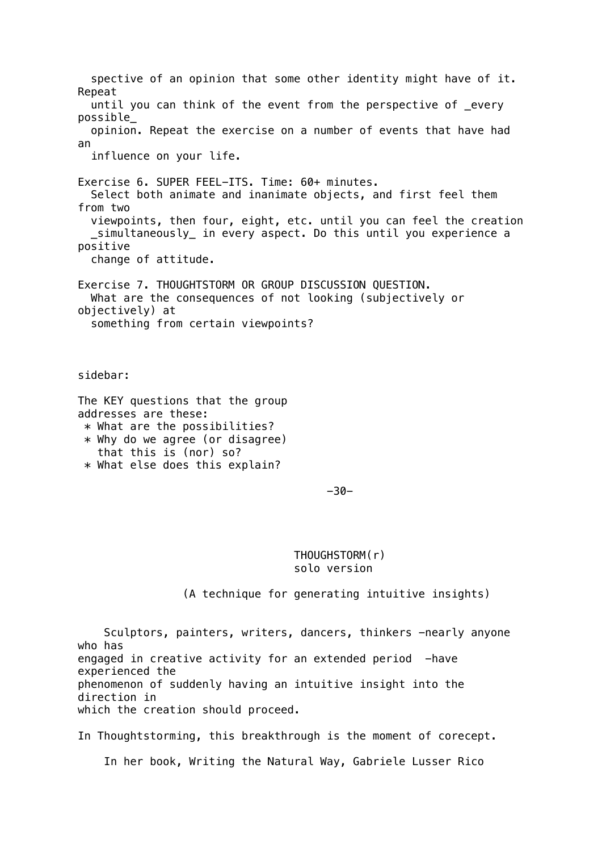spective of an opinion that some other identity might have of it. Repeat until you can think of the event from the perspective of \_every possible\_ opinion. Repeat the exercise on a number of events that have had an influence on your life. Exercise 6. SUPER FEEL-ITS. Time: 60+ minutes. Select both animate and inanimate objects, and first feel them from two viewpoints, then four, eight, etc. until you can feel the creation \_simultaneously\_ in every aspect. Do this until you experience a positive change of attitude. Exercise 7. THOUGHTSTORM OR GROUP DISCUSSION QUESTION. What are the consequences of not looking (subjectively or objectively) at something from certain viewpoints? sidebar: The KEY questions that the group addresses are these: \* What are the possibilities?  $*$  Why do we agree (or disagree) that this is (nor) so? \* What else does this explain?  $-30-$  THOUGHSTORM(r) solo version (A technique for generating intuitive insights) Sculptors, painters, writers, dancers, thinkers -nearly anyone who has

engaged in creative activity for an extended period -have experienced the phenomenon of suddenly having an intuitive insight into the

direction in which the creation should proceed.

In Thoughtstorming, this breakthrough is the moment of corecept.

In her book, Writing the Natural Way, Gabriele Lusser Rico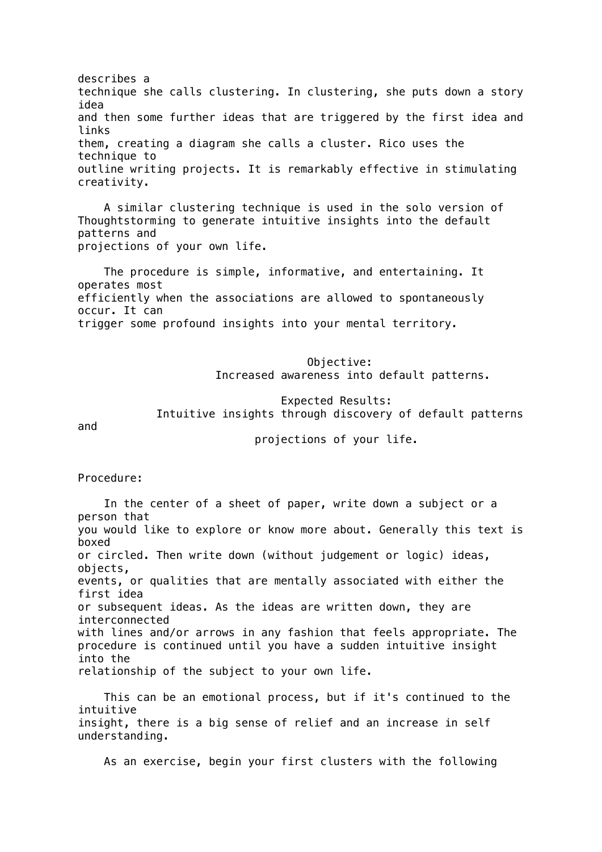describes a technique she calls clustering. In clustering, she puts down a story idea and then some further ideas that are triggered by the first idea and links them, creating a diagram she calls a cluster. Rico uses the technique to outline writing projects. It is remarkably effective in stimulating creativity.

 A similar clustering technique is used in the solo version of Thoughtstorming to generate intuitive insights into the default patterns and projections of your own life.

 The procedure is simple, informative, and entertaining. It operates most efficiently when the associations are allowed to spontaneously occur. It can trigger some profound insights into your mental territory.

> Objective: Increased awareness into default patterns.

 Expected Results: Intuitive insights through discovery of default patterns

and

projections of your life.

Procedure:

 In the center of a sheet of paper, write down a subject or a person that you would like to explore or know more about. Generally this text is boxed or circled. Then write down (without judgement or logic) ideas, objects, events, or qualities that are mentally associated with either the first idea or subsequent ideas. As the ideas are written down, they are interconnected with lines and/or arrows in any fashion that feels appropriate. The procedure is continued until you have a sudden intuitive insight into the relationship of the subject to your own life.

 This can be an emotional process, but if it's continued to the intuitive insight, there is a big sense of relief and an increase in self understanding.

As an exercise, begin your first clusters with the following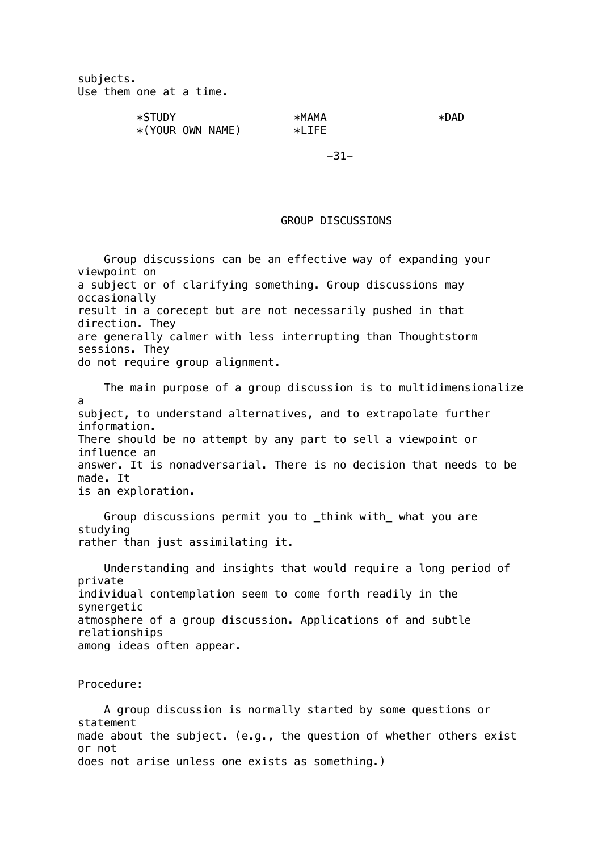subjects. Use them one at a time.

 $*STUDY$   $*MAMA$   $*DAD$  $*(YOUR$  OWN NAME)  $*LIFE$ 

-31-

# GROUP DISCUSSIONS

 Group discussions can be an effective way of expanding your viewpoint on a subject or of clarifying something. Group discussions may occasionally result in a corecept but are not necessarily pushed in that direction. They are generally calmer with less interrupting than Thoughtstorm sessions. They do not require group alignment.

 The main purpose of a group discussion is to multidimensionalize a subject, to understand alternatives, and to extrapolate further information. There should be no attempt by any part to sell a viewpoint or influence an answer. It is nonadversarial. There is no decision that needs to be made. It is an exploration.

 Group discussions permit you to \_think with\_ what you are studying rather than just assimilating it.

 Understanding and insights that would require a long period of private individual contemplation seem to come forth readily in the synergetic atmosphere of a group discussion. Applications of and subtle relationships among ideas often appear.

Procedure:

 A group discussion is normally started by some questions or statement made about the subject. (e.g., the question of whether others exist or not does not arise unless one exists as something.)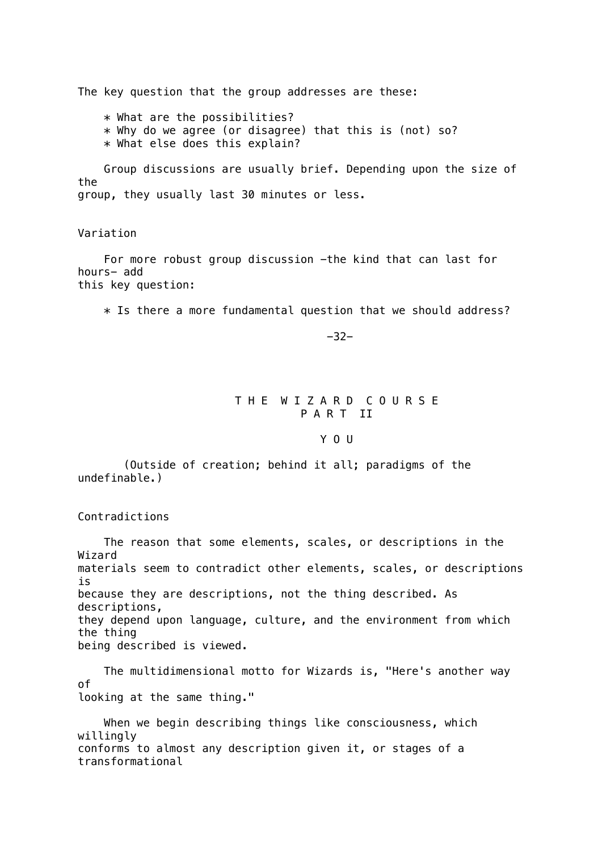The key question that the group addresses are these:

 \* What are the possibilities? \* Why do we agree (or disagree) that this is (not) so? \* What else does this explain?

 Group discussions are usually brief. Depending upon the size of the group, they usually last 30 minutes or less.

Variation

 For more robust group discussion -the kind that can last for hours- add this key question:

 $*$  Is there a more fundamental question that we should address?

-32-

## T H E W I Z A R D C O U R S E P A R T II

#### Y O U

 (Outside of creation; behind it all; paradigms of the undefinable.)

Contradictions

 The reason that some elements, scales, or descriptions in the Wizard materials seem to contradict other elements, scales, or descriptions is because they are descriptions, not the thing described. As descriptions, they depend upon language, culture, and the environment from which the thing being described is viewed.

 The multidimensional motto for Wizards is, "Here's another way of looking at the same thing."

 When we begin describing things like consciousness, which willingly conforms to almost any description given it, or stages of a transformational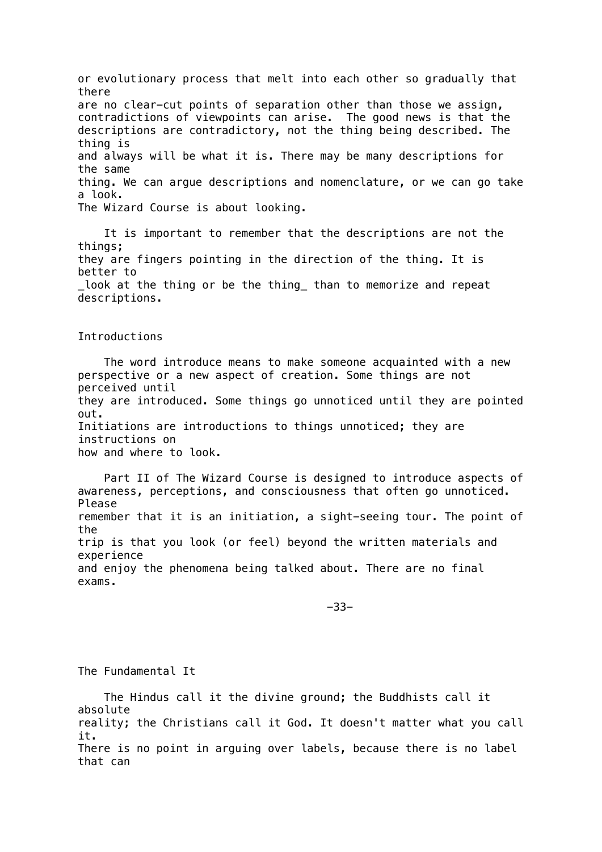or evolutionary process that melt into each other so gradually that there are no clear-cut points of separation other than those we assign, contradictions of viewpoints can arise. The good news is that the descriptions are contradictory, not the thing being described. The thing is and always will be what it is. There may be many descriptions for the same thing. We can argue descriptions and nomenclature, or we can go take a look. The Wizard Course is about looking.

 It is important to remember that the descriptions are not the things; they are fingers pointing in the direction of the thing. It is better to look at the thing or be the thing than to memorize and repeat descriptions.

#### Introductions

 The word introduce means to make someone acquainted with a new perspective or a new aspect of creation. Some things are not perceived until they are introduced. Some things go unnoticed until they are pointed out. Initiations are introductions to things unnoticed; they are instructions on how and where to look.

 Part II of The Wizard Course is designed to introduce aspects of awareness, perceptions, and consciousness that often go unnoticed. Please remember that it is an initiation, a sight-seeing tour. The point of the trip is that you look (or feel) beyond the written materials and experience and enjoy the phenomena being talked about. There are no final exams.

-33-

The Fundamental It

 The Hindus call it the divine ground; the Buddhists call it absolute reality; the Christians call it God. It doesn't matter what you call it. There is no point in arguing over labels, because there is no label that can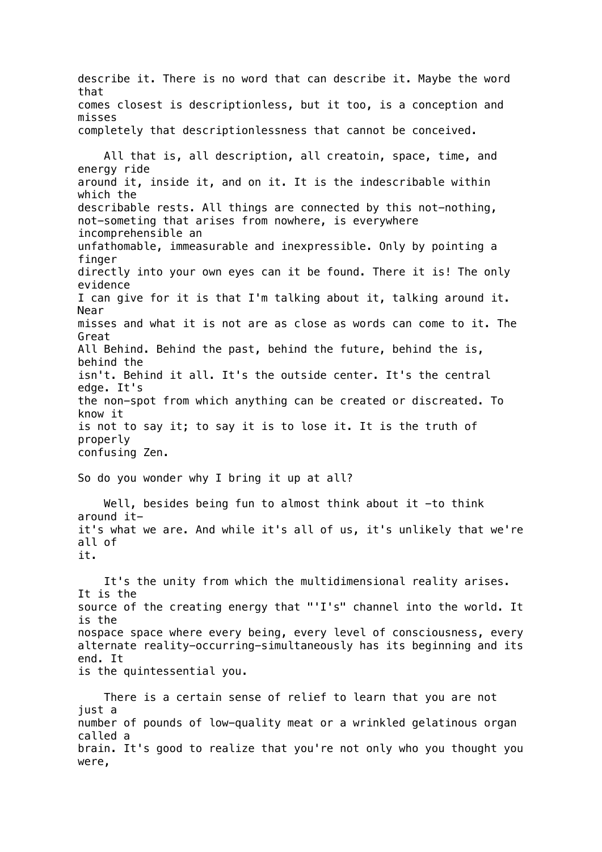describe it. There is no word that can describe it. Maybe the word that comes closest is descriptionless, but it too, is a conception and misses completely that descriptionlessness that cannot be conceived. All that is, all description, all creatoin, space, time, and energy ride around it, inside it, and on it. It is the indescribable within which the describable rests. All things are connected by this not-nothing, not-someting that arises from nowhere, is everywhere incomprehensible an unfathomable, immeasurable and inexpressible. Only by pointing a finger directly into your own eyes can it be found. There it is! The only evidence I can give for it is that I'm talking about it, talking around it. Near misses and what it is not are as close as words can come to it. The Great All Behind. Behind the past, behind the future, behind the is, behind the isn't. Behind it all. It's the outside center. It's the central edge. It's the non-spot from which anything can be created or discreated. To know it is not to say it; to say it is to lose it. It is the truth of properly confusing Zen. So do you wonder why I bring it up at all? Well, besides being fun to almost think about it -to think around itit's what we are. And while it's all of us, it's unlikely that we're all of it. It's the unity from which the multidimensional reality arises. It is the source of the creating energy that "'I's" channel into the world. It is the nospace space where every being, every level of consciousness, every alternate reality-occurring-simultaneously has its beginning and its end. It is the quintessential you. There is a certain sense of relief to learn that you are not just a number of pounds of low-quality meat or a wrinkled gelatinous organ called a

brain. It's good to realize that you're not only who you thought you were,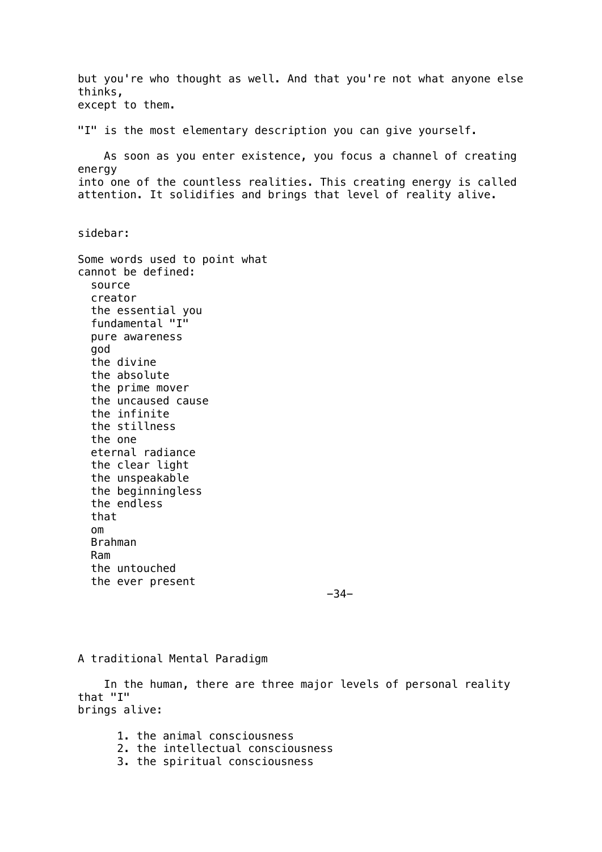but you're who thought as well. And that you're not what anyone else thinks, except to them. "I" is the most elementary description you can give yourself. As soon as you enter existence, you focus a channel of creating energy into one of the countless realities. This creating energy is called attention. It solidifies and brings that level of reality alive. sidebar: Some words used to point what cannot be defined: source creator the essential you fundamental "I" pure awareness god the divine the absolute the prime mover the uncaused cause the infinite the stillness the one eternal radiance the clear light the unspeakable the beginningless the endless that om Brahman Ram the untouched the ever present -34-

A traditional Mental Paradigm

 In the human, there are three major levels of personal reality that "I" brings alive:

- 1. the animal consciousness
- 2. the intellectual consciousness
- 3. the spiritual consciousness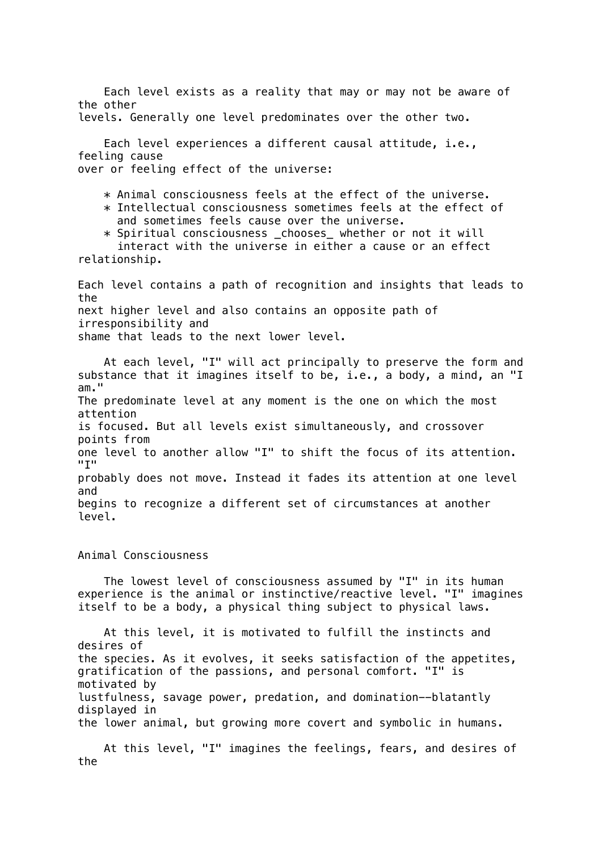Each level exists as a reality that may or may not be aware of the other

levels. Generally one level predominates over the other two.

 Each level experiences a different causal attitude, i.e., feeling cause over or feeling effect of the universe:

\* Animal consciousness feels at the effect of the universe.

 $*$  Intellectual consciousness sometimes feels at the effect of and sometimes feels cause over the universe.

 \* Spiritual consciousness \_chooses\_ whether or not it will interact with the universe in either a cause or an effect

relationship.

Each level contains a path of recognition and insights that leads to the next higher level and also contains an opposite path of irresponsibility and shame that leads to the next lower level.

 At each level, "I" will act principally to preserve the form and substance that it imagines itself to be, i.e., a body, a mind, an "I am." The predominate level at any moment is the one on which the most attention is focused. But all levels exist simultaneously, and crossover points from one level to another allow "I" to shift the focus of its attention.  $"T"$ probably does not move. Instead it fades its attention at one level and begins to recognize a different set of circumstances at another level.

Animal Consciousness

 The lowest level of consciousness assumed by "I" in its human experience is the animal or instinctive/reactive level. "I" imagines itself to be a body, a physical thing subject to physical laws.

 At this level, it is motivated to fulfill the instincts and desires of the species. As it evolves, it seeks satisfaction of the appetites, gratification of the passions, and personal comfort. "I" is motivated by lustfulness, savage power, predation, and domination--blatantly displayed in the lower animal, but growing more covert and symbolic in humans.

 At this level, "I" imagines the feelings, fears, and desires of the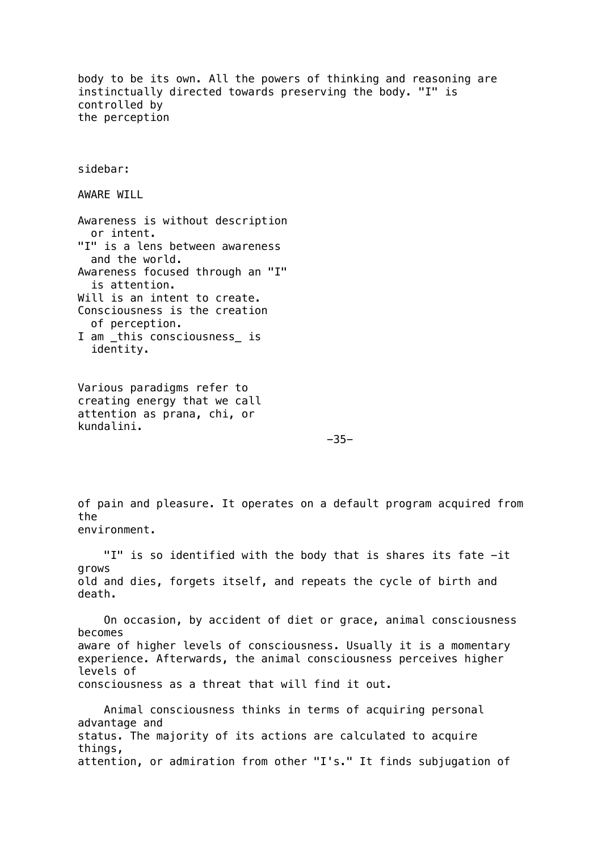body to be its own. All the powers of thinking and reasoning are instinctually directed towards preserving the body. "I" is controlled by the perception sidebar: AWARE WILL Awareness is without description or intent. "I" is a lens between awareness and the world. Awareness focused through an "I" is attention. Will is an intent to create. Consciousness is the creation of perception. I am \_this consciousness\_ is identity. Various paradigms refer to creating energy that we call attention as prana, chi, or kundalini. -35 of pain and pleasure. It operates on a default program acquired from the environment. "I" is so identified with the body that is shares its fate -it grows old and dies, forgets itself, and repeats the cycle of birth and death. On occasion, by accident of diet or grace, animal consciousness becomes aware of higher levels of consciousness. Usually it is a momentary experience. Afterwards, the animal consciousness perceives higher levels of consciousness as a threat that will find it out. Animal consciousness thinks in terms of acquiring personal advantage and status. The majority of its actions are calculated to acquire things, attention, or admiration from other "I's." It finds subjugation of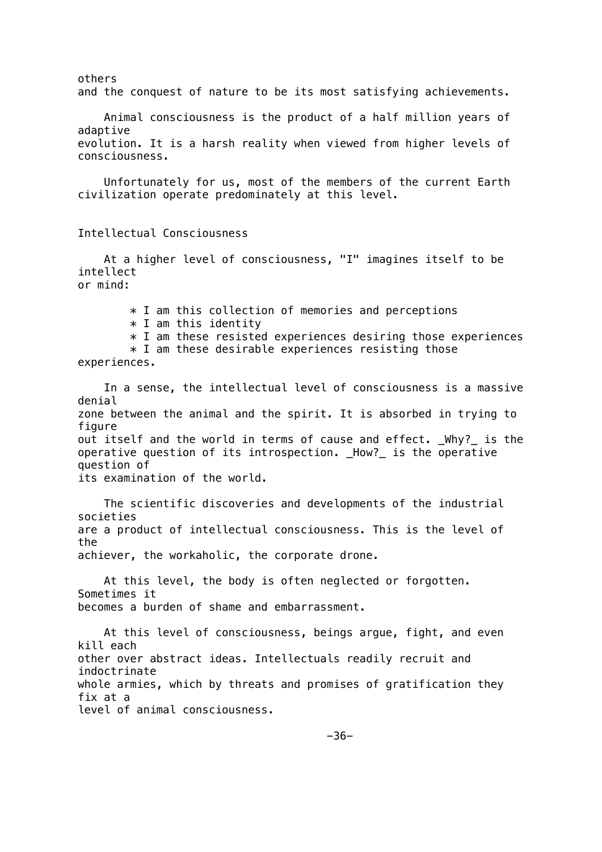others and the conquest of nature to be its most satisfying achievements. Animal consciousness is the product of a half million years of adaptive evolution. It is a harsh reality when viewed from higher levels of consciousness. Unfortunately for us, most of the members of the current Earth civilization operate predominately at this level. Intellectual Consciousness At a higher level of consciousness, "I" imagines itself to be intellect or mind:  $*$  I am this collection of memories and perceptions  $*$  I am this identity  $*$  I am these resisted experiences desiring those experiences  $*$  I am these desirable experiences resisting those experiences. In a sense, the intellectual level of consciousness is a massive denial zone between the animal and the spirit. It is absorbed in trying to figure out itself and the world in terms of cause and effect. Why? is the operative question of its introspection. \_How?\_ is the operative question of its examination of the world. The scientific discoveries and developments of the industrial societies are a product of intellectual consciousness. This is the level of the achiever, the workaholic, the corporate drone. At this level, the body is often neglected or forgotten. Sometimes it becomes a burden of shame and embarrassment. At this level of consciousness, beings argue, fight, and even kill each other over abstract ideas. Intellectuals readily recruit and indoctrinate whole armies, which by threats and promises of gratification they fix at a level of animal consciousness.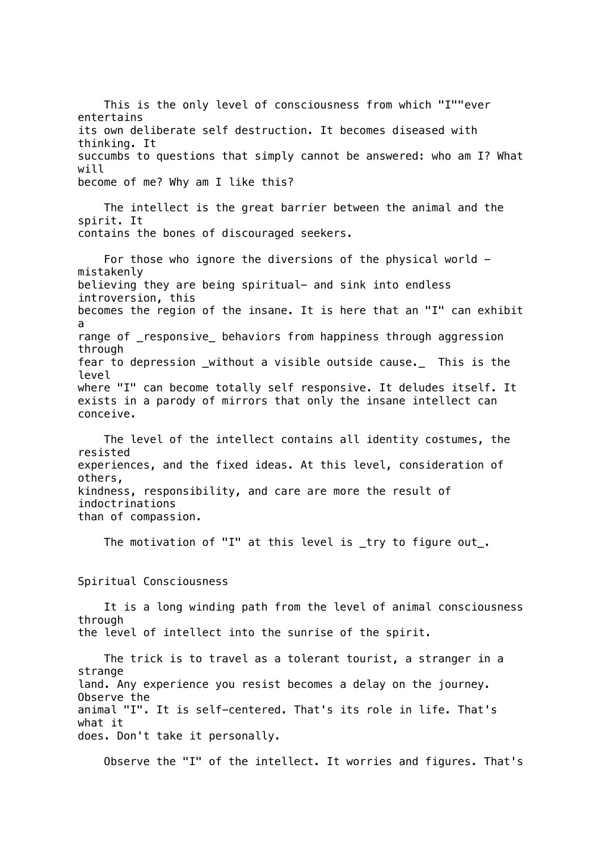This is the only level of consciousness from which "I""ever entertains its own deliberate self destruction. It becomes diseased with thinking. It succumbs to questions that simply cannot be answered: who am I? What will become of me? Why am I like this?

 The intellect is the great barrier between the animal and the spirit. It contains the bones of discouraged seekers.

 For those who ignore the diversions of the physical world mistakenly believing they are being spiritual- and sink into endless introversion, this becomes the region of the insane. It is here that an "I" can exhibit a range of \_responsive\_ behaviors from happiness through aggression through fear to depression \_without a visible outside cause.\_ This is the level where "I" can become totally self responsive. It deludes itself. It exists in a parody of mirrors that only the insane intellect can conceive.

 The level of the intellect contains all identity costumes, the resisted experiences, and the fixed ideas. At this level, consideration of others, kindness, responsibility, and care are more the result of indoctrinations than of compassion.

The motivation of "I" at this level is \_try to figure out\_.

Spiritual Consciousness

 It is a long winding path from the level of animal consciousness through the level of intellect into the sunrise of the spirit.

 The trick is to travel as a tolerant tourist, a stranger in a strange land. Any experience you resist becomes a delay on the journey. Observe the animal "I". It is self-centered. That's its role in life. That's what it does. Don't take it personally.

Observe the "I" of the intellect. It worries and figures. That's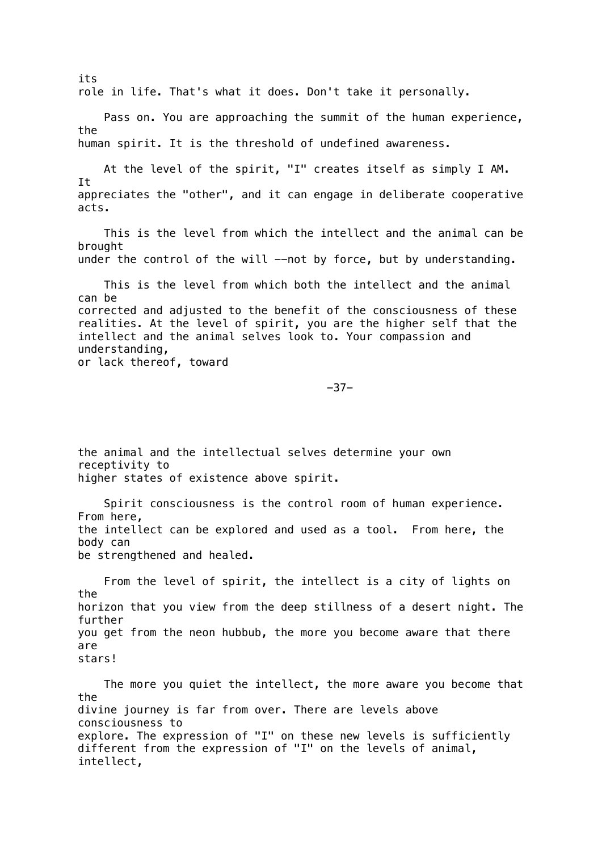its role in life. That's what it does. Don't take it personally. Pass on. You are approaching the summit of the human experience, the human spirit. It is the threshold of undefined awareness. At the level of the spirit, "I" creates itself as simply I AM. It appreciates the "other", and it can engage in deliberate cooperative acts. This is the level from which the intellect and the animal can be brought under the control of the will --not by force, but by understanding. This is the level from which both the intellect and the animal can be corrected and adjusted to the benefit of the consciousness of these realities. At the level of spirit, you are the higher self that the intellect and the animal selves look to. Your compassion and understanding, or lack thereof, toward -37 the animal and the intellectual selves determine your own receptivity to higher states of existence above spirit. Spirit consciousness is the control room of human experience. From here, the intellect can be explored and used as a tool. From here, the body can be strengthened and healed. From the level of spirit, the intellect is a city of lights on the horizon that you view from the deep stillness of a desert night. The further you get from the neon hubbub, the more you become aware that there are stars! The more you quiet the intellect, the more aware you become that the divine journey is far from over. There are levels above consciousness to explore. The expression of "I" on these new levels is sufficiently

different from the expression of "I" on the levels of animal, intellect,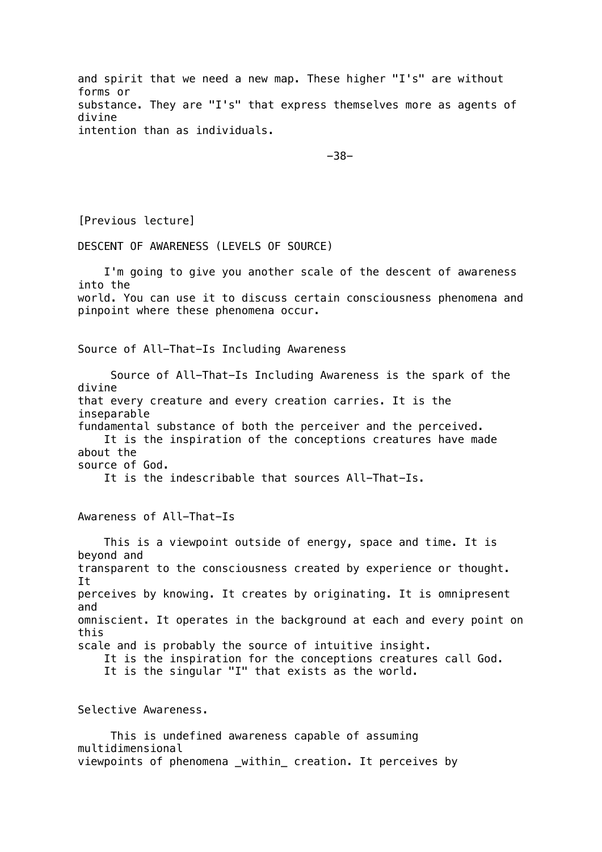and spirit that we need a new map. These higher "I's" are without forms or substance. They are "I's" that express themselves more as agents of divine intention than as individuals.

-38-

[Previous lecture]

DESCENT OF AWARENESS (LEVELS OF SOURCE)

 I'm going to give you another scale of the descent of awareness into the world. You can use it to discuss certain consciousness phenomena and pinpoint where these phenomena occur. Source of All-That-Is Including Awareness Source of All-That-Is Including Awareness is the spark of the divine that every creature and every creation carries. It is the inseparable

fundamental substance of both the perceiver and the perceived. It is the inspiration of the conceptions creatures have made about the source of God.

It is the indescribable that sources All-That-Is.

Awareness of All-That-Is

 This is a viewpoint outside of energy, space and time. It is beyond and transparent to the consciousness created by experience or thought. It perceives by knowing. It creates by originating. It is omnipresent and omniscient. It operates in the background at each and every point on this scale and is probably the source of intuitive insight. It is the inspiration for the conceptions creatures call God. It is the singular "I" that exists as the world.

Selective Awareness.

 This is undefined awareness capable of assuming multidimensional viewpoints of phenomena \_within\_ creation. It perceives by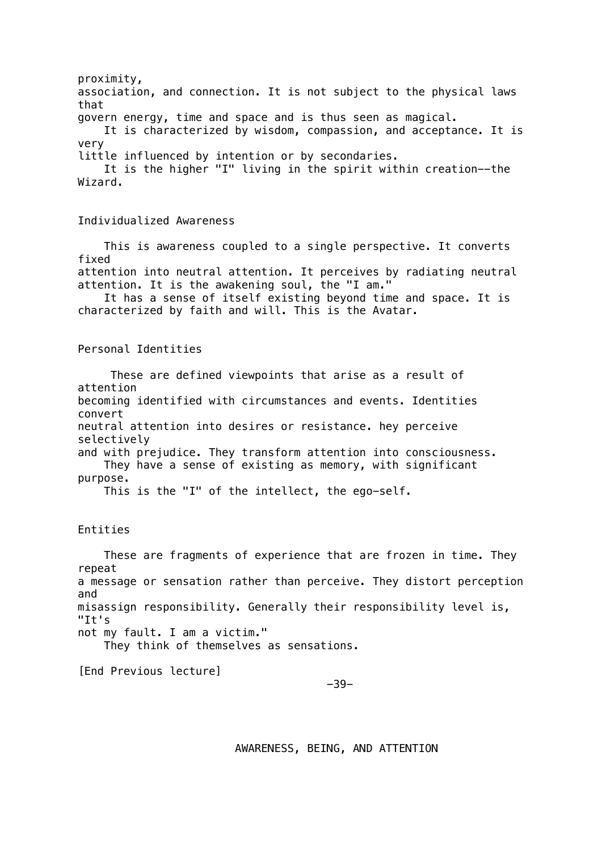proximity, association, and connection. It is not subject to the physical laws that govern energy, time and space and is thus seen as magical. It is characterized by wisdom, compassion, and acceptance. It is very little influenced by intention or by secondaries. It is the higher "I" living in the spirit within creation--the Wizard. Individualized Awareness This is awareness coupled to a single perspective. It converts fixed attention into neutral attention. It perceives by radiating neutral attention. It is the awakening soul, the "I am." It has a sense of itself existing beyond time and space. It is characterized by faith and will. This is the Avatar. Personal Identities These are defined viewpoints that arise as a result of attention becoming identified with circumstances and events. Identities convert neutral attention into desires or resistance. hey perceive selectively and with prejudice. They transform attention into consciousness. They have a sense of existing as memory, with significant purpose. This is the "I" of the intellect, the ego-self. Entities These are fragments of experience that are frozen in time. They repeat a message or sensation rather than perceive. They distort perception and misassign responsibility. Generally their responsibility level is, "It's not my fault. I am a victim." They think of themselves as sensations.

[End Previous lecture]

-39-

AWARENESS, BEING, AND ATTENTION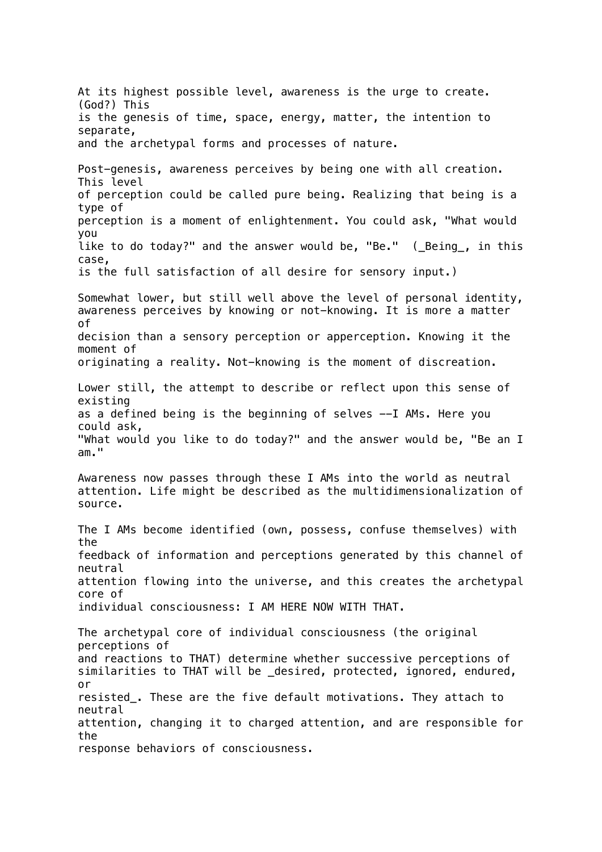At its highest possible level, awareness is the urge to create. (God?) This is the genesis of time, space, energy, matter, the intention to separate, and the archetypal forms and processes of nature. Post-genesis, awareness perceives by being one with all creation. This level of perception could be called pure being. Realizing that being is a type of perception is a moment of enlightenment. You could ask, "What would you like to do today?" and the answer would be, "Be." (\_Being\_, in this case, is the full satisfaction of all desire for sensory input.) Somewhat lower, but still well above the level of personal identity, awareness perceives by knowing or not-knowing. It is more a matter of decision than a sensory perception or apperception. Knowing it the moment of originating a reality. Not-knowing is the moment of discreation. Lower still, the attempt to describe or reflect upon this sense of existing as a defined being is the beginning of selves --I AMs. Here you could ask, "What would you like to do today?" and the answer would be, "Be an I am." Awareness now passes through these I AMs into the world as neutral attention. Life might be described as the multidimensionalization of source. The I AMs become identified (own, possess, confuse themselves) with the feedback of information and perceptions generated by this channel of neutral attention flowing into the universe, and this creates the archetypal core of individual consciousness: I AM HERE NOW WITH THAT. The archetypal core of individual consciousness (the original perceptions of and reactions to THAT) determine whether successive perceptions of similarities to THAT will be \_desired, protected, ignored, endured, or resisted\_. These are the five default motivations. They attach to neutral attention, changing it to charged attention, and are responsible for the response behaviors of consciousness.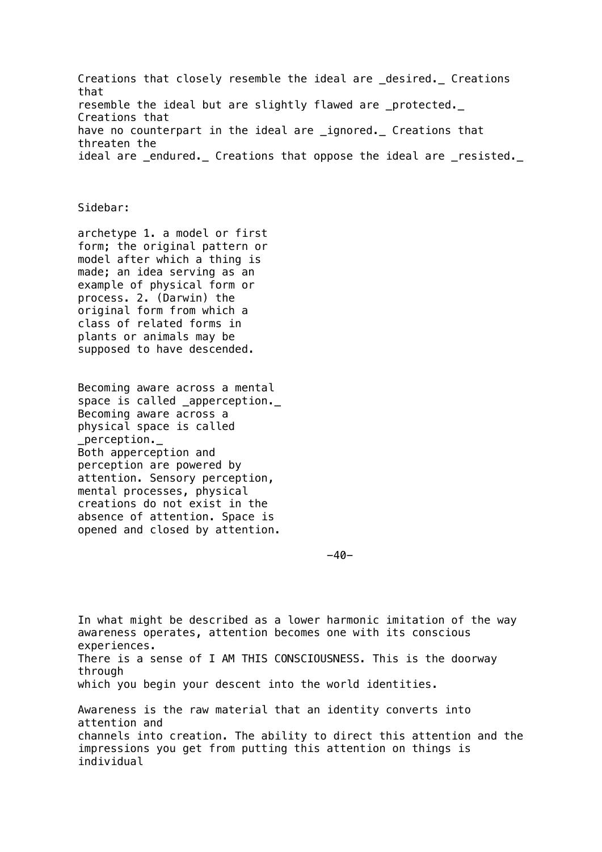Creations that closely resemble the ideal are \_desired.\_ Creations that resemble the ideal but are slightly flawed are \_protected.\_ Creations that have no counterpart in the ideal are \_ignored. Creations that threaten the ideal are \_endured. Creations that oppose the ideal are \_resisted.

### Sidebar:

archetype 1. a model or first form; the original pattern or model after which a thing is made; an idea serving as an example of physical form or process. 2. (Darwin) the original form from which a class of related forms in plants or animals may be supposed to have descended.

Becoming aware across a mental space is called \_apperception.\_ Becoming aware across a physical space is called perception. Both apperception and perception are powered by attention. Sensory perception, mental processes, physical creations do not exist in the absence of attention. Space is opened and closed by attention.

-40-

In what might be described as a lower harmonic imitation of the way awareness operates, attention becomes one with its conscious experiences. There is a sense of I AM THIS CONSCIOUSNESS. This is the doorway through which you begin your descent into the world identities. Awareness is the raw material that an identity converts into attention and channels into creation. The ability to direct this attention and the impressions you get from putting this attention on things is individual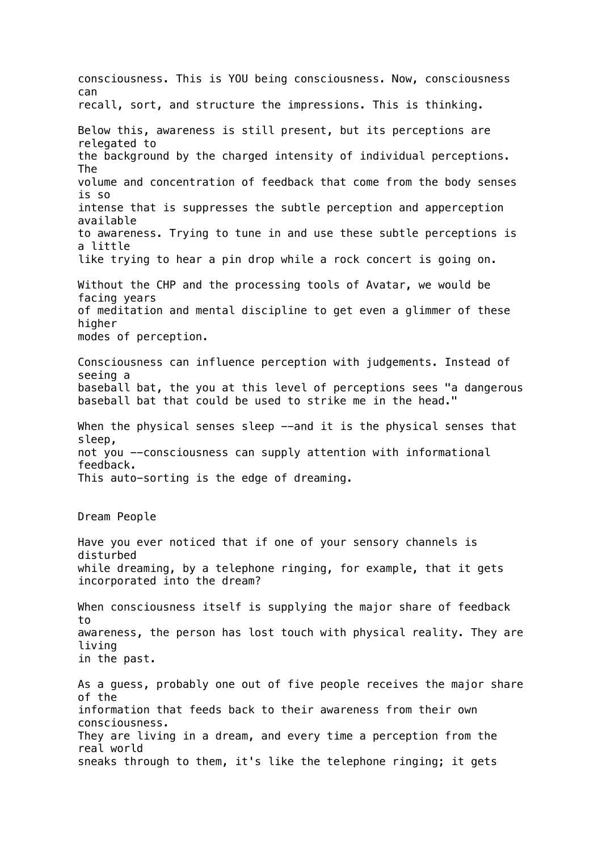consciousness. This is YOU being consciousness. Now, consciousness can recall, sort, and structure the impressions. This is thinking. Below this, awareness is still present, but its perceptions are relegated to the background by the charged intensity of individual perceptions. The volume and concentration of feedback that come from the body senses is so intense that is suppresses the subtle perception and apperception available to awareness. Trying to tune in and use these subtle perceptions is a little like trying to hear a pin drop while a rock concert is going on. Without the CHP and the processing tools of Avatar, we would be facing years of meditation and mental discipline to get even a glimmer of these higher modes of perception. Consciousness can influence perception with judgements. Instead of seeing a baseball bat, the you at this level of perceptions sees "a dangerous baseball bat that could be used to strike me in the head." When the physical senses sleep --and it is the physical senses that sleep, not you --consciousness can supply attention with informational feedback. This auto-sorting is the edge of dreaming. Dream People Have you ever noticed that if one of your sensory channels is disturbed while dreaming, by a telephone ringing, for example, that it gets incorporated into the dream? When consciousness itself is supplying the major share of feedback to awareness, the person has lost touch with physical reality. They are living in the past. As a guess, probably one out of five people receives the major share of the information that feeds back to their awareness from their own consciousness. They are living in a dream, and every time a perception from the real world sneaks through to them, it's like the telephone ringing; it gets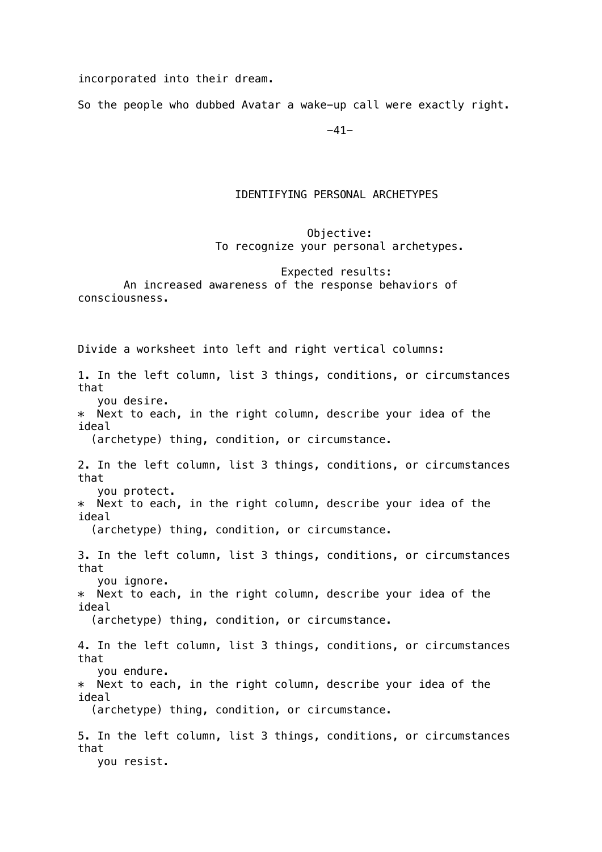incorporated into their dream.

So the people who dubbed Avatar a wake-up call were exactly right.

-41-

## IDENTIFYING PERSONAL ARCHETYPES

# Objective: To recognize your personal archetypes.

## Expected results: An increased awareness of the response behaviors of consciousness.

Divide a worksheet into left and right vertical columns: 1. In the left column, list 3 things, conditions, or circumstances that you desire. \* Next to each, in the right column, describe your idea of the ideal (archetype) thing, condition, or circumstance. 2. In the left column, list 3 things, conditions, or circumstances that you protect. \* Next to each, in the right column, describe your idea of the ideal (archetype) thing, condition, or circumstance. 3. In the left column, list 3 things, conditions, or circumstances that you ignore. \* Next to each, in the right column, describe your idea of the ideal (archetype) thing, condition, or circumstance. 4. In the left column, list 3 things, conditions, or circumstances that you endure. \* Next to each, in the right column, describe your idea of the ideal (archetype) thing, condition, or circumstance. 5. In the left column, list 3 things, conditions, or circumstances that you resist.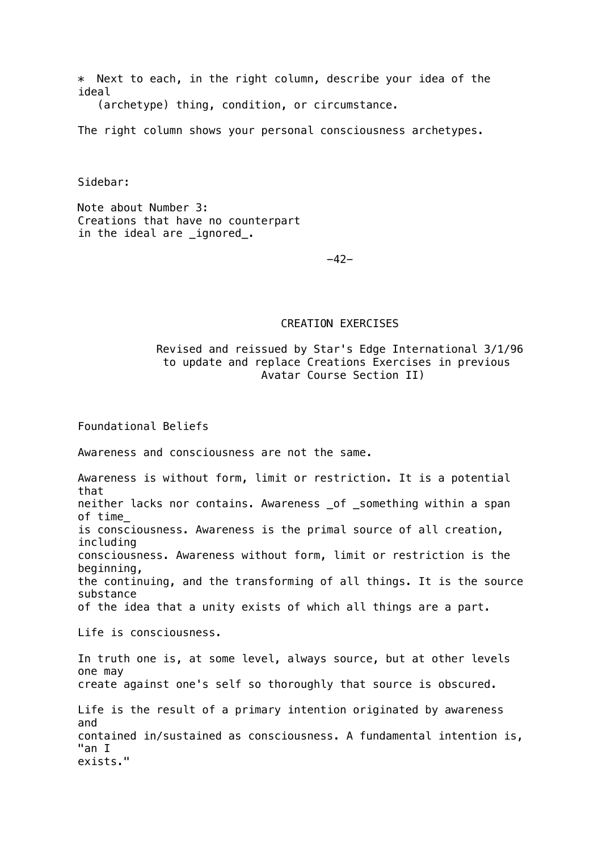\* Next to each, in the right column, describe your idea of the ideal

(archetype) thing, condition, or circumstance.

The right column shows your personal consciousness archetypes.

Sidebar:

Note about Number 3: Creations that have no counterpart in the ideal are \_ignored\_.

-42-

## CREATION EXERCISES

# Revised and reissued by Star's Edge International 3/1/96 to update and replace Creations Exercises in previous Avatar Course Section II)

Foundational Beliefs

Awareness and consciousness are not the same.

Awareness is without form, limit or restriction. It is a potential that neither lacks nor contains. Awareness of something within a span of time\_ is consciousness. Awareness is the primal source of all creation, including consciousness. Awareness without form, limit or restriction is the beginning, the continuing, and the transforming of all things. It is the source substance of the idea that a unity exists of which all things are a part. Life is consciousness. In truth one is, at some level, always source, but at other levels one may create against one's self so thoroughly that source is obscured. Life is the result of a primary intention originated by awareness and contained in/sustained as consciousness. A fundamental intention is, "an I

exists."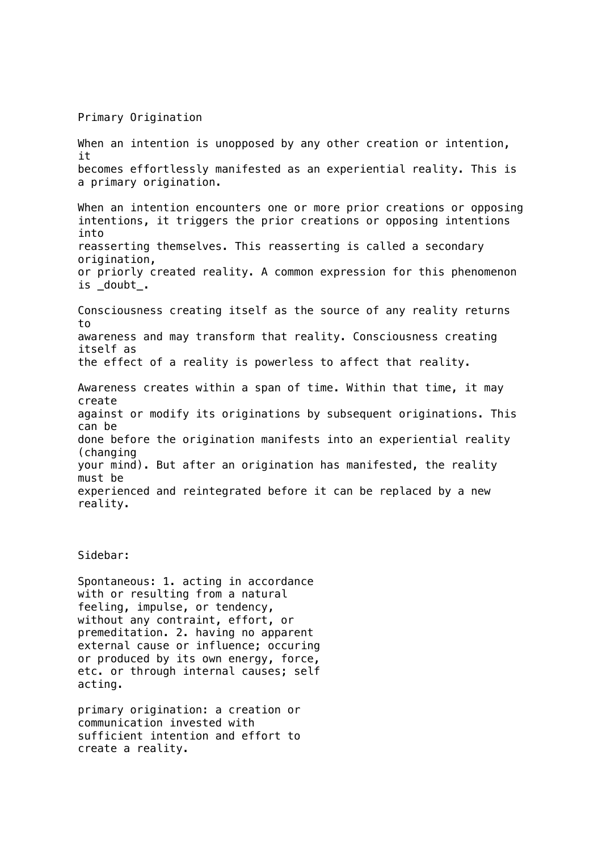Primary Origination

When an intention is unopposed by any other creation or intention, it becomes effortlessly manifested as an experiential reality. This is a primary origination. When an intention encounters one or more prior creations or opposing intentions, it triggers the prior creations or opposing intentions into reasserting themselves. This reasserting is called a secondary origination, or priorly created reality. A common expression for this phenomenon is doubt. Consciousness creating itself as the source of any reality returns to awareness and may transform that reality. Consciousness creating itself as the effect of a reality is powerless to affect that reality. Awareness creates within a span of time. Within that time, it may create against or modify its originations by subsequent originations. This can be done before the origination manifests into an experiential reality (changing your mind). But after an origination has manifested, the reality must be experienced and reintegrated before it can be replaced by a new reality.

## Sidebar:

Spontaneous: 1. acting in accordance with or resulting from a natural feeling, impulse, or tendency, without any contraint, effort, or premeditation. 2. having no apparent external cause or influence; occuring or produced by its own energy, force, etc. or through internal causes; self acting.

primary origination: a creation or communication invested with sufficient intention and effort to create a reality.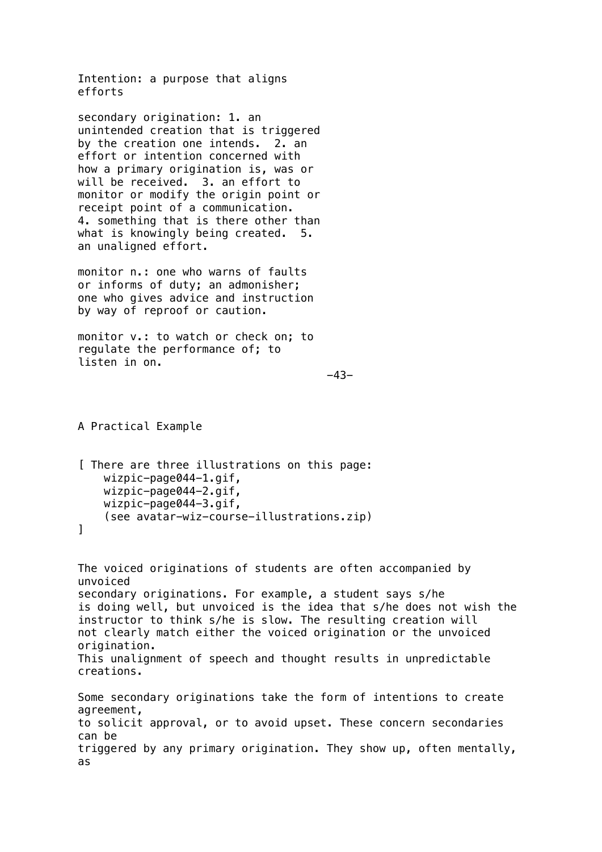Intention: a purpose that aligns efforts

secondary origination: 1. an unintended creation that is triggered by the creation one intends. 2. an effort or intention concerned with how a primary origination is, was or will be received. 3. an effort to monitor or modify the origin point or receipt point of a communication. 4. something that is there other than what is knowingly being created. 5. an unaligned effort.

monitor n.: one who warns of faults or informs of duty; an admonisher; one who gives advice and instruction by way of reproof or caution.

monitor v.: to watch or check on; to regulate the performance of; to listen in on.

```
 -43-
```
A Practical Example

as

```
[ There are three illustrations on this page:
     wizpic-page044-1.gif,
     wizpic-page044-2.gif,
     wizpic-page044-3.gif,
     (see avatar-wiz-course-illustrations.zip)
]
```
The voiced originations of students are often accompanied by unvoiced secondary originations. For example, a student says s/he is doing well, but unvoiced is the idea that s/he does not wish the instructor to think s/he is slow. The resulting creation will not clearly match either the voiced origination or the unvoiced origination. This unalignment of speech and thought results in unpredictable creations. Some secondary originations take the form of intentions to create agreement, to solicit approval, or to avoid upset. These concern secondaries can be triggered by any primary origination. They show up, often mentally,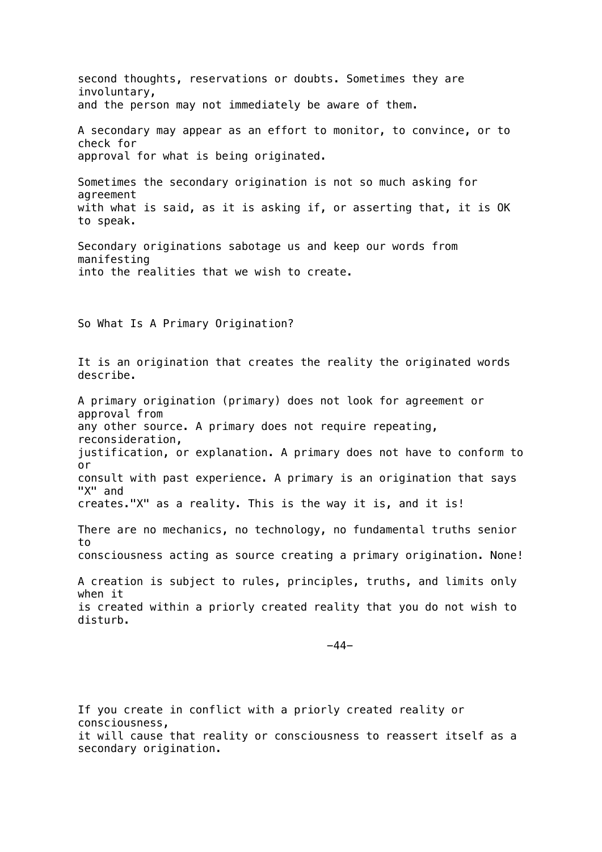second thoughts, reservations or doubts. Sometimes they are involuntary, and the person may not immediately be aware of them. A secondary may appear as an effort to monitor, to convince, or to check for approval for what is being originated. Sometimes the secondary origination is not so much asking for agreement with what is said, as it is asking if, or asserting that, it is OK to speak. Secondary originations sabotage us and keep our words from manifesting into the realities that we wish to create. So What Is A Primary Origination? It is an origination that creates the reality the originated words describe. A primary origination (primary) does not look for agreement or approval from any other source. A primary does not require repeating, reconsideration, justification, or explanation. A primary does not have to conform to or consult with past experience. A primary is an origination that says "X" and creates."X" as a reality. This is the way it is, and it is! There are no mechanics, no technology, no fundamental truths senior to consciousness acting as source creating a primary origination. None! A creation is subject to rules, principles, truths, and limits only when it is created within a priorly created reality that you do not wish to disturb. -44-

If you create in conflict with a priorly created reality or consciousness, it will cause that reality or consciousness to reassert itself as a secondary origination.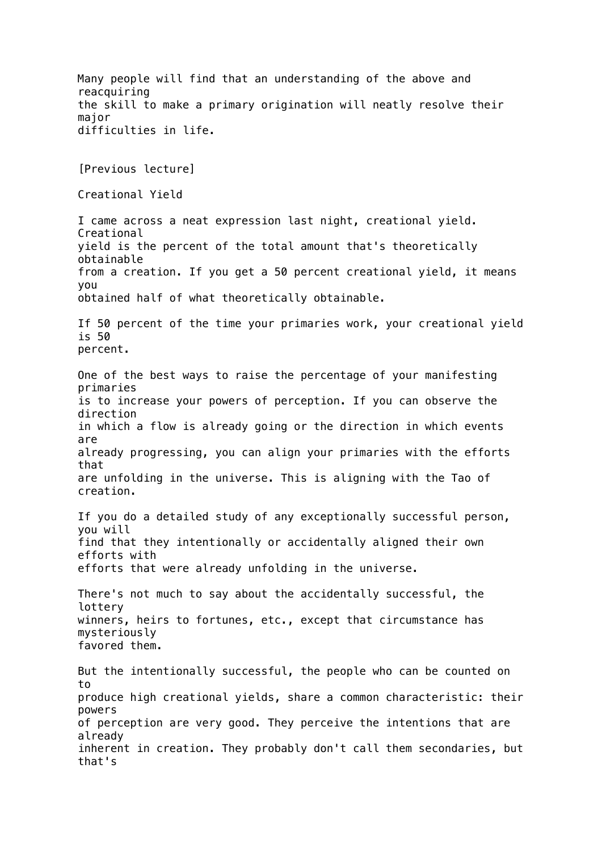Many people will find that an understanding of the above and reacquiring the skill to make a primary origination will neatly resolve their major difficulties in life. [Previous lecture] Creational Yield I came across a neat expression last night, creational yield. Creational yield is the percent of the total amount that's theoretically obtainable from a creation. If you get a 50 percent creational yield, it means you obtained half of what theoretically obtainable. If 50 percent of the time your primaries work, your creational yield is 50 percent. One of the best ways to raise the percentage of your manifesting primaries is to increase your powers of perception. If you can observe the direction in which a flow is already going or the direction in which events are already progressing, you can align your primaries with the efforts that are unfolding in the universe. This is aligning with the Tao of creation. If you do a detailed study of any exceptionally successful person, you will find that they intentionally or accidentally aligned their own efforts with efforts that were already unfolding in the universe. There's not much to say about the accidentally successful, the lottery winners, heirs to fortunes, etc., except that circumstance has mysteriously favored them. But the intentionally successful, the people who can be counted on to produce high creational yields, share a common characteristic: their powers of perception are very good. They perceive the intentions that are already inherent in creation. They probably don't call them secondaries, but that's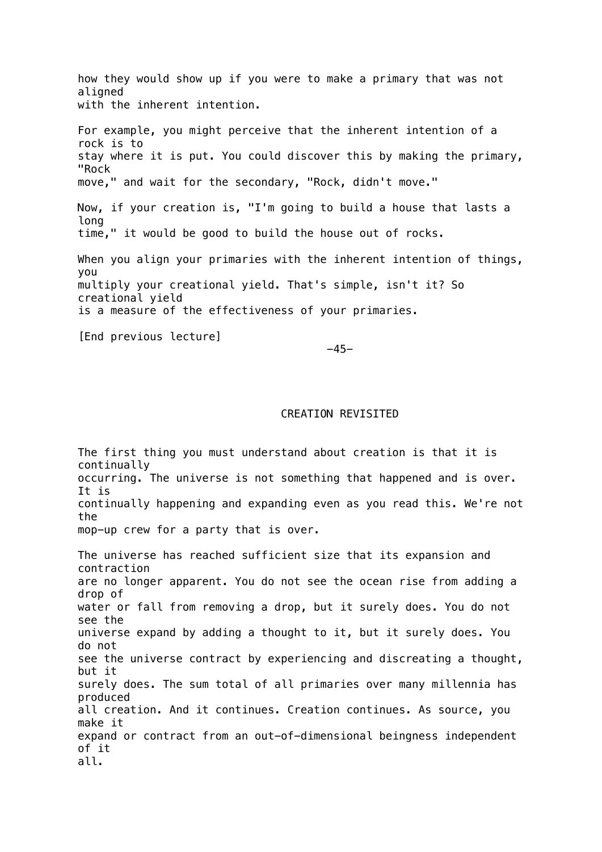how they would show up if you were to make a primary that was not aligned with the inherent intention. For example, you might perceive that the inherent intention of a rock is to stay where it is put. You could discover this by making the primary, "Rock move," and wait for the secondary, "Rock, didn't move." Now, if your creation is, "I'm going to build a house that lasts a long time," it would be good to build the house out of rocks. When you align your primaries with the inherent intention of things, you multiply your creational yield. That's simple, isn't it? So creational yield is a measure of the effectiveness of your primaries. [End previous lecture]

-45-

### CREATION REVISITED

The first thing you must understand about creation is that it is continually occurring. The universe is not something that happened and is over. It is continually happening and expanding even as you read this. We're not the mop-up crew for a party that is over.

The universe has reached sufficient size that its expansion and contraction are no longer apparent. You do not see the ocean rise from adding a drop of water or fall from removing a drop, but it surely does. You do not see the universe expand by adding a thought to it, but it surely does. You do not see the universe contract by experiencing and discreating a thought, but it surely does. The sum total of all primaries over many millennia has produced all creation. And it continues. Creation continues. As source, you make it expand or contract from an out-of-dimensional beingness independent of it all.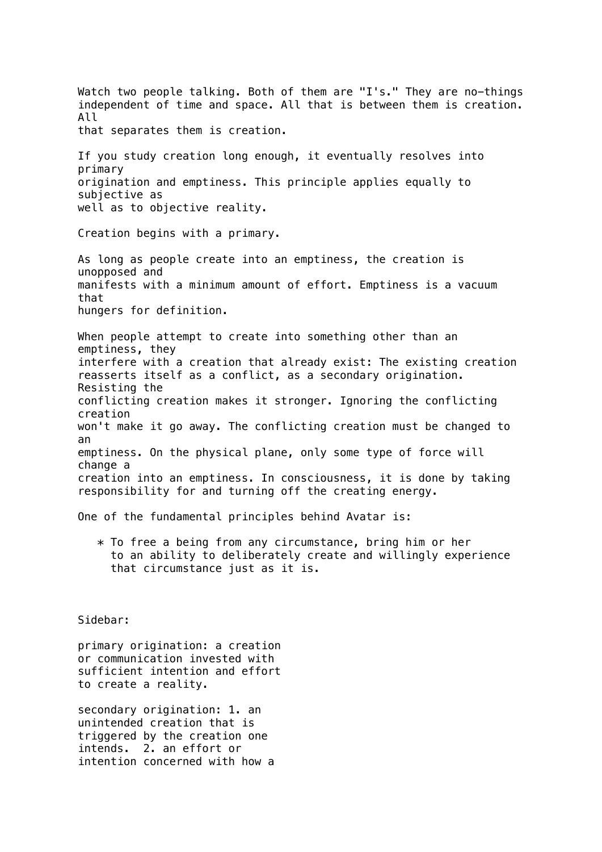Watch two people talking. Both of them are "I's." They are no-things independent of time and space. All that is between them is creation. All that separates them is creation. If you study creation long enough, it eventually resolves into primary origination and emptiness. This principle applies equally to subjective as well as to objective reality. Creation begins with a primary. As long as people create into an emptiness, the creation is unopposed and manifests with a minimum amount of effort. Emptiness is a vacuum that hungers for definition. When people attempt to create into something other than an emptiness, they interfere with a creation that already exist: The existing creation reasserts itself as a conflict, as a secondary origination. Resisting the conflicting creation makes it stronger. Ignoring the conflicting creation won't make it go away. The conflicting creation must be changed to an emptiness. On the physical plane, only some type of force will change a creation into an emptiness. In consciousness, it is done by taking responsibility for and turning off the creating energy. One of the fundamental principles behind Avatar is:

 \* To free a being from any circumstance, bring him or her to an ability to deliberately create and willingly experience that circumstance just as it is.

Sidebar:

primary origination: a creation or communication invested with sufficient intention and effort to create a reality.

secondary origination: 1. an unintended creation that is triggered by the creation one intends. 2. an effort or intention concerned with how a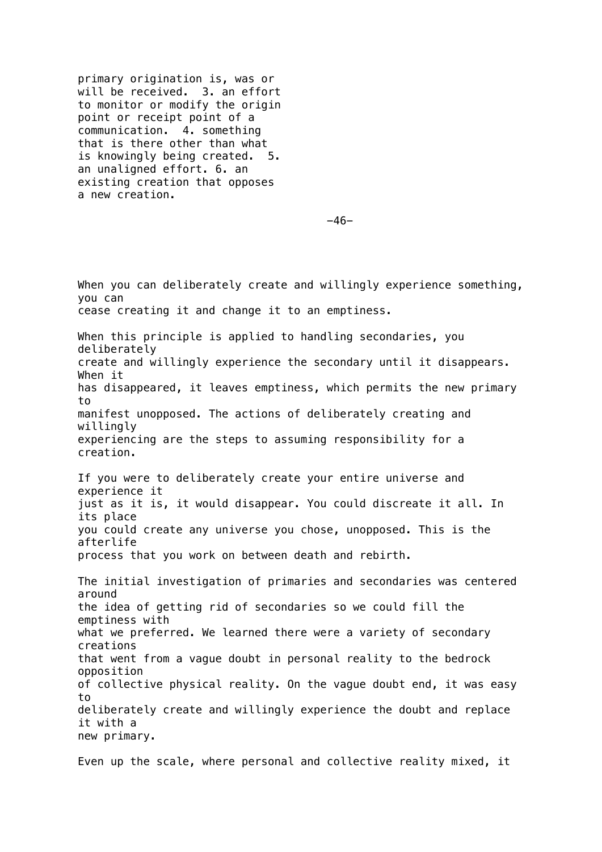primary origination is, was or will be received. 3. an effort to monitor or modify the origin point or receipt point of a communication. 4. something that is there other than what is knowingly being created. 5. an unaligned effort. 6. an existing creation that opposes a new creation.

-46-

When you can deliberately create and willingly experience something, you can cease creating it and change it to an emptiness. When this principle is applied to handling secondaries, you deliberately create and willingly experience the secondary until it disappears. When it has disappeared, it leaves emptiness, which permits the new primary to manifest unopposed. The actions of deliberately creating and willingly experiencing are the steps to assuming responsibility for a creation. If you were to deliberately create your entire universe and experience it just as it is, it would disappear. You could discreate it all. In its place you could create any universe you chose, unopposed. This is the afterlife process that you work on between death and rebirth. The initial investigation of primaries and secondaries was centered around the idea of getting rid of secondaries so we could fill the emptiness with what we preferred. We learned there were a variety of secondary creations that went from a vague doubt in personal reality to the bedrock opposition of collective physical reality. On the vague doubt end, it was easy to deliberately create and willingly experience the doubt and replace it with a new primary.

Even up the scale, where personal and collective reality mixed, it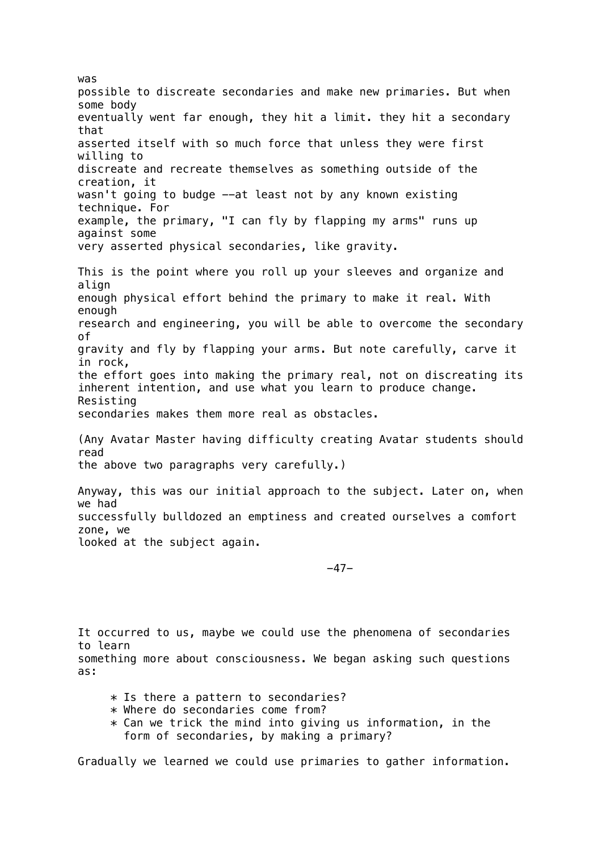was possible to discreate secondaries and make new primaries. But when some body eventually went far enough, they hit a limit. they hit a secondary that asserted itself with so much force that unless they were first willing to discreate and recreate themselves as something outside of the creation, it wasn't going to budge --at least not by any known existing technique. For example, the primary, "I can fly by flapping my arms" runs up against some very asserted physical secondaries, like gravity. This is the point where you roll up your sleeves and organize and align enough physical effort behind the primary to make it real. With enough research and engineering, you will be able to overcome the secondary of gravity and fly by flapping your arms. But note carefully, carve it in rock, the effort goes into making the primary real, not on discreating its inherent intention, and use what you learn to produce change. Resisting secondaries makes them more real as obstacles. (Any Avatar Master having difficulty creating Avatar students should read the above two paragraphs very carefully.) Anyway, this was our initial approach to the subject. Later on, when we had successfully bulldozed an emptiness and created ourselves a comfort zone, we looked at the subject again.

-47-

It occurred to us, maybe we could use the phenomena of secondaries to learn something more about consciousness. We began asking such questions as:

- \* Is there a pattern to secondaries?
- \* Where do secondaries come from?
- $*$  Can we trick the mind into giving us information, in the form of secondaries, by making a primary?

Gradually we learned we could use primaries to gather information.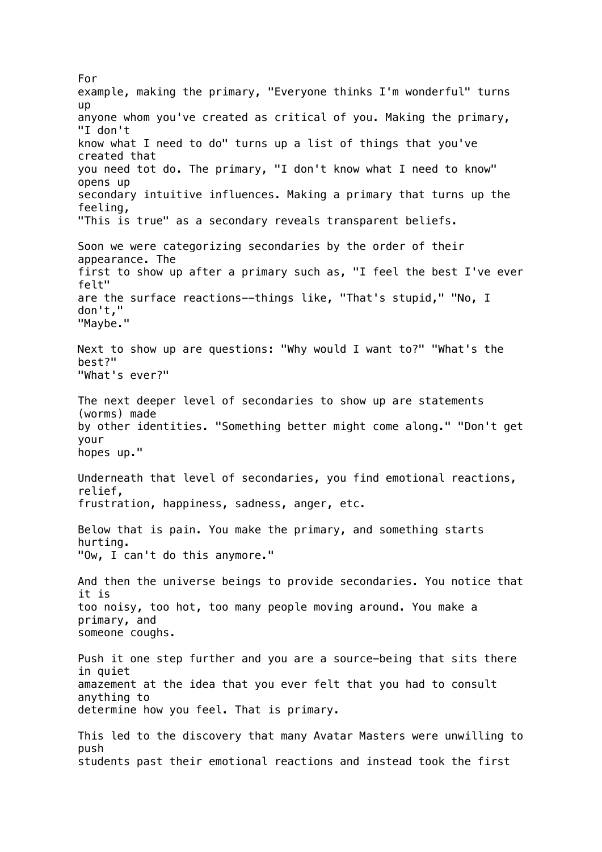For example, making the primary, "Everyone thinks I'm wonderful" turns up anyone whom you've created as critical of you. Making the primary, "I don't know what I need to do" turns up a list of things that you've created that you need tot do. The primary, "I don't know what I need to know" opens up secondary intuitive influences. Making a primary that turns up the feeling, "This is true" as a secondary reveals transparent beliefs. Soon we were categorizing secondaries by the order of their appearance. The first to show up after a primary such as, "I feel the best I've ever felt" are the surface reactions--things like, "That's stupid," "No, I don't," "Maybe." Next to show up are questions: "Why would I want to?" "What's the best?" "What's ever?" The next deeper level of secondaries to show up are statements (worms) made by other identities. "Something better might come along." "Don't get your hopes up." Underneath that level of secondaries, you find emotional reactions, relief, frustration, happiness, sadness, anger, etc. Below that is pain. You make the primary, and something starts hurting. "Ow, I can't do this anymore." And then the universe beings to provide secondaries. You notice that it is too noisy, too hot, too many people moving around. You make a primary, and someone coughs. Push it one step further and you are a source-being that sits there in quiet amazement at the idea that you ever felt that you had to consult anything to determine how you feel. That is primary. This led to the discovery that many Avatar Masters were unwilling to push students past their emotional reactions and instead took the first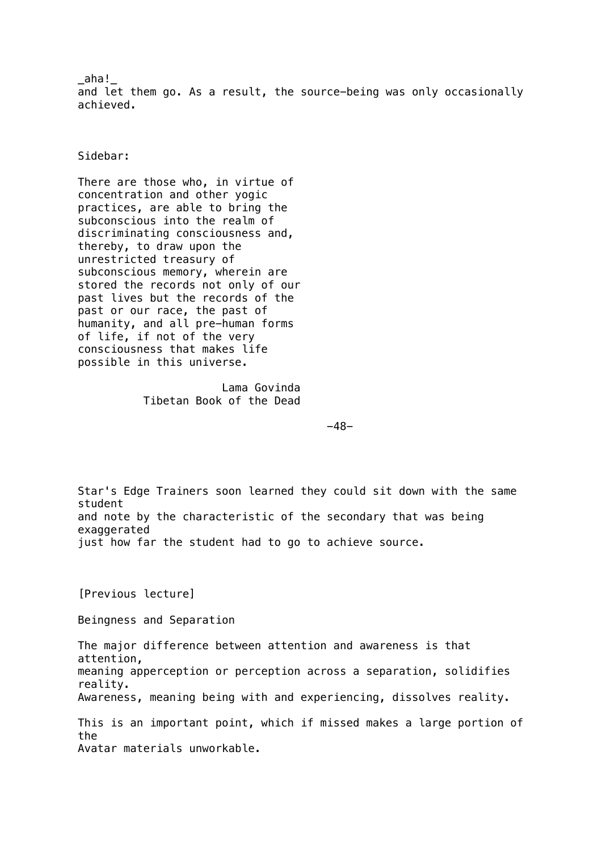$\_$ aha! $\_$ and let them go. As a result, the source-being was only occasionally achieved.

Sidebar:

There are those who, in virtue of concentration and other yogic practices, are able to bring the subconscious into the realm of discriminating consciousness and, thereby, to draw upon the unrestricted treasury of subconscious memory, wherein are stored the records not only of our past lives but the records of the past or our race, the past of humanity, and all pre-human forms of life, if not of the very consciousness that makes life possible in this universe.

> Lama Govinda Tibetan Book of the Dead

-48-

Star's Edge Trainers soon learned they could sit down with the same student and note by the characteristic of the secondary that was being exaggerated just how far the student had to go to achieve source.

[Previous lecture]

Beingness and Separation

The major difference between attention and awareness is that attention, meaning apperception or perception across a separation, solidifies reality. Awareness, meaning being with and experiencing, dissolves reality. This is an important point, which if missed makes a large portion of the

Avatar materials unworkable.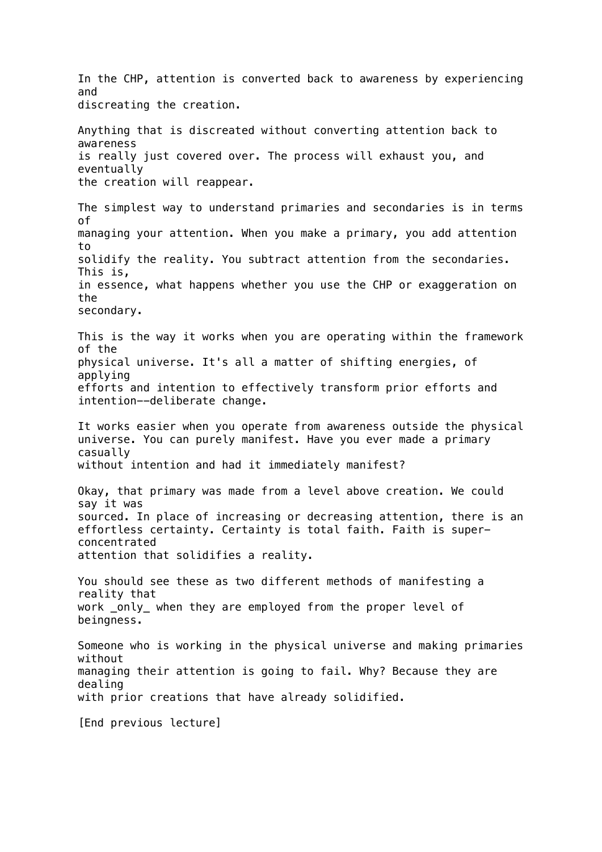In the CHP, attention is converted back to awareness by experiencing and discreating the creation. Anything that is discreated without converting attention back to awareness is really just covered over. The process will exhaust you, and eventually the creation will reappear. The simplest way to understand primaries and secondaries is in terms of managing your attention. When you make a primary, you add attention to solidify the reality. You subtract attention from the secondaries. This is, in essence, what happens whether you use the CHP or exaggeration on the secondary. This is the way it works when you are operating within the framework of the physical universe. It's all a matter of shifting energies, of applying efforts and intention to effectively transform prior efforts and intention--deliberate change. It works easier when you operate from awareness outside the physical universe. You can purely manifest. Have you ever made a primary casually without intention and had it immediately manifest? Okay, that primary was made from a level above creation. We could say it was sourced. In place of increasing or decreasing attention, there is an effortless certainty. Certainty is total faith. Faith is superconcentrated attention that solidifies a reality. You should see these as two different methods of manifesting a reality that work \_only\_ when they are employed from the proper level of beingness. Someone who is working in the physical universe and making primaries without managing their attention is going to fail. Why? Because they are dealing with prior creations that have already solidified. [End previous lecture]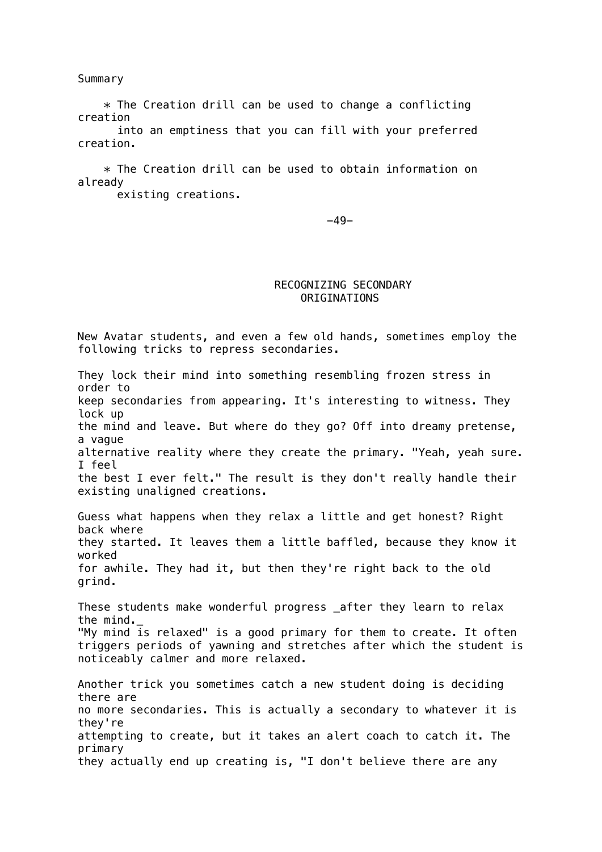Summary

 $*$  The Creation drill can be used to change a conflicting creation

 into an emptiness that you can fill with your preferred creation.

 \* The Creation drill can be used to obtain information on already

existing creations.

-49-

# RECOGNIZING SECONDARY ORIGINATIONS

New Avatar students, and even a few old hands, sometimes employ the following tricks to repress secondaries.

They lock their mind into something resembling frozen stress in order to keep secondaries from appearing. It's interesting to witness. They lock up the mind and leave. But where do they go? Off into dreamy pretense, a vague alternative reality where they create the primary. "Yeah, yeah sure. I feel the best I ever felt." The result is they don't really handle their existing unaligned creations. Guess what happens when they relax a little and get honest? Right back where they started. It leaves them a little baffled, because they know it worked for awhile. They had it, but then they're right back to the old grind. These students make wonderful progress \_after they learn to relax the mind.\_ "My mind is relaxed" is a good primary for them to create. It often triggers periods of yawning and stretches after which the student is noticeably calmer and more relaxed. Another trick you sometimes catch a new student doing is deciding there are no more secondaries. This is actually a secondary to whatever it is they're attempting to create, but it takes an alert coach to catch it. The primary they actually end up creating is, "I don't believe there are any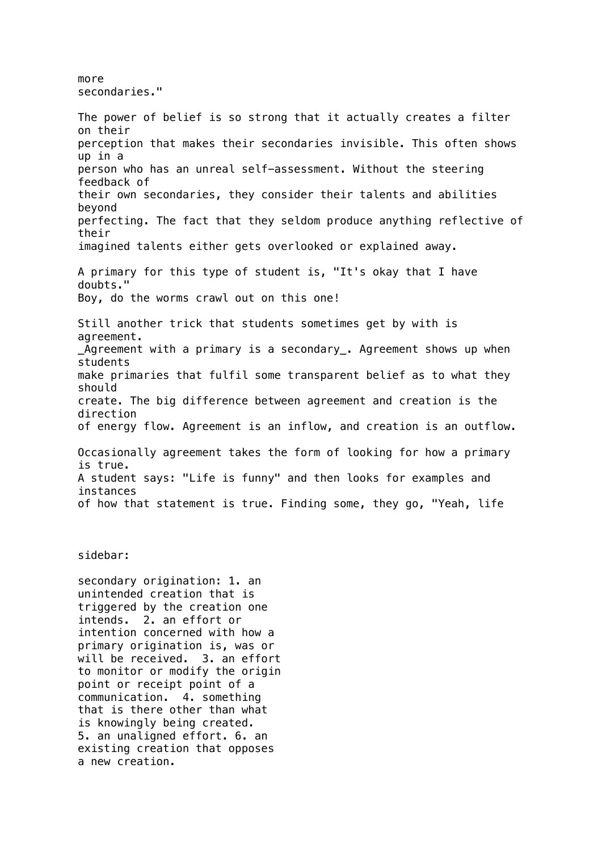### more secondaries."

The power of belief is so strong that it actually creates a filter on their perception that makes their secondaries invisible. This often shows up in a person who has an unreal self-assessment. Without the steering feedback of their own secondaries, they consider their talents and abilities beyond perfecting. The fact that they seldom produce anything reflective of their imagined talents either gets overlooked or explained away. A primary for this type of student is, "It's okay that I have doubts." Boy, do the worms crawl out on this one! Still another trick that students sometimes get by with is agreement. \_Agreement with a primary is a secondary\_. Agreement shows up when students make primaries that fulfil some transparent belief as to what they should create. The big difference between agreement and creation is the direction of energy flow. Agreement is an inflow, and creation is an outflow. Occasionally agreement takes the form of looking for how a primary is true. A student says: "Life is funny" and then looks for examples and instances of how that statement is true. Finding some, they go, "Yeah, life

### sidebar:

secondary origination: 1. an unintended creation that is triggered by the creation one intends. 2. an effort or intention concerned with how a primary origination is, was or will be received. 3. an effort to monitor or modify the origin point or receipt point of a communication. 4. something that is there other than what is knowingly being created. 5. an unaligned effort. 6. an existing creation that opposes a new creation.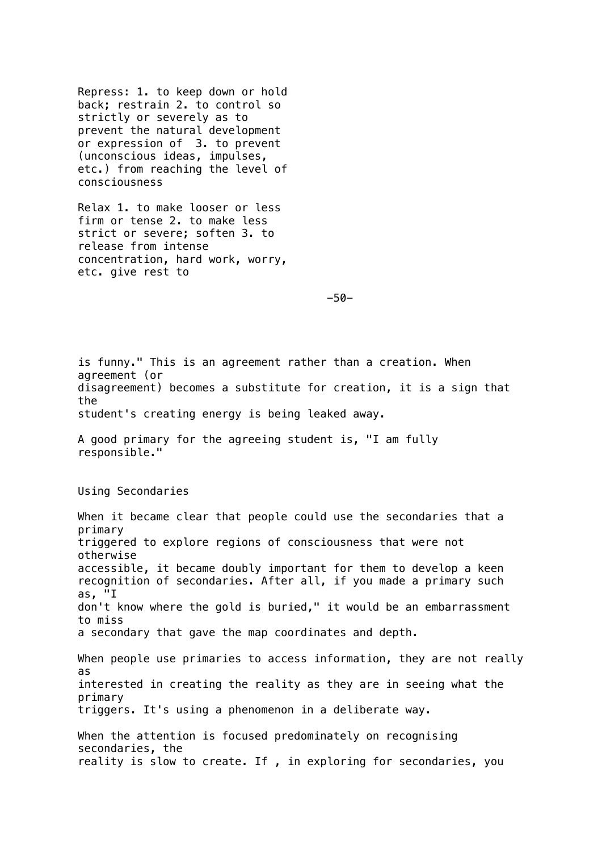Repress: 1. to keep down or hold back; restrain 2. to control so strictly or severely as to prevent the natural development or expression of 3. to prevent (unconscious ideas, impulses, etc.) from reaching the level of consciousness

Relax 1. to make looser or less firm or tense 2. to make less strict or severe; soften 3. to release from intense concentration, hard work, worry, etc. give rest to

-50-

is funny." This is an agreement rather than a creation. When agreement (or disagreement) becomes a substitute for creation, it is a sign that the student's creating energy is being leaked away.

A good primary for the agreeing student is, "I am fully responsible."

Using Secondaries

When it became clear that people could use the secondaries that a primary triggered to explore regions of consciousness that were not otherwise accessible, it became doubly important for them to develop a keen recognition of secondaries. After all, if you made a primary such as, "I don't know where the gold is buried," it would be an embarrassment to miss a secondary that gave the map coordinates and depth. When people use primaries to access information, they are not really as interested in creating the reality as they are in seeing what the primary triggers. It's using a phenomenon in a deliberate way. When the attention is focused predominately on recognising secondaries, the reality is slow to create. If , in exploring for secondaries, you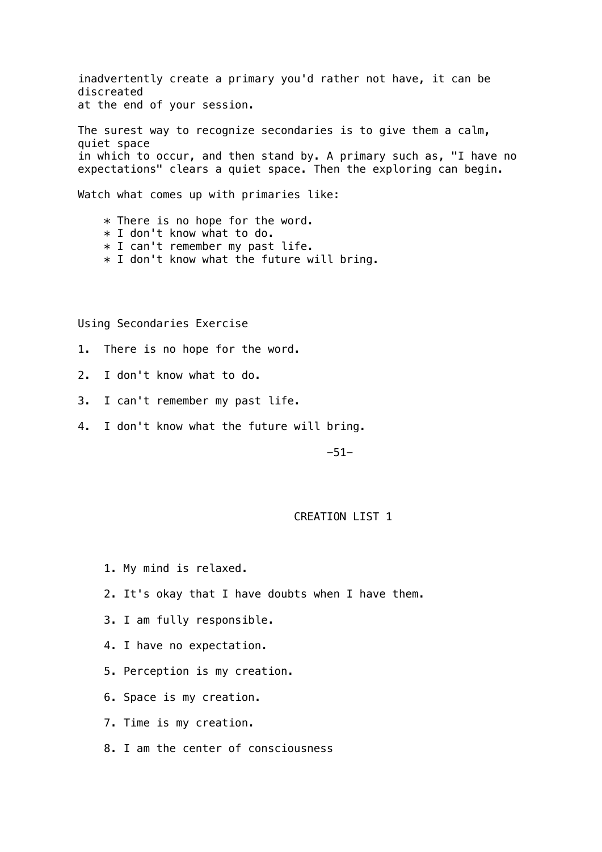inadvertently create a primary you'd rather not have, it can be discreated at the end of your session.

The surest way to recognize secondaries is to give them a calm, quiet space in which to occur, and then stand by. A primary such as, "I have no expectations" clears a quiet space. Then the exploring can begin.

Watch what comes up with primaries like:

 \* There is no hope for the word. \* I don't know what to do. \* I can't remember my past life.  $*$  I don't know what the future will bring.

Using Secondaries Exercise

- 1. There is no hope for the word.
- 2. I don't know what to do.
- 3. I can't remember my past life.
- 4. I don't know what the future will bring.

-51-

## CREATION LIST 1

- 1. My mind is relaxed.
- 2. It's okay that I have doubts when I have them.
- 3. I am fully responsible.
- 4. I have no expectation.
- 5. Perception is my creation.
- 6. Space is my creation.
- 7. Time is my creation.
- 8. I am the center of consciousness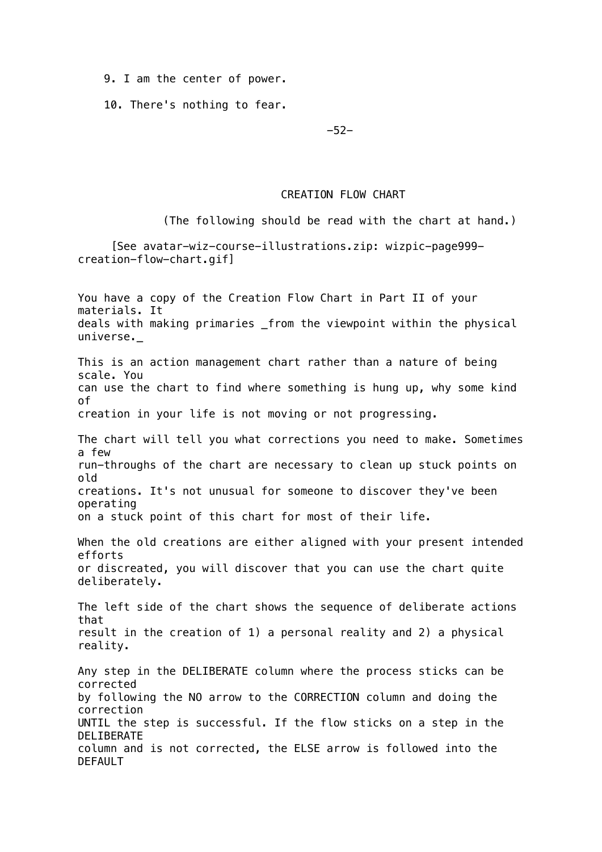9. I am the center of power.

10. There's nothing to fear.

-52-

# CREATION FLOW CHART

(The following should be read with the chart at hand.)

 [See avatar-wiz-course-illustrations.zip: wizpic-page999 creation-flow-chart.gif]

You have a copy of the Creation Flow Chart in Part II of your materials. It deals with making primaries \_from the viewpoint within the physical universe.\_ This is an action management chart rather than a nature of being scale. You can use the chart to find where something is hung up, why some kind of creation in your life is not moving or not progressing. The chart will tell you what corrections you need to make. Sometimes a few run-throughs of the chart are necessary to clean up stuck points on old creations. It's not unusual for someone to discover they've been operating on a stuck point of this chart for most of their life. When the old creations are either aligned with your present intended efforts or discreated, you will discover that you can use the chart quite deliberately. The left side of the chart shows the sequence of deliberate actions that result in the creation of 1) a personal reality and 2) a physical reality. Any step in the DELIBERATE column where the process sticks can be corrected by following the NO arrow to the CORRECTION column and doing the correction UNTIL the step is successful. If the flow sticks on a step in the DELIBERATE column and is not corrected, the ELSE arrow is followed into the DEFAULT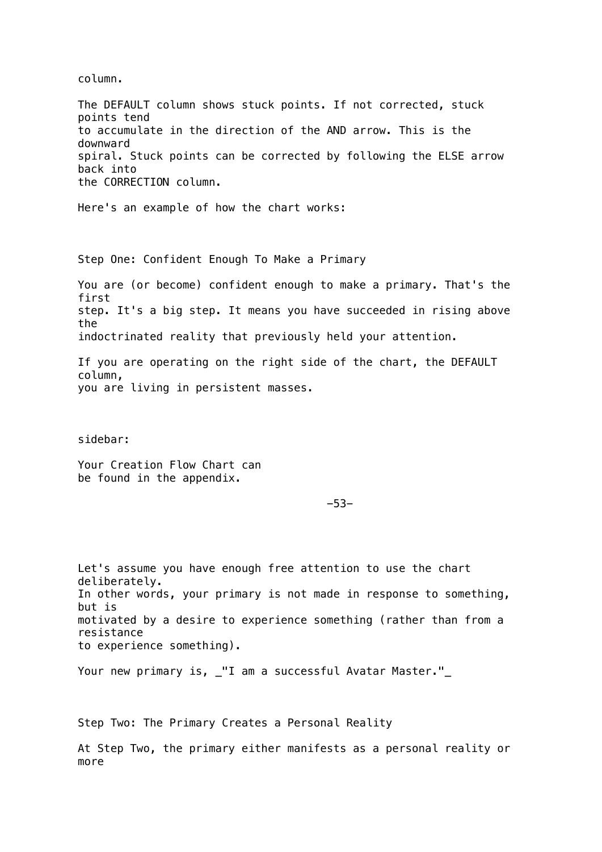column.

The DEFAULT column shows stuck points. If not corrected, stuck points tend to accumulate in the direction of the AND arrow. This is the downward spiral. Stuck points can be corrected by following the ELSE arrow back into the CORRECTION column.

Here's an example of how the chart works:

Step One: Confident Enough To Make a Primary

You are (or become) confident enough to make a primary. That's the first step. It's a big step. It means you have succeeded in rising above the indoctrinated reality that previously held your attention.

If you are operating on the right side of the chart, the DEFAULT column, you are living in persistent masses.

sidebar:

Your Creation Flow Chart can be found in the appendix.

-53-

Let's assume you have enough free attention to use the chart deliberately. In other words, your primary is not made in response to something, but is motivated by a desire to experience something (rather than from a resistance to experience something).

Your new primary is, \_"I am a successful Avatar Master."\_

Step Two: The Primary Creates a Personal Reality

At Step Two, the primary either manifests as a personal reality or more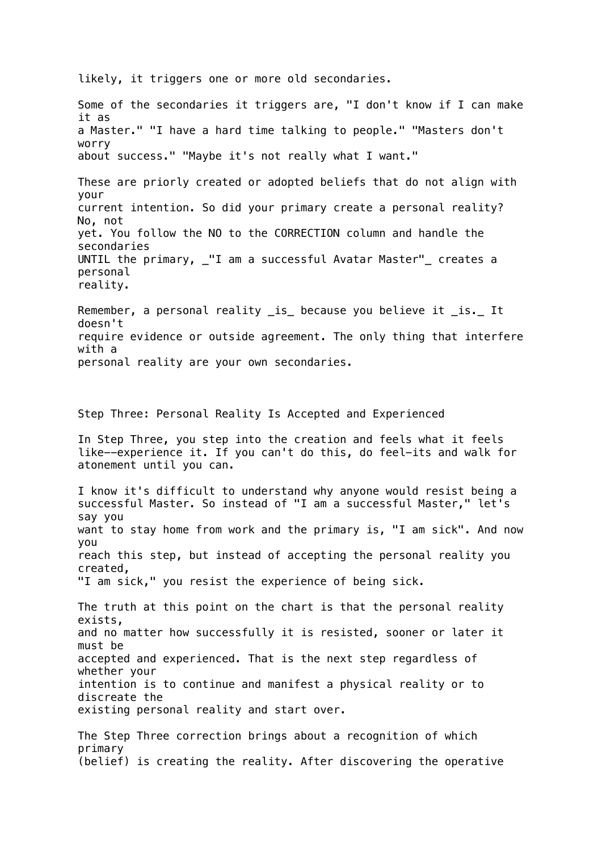likely, it triggers one or more old secondaries.

Some of the secondaries it triggers are, "I don't know if I can make it as a Master." "I have a hard time talking to people." "Masters don't worry about success." "Maybe it's not really what I want." These are priorly created or adopted beliefs that do not align with your current intention. So did your primary create a personal reality? No, not yet. You follow the NO to the CORRECTION column and handle the secondaries UNTIL the primary, \_"I am a successful Avatar Master"\_ creates a personal reality. Remember, a personal reality \_is\_ because you believe it \_is.\_ It doesn't require evidence or outside agreement. The only thing that interfere with a personal reality are your own secondaries. Step Three: Personal Reality Is Accepted and Experienced In Step Three, you step into the creation and feels what it feels like--experience it. If you can't do this, do feel-its and walk for atonement until you can. I know it's difficult to understand why anyone would resist being a successful Master. So instead of "I am a successful Master," let's say you want to stay home from work and the primary is, "I am sick". And now you reach this step, but instead of accepting the personal reality you created, "I am sick," you resist the experience of being sick. The truth at this point on the chart is that the personal reality exists, and no matter how successfully it is resisted, sooner or later it must be accepted and experienced. That is the next step regardless of whether your intention is to continue and manifest a physical reality or to discreate the existing personal reality and start over. The Step Three correction brings about a recognition of which primary (belief) is creating the reality. After discovering the operative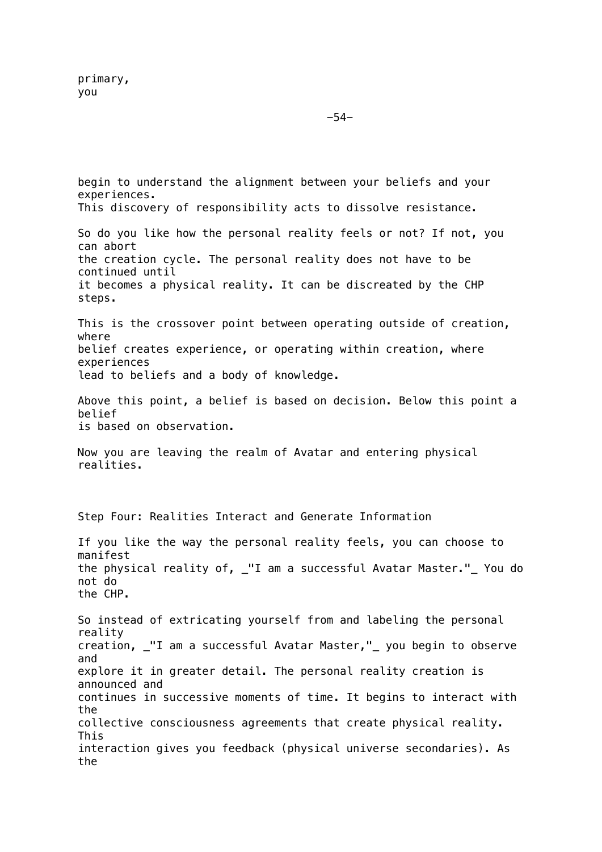begin to understand the alignment between your beliefs and your experiences. This discovery of responsibility acts to dissolve resistance. So do you like how the personal reality feels or not? If not, you can abort the creation cycle. The personal reality does not have to be continued until it becomes a physical reality. It can be discreated by the CHP steps. This is the crossover point between operating outside of creation, where belief creates experience, or operating within creation, where experiences lead to beliefs and a body of knowledge. Above this point, a belief is based on decision. Below this point a belief is based on observation. Now you are leaving the realm of Avatar and entering physical realities. Step Four: Realities Interact and Generate Information If you like the way the personal reality feels, you can choose to manifest the physical reality of, \_"I am a successful Avatar Master."\_ You do not do the CHP. So instead of extricating yourself from and labeling the personal reality creation, \_"I am a successful Avatar Master,"\_ you begin to observe and explore it in greater detail. The personal reality creation is announced and continues in successive moments of time. It begins to interact with the collective consciousness agreements that create physical reality. This interaction gives you feedback (physical universe secondaries). As the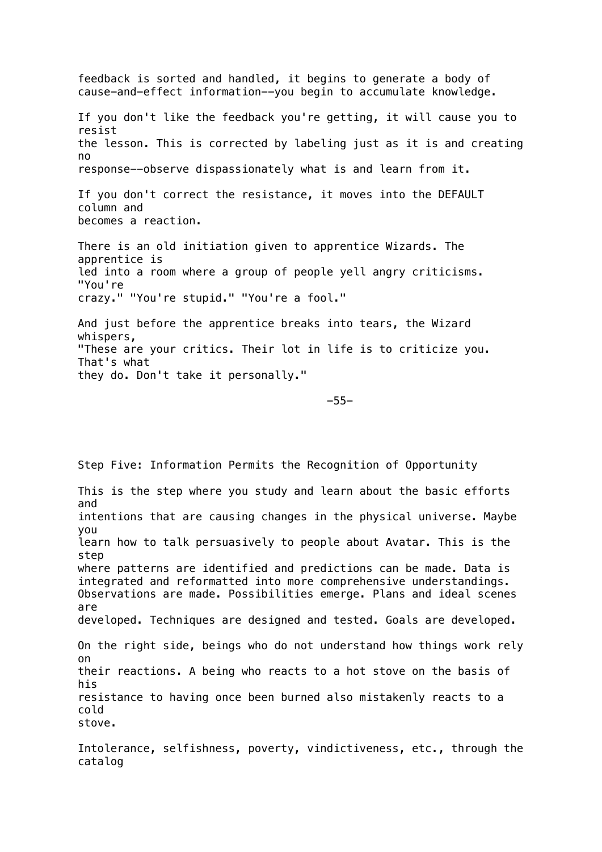feedback is sorted and handled, it begins to generate a body of cause-and-effect information--you begin to accumulate knowledge. If you don't like the feedback you're getting, it will cause you to resist the lesson. This is corrected by labeling just as it is and creating no response--observe dispassionately what is and learn from it. If you don't correct the resistance, it moves into the DEFAULT column and becomes a reaction. There is an old initiation given to apprentice Wizards. The apprentice is led into a room where a group of people yell angry criticisms. "You're crazy." "You're stupid." "You're a fool." And just before the apprentice breaks into tears, the Wizard whispers, "These are your critics. Their lot in life is to criticize you. That's what they do. Don't take it personally."

-55-

Step Five: Information Permits the Recognition of Opportunity This is the step where you study and learn about the basic efforts and intentions that are causing changes in the physical universe. Maybe you learn how to talk persuasively to people about Avatar. This is the step where patterns are identified and predictions can be made. Data is integrated and reformatted into more comprehensive understandings. Observations are made. Possibilities emerge. Plans and ideal scenes are developed. Techniques are designed and tested. Goals are developed. On the right side, beings who do not understand how things work rely on their reactions. A being who reacts to a hot stove on the basis of his resistance to having once been burned also mistakenly reacts to a cold stove.

Intolerance, selfishness, poverty, vindictiveness, etc., through the catalog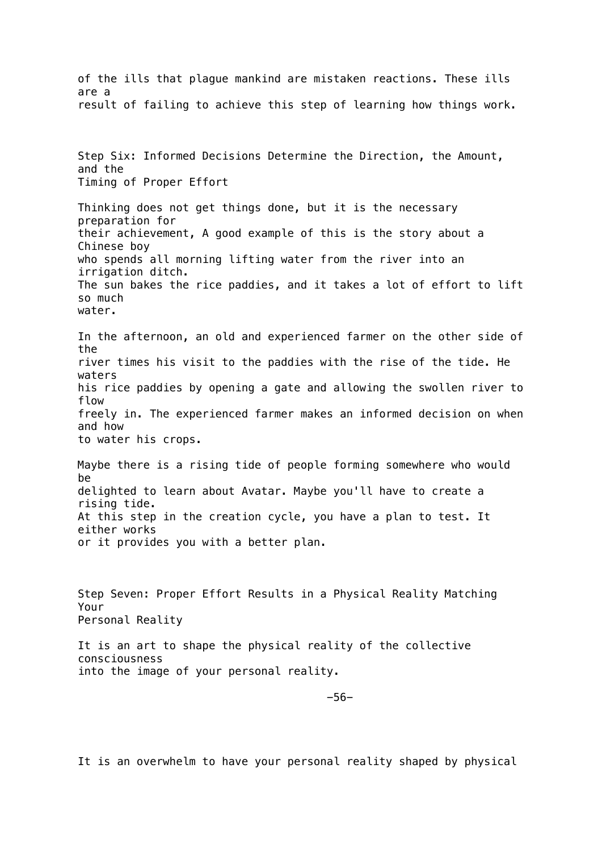of the ills that plague mankind are mistaken reactions. These ills are a result of failing to achieve this step of learning how things work. Step Six: Informed Decisions Determine the Direction, the Amount, and the Timing of Proper Effort Thinking does not get things done, but it is the necessary preparation for their achievement, A good example of this is the story about a Chinese boy who spends all morning lifting water from the river into an irrigation ditch. The sun bakes the rice paddies, and it takes a lot of effort to lift so much water. In the afternoon, an old and experienced farmer on the other side of the river times his visit to the paddies with the rise of the tide. He waters his rice paddies by opening a gate and allowing the swollen river to flow freely in. The experienced farmer makes an informed decision on when and how to water his crops. Maybe there is a rising tide of people forming somewhere who would be delighted to learn about Avatar. Maybe you'll have to create a rising tide. At this step in the creation cycle, you have a plan to test. It either works or it provides you with a better plan. Step Seven: Proper Effort Results in a Physical Reality Matching Your Personal Reality It is an art to shape the physical reality of the collective consciousness into the image of your personal reality. -56-

It is an overwhelm to have your personal reality shaped by physical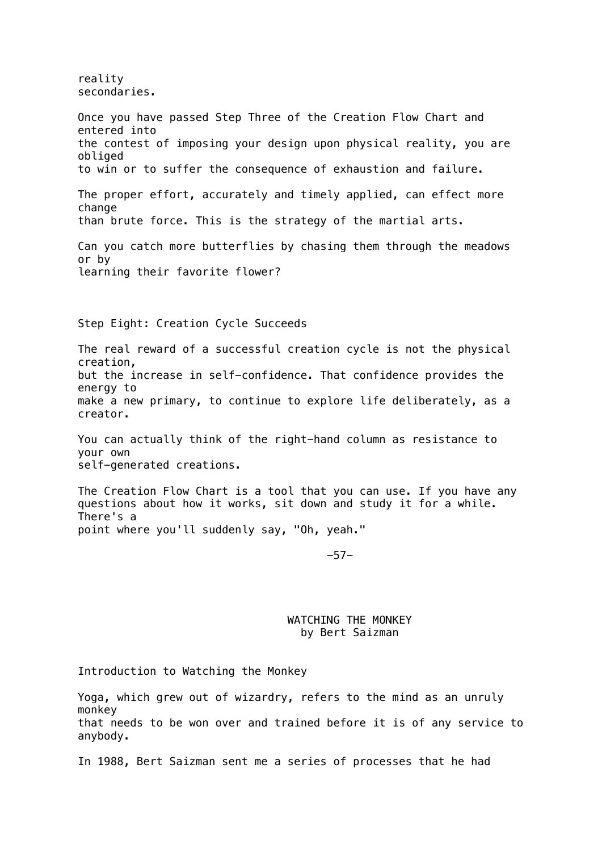reality secondaries.

Once you have passed Step Three of the Creation Flow Chart and entered into the contest of imposing your design upon physical reality, you are obliged to win or to suffer the consequence of exhaustion and failure. The proper effort, accurately and timely applied, can effect more change than brute force. This is the strategy of the martial arts. Can you catch more butterflies by chasing them through the meadows or by learning their favorite flower? Step Eight: Creation Cycle Succeeds The real reward of a successful creation cycle is not the physical creation, but the increase in self-confidence. That confidence provides the energy to make a new primary, to continue to explore life deliberately, as a creator. You can actually think of the right-hand column as resistance to your own self-generated creations. The Creation Flow Chart is a tool that you can use. If you have any questions about how it works, sit down and study it for a while. There's a point where you'll suddenly say, "Oh, yeah." -57- WATCHING THE MONKEY by Bert Saizman

Introduction to Watching the Monkey

Yoga, which grew out of wizardry, refers to the mind as an unruly monkey that needs to be won over and trained before it is of any service to anybody.

In 1988, Bert Saizman sent me a series of processes that he had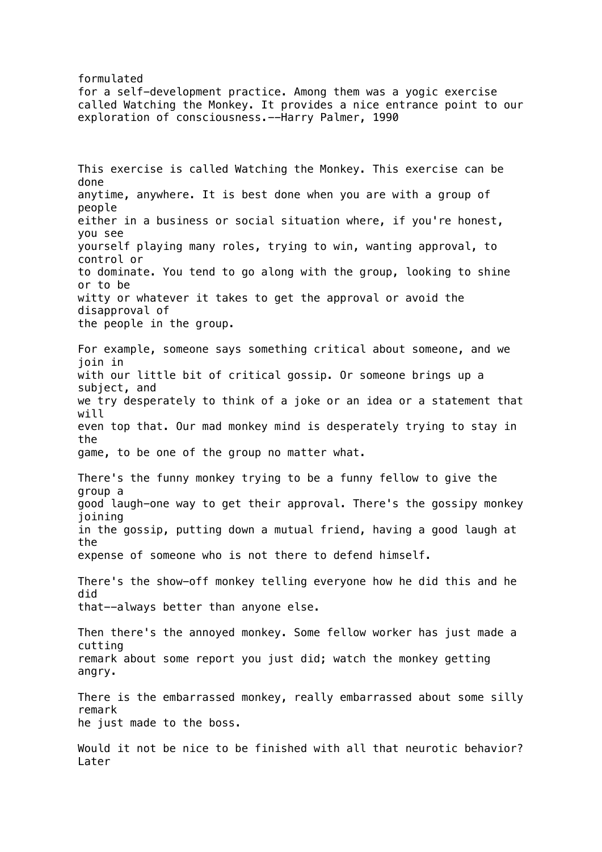formulated for a self-development practice. Among them was a yogic exercise called Watching the Monkey. It provides a nice entrance point to our exploration of consciousness.--Harry Palmer, 1990

This exercise is called Watching the Monkey. This exercise can be done anytime, anywhere. It is best done when you are with a group of people either in a business or social situation where, if you're honest, you see yourself playing many roles, trying to win, wanting approval, to control or to dominate. You tend to go along with the group, looking to shine or to be witty or whatever it takes to get the approval or avoid the disapproval of the people in the group. For example, someone says something critical about someone, and we join in with our little bit of critical gossip. Or someone brings up a subject, and we try desperately to think of a joke or an idea or a statement that will even top that. Our mad monkey mind is desperately trying to stay in the game, to be one of the group no matter what. There's the funny monkey trying to be a funny fellow to give the group a good laugh-one way to get their approval. There's the gossipy monkey joining in the gossip, putting down a mutual friend, having a good laugh at the expense of someone who is not there to defend himself. There's the show-off monkey telling everyone how he did this and he did that--always better than anyone else. Then there's the annoyed monkey. Some fellow worker has just made a cutting remark about some report you just did; watch the monkey getting angry. There is the embarrassed monkey, really embarrassed about some silly remark he just made to the boss.

Would it not be nice to be finished with all that neurotic behavior? Later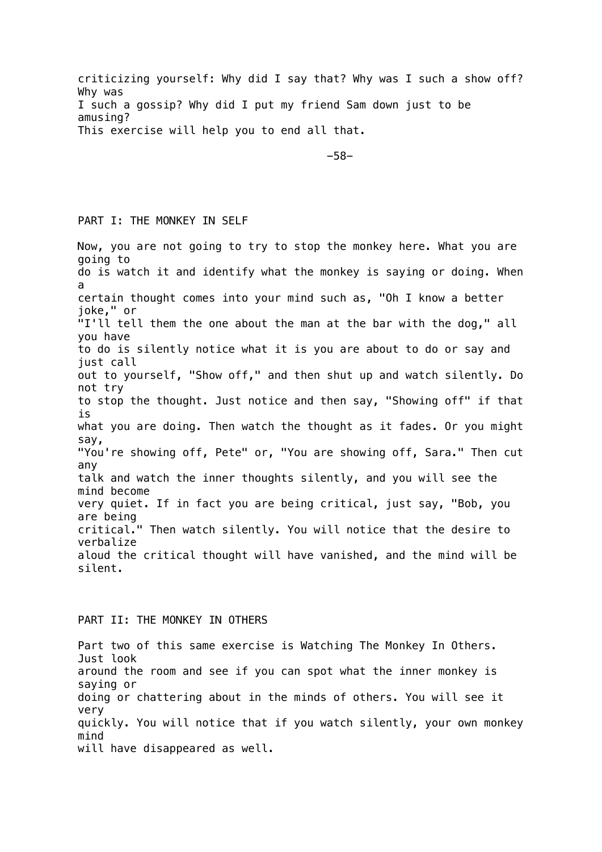criticizing yourself: Why did I say that? Why was I such a show off? Why was I such a gossip? Why did I put my friend Sam down just to be amusing? This exercise will help you to end all that.

-58-

# PART I: THE MONKEY IN SELF

Now, you are not going to try to stop the monkey here. What you are going to do is watch it and identify what the monkey is saying or doing. When a certain thought comes into your mind such as, "Oh I know a better joke," or "I'll tell them the one about the man at the bar with the dog," all you have to do is silently notice what it is you are about to do or say and just call out to yourself, "Show off," and then shut up and watch silently. Do not try to stop the thought. Just notice and then say, "Showing off" if that is what you are doing. Then watch the thought as it fades. Or you might say, "You're showing off, Pete" or, "You are showing off, Sara." Then cut any talk and watch the inner thoughts silently, and you will see the mind become very quiet. If in fact you are being critical, just say, "Bob, you are being critical." Then watch silently. You will notice that the desire to verbalize aloud the critical thought will have vanished, and the mind will be silent.

### PART II: THE MONKEY IN OTHERS

Part two of this same exercise is Watching The Monkey In Others. Just look around the room and see if you can spot what the inner monkey is saying or doing or chattering about in the minds of others. You will see it very quickly. You will notice that if you watch silently, your own monkey mind will have disappeared as well.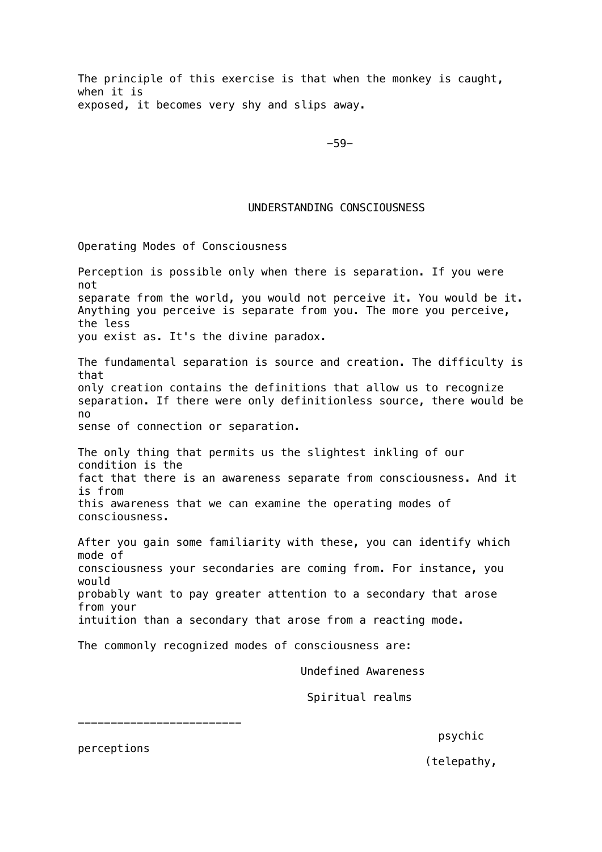The principle of this exercise is that when the monkey is caught, when it is exposed, it becomes very shy and slips away.

-59-

### UNDERSTANDING CONSCIOUSNESS

Operating Modes of Consciousness

Perception is possible only when there is separation. If you were not separate from the world, you would not perceive it. You would be it. Anything you perceive is separate from you. The more you perceive, the less you exist as. It's the divine paradox. The fundamental separation is source and creation. The difficulty is that only creation contains the definitions that allow us to recognize separation. If there were only definitionless source, there would be no sense of connection or separation. The only thing that permits us the slightest inkling of our condition is the fact that there is an awareness separate from consciousness. And it is from this awareness that we can examine the operating modes of consciousness. After you gain some familiarity with these, you can identify which mode of consciousness your secondaries are coming from. For instance, you would probably want to pay greater attention to a secondary that arose from your intuition than a secondary that arose from a reacting mode. The commonly recognized modes of consciousness are:

Undefined Awareness

Spiritual realms

-------------------------

psychic

perceptions

(telepathy,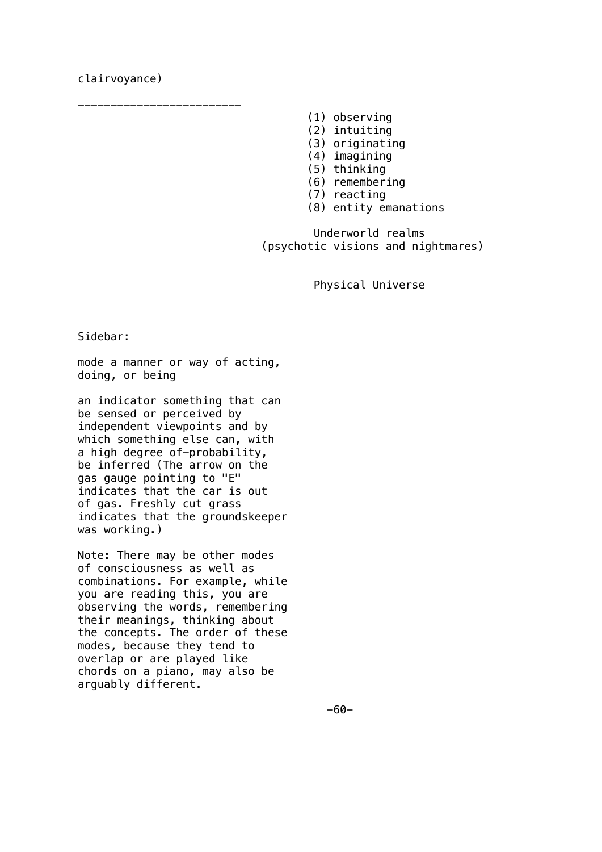# clairvoyance)

- (1) observing
- (2) intuiting
- (3) originating
- (4) imagining
- (5) thinking
- (6) remembering
- (7) reacting
- (8) entity emanations

 Underworld realms (psychotic visions and nightmares)

Physical Universe

Sidebar:

mode a manner or way of acting, doing, or being

-------------------------

an indicator something that can be sensed or perceived by independent viewpoints and by which something else can, with a high degree of-probability, be inferred (The arrow on the gas gauge pointing to "E" indicates that the car is out of gas. Freshly cut grass indicates that the groundskeeper was working.)

Note: There may be other modes of consciousness as well as combinations. For example, while you are reading this, you are observing the words, remembering their meanings, thinking about the concepts. The order of these modes, because they tend to overlap or are played like chords on a piano, may also be arguably different.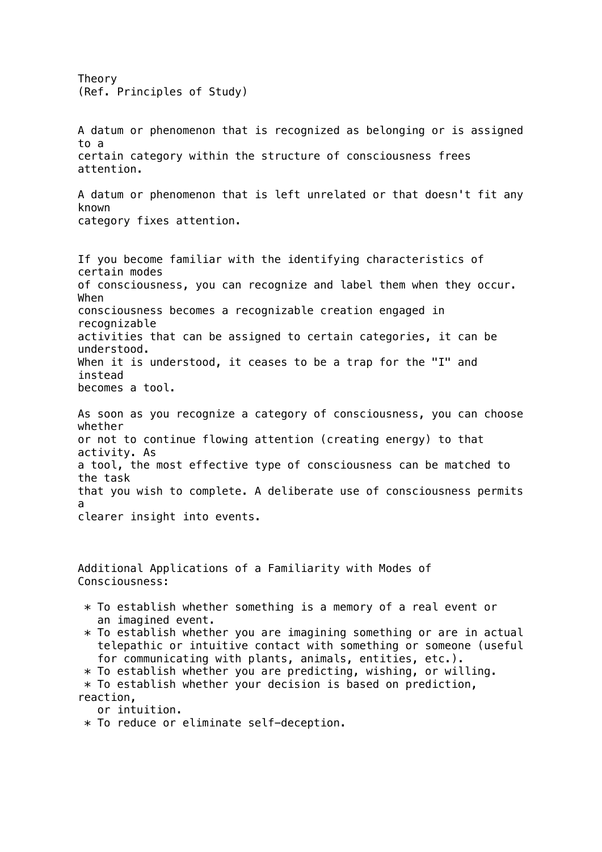Theory (Ref. Principles of Study) A datum or phenomenon that is recognized as belonging or is assigned to a certain category within the structure of consciousness frees attention. A datum or phenomenon that is left unrelated or that doesn't fit any known category fixes attention. If you become familiar with the identifying characteristics of certain modes of consciousness, you can recognize and label them when they occur. When consciousness becomes a recognizable creation engaged in recognizable activities that can be assigned to certain categories, it can be understood. When it is understood, it ceases to be a trap for the "I" and instead becomes a tool. As soon as you recognize a category of consciousness, you can choose whether or not to continue flowing attention (creating energy) to that activity. As a tool, the most effective type of consciousness can be matched to the task that you wish to complete. A deliberate use of consciousness permits a clearer insight into events. Additional Applications of a Familiarity with Modes of Consciousness:  $*$  To establish whether something is a memory of a real event or an imagined event.  $*$  To establish whether you are imagining something or are in actual telepathic or intuitive contact with something or someone (useful for communicating with plants, animals, entities, etc.). \* To establish whether you are predicting, wishing, or willing.  $*$  To establish whether your decision is based on prediction, reaction, or intuition. \* To reduce or eliminate self-deception.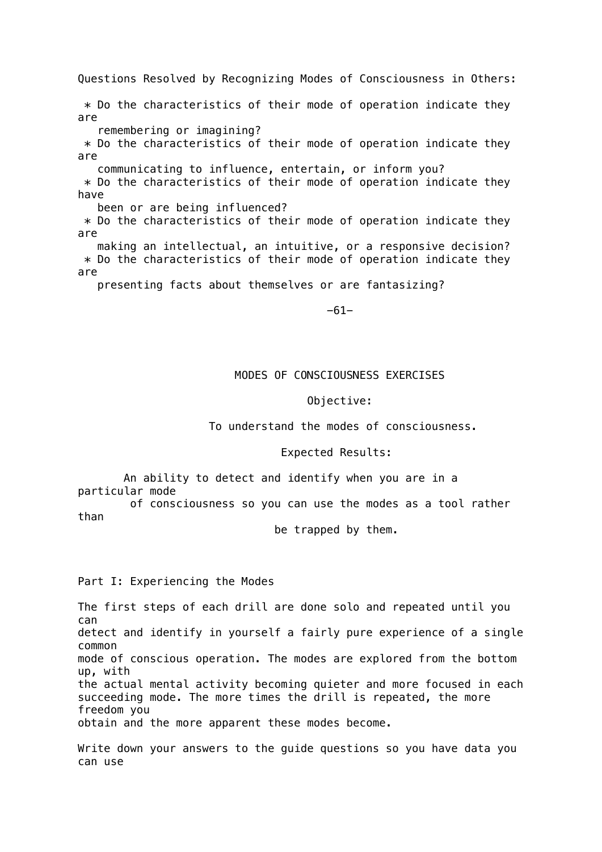Questions Resolved by Recognizing Modes of Consciousness in Others:  $*$  Do the characteristics of their mode of operation indicate they are remembering or imagining?  $*$  Do the characteristics of their mode of operation indicate they are communicating to influence, entertain, or inform you?  $*$  Do the characteristics of their mode of operation indicate they have been or are being influenced? \* Do the characteristics of their mode of operation indicate they are making an intellectual, an intuitive, or a responsive decision?  $*$  Do the characteristics of their mode of operation indicate they are presenting facts about themselves or are fantasizing?

-61-

# MODES OF CONSCIOUSNESS EXERCISES

#### Objective:

### To understand the modes of consciousness.

### Expected Results:

 An ability to detect and identify when you are in a particular mode

 of consciousness so you can use the modes as a tool rather than

be trapped by them.

Part I: Experiencing the Modes

The first steps of each drill are done solo and repeated until you can detect and identify in yourself a fairly pure experience of a single common mode of conscious operation. The modes are explored from the bottom up, with the actual mental activity becoming quieter and more focused in each succeeding mode. The more times the drill is repeated, the more freedom you obtain and the more apparent these modes become.

Write down your answers to the guide questions so you have data you can use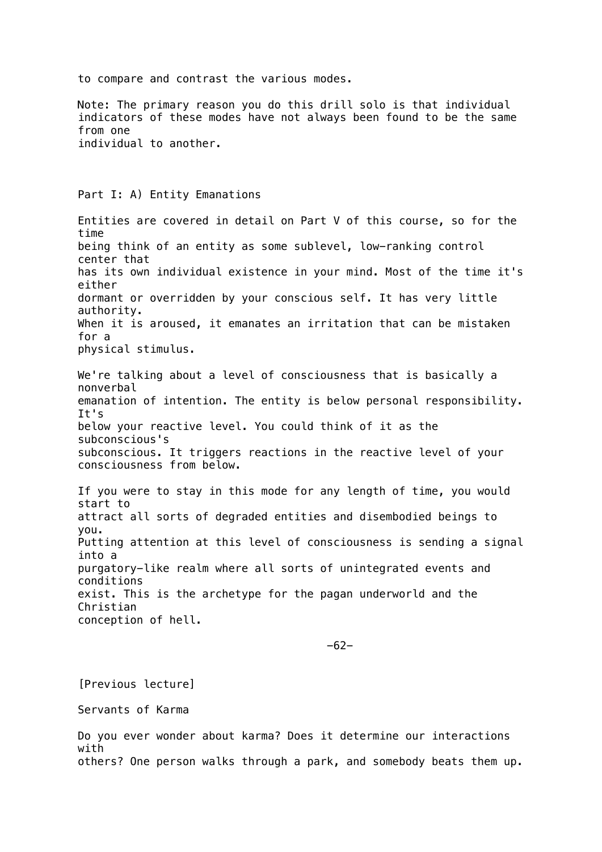to compare and contrast the various modes.

Note: The primary reason you do this drill solo is that individual indicators of these modes have not always been found to be the same from one individual to another.

Part I: A) Entity Emanations

Entities are covered in detail on Part V of this course, so for the time being think of an entity as some sublevel, low-ranking control center that has its own individual existence in your mind. Most of the time it's either dormant or overridden by your conscious self. It has very little authority. When it is aroused, it emanates an irritation that can be mistaken for a physical stimulus.

We're talking about a level of consciousness that is basically a nonverbal emanation of intention. The entity is below personal responsibility. It's below your reactive level. You could think of it as the subconscious's subconscious. It triggers reactions in the reactive level of your consciousness from below.

If you were to stay in this mode for any length of time, you would start to attract all sorts of degraded entities and disembodied beings to you. Putting attention at this level of consciousness is sending a signal into a purgatory-like realm where all sorts of unintegrated events and conditions exist. This is the archetype for the pagan underworld and the Christian conception of hell.

-62-

[Previous lecture]

Servants of Karma

Do you ever wonder about karma? Does it determine our interactions with others? One person walks through a park, and somebody beats them up.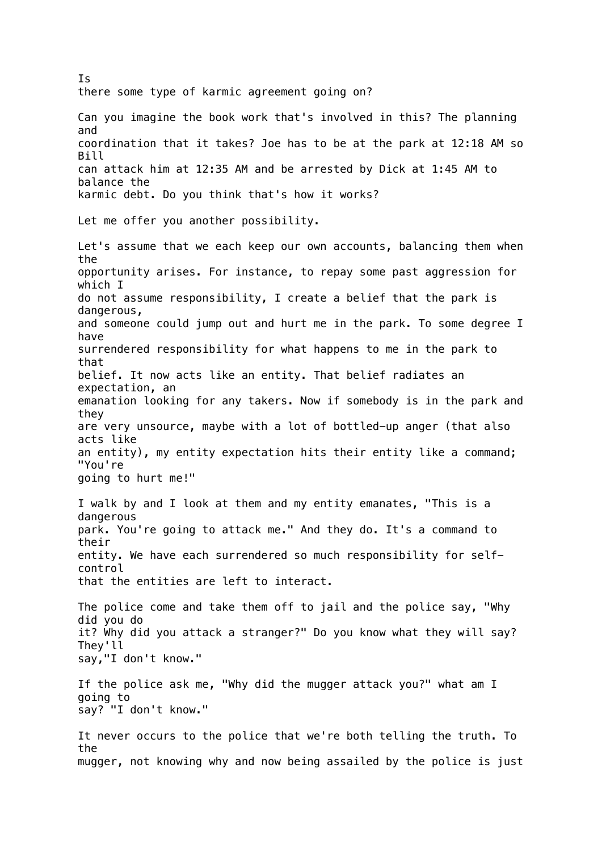Is there some type of karmic agreement going on? Can you imagine the book work that's involved in this? The planning and coordination that it takes? Joe has to be at the park at 12:18 AM so Bill can attack him at 12:35 AM and be arrested by Dick at 1:45 AM to balance the karmic debt. Do you think that's how it works? Let me offer you another possibility. Let's assume that we each keep our own accounts, balancing them when the opportunity arises. For instance, to repay some past aggression for which I do not assume responsibility, I create a belief that the park is dangerous, and someone could jump out and hurt me in the park. To some degree I have surrendered responsibility for what happens to me in the park to that belief. It now acts like an entity. That belief radiates an expectation, an emanation looking for any takers. Now if somebody is in the park and they are very unsource, maybe with a lot of bottled-up anger (that also acts like an entity), my entity expectation hits their entity like a command; "You're going to hurt me!" I walk by and I look at them and my entity emanates, "This is a dangerous park. You're going to attack me." And they do. It's a command to their entity. We have each surrendered so much responsibility for selfcontrol that the entities are left to interact. The police come and take them off to jail and the police say, "Why did you do it? Why did you attack a stranger?" Do you know what they will say? They'll say,"I don't know." If the police ask me, "Why did the mugger attack you?" what am I going to say? "I don't know." It never occurs to the police that we're both telling the truth. To the mugger, not knowing why and now being assailed by the police is just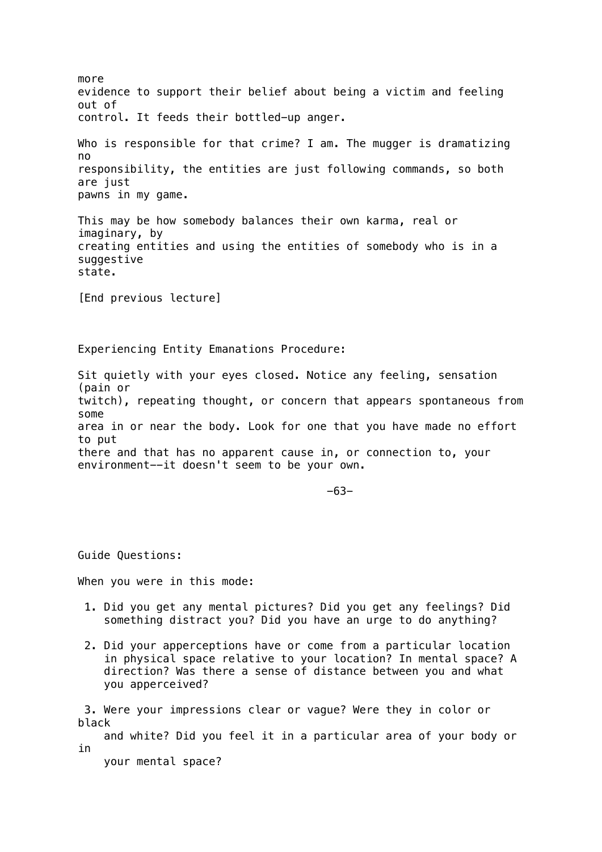more evidence to support their belief about being a victim and feeling out of control. It feeds their bottled-up anger. Who is responsible for that crime? I am. The mugger is dramatizing no responsibility, the entities are just following commands, so both are just pawns in my game. This may be how somebody balances their own karma, real or imaginary, by creating entities and using the entities of somebody who is in a suggestive state. [End previous lecture] Experiencing Entity Emanations Procedure: Sit quietly with your eyes closed. Notice any feeling, sensation (pain or twitch), repeating thought, or concern that appears spontaneous from some area in or near the body. Look for one that you have made no effort to put there and that has no apparent cause in, or connection to, your environment--it doesn't seem to be your own. -63- Guide Questions: When you were in this mode: 1. Did you get any mental pictures? Did you get any feelings? Did something distract you? Did you have an urge to do anything? 2. Did your apperceptions have or come from a particular location in physical space relative to your location? In mental space? A direction? Was there a sense of distance between you and what you apperceived? 3. Were your impressions clear or vague? Were they in color or black and white? Did you feel it in a particular area of your body or in

your mental space?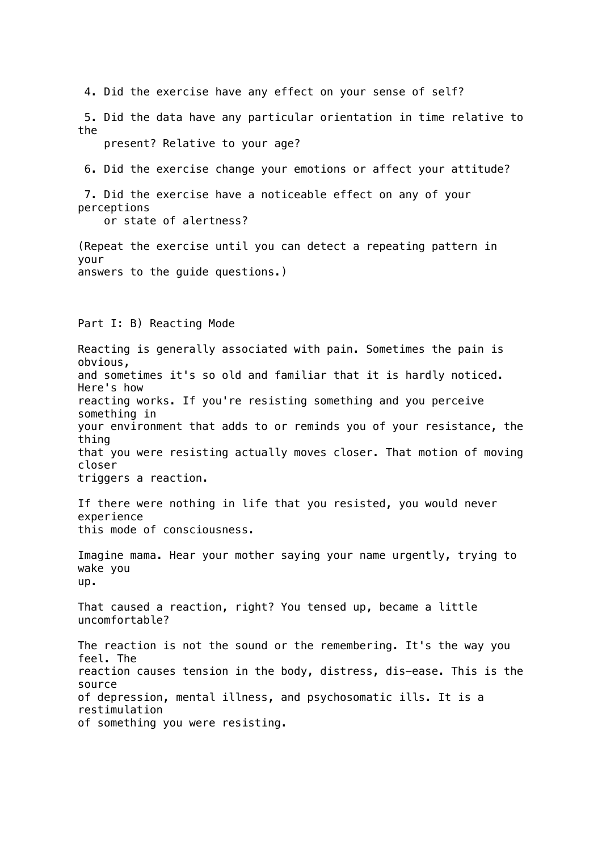4. Did the exercise have any effect on your sense of self?

 5. Did the data have any particular orientation in time relative to the

present? Relative to your age?

6. Did the exercise change your emotions or affect your attitude?

 7. Did the exercise have a noticeable effect on any of your perceptions

or state of alertness?

(Repeat the exercise until you can detect a repeating pattern in your answers to the guide questions.)

### Part I: B) Reacting Mode

Reacting is generally associated with pain. Sometimes the pain is obvious, and sometimes it's so old and familiar that it is hardly noticed. Here's how reacting works. If you're resisting something and you perceive something in your environment that adds to or reminds you of your resistance, the thing that you were resisting actually moves closer. That motion of moving closer triggers a reaction.

If there were nothing in life that you resisted, you would never experience this mode of consciousness.

Imagine mama. Hear your mother saying your name urgently, trying to wake you up.

That caused a reaction, right? You tensed up, became a little uncomfortable?

The reaction is not the sound or the remembering. It's the way you feel. The reaction causes tension in the body, distress, dis-ease. This is the source of depression, mental illness, and psychosomatic ills. It is a restimulation of something you were resisting.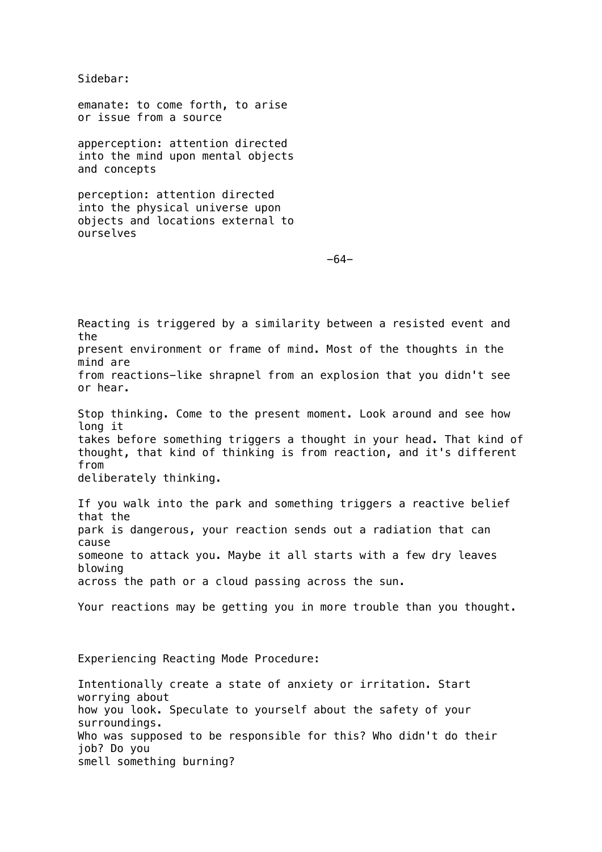Sidebar:

emanate: to come forth, to arise or issue from a source

apperception: attention directed into the mind upon mental objects and concepts

perception: attention directed into the physical universe upon objects and locations external to ourselves

-64-

Reacting is triggered by a similarity between a resisted event and the present environment or frame of mind. Most of the thoughts in the mind are from reactions-like shrapnel from an explosion that you didn't see or hear. Stop thinking. Come to the present moment. Look around and see how long it takes before something triggers a thought in your head. That kind of thought, that kind of thinking is from reaction, and it's different from deliberately thinking. If you walk into the park and something triggers a reactive belief that the park is dangerous, your reaction sends out a radiation that can cause someone to attack you. Maybe it all starts with a few dry leaves blowing across the path or a cloud passing across the sun. Your reactions may be getting you in more trouble than you thought. Experiencing Reacting Mode Procedure: Intentionally create a state of anxiety or irritation. Start

worrying about how you look. Speculate to yourself about the safety of your surroundings. Who was supposed to be responsible for this? Who didn't do their job? Do you smell something burning?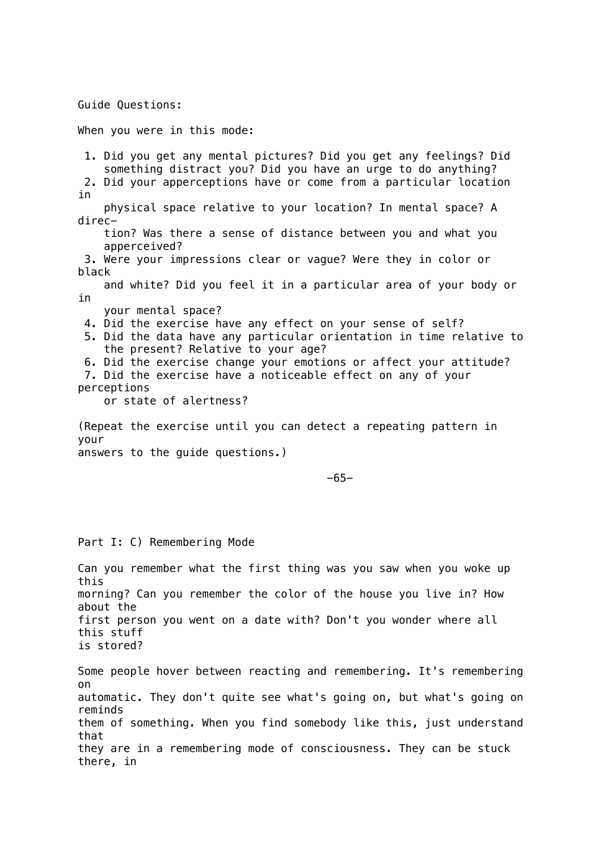Guide Questions:

When you were in this mode:

 1. Did you get any mental pictures? Did you get any feelings? Did something distract you? Did you have an urge to do anything? 2. Did your apperceptions have or come from a particular location in physical space relative to your location? In mental space? A direc tion? Was there a sense of distance between you and what you apperceived? 3. Were your impressions clear or vague? Were they in color or black and white? Did you feel it in a particular area of your body or in your mental space? 4. Did the exercise have any effect on your sense of self? 5. Did the data have any particular orientation in time relative to the present? Relative to your age? 6. Did the exercise change your emotions or affect your attitude? 7. Did the exercise have a noticeable effect on any of your perceptions or state of alertness? (Repeat the exercise until you can detect a repeating pattern in your answers to the guide questions.)

 $-65-$ 

## Part I: C) Remembering Mode

Can you remember what the first thing was you saw when you woke up this morning? Can you remember the color of the house you live in? How about the first person you went on a date with? Don't you wonder where all this stuff is stored?

Some people hover between reacting and remembering. It's remembering on automatic. They don't quite see what's going on, but what's going on reminds them of something. When you find somebody like this, just understand that they are in a remembering mode of consciousness. They can be stuck there, in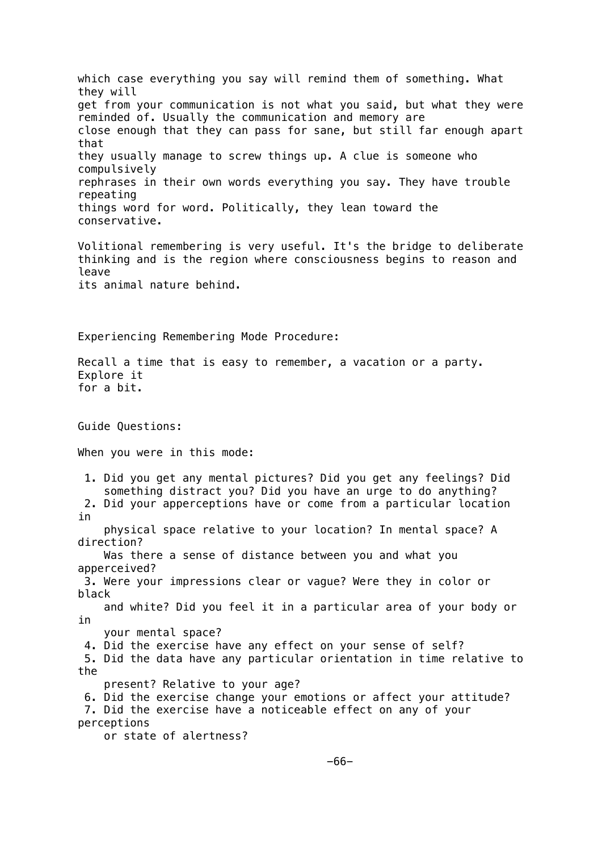which case everything you say will remind them of something. What they will get from your communication is not what you said, but what they were reminded of. Usually the communication and memory are close enough that they can pass for sane, but still far enough apart that they usually manage to screw things up. A clue is someone who compulsively rephrases in their own words everything you say. They have trouble repeating things word for word. Politically, they lean toward the conservative. Volitional remembering is very useful. It's the bridge to deliberate thinking and is the region where consciousness begins to reason and leave its animal nature behind. Experiencing Remembering Mode Procedure: Recall a time that is easy to remember, a vacation or a party. Explore it for a bit. Guide Questions: When you were in this mode: 1. Did you get any mental pictures? Did you get any feelings? Did something distract you? Did you have an urge to do anything? 2. Did your apperceptions have or come from a particular location in physical space relative to your location? In mental space? A direction? Was there a sense of distance between you and what you apperceived? 3. Were your impressions clear or vague? Were they in color or black and white? Did you feel it in a particular area of your body or in your mental space? 4. Did the exercise have any effect on your sense of self? 5. Did the data have any particular orientation in time relative to the present? Relative to your age? 6. Did the exercise change your emotions or affect your attitude? 7. Did the exercise have a noticeable effect on any of your perceptions or state of alertness?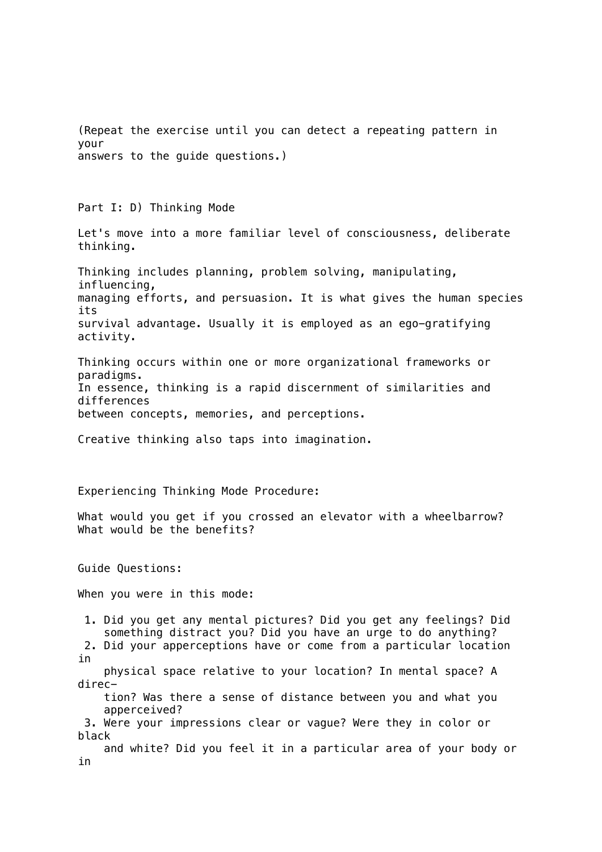(Repeat the exercise until you can detect a repeating pattern in your answers to the guide questions.)

Part I: D) Thinking Mode

Let's move into a more familiar level of consciousness, deliberate thinking.

Thinking includes planning, problem solving, manipulating, influencing, managing efforts, and persuasion. It is what gives the human species its survival advantage. Usually it is employed as an ego-gratifying activity.

Thinking occurs within one or more organizational frameworks or paradigms. In essence, thinking is a rapid discernment of similarities and differences between concepts, memories, and perceptions.

Creative thinking also taps into imagination.

Experiencing Thinking Mode Procedure:

What would you get if you crossed an elevator with a wheelbarrow? What would be the benefits?

Guide Questions:

When you were in this mode:

 1. Did you get any mental pictures? Did you get any feelings? Did something distract you? Did you have an urge to do anything?

 2. Did your apperceptions have or come from a particular location in

 physical space relative to your location? In mental space? A direc-

 tion? Was there a sense of distance between you and what you apperceived?

 3. Were your impressions clear or vague? Were they in color or black

 and white? Did you feel it in a particular area of your body or in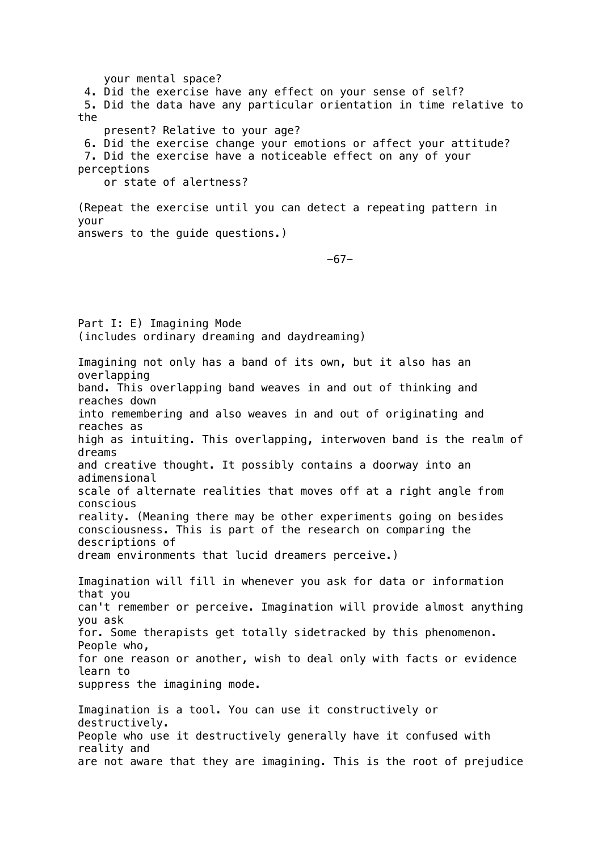your mental space? 4. Did the exercise have any effect on your sense of self? 5. Did the data have any particular orientation in time relative to the present? Relative to your age? 6. Did the exercise change your emotions or affect your attitude? 7. Did the exercise have a noticeable effect on any of your perceptions or state of alertness? (Repeat the exercise until you can detect a repeating pattern in your answers to the guide questions.) -67- Part I: E) Imagining Mode (includes ordinary dreaming and daydreaming) Imagining not only has a band of its own, but it also has an overlapping band. This overlapping band weaves in and out of thinking and reaches down into remembering and also weaves in and out of originating and reaches as high as intuiting. This overlapping, interwoven band is the realm of dreams and creative thought. It possibly contains a doorway into an adimensional scale of alternate realities that moves off at a right angle from conscious reality. (Meaning there may be other experiments going on besides consciousness. This is part of the research on comparing the descriptions of dream environments that lucid dreamers perceive.) Imagination will fill in whenever you ask for data or information that you can't remember or perceive. Imagination will provide almost anything you ask for. Some therapists get totally sidetracked by this phenomenon. People who, for one reason or another, wish to deal only with facts or evidence learn to suppress the imagining mode. Imagination is a tool. You can use it constructively or destructively. People who use it destructively generally have it confused with reality and are not aware that they are imagining. This is the root of prejudice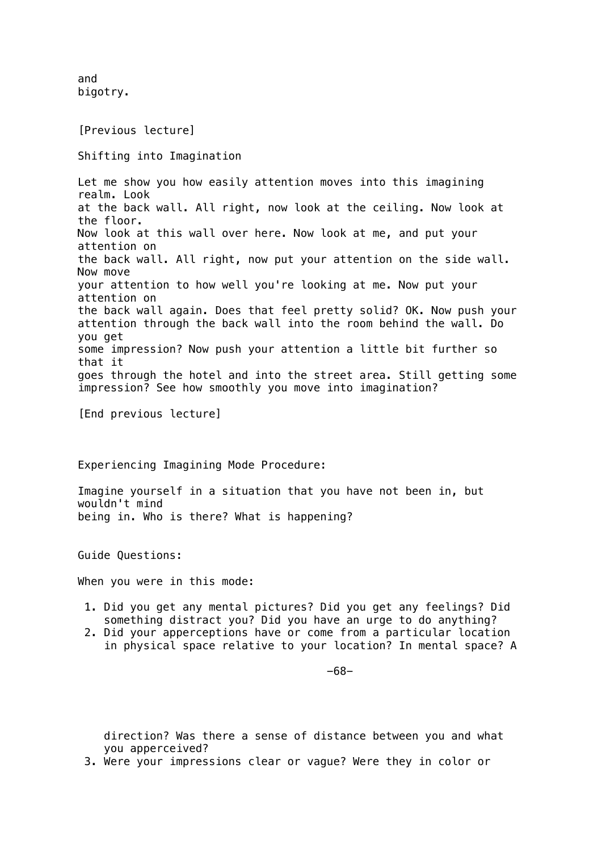and bigotry.

[Previous lecture]

Shifting into Imagination

Let me show you how easily attention moves into this imagining realm. Look at the back wall. All right, now look at the ceiling. Now look at the floor. Now look at this wall over here. Now look at me, and put your attention on the back wall. All right, now put your attention on the side wall. Now move your attention to how well you're looking at me. Now put your attention on the back wall again. Does that feel pretty solid? OK. Now push your attention through the back wall into the room behind the wall. Do you get some impression? Now push your attention a little bit further so that it goes through the hotel and into the street area. Still getting some impression? See how smoothly you move into imagination?

[End previous lecture]

Experiencing Imagining Mode Procedure:

Imagine yourself in a situation that you have not been in, but wouldn't mind being in. Who is there? What is happening?

Guide Questions:

When you were in this mode:

- 1. Did you get any mental pictures? Did you get any feelings? Did something distract you? Did you have an urge to do anything?
- 2. Did your apperceptions have or come from a particular location in physical space relative to your location? In mental space? A

-68-

 direction? Was there a sense of distance between you and what you apperceived?

3. Were your impressions clear or vague? Were they in color or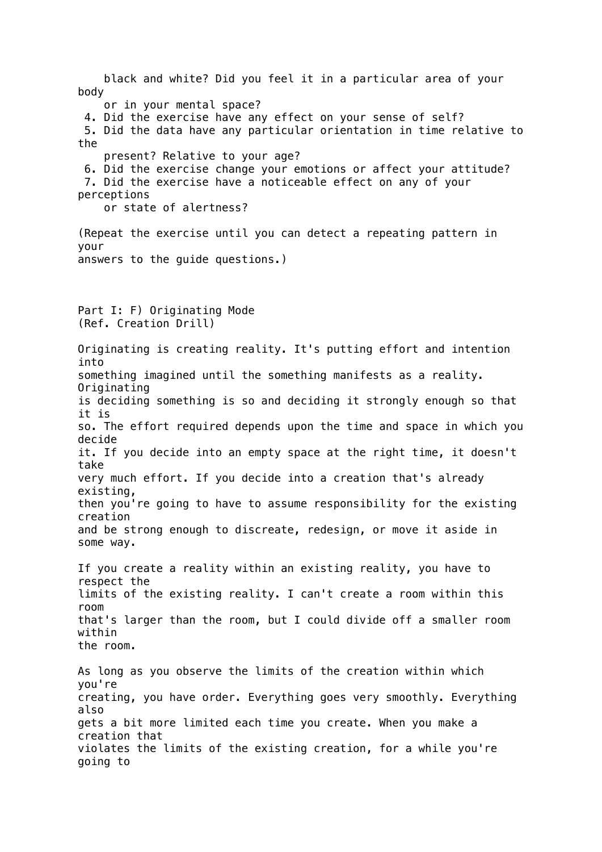black and white? Did you feel it in a particular area of your body or in your mental space? 4. Did the exercise have any effect on your sense of self? 5. Did the data have any particular orientation in time relative to the present? Relative to your age? 6. Did the exercise change your emotions or affect your attitude? 7. Did the exercise have a noticeable effect on any of your perceptions or state of alertness? (Repeat the exercise until you can detect a repeating pattern in your answers to the guide questions.) Part I: F) Originating Mode (Ref. Creation Drill) Originating is creating reality. It's putting effort and intention into something imagined until the something manifests as a reality. Originating is deciding something is so and deciding it strongly enough so that it is so. The effort required depends upon the time and space in which you decide it. If you decide into an empty space at the right time, it doesn't take very much effort. If you decide into a creation that's already existing, then you're going to have to assume responsibility for the existing creation and be strong enough to discreate, redesign, or move it aside in some way. If you create a reality within an existing reality, you have to respect the limits of the existing reality. I can't create a room within this room that's larger than the room, but I could divide off a smaller room within the room. As long as you observe the limits of the creation within which you're creating, you have order. Everything goes very smoothly. Everything also gets a bit more limited each time you create. When you make a creation that violates the limits of the existing creation, for a while you're going to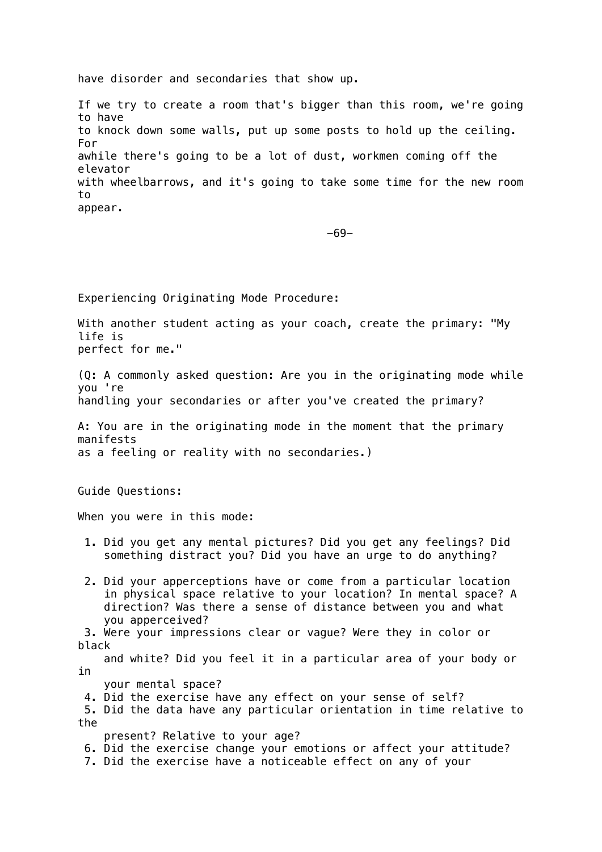have disorder and secondaries that show up.

If we try to create a room that's bigger than this room, we're going to have to knock down some walls, put up some posts to hold up the ceiling. For awhile there's going to be a lot of dust, workmen coming off the elevator with wheelbarrows, and it's going to take some time for the new room to appear.

-69-

Experiencing Originating Mode Procedure:

With another student acting as your coach, create the primary: "My life is perfect for me."

(Q: A commonly asked question: Are you in the originating mode while you 're handling your secondaries or after you've created the primary?

A: You are in the originating mode in the moment that the primary manifests as a feeling or reality with no secondaries.)

Guide Questions:

When you were in this mode:

- 1. Did you get any mental pictures? Did you get any feelings? Did something distract you? Did you have an urge to do anything?
- 2. Did your apperceptions have or come from a particular location in physical space relative to your location? In mental space? A direction? Was there a sense of distance between you and what you apperceived?

 3. Were your impressions clear or vague? Were they in color or black

 and white? Did you feel it in a particular area of your body or in

- your mental space?
- 4. Did the exercise have any effect on your sense of self?

 5. Did the data have any particular orientation in time relative to the

present? Relative to your age?

- 6. Did the exercise change your emotions or affect your attitude?
- 7. Did the exercise have a noticeable effect on any of your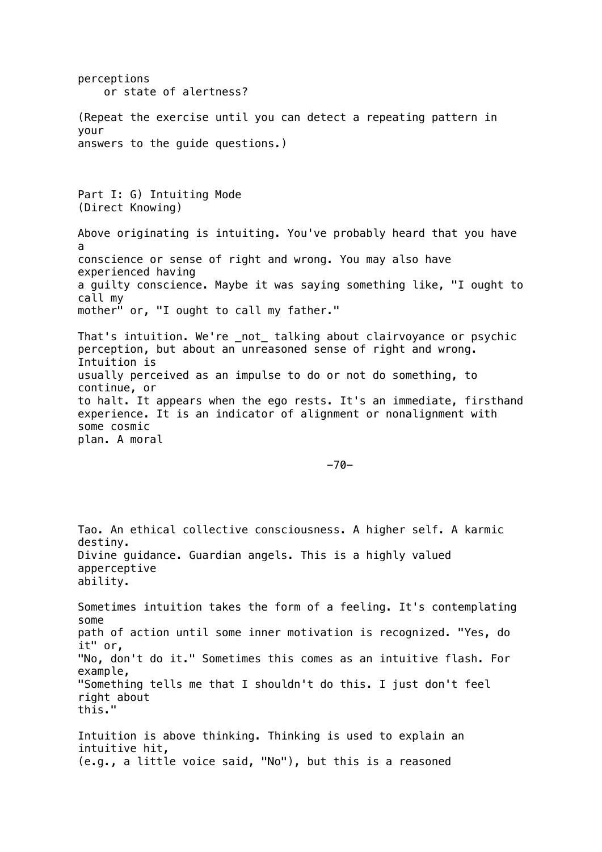perceptions or state of alertness? (Repeat the exercise until you can detect a repeating pattern in your answers to the guide questions.) Part I: G) Intuiting Mode (Direct Knowing) Above originating is intuiting. You've probably heard that you have a conscience or sense of right and wrong. You may also have experienced having a guilty conscience. Maybe it was saying something like, "I ought to call my mother" or, "I ought to call my father." That's intuition. We're \_not\_ talking about clairvoyance or psychic perception, but about an unreasoned sense of right and wrong. Intuition is usually perceived as an impulse to do or not do something, to continue, or to halt. It appears when the ego rests. It's an immediate, firsthand experience. It is an indicator of alignment or nonalignment with some cosmic plan. A moral -70- Tao. An ethical collective consciousness. A higher self. A karmic destiny. Divine guidance. Guardian angels. This is a highly valued apperceptive ability. Sometimes intuition takes the form of a feeling. It's contemplating some path of action until some inner motivation is recognized. "Yes, do it" or, "No, don't do it." Sometimes this comes as an intuitive flash. For example, "Something tells me that I shouldn't do this. I just don't feel right about this." Intuition is above thinking. Thinking is used to explain an intuitive hit, (e.g., a little voice said, "No"), but this is a reasoned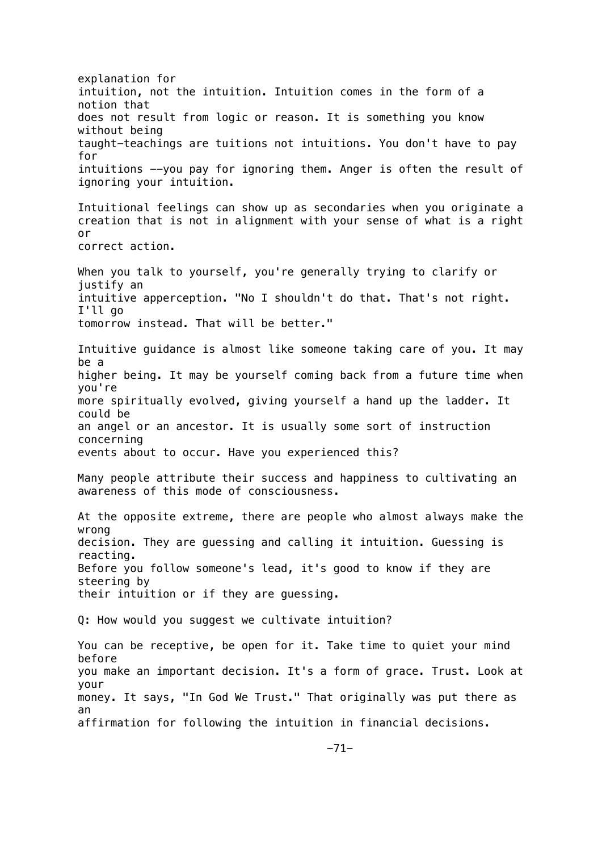explanation for intuition, not the intuition. Intuition comes in the form of a notion that does not result from logic or reason. It is something you know without being taught-teachings are tuitions not intuitions. You don't have to pay for intuitions --you pay for ignoring them. Anger is often the result of ignoring your intuition. Intuitional feelings can show up as secondaries when you originate a creation that is not in alignment with your sense of what is a right or correct action. When you talk to yourself, you're generally trying to clarify or justify an intuitive apperception. "No I shouldn't do that. That's not right. I'll go tomorrow instead. That will be better." Intuitive guidance is almost like someone taking care of you. It may be a higher being. It may be yourself coming back from a future time when you're more spiritually evolved, giving yourself a hand up the ladder. It could be an angel or an ancestor. It is usually some sort of instruction concerning events about to occur. Have you experienced this? Many people attribute their success and happiness to cultivating an awareness of this mode of consciousness. At the opposite extreme, there are people who almost always make the wrong decision. They are guessing and calling it intuition. Guessing is reacting. Before you follow someone's lead, it's good to know if they are steering by their intuition or if they are guessing. Q: How would you suggest we cultivate intuition? You can be receptive, be open for it. Take time to quiet your mind before you make an important decision. It's a form of grace. Trust. Look at your money. It says, "In God We Trust." That originally was put there as an affirmation for following the intuition in financial decisions.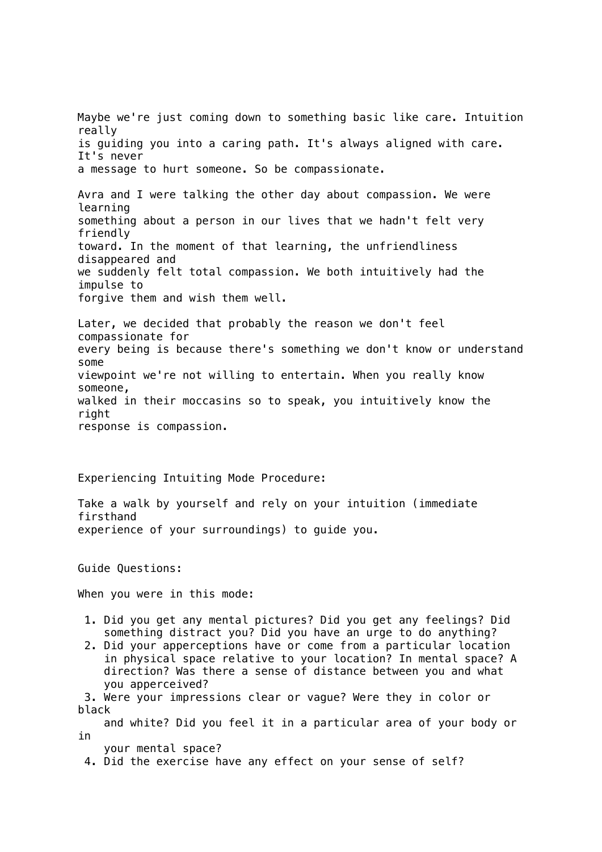Maybe we're just coming down to something basic like care. Intuition really is guiding you into a caring path. It's always aligned with care. It's never a message to hurt someone. So be compassionate. Avra and I were talking the other day about compassion. We were learning something about a person in our lives that we hadn't felt very friendly toward. In the moment of that learning, the unfriendliness disappeared and we suddenly felt total compassion. We both intuitively had the impulse to forgive them and wish them well. Later, we decided that probably the reason we don't feel compassionate for every being is because there's something we don't know or understand some viewpoint we're not willing to entertain. When you really know someone, walked in their moccasins so to speak, you intuitively know the right response is compassion.

Experiencing Intuiting Mode Procedure:

Take a walk by yourself and rely on your intuition (immediate firsthand experience of your surroundings) to guide you.

Guide Questions:

When you were in this mode:

- 1. Did you get any mental pictures? Did you get any feelings? Did something distract you? Did you have an urge to do anything?
- 2. Did your apperceptions have or come from a particular location in physical space relative to your location? In mental space? A direction? Was there a sense of distance between you and what you apperceived?

 3. Were your impressions clear or vague? Were they in color or black

 and white? Did you feel it in a particular area of your body or in

your mental space?

4. Did the exercise have any effect on your sense of self?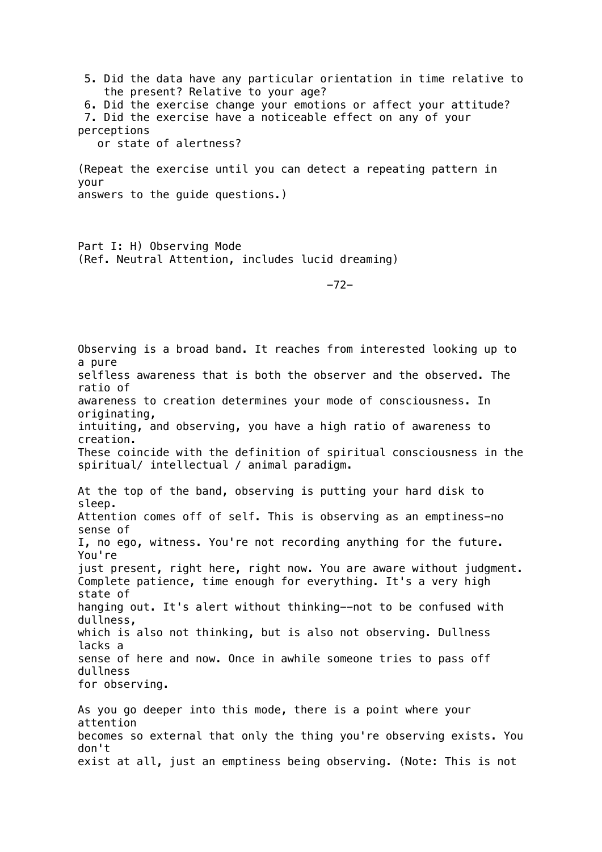5. Did the data have any particular orientation in time relative to the present? Relative to your age? 6. Did the exercise change your emotions or affect your attitude?

 7. Did the exercise have a noticeable effect on any of your perceptions

or state of alertness?

(Repeat the exercise until you can detect a repeating pattern in your answers to the guide questions.)

Part I: H) Observing Mode (Ref. Neutral Attention, includes lucid dreaming)

-72-

Observing is a broad band. It reaches from interested looking up to a pure selfless awareness that is both the observer and the observed. The ratio of awareness to creation determines your mode of consciousness. In originating, intuiting, and observing, you have a high ratio of awareness to creation. These coincide with the definition of spiritual consciousness in the spiritual/ intellectual / animal paradigm. At the top of the band, observing is putting your hard disk to sleep. Attention comes off of self. This is observing as an emptiness-no sense of I, no ego, witness. You're not recording anything for the future. You're just present, right here, right now. You are aware without judgment. Complete patience, time enough for everything. It's a very high state of hanging out. It's alert without thinking--not to be confused with dullness, which is also not thinking, but is also not observing. Dullness lacks a sense of here and now. Once in awhile someone tries to pass off dullness for observing. As you go deeper into this mode, there is a point where your attention becomes so external that only the thing you're observing exists. You

don't exist at all, just an emptiness being observing. (Note: This is not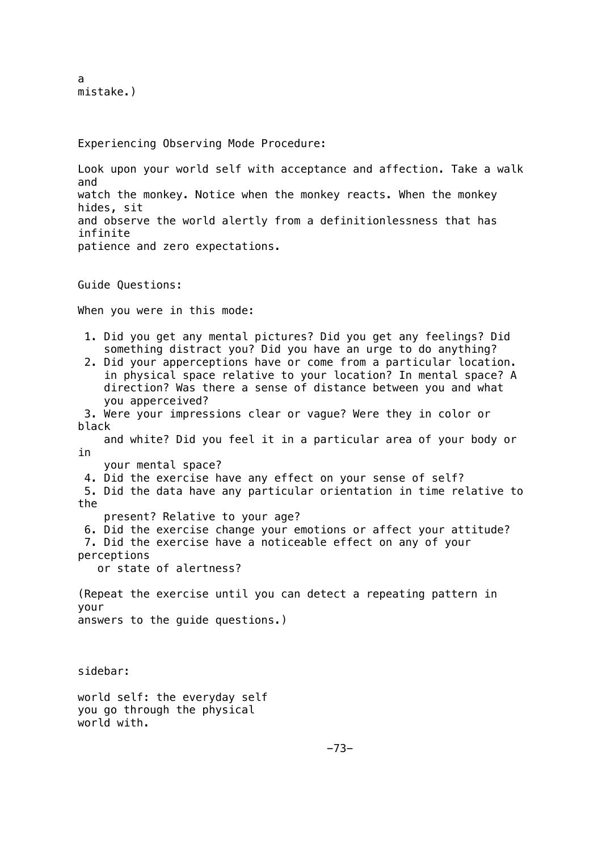```
a
mistake.)
```
Experiencing Observing Mode Procedure:

Look upon your world self with acceptance and affection. Take a walk and watch the monkey. Notice when the monkey reacts. When the monkey hides, sit and observe the world alertly from a definitionlessness that has infinite patience and zero expectations.

Guide Questions:

When you were in this mode:

- 1. Did you get any mental pictures? Did you get any feelings? Did something distract you? Did you have an urge to do anything?
- 2. Did your apperceptions have or come from a particular location. in physical space relative to your location? In mental space? A direction? Was there a sense of distance between you and what you apperceived?
- 3. Were your impressions clear or vague? Were they in color or black

 and white? Did you feel it in a particular area of your body or in

- your mental space?
- 4. Did the exercise have any effect on your sense of self?

 5. Did the data have any particular orientation in time relative to the

- present? Relative to your age?
- 6. Did the exercise change your emotions or affect your attitude?

7. Did the exercise have a noticeable effect on any of your

perceptions

or state of alertness?

(Repeat the exercise until you can detect a repeating pattern in your answers to the guide questions.)

sidebar:

world self: the everyday self you go through the physical world with.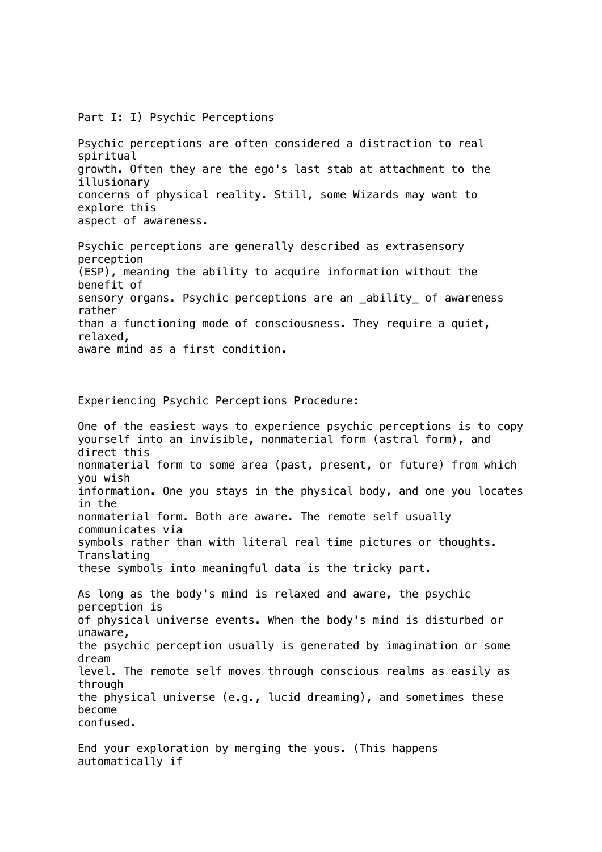Part I: I) Psychic Perceptions

Psychic perceptions are often considered a distraction to real spiritual growth. Often they are the ego's last stab at attachment to the illusionary concerns of physical reality. Still, some Wizards may want to explore this aspect of awareness.

Psychic perceptions are generally described as extrasensory perception (ESP), meaning the ability to acquire information without the benefit of sensory organs. Psychic perceptions are an \_ability\_ of awareness rather than a functioning mode of consciousness. They require a quiet, relaxed, aware mind as a first condition.

Experiencing Psychic Perceptions Procedure:

One of the easiest ways to experience psychic perceptions is to copy yourself into an invisible, nonmaterial form (astral form), and direct this nonmaterial form to some area (past, present, or future) from which you wish information. One you stays in the physical body, and one you locates in the nonmaterial form. Both are aware. The remote self usually communicates via symbols rather than with literal real time pictures or thoughts. Translating these symbols into meaningful data is the tricky part. As long as the body's mind is relaxed and aware, the psychic perception is of physical universe events. When the body's mind is disturbed or unaware, the psychic perception usually is generated by imagination or some dream level. The remote self moves through conscious realms as easily as through the physical universe (e.g., lucid dreaming), and sometimes these become confused.

End your exploration by merging the yous. (This happens automatically if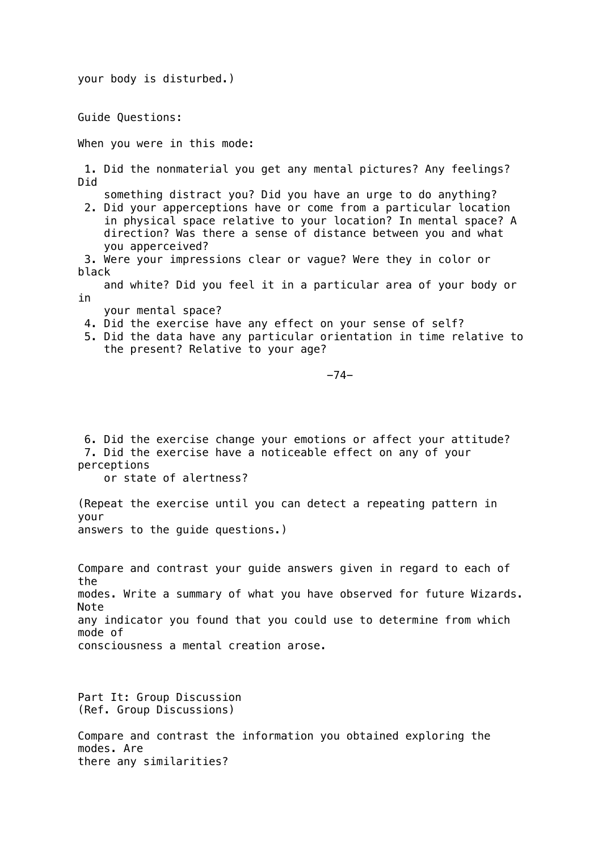your body is disturbed.)

Guide Questions:

When you were in this mode:

 1. Did the nonmaterial you get any mental pictures? Any feelings? Did

something distract you? Did you have an urge to do anything?

 2. Did your apperceptions have or come from a particular location in physical space relative to your location? In mental space? A direction? Was there a sense of distance between you and what you apperceived?

 3. Were your impressions clear or vague? Were they in color or black

 and white? Did you feel it in a particular area of your body or in

your mental space?

4. Did the exercise have any effect on your sense of self?

 5. Did the data have any particular orientation in time relative to the present? Relative to your age?

-74-

 6. Did the exercise change your emotions or affect your attitude? 7. Did the exercise have a noticeable effect on any of your perceptions

or state of alertness?

(Repeat the exercise until you can detect a repeating pattern in your answers to the guide questions.)

Compare and contrast your guide answers given in regard to each of the modes. Write a summary of what you have observed for future Wizards. Note any indicator you found that you could use to determine from which mode of consciousness a mental creation arose.

Part It: Group Discussion (Ref. Group Discussions)

Compare and contrast the information you obtained exploring the modes. Are there any similarities?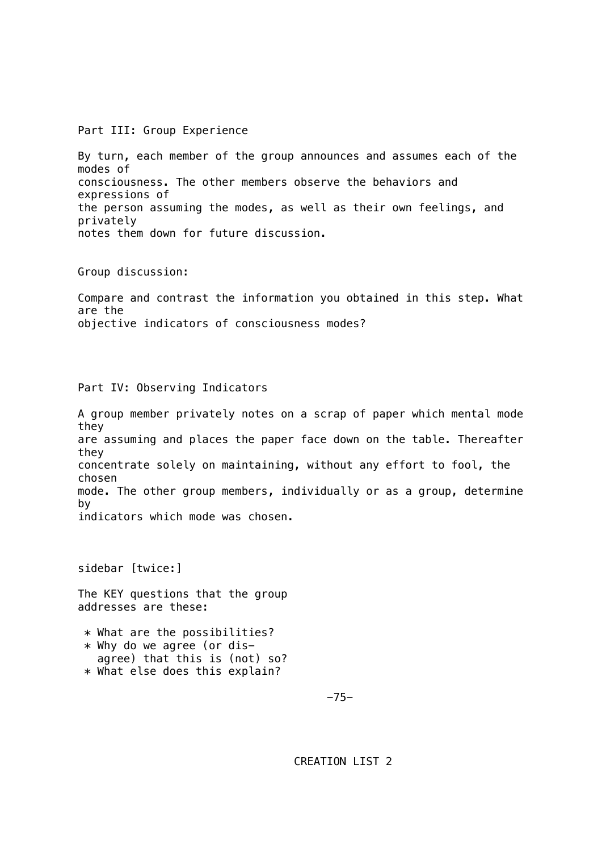Part III: Group Experience

By turn, each member of the group announces and assumes each of the modes of consciousness. The other members observe the behaviors and expressions of the person assuming the modes, as well as their own feelings, and privately notes them down for future discussion.

Group discussion:

Compare and contrast the information you obtained in this step. What are the objective indicators of consciousness modes?

Part IV: Observing Indicators

A group member privately notes on a scrap of paper which mental mode they are assuming and places the paper face down on the table. Thereafter they concentrate solely on maintaining, without any effort to fool, the chosen mode. The other group members, individually or as a group, determine by indicators which mode was chosen.

sidebar [twice:]

The KEY questions that the group addresses are these:

 \* What are the possibilities?  $*$  Why do we agree (or dis agree) that this is (not) so? \* What else does this explain?

-75-

CREATION LIST 2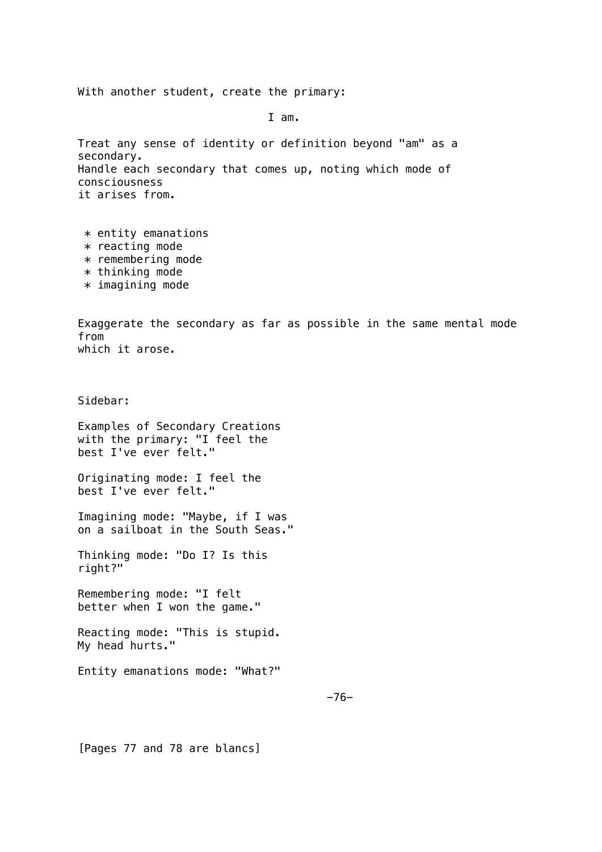With another student, create the primary:

I am.

Treat any sense of identity or definition beyond "am" as a secondary. Handle each secondary that comes up, noting which mode of consciousness it arises from.

- $*$  entity emanations  $*$  reacting mode
- \* remembering mode
- $*$  thinking mode
- $*$  imagining mode

Exaggerate the secondary as far as possible in the same mental mode from which it arose.

Sidebar:

Examples of Secondary Creations with the primary: "I feel the best I've ever felt."

Originating mode: I feel the best I've ever felt."

Imagining mode: "Maybe, if I was on a sailboat in the South Seas."

Thinking mode: "Do I? Is this right?"

Remembering mode: "I felt better when I won the game."

Reacting mode: "This is stupid. My head hurts."

Entity emanations mode: "What?"

[Pages 77 and 78 are blancs]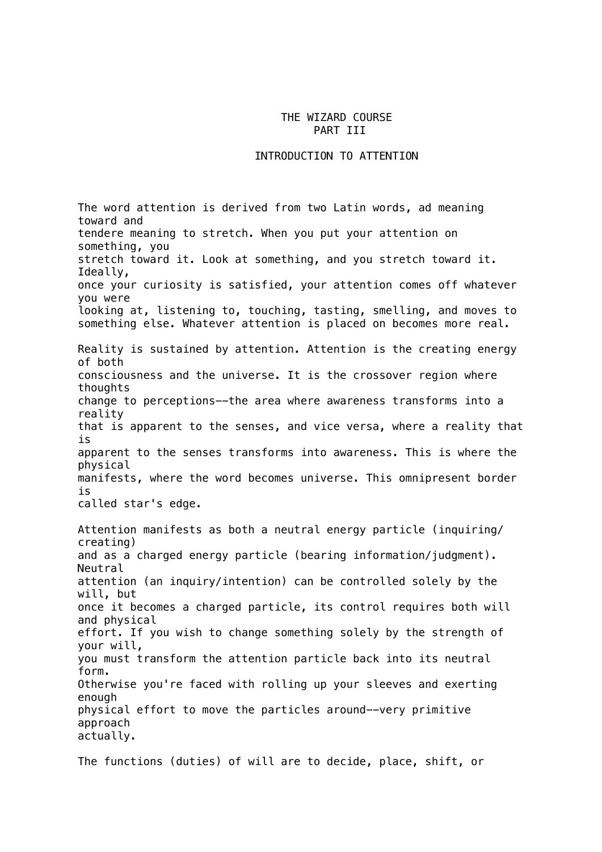### THE WIZARD COURSE PART III

#### INTRODUCTION TO ATTENTION

The word attention is derived from two Latin words, ad meaning toward and tendere meaning to stretch. When you put your attention on something, you stretch toward it. Look at something, and you stretch toward it. Ideally, once your curiosity is satisfied, your attention comes off whatever you were looking at, listening to, touching, tasting, smelling, and moves to something else. Whatever attention is placed on becomes more real. Reality is sustained by attention. Attention is the creating energy of both consciousness and the universe. It is the crossover region where thoughts change to perceptions--the area where awareness transforms into a reality that is apparent to the senses, and vice versa, where a reality that is apparent to the senses transforms into awareness. This is where the physical manifests, where the word becomes universe. This omnipresent border is called star's edge. Attention manifests as both a neutral energy particle (inquiring/ creating) and as a charged energy particle (bearing information/judgment). Neutral attention (an inquiry/intention) can be controlled solely by the will, but once it becomes a charged particle, its control requires both will and physical effort. If you wish to change something solely by the strength of your will, you must transform the attention particle back into its neutral form. Otherwise you're faced with rolling up your sleeves and exerting enough physical effort to move the particles around--very primitive approach actually.

The functions (duties) of will are to decide, place, shift, or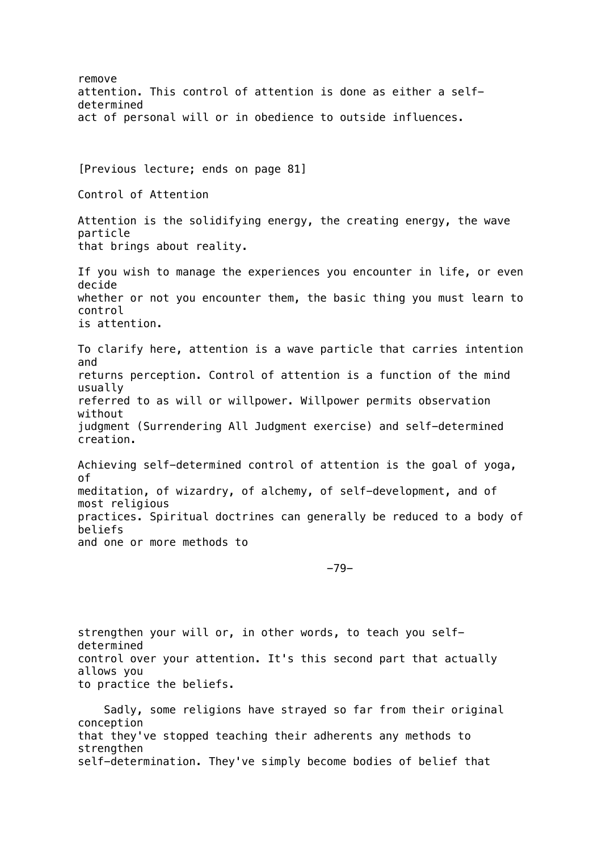remove attention. This control of attention is done as either a selfdetermined act of personal will or in obedience to outside influences. [Previous lecture; ends on page 81] Control of Attention Attention is the solidifying energy, the creating energy, the wave particle that brings about reality. If you wish to manage the experiences you encounter in life, or even decide whether or not you encounter them, the basic thing you must learn to control is attention. To clarify here, attention is a wave particle that carries intention and returns perception. Control of attention is a function of the mind usually referred to as will or willpower. Willpower permits observation without judgment (Surrendering All Judgment exercise) and self-determined creation. Achieving self-determined control of attention is the goal of yoga, of meditation, of wizardry, of alchemy, of self-development, and of most religious practices. Spiritual doctrines can generally be reduced to a body of beliefs and one or more methods to -79-

strengthen your will or, in other words, to teach you selfdetermined control over your attention. It's this second part that actually allows you to practice the beliefs.

 Sadly, some religions have strayed so far from their original conception that they've stopped teaching their adherents any methods to strengthen self-determination. They've simply become bodies of belief that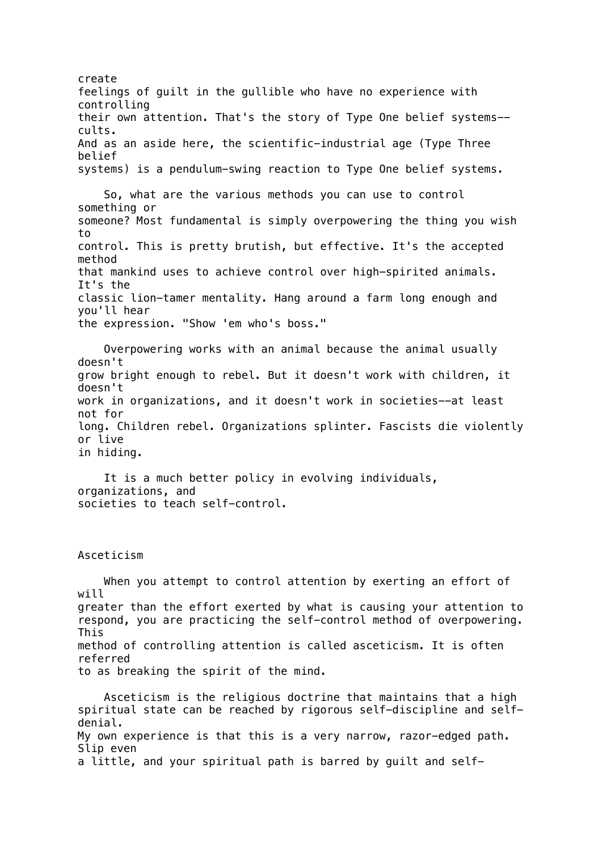create feelings of guilt in the gullible who have no experience with controlling their own attention. That's the story of Type One belief systems- cults. And as an aside here, the scientific-industrial age (Type Three belief systems) is a pendulum-swing reaction to Type One belief systems. So, what are the various methods you can use to control something or someone? Most fundamental is simply overpowering the thing you wish to control. This is pretty brutish, but effective. It's the accepted method that mankind uses to achieve control over high-spirited animals. It's the classic lion-tamer mentality. Hang around a farm long enough and you'll hear the expression. "Show 'em who's boss." Overpowering works with an animal because the animal usually doesn't grow bright enough to rebel. But it doesn't work with children, it doesn't work in organizations, and it doesn't work in societies--at least not for long. Children rebel. Organizations splinter. Fascists die violently or live in hiding. It is a much better policy in evolving individuals, organizations, and societies to teach self-control. Asceticism When you attempt to control attention by exerting an effort of will greater than the effort exerted by what is causing your attention to respond, you are practicing the self-control method of overpowering. This method of controlling attention is called asceticism. It is often referred to as breaking the spirit of the mind. Asceticism is the religious doctrine that maintains that a high spiritual state can be reached by rigorous self-discipline and selfdenial. My own experience is that this is a very narrow, razor-edged path. Slip even

a little, and your spiritual path is barred by guilt and self-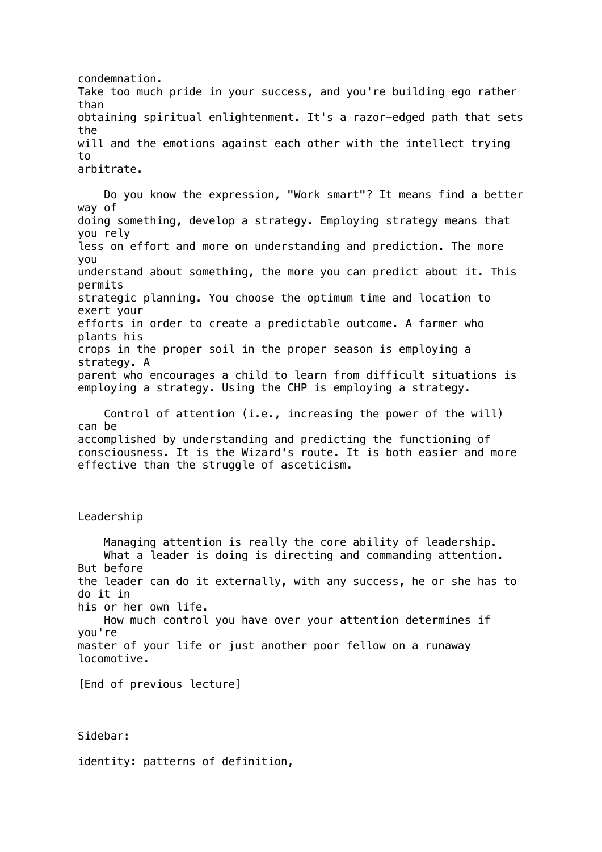condemnation. Take too much pride in your success, and you're building ego rather than obtaining spiritual enlightenment. It's a razor-edged path that sets the will and the emotions against each other with the intellect trying to arbitrate.

 Do you know the expression, "Work smart"? It means find a better way of doing something, develop a strategy. Employing strategy means that you rely less on effort and more on understanding and prediction. The more you understand about something, the more you can predict about it. This permits strategic planning. You choose the optimum time and location to exert your efforts in order to create a predictable outcome. A farmer who plants his crops in the proper soil in the proper season is employing a strategy. A parent who encourages a child to learn from difficult situations is employing a strategy. Using the CHP is employing a strategy.

 Control of attention (i.e., increasing the power of the will) can be accomplished by understanding and predicting the functioning of consciousness. It is the Wizard's route. It is both easier and more effective than the struggle of asceticism.

Leadership

 Managing attention is really the core ability of leadership. What a leader is doing is directing and commanding attention. But before the leader can do it externally, with any success, he or she has to do it in his or her own life. How much control you have over your attention determines if you're master of your life or just another poor fellow on a runaway locomotive.

[End of previous lecture]

Sidebar:

identity: patterns of definition,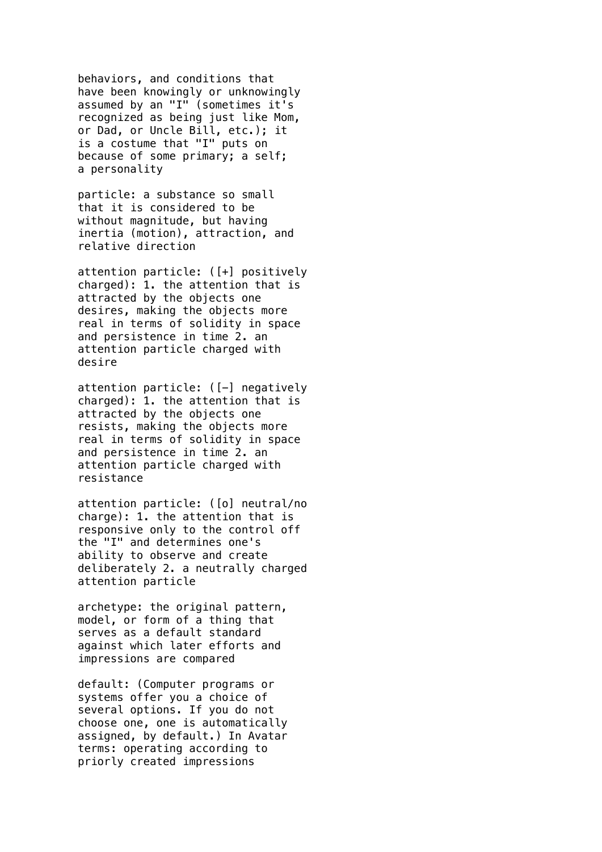behaviors, and conditions that have been knowingly or unknowingly assumed by an "I" (sometimes it's recognized as being just like Mom, or Dad, or Uncle Bill, etc.); it is a costume that "I" puts on because of some primary; a self; a personality

particle: a substance so small that it is considered to be without magnitude, but having inertia (motion), attraction, and relative direction

attention particle: ([+] positively charged): 1. the attention that is attracted by the objects one desires, making the objects more real in terms of solidity in space and persistence in time 2. an attention particle charged with desire

attention particle: ([-] negatively charged): 1. the attention that is attracted by the objects one resists, making the objects more real in terms of solidity in space and persistence in time 2. an attention particle charged with resistance

attention particle: ([o] neutral/no charge): 1. the attention that is responsive only to the control off the "I" and determines one's ability to observe and create deliberately 2. a neutrally charged attention particle

archetype: the original pattern, model, or form of a thing that serves as a default standard against which later efforts and impressions are compared

default: (Computer programs or systems offer you a choice of several options. If you do not choose one, one is automatically assigned, by default.) In Avatar terms: operating according to priorly created impressions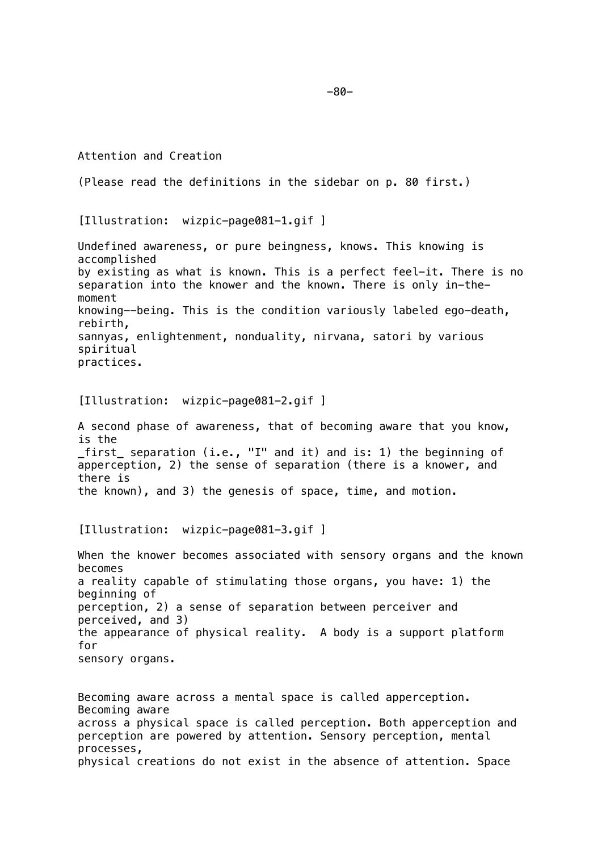Attention and Creation (Please read the definitions in the sidebar on p. 80 first.) [Illustration: wizpic-page081-1.gif ] Undefined awareness, or pure beingness, knows. This knowing is accomplished by existing as what is known. This is a perfect feel-it. There is no separation into the knower and the known. There is only in-themoment knowing--being. This is the condition variously labeled ego-death, rebirth, sannyas, enlightenment, nonduality, nirvana, satori by various spiritual practices. [Illustration: wizpic-page081-2.gif ] A second phase of awareness, that of becoming aware that you know, is the \_first\_ separation (i.e., "I" and it) and is: 1) the beginning of apperception, 2) the sense of separation (there is a knower, and there is the known), and 3) the genesis of space, time, and motion. [Illustration: wizpic-page081-3.gif ] When the knower becomes associated with sensory organs and the known becomes a reality capable of stimulating those organs, you have: 1) the beginning of perception, 2) a sense of separation between perceiver and perceived, and 3) the appearance of physical reality. A body is a support platform for sensory organs. Becoming aware across a mental space is called apperception. Becoming aware across a physical space is called perception. Both apperception and perception are powered by attention. Sensory perception, mental processes, physical creations do not exist in the absence of attention. Space

-80-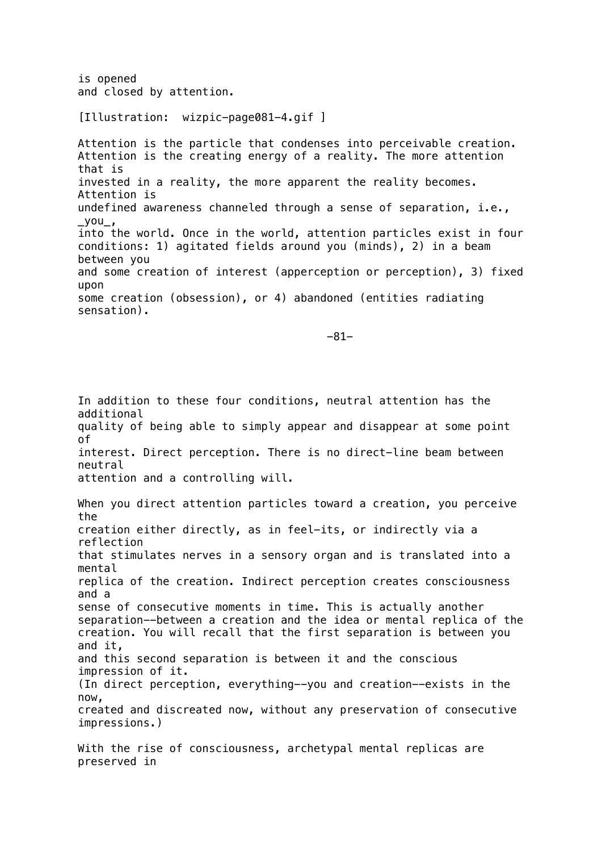is opened and closed by attention.

## [Illustration: wizpic-page081-4.gif ]

Attention is the particle that condenses into perceivable creation. Attention is the creating energy of a reality. The more attention that is invested in a reality, the more apparent the reality becomes. Attention is undefined awareness channeled through a sense of separation, i.e.,  $_y$ you\_, into the world. Once in the world, attention particles exist in four conditions: 1) agitated fields around you (minds), 2) in a beam between you and some creation of interest (apperception or perception), 3) fixed upon some creation (obsession), or 4) abandoned (entities radiating sensation).

-81-

In addition to these four conditions, neutral attention has the additional quality of being able to simply appear and disappear at some point of interest. Direct perception. There is no direct-line beam between neutral attention and a controlling will. When you direct attention particles toward a creation, you perceive the creation either directly, as in feel-its, or indirectly via a reflection that stimulates nerves in a sensory organ and is translated into a mental replica of the creation. Indirect perception creates consciousness and a sense of consecutive moments in time. This is actually another separation--between a creation and the idea or mental replica of the creation. You will recall that the first separation is between you and it, and this second separation is between it and the conscious impression of it.

(In direct perception, everything--you and creation--exists in the now,

created and discreated now, without any preservation of consecutive impressions.)

With the rise of consciousness, archetypal mental replicas are preserved in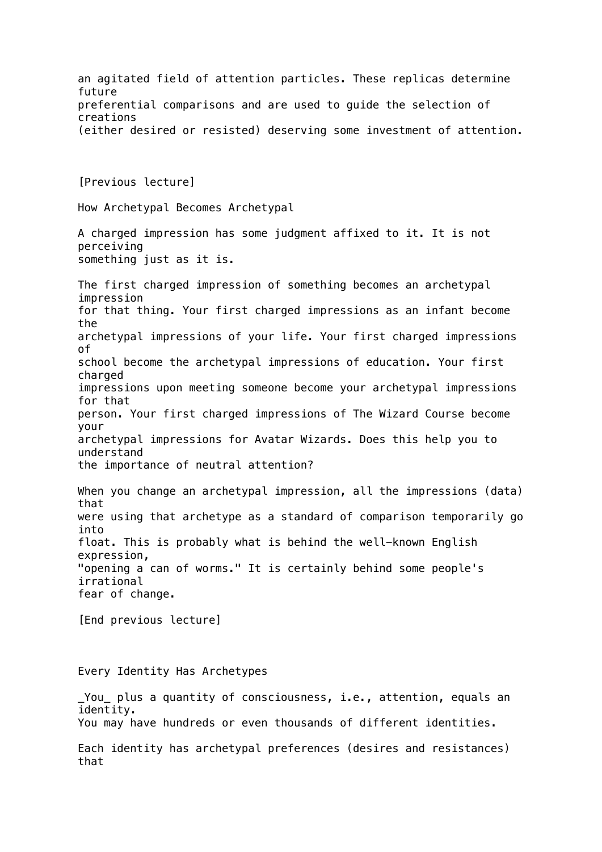an agitated field of attention particles. These replicas determine future preferential comparisons and are used to guide the selection of creations (either desired or resisted) deserving some investment of attention. [Previous lecture] How Archetypal Becomes Archetypal A charged impression has some judgment affixed to it. It is not perceiving something just as it is. The first charged impression of something becomes an archetypal impression for that thing. Your first charged impressions as an infant become the archetypal impressions of your life. Your first charged impressions of school become the archetypal impressions of education. Your first charged impressions upon meeting someone become your archetypal impressions for that person. Your first charged impressions of The Wizard Course become your archetypal impressions for Avatar Wizards. Does this help you to understand the importance of neutral attention? When you change an archetypal impression, all the impressions (data) that were using that archetype as a standard of comparison temporarily go into float. This is probably what is behind the well-known English expression, "opening a can of worms." It is certainly behind some people's irrational fear of change. [End previous lecture] Every Identity Has Archetypes \_You\_ plus a quantity of consciousness, i.e., attention, equals an identity. You may have hundreds or even thousands of different identities. Each identity has archetypal preferences (desires and resistances) that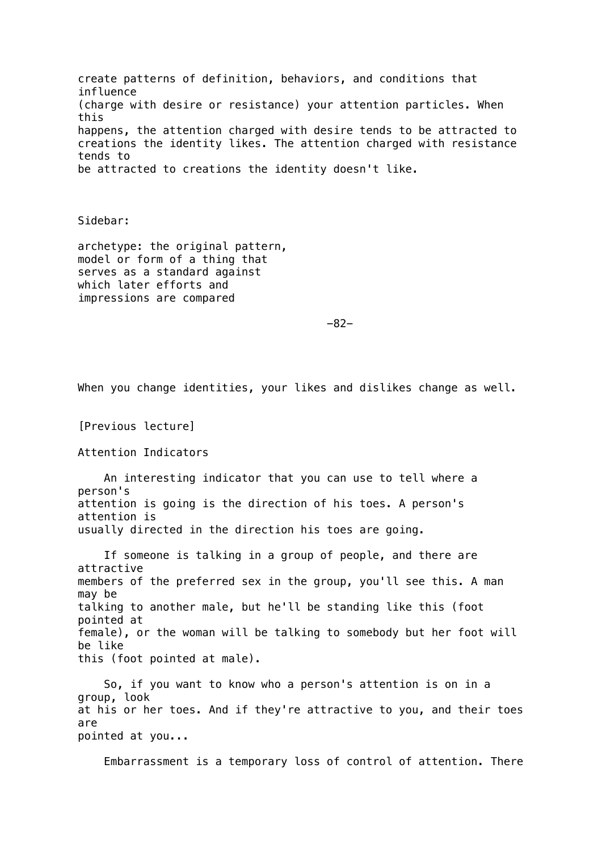create patterns of definition, behaviors, and conditions that influence (charge with desire or resistance) your attention particles. When this happens, the attention charged with desire tends to be attracted to creations the identity likes. The attention charged with resistance tends to be attracted to creations the identity doesn't like.

Sidebar:

archetype: the original pattern, model or form of a thing that serves as a standard against which later efforts and impressions are compared

-82-

When you change identities, your likes and dislikes change as well.

[Previous lecture]

Attention Indicators

 An interesting indicator that you can use to tell where a person's attention is going is the direction of his toes. A person's attention is usually directed in the direction his toes are going.

 If someone is talking in a group of people, and there are attractive members of the preferred sex in the group, you'll see this. A man may be talking to another male, but he'll be standing like this (foot pointed at female), or the woman will be talking to somebody but her foot will be like this (foot pointed at male).

 So, if you want to know who a person's attention is on in a group, look at his or her toes. And if they're attractive to you, and their toes are pointed at you...

Embarrassment is a temporary loss of control of attention. There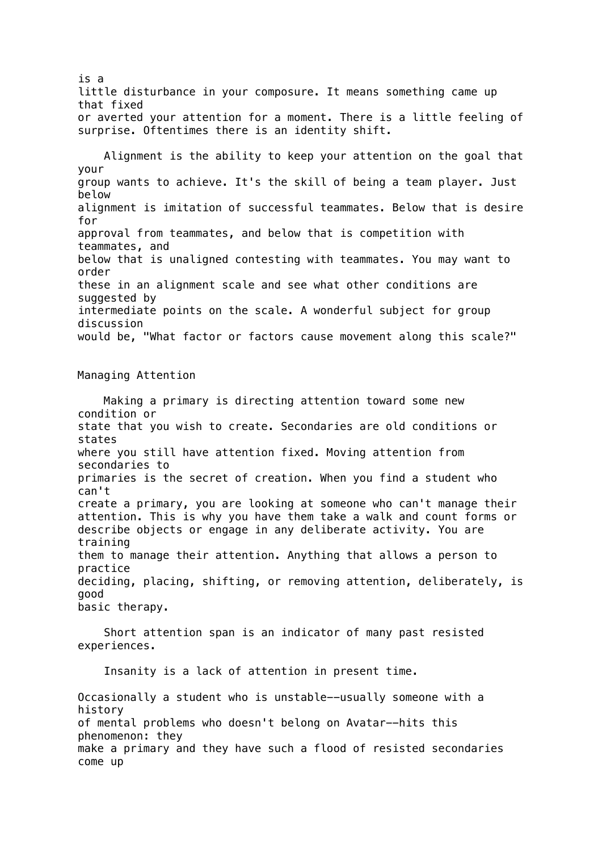is a little disturbance in your composure. It means something came up that fixed or averted your attention for a moment. There is a little feeling of surprise. Oftentimes there is an identity shift.

 Alignment is the ability to keep your attention on the goal that your group wants to achieve. It's the skill of being a team player. Just below alignment is imitation of successful teammates. Below that is desire for approval from teammates, and below that is competition with teammates, and below that is unaligned contesting with teammates. You may want to order these in an alignment scale and see what other conditions are suggested by intermediate points on the scale. A wonderful subject for group discussion would be, "What factor or factors cause movement along this scale?"

Managing Attention

 Making a primary is directing attention toward some new condition or state that you wish to create. Secondaries are old conditions or states where you still have attention fixed. Moving attention from secondaries to primaries is the secret of creation. When you find a student who can't create a primary, you are looking at someone who can't manage their attention. This is why you have them take a walk and count forms or describe objects or engage in any deliberate activity. You are training them to manage their attention. Anything that allows a person to practice deciding, placing, shifting, or removing attention, deliberately, is good basic therapy.

 Short attention span is an indicator of many past resisted experiences.

Insanity is a lack of attention in present time.

Occasionally a student who is unstable--usually someone with a history of mental problems who doesn't belong on Avatar--hits this phenomenon: they make a primary and they have such a flood of resisted secondaries come up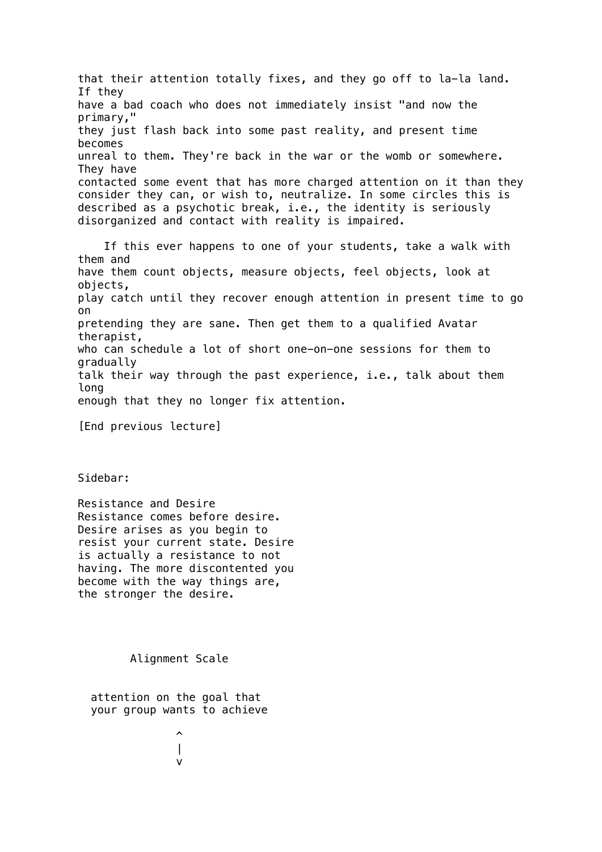that their attention totally fixes, and they go off to la-la land. If they have a bad coach who does not immediately insist "and now the primary," they just flash back into some past reality, and present time becomes unreal to them. They're back in the war or the womb or somewhere. They have contacted some event that has more charged attention on it than they consider they can, or wish to, neutralize. In some circles this is described as a psychotic break, i.e., the identity is seriously disorganized and contact with reality is impaired. If this ever happens to one of your students, take a walk with them and have them count objects, measure objects, feel objects, look at objects, play catch until they recover enough attention in present time to go on pretending they are sane. Then get them to a qualified Avatar therapist, who can schedule a lot of short one-on-one sessions for them to gradually talk their way through the past experience, i.e., talk about them long enough that they no longer fix attention. [End previous lecture] Sidebar:

Resistance and Desire Resistance comes before desire. Desire arises as you begin to resist your current state. Desire is actually a resistance to not having. The more discontented you become with the way things are, the stronger the desire.

Alignment Scale

 attention on the goal that your group wants to achieve

 $\sim$   $\sim$   $\sim$  | version and the state of the state of the state of the state of the state of the state of the state of the state of the state of the state of the state of the state of the state of the state of the state of the state of th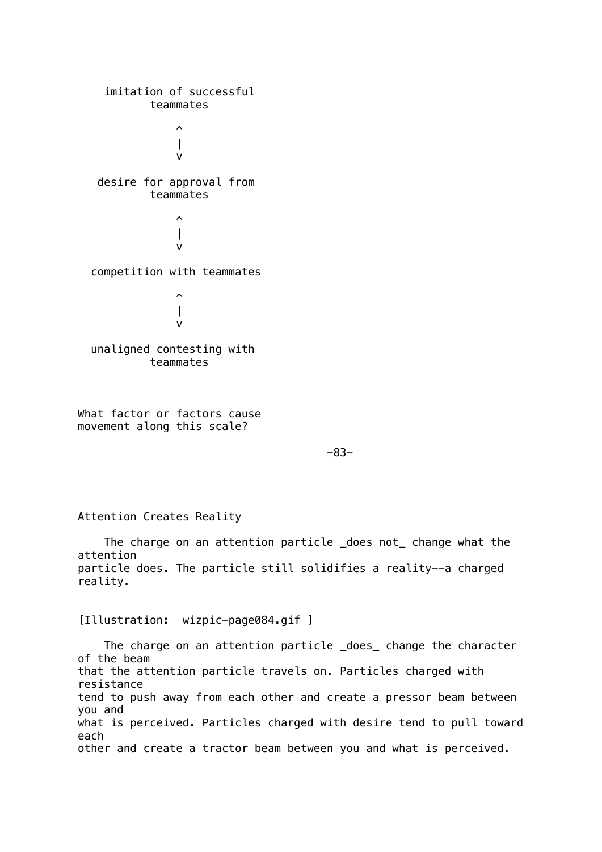imitation of successful teammates  $\sim$   $\sim$   $\sim$  | version of the state of the state of the state of the state of the state of the state of the state of the state of the state of the state of the state of the state of the state of the state of the state of the state of the desire for approval from teammates  $\sim$   $\sim$   $\sim$  | version and the state of the state of the state of the state of the state of the state of the state of the state of the state of the state of the state of the state of the state of the state of the state of the state of th competition with teammates  $\sim$   $\sim$   $\sim$  | version of the state of the state of the state of the state of the state of the state of the state of the state of the state of the state of the state of the state of the state of the state of the state of the state of the unaligned contesting with teammates

What factor or factors cause movement along this scale?

-83-

Attention Creates Reality

 The charge on an attention particle \_does not\_ change what the attention particle does. The particle still solidifies a reality--a charged reality.

[Illustration: wizpic-page084.gif ]

The charge on an attention particle \_does\_ change the character of the beam that the attention particle travels on. Particles charged with resistance tend to push away from each other and create a pressor beam between you and what is perceived. Particles charged with desire tend to pull toward each other and create a tractor beam between you and what is perceived.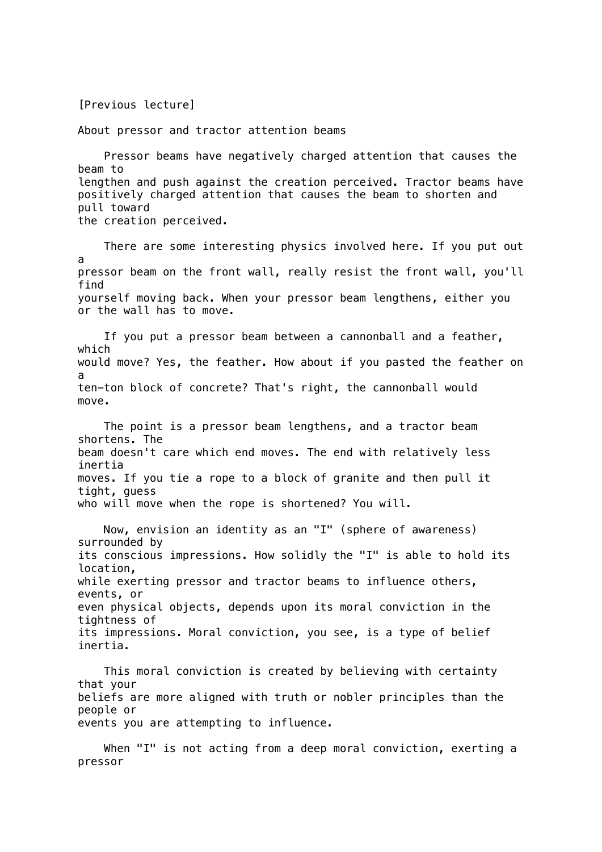[Previous lecture]

About pressor and tractor attention beams

 Pressor beams have negatively charged attention that causes the beam to lengthen and push against the creation perceived. Tractor beams have positively charged attention that causes the beam to shorten and pull toward the creation perceived.

 There are some interesting physics involved here. If you put out a pressor beam on the front wall, really resist the front wall, you'll find yourself moving back. When your pressor beam lengthens, either you or the wall has to move. If you put a pressor beam between a cannonball and a feather,

which would move? Yes, the feather. How about if you pasted the feather on a ten-ton block of concrete? That's right, the cannonball would move.

 The point is a pressor beam lengthens, and a tractor beam shortens. The beam doesn't care which end moves. The end with relatively less inertia moves. If you tie a rope to a block of granite and then pull it tight, guess who will move when the rope is shortened? You will.

 Now, envision an identity as an "I" (sphere of awareness) surrounded by its conscious impressions. How solidly the "I" is able to hold its location, while exerting pressor and tractor beams to influence others, events, or even physical objects, depends upon its moral conviction in the tightness of its impressions. Moral conviction, you see, is a type of belief inertia.

 This moral conviction is created by believing with certainty that your beliefs are more aligned with truth or nobler principles than the people or events you are attempting to influence.

When "I" is not acting from a deep moral conviction, exerting a pressor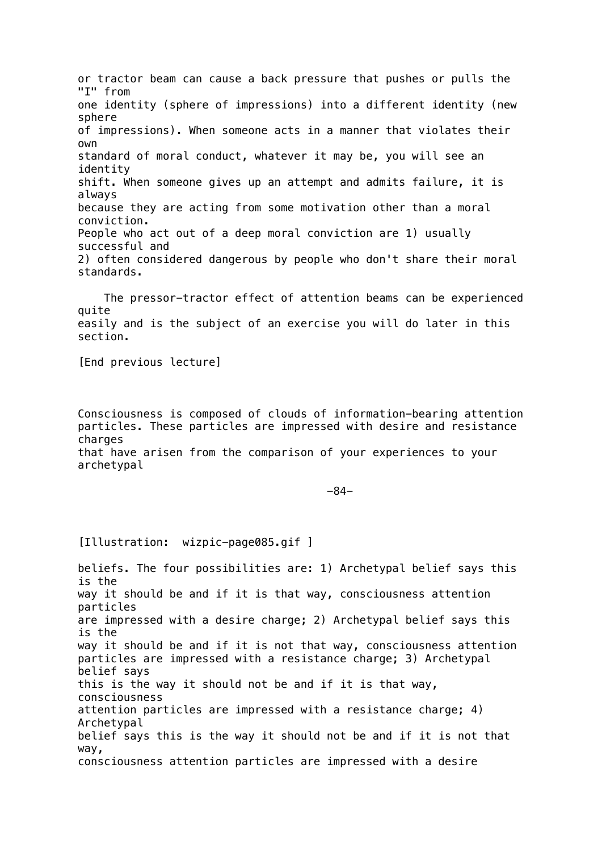or tractor beam can cause a back pressure that pushes or pulls the "I" from one identity (sphere of impressions) into a different identity (new sphere of impressions). When someone acts in a manner that violates their own standard of moral conduct, whatever it may be, you will see an identity shift. When someone gives up an attempt and admits failure, it is always because they are acting from some motivation other than a moral conviction. People who act out of a deep moral conviction are 1) usually successful and 2) often considered dangerous by people who don't share their moral standards.

 The pressor-tractor effect of attention beams can be experienced quite easily and is the subject of an exercise you will do later in this section.

[End previous lecture]

Consciousness is composed of clouds of information-bearing attention particles. These particles are impressed with desire and resistance charges that have arisen from the comparison of your experiences to your

archetypal

-84-

[Illustration: wizpic-page085.gif ]

beliefs. The four possibilities are: 1) Archetypal belief says this is the way it should be and if it is that way, consciousness attention particles are impressed with a desire charge; 2) Archetypal belief says this is the way it should be and if it is not that way, consciousness attention particles are impressed with a resistance charge; 3) Archetypal belief says this is the way it should not be and if it is that way, consciousness attention particles are impressed with a resistance charge; 4) Archetypal belief says this is the way it should not be and if it is not that way, consciousness attention particles are impressed with a desire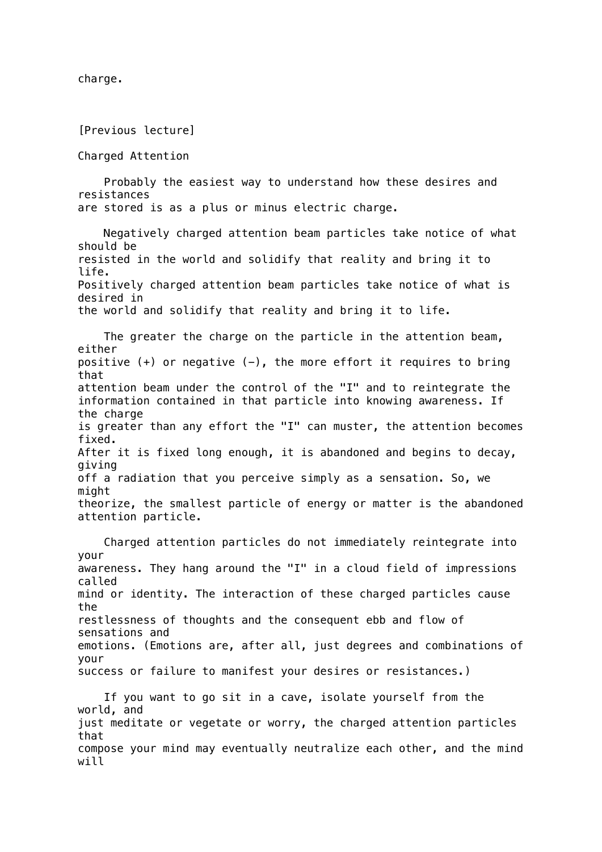charge.

[Previous lecture]

Charged Attention

 Probably the easiest way to understand how these desires and resistances are stored is as a plus or minus electric charge.

 Negatively charged attention beam particles take notice of what should be resisted in the world and solidify that reality and bring it to life. Positively charged attention beam particles take notice of what is desired in the world and solidify that reality and bring it to life.

 The greater the charge on the particle in the attention beam, either positive  $(+)$  or negative  $(-)$ , the more effort it requires to bring that attention beam under the control of the "I" and to reintegrate the information contained in that particle into knowing awareness. If the charge is greater than any effort the "I" can muster, the attention becomes fixed. After it is fixed long enough, it is abandoned and begins to decay, giving off a radiation that you perceive simply as a sensation. So, we might theorize, the smallest particle of energy or matter is the abandoned attention particle.

 Charged attention particles do not immediately reintegrate into your awareness. They hang around the "I" in a cloud field of impressions called mind or identity. The interaction of these charged particles cause the restlessness of thoughts and the consequent ebb and flow of sensations and emotions. (Emotions are, after all, just degrees and combinations of your success or failure to manifest your desires or resistances.)

 If you want to go sit in a cave, isolate yourself from the world, and just meditate or vegetate or worry, the charged attention particles that compose your mind may eventually neutralize each other, and the mind will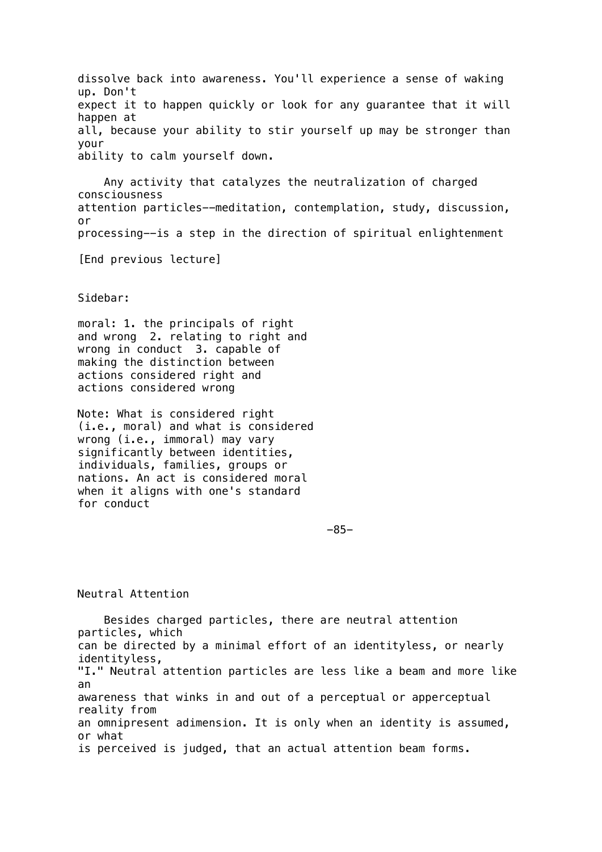dissolve back into awareness. You'll experience a sense of waking up. Don't expect it to happen quickly or look for any guarantee that it will happen at all, because your ability to stir yourself up may be stronger than your ability to calm yourself down.

 Any activity that catalyzes the neutralization of charged consciousness attention particles--meditation, contemplation, study, discussion, or processing--is a step in the direction of spiritual enlightenment

[End previous lecture]

### Sidebar:

moral: 1. the principals of right and wrong 2. relating to right and wrong in conduct 3. capable of making the distinction between actions considered right and actions considered wrong

Note: What is considered right (i.e., moral) and what is considered wrong (i.e., immoral) may vary significantly between identities, individuals, families, groups or nations. An act is considered moral when it aligns with one's standard for conduct

-85-

## Neutral Attention

 Besides charged particles, there are neutral attention particles, which can be directed by a minimal effort of an identityless, or nearly identityless, "I." Neutral attention particles are less like a beam and more like an awareness that winks in and out of a perceptual or apperceptual reality from an omnipresent adimension. It is only when an identity is assumed, or what is perceived is judged, that an actual attention beam forms.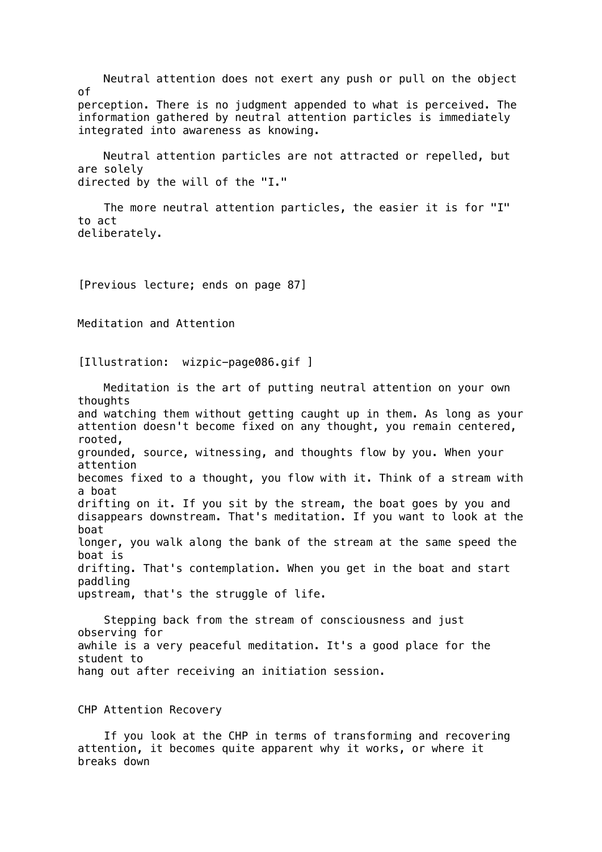Neutral attention does not exert any push or pull on the object of perception. There is no judgment appended to what is perceived. The information gathered by neutral attention particles is immediately integrated into awareness as knowing. Neutral attention particles are not attracted or repelled, but are solely directed by the will of the "I." The more neutral attention particles, the easier it is for "I" to act deliberately. [Previous lecture; ends on page 87] Meditation and Attention [Illustration: wizpic-page086.gif ] Meditation is the art of putting neutral attention on your own thoughts and watching them without getting caught up in them. As long as your attention doesn't become fixed on any thought, you remain centered, rooted, grounded, source, witnessing, and thoughts flow by you. When your attention becomes fixed to a thought, you flow with it. Think of a stream with a boat drifting on it. If you sit by the stream, the boat goes by you and disappears downstream. That's meditation. If you want to look at the boat longer, you walk along the bank of the stream at the same speed the boat is drifting. That's contemplation. When you get in the boat and start paddling upstream, that's the struggle of life. Stepping back from the stream of consciousness and just observing for awhile is a very peaceful meditation. It's a good place for the student to hang out after receiving an initiation session.

CHP Attention Recovery

 If you look at the CHP in terms of transforming and recovering attention, it becomes quite apparent why it works, or where it breaks down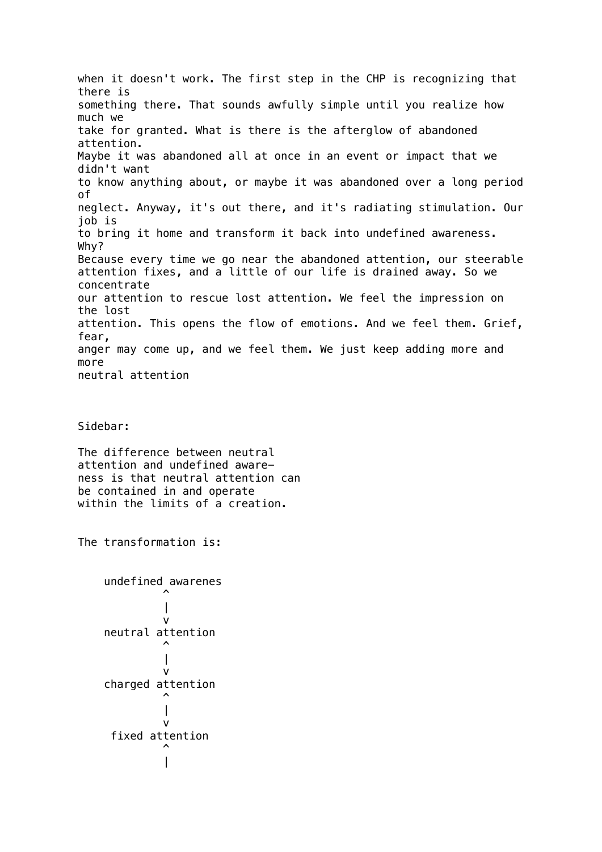when it doesn't work. The first step in the CHP is recognizing that there is something there. That sounds awfully simple until you realize how much we take for granted. What is there is the afterglow of abandoned attention. Maybe it was abandoned all at once in an event or impact that we didn't want to know anything about, or maybe it was abandoned over a long period of neglect. Anyway, it's out there, and it's radiating stimulation. Our job is to bring it home and transform it back into undefined awareness. Why? Because every time we go near the abandoned attention, our steerable attention fixes, and a little of our life is drained away. So we concentrate our attention to rescue lost attention. We feel the impression on the lost attention. This opens the flow of emotions. And we feel them. Grief, fear, anger may come up, and we feel them. We just keep adding more and more neutral attention

Sidebar:

The difference between neutral attention and undefined awareness is that neutral attention can be contained in and operate within the limits of a creation.

The transformation is:

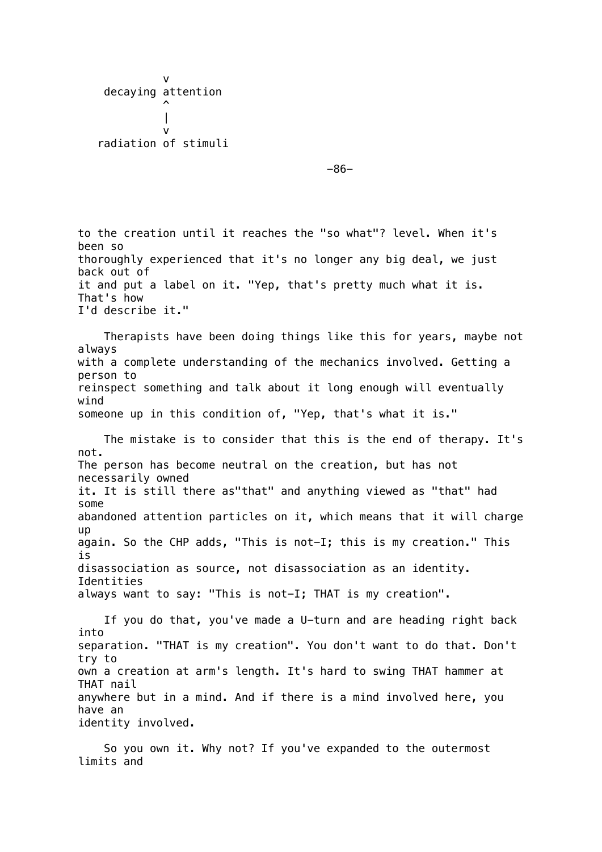version of the state of the state of the state of the state of the state of the state of the state of the state of the state of the state of the state of the state of the state of the state of the state of the state of the decaying attention  $\overline{\phantom{a}}$  | version of the state of the state of the state of the state of the state of the state of the state of the state of the state of the state of the state of the state of the state of the state of the state of the state of the radiation of stimuli

-86-

to the creation until it reaches the "so what"? level. When it's been so thoroughly experienced that it's no longer any big deal, we just back out of it and put a label on it. "Yep, that's pretty much what it is. That's how I'd describe it." Therapists have been doing things like this for years, maybe not always with a complete understanding of the mechanics involved. Getting a person to reinspect something and talk about it long enough will eventually wind someone up in this condition of, "Yep, that's what it is." The mistake is to consider that this is the end of therapy. It's not. The person has become neutral on the creation, but has not necessarily owned it. It is still there as"that" and anything viewed as "that" had some abandoned attention particles on it, which means that it will charge up again. So the CHP adds, "This is not-I; this is my creation." This is disassociation as source, not disassociation as an identity. Identities always want to say: "This is not-I; THAT is my creation". If you do that, you've made a U-turn and are heading right back into separation. "THAT is my creation". You don't want to do that. Don't try to own a creation at arm's length. It's hard to swing THAT hammer at THAT nail anywhere but in a mind. And if there is a mind involved here, you have an identity involved.

 So you own it. Why not? If you've expanded to the outermost limits and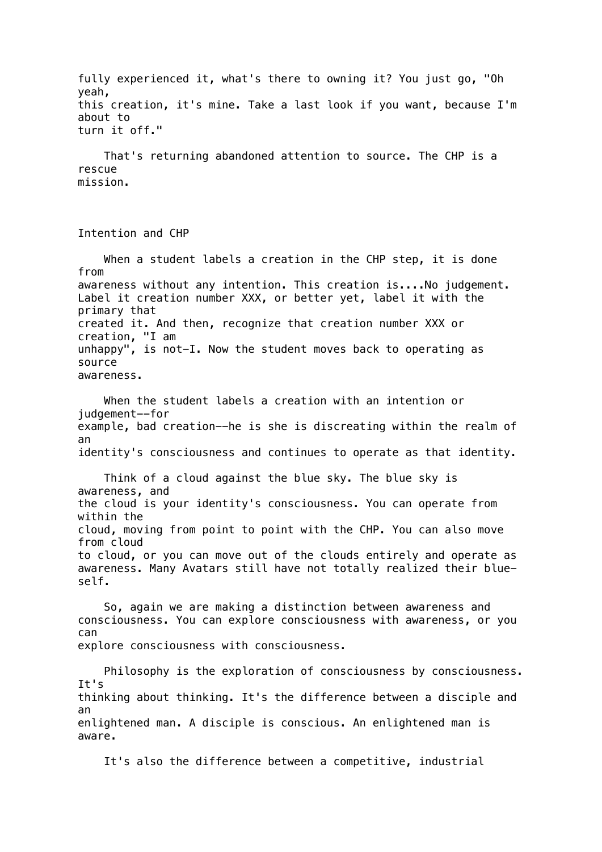fully experienced it, what's there to owning it? You just go, "Oh yeah, this creation, it's mine. Take a last look if you want, because I'm about to turn it off."

 That's returning abandoned attention to source. The CHP is a rescue mission.

Intention and CHP

 When a student labels a creation in the CHP step, it is done from awareness without any intention. This creation is....No judgement. Label it creation number XXX, or better yet, label it with the primary that created it. And then, recognize that creation number XXX or creation, "I am unhappy", is not-I. Now the student moves back to operating as source awareness.

 When the student labels a creation with an intention or judgement--for example, bad creation--he is she is discreating within the realm of an identity's consciousness and continues to operate as that identity.

 Think of a cloud against the blue sky. The blue sky is awareness, and the cloud is your identity's consciousness. You can operate from within the cloud, moving from point to point with the CHP. You can also move from cloud to cloud, or you can move out of the clouds entirely and operate as awareness. Many Avatars still have not totally realized their blueself.

 So, again we are making a distinction between awareness and consciousness. You can explore consciousness with awareness, or you can explore consciousness with consciousness.

 Philosophy is the exploration of consciousness by consciousness. It's thinking about thinking. It's the difference between a disciple and an enlightened man. A disciple is conscious. An enlightened man is aware.

It's also the difference between a competitive, industrial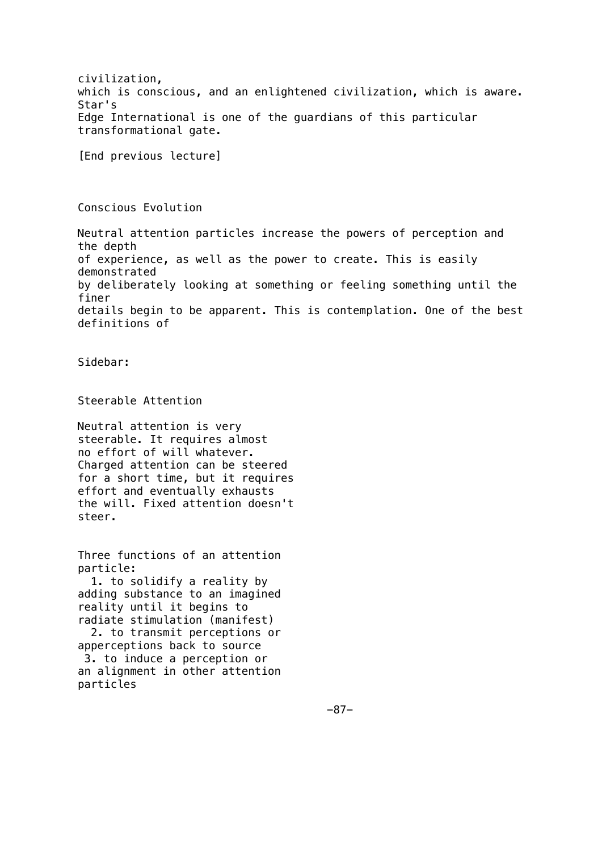civilization, which is conscious, and an enlightened civilization, which is aware. Star's Edge International is one of the guardians of this particular transformational gate.

[End previous lecture]

Conscious Evolution

Neutral attention particles increase the powers of perception and the depth of experience, as well as the power to create. This is easily demonstrated by deliberately looking at something or feeling something until the finer details begin to be apparent. This is contemplation. One of the best definitions of

Sidebar:

Steerable Attention

Neutral attention is very steerable. It requires almost no effort of will whatever. Charged attention can be steered for a short time, but it requires effort and eventually exhausts the will. Fixed attention doesn't steer.

Three functions of an attention particle:

 1. to solidify a reality by adding substance to an imagined reality until it begins to radiate stimulation (manifest) 2. to transmit perceptions or

apperceptions back to source 3. to induce a perception or an alignment in other attention particles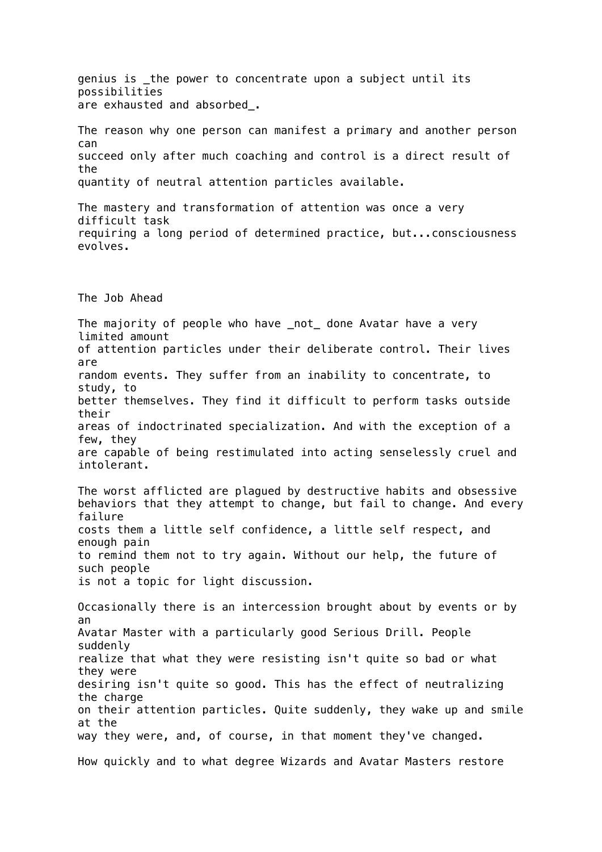genius is \_the power to concentrate upon a subject until its possibilities are exhausted and absorbed\_. The reason why one person can manifest a primary and another person can succeed only after much coaching and control is a direct result of the quantity of neutral attention particles available. The mastery and transformation of attention was once a very difficult task requiring a long period of determined practice, but...consciousness evolves. The Job Ahead The majority of people who have \_not\_ done Avatar have a very limited amount of attention particles under their deliberate control. Their lives are random events. They suffer from an inability to concentrate, to study, to better themselves. They find it difficult to perform tasks outside their areas of indoctrinated specialization. And with the exception of a few, they are capable of being restimulated into acting senselessly cruel and intolerant. The worst afflicted are plagued by destructive habits and obsessive behaviors that they attempt to change, but fail to change. And every failure costs them a little self confidence, a little self respect, and enough pain to remind them not to try again. Without our help, the future of such people is not a topic for light discussion. Occasionally there is an intercession brought about by events or by an Avatar Master with a particularly good Serious Drill. People suddenly realize that what they were resisting isn't quite so bad or what they were desiring isn't quite so good. This has the effect of neutralizing the charge on their attention particles. Quite suddenly, they wake up and smile at the way they were, and, of course, in that moment they've changed. How quickly and to what degree Wizards and Avatar Masters restore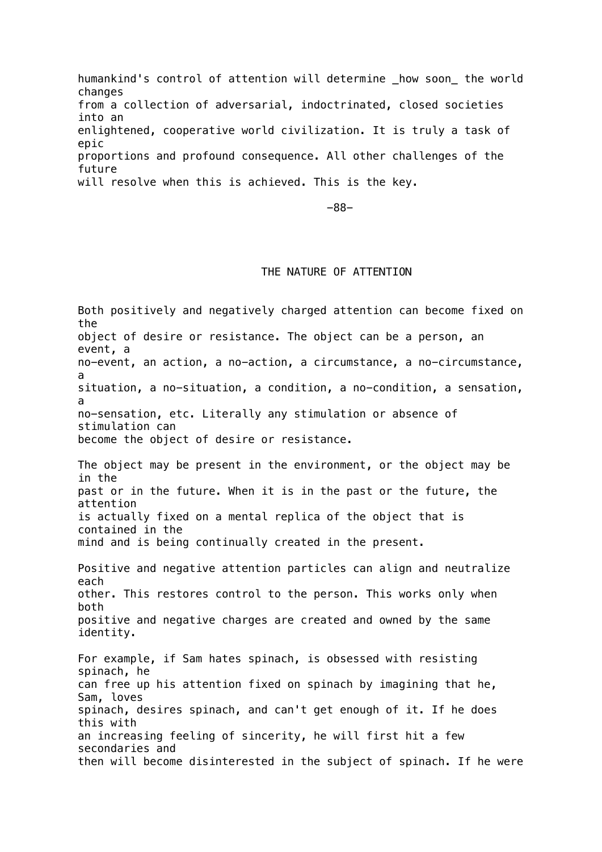humankind's control of attention will determine \_how soon\_ the world changes from a collection of adversarial, indoctrinated, closed societies into an enlightened, cooperative world civilization. It is truly a task of epic proportions and profound consequence. All other challenges of the future will resolve when this is achieved. This is the key.

-88-

# THE NATURE OF ATTENTION

Both positively and negatively charged attention can become fixed on the object of desire or resistance. The object can be a person, an event, a no-event, an action, a no-action, a circumstance, a no-circumstance, a situation, a no-situation, a condition, a no-condition, a sensation, a no-sensation, etc. Literally any stimulation or absence of stimulation can become the object of desire or resistance. The object may be present in the environment, or the object may be in the past or in the future. When it is in the past or the future, the attention is actually fixed on a mental replica of the object that is contained in the mind and is being continually created in the present. Positive and negative attention particles can align and neutralize each other. This restores control to the person. This works only when both positive and negative charges are created and owned by the same identity. For example, if Sam hates spinach, is obsessed with resisting spinach, he can free up his attention fixed on spinach by imagining that he, Sam, loves spinach, desires spinach, and can't get enough of it. If he does this with an increasing feeling of sincerity, he will first hit a few secondaries and then will become disinterested in the subject of spinach. If he were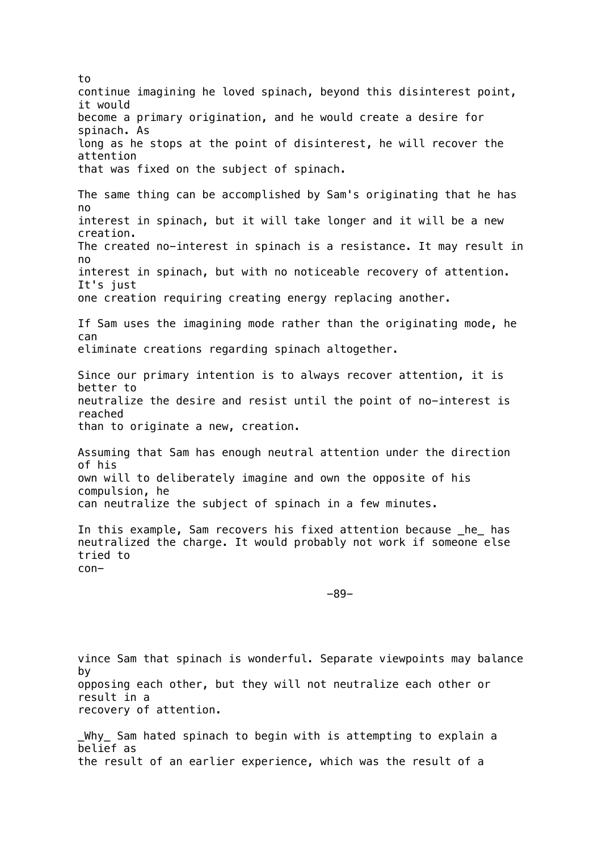to continue imagining he loved spinach, beyond this disinterest point, it would become a primary origination, and he would create a desire for spinach. As long as he stops at the point of disinterest, he will recover the attention that was fixed on the subject of spinach. The same thing can be accomplished by Sam's originating that he has no interest in spinach, but it will take longer and it will be a new creation. The created no-interest in spinach is a resistance. It may result in no interest in spinach, but with no noticeable recovery of attention. It's just one creation requiring creating energy replacing another. If Sam uses the imagining mode rather than the originating mode, he can eliminate creations regarding spinach altogether. Since our primary intention is to always recover attention, it is better to neutralize the desire and resist until the point of no-interest is reached than to originate a new, creation. Assuming that Sam has enough neutral attention under the direction of his own will to deliberately imagine and own the opposite of his compulsion, he can neutralize the subject of spinach in a few minutes. In this example, Sam recovers his fixed attention because he has neutralized the charge. It would probably not work if someone else tried to con- -89-

vince Sam that spinach is wonderful. Separate viewpoints may balance by opposing each other, but they will not neutralize each other or result in a recovery of attention.

\_Why\_ Sam hated spinach to begin with is attempting to explain a belief as the result of an earlier experience, which was the result of a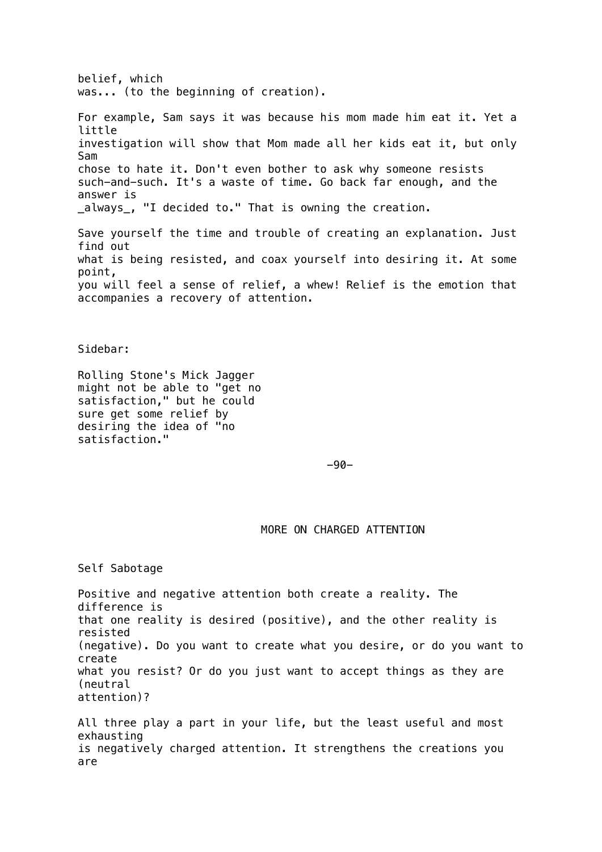belief, which was... (to the beginning of creation). For example, Sam says it was because his mom made him eat it. Yet a little investigation will show that Mom made all her kids eat it, but only Sam chose to hate it. Don't even bother to ask why someone resists such-and-such. It's a waste of time. Go back far enough, and the answer is \_always\_, "I decided to." That is owning the creation. Save yourself the time and trouble of creating an explanation. Just find out what is being resisted, and coax yourself into desiring it. At some point, you will feel a sense of relief, a whew! Relief is the emotion that accompanies a recovery of attention.

Sidebar:

Rolling Stone's Mick Jagger might not be able to "get no satisfaction," but he could sure get some relief by desiring the idea of "no satisfaction."

-90-

MORE ON CHARGED ATTENTION

Self Sabotage

Positive and negative attention both create a reality. The difference is that one reality is desired (positive), and the other reality is resisted (negative). Do you want to create what you desire, or do you want to create what you resist? Or do you just want to accept things as they are (neutral attention)?

All three play a part in your life, but the least useful and most exhausting is negatively charged attention. It strengthens the creations you are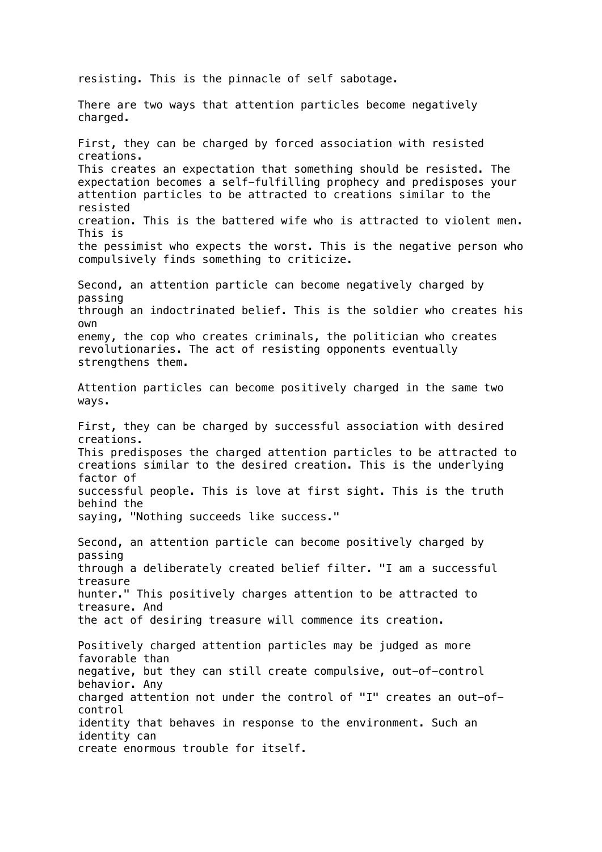resisting. This is the pinnacle of self sabotage. There are two ways that attention particles become negatively charged. First, they can be charged by forced association with resisted creations. This creates an expectation that something should be resisted. The expectation becomes a self-fulfilling prophecy and predisposes your attention particles to be attracted to creations similar to the resisted creation. This is the battered wife who is attracted to violent men. This is the pessimist who expects the worst. This is the negative person who compulsively finds something to criticize. Second, an attention particle can become negatively charged by passing through an indoctrinated belief. This is the soldier who creates his own enemy, the cop who creates criminals, the politician who creates revolutionaries. The act of resisting opponents eventually strengthens them. Attention particles can become positively charged in the same two ways. First, they can be charged by successful association with desired creations. This predisposes the charged attention particles to be attracted to creations similar to the desired creation. This is the underlying factor of successful people. This is love at first sight. This is the truth behind the saying, "Nothing succeeds like success." Second, an attention particle can become positively charged by passing through a deliberately created belief filter. "I am a successful treasure hunter." This positively charges attention to be attracted to treasure. And the act of desiring treasure will commence its creation. Positively charged attention particles may be judged as more favorable than negative, but they can still create compulsive, out-of-control behavior. Any charged attention not under the control of "I" creates an out-ofcontrol identity that behaves in response to the environment. Such an identity can create enormous trouble for itself.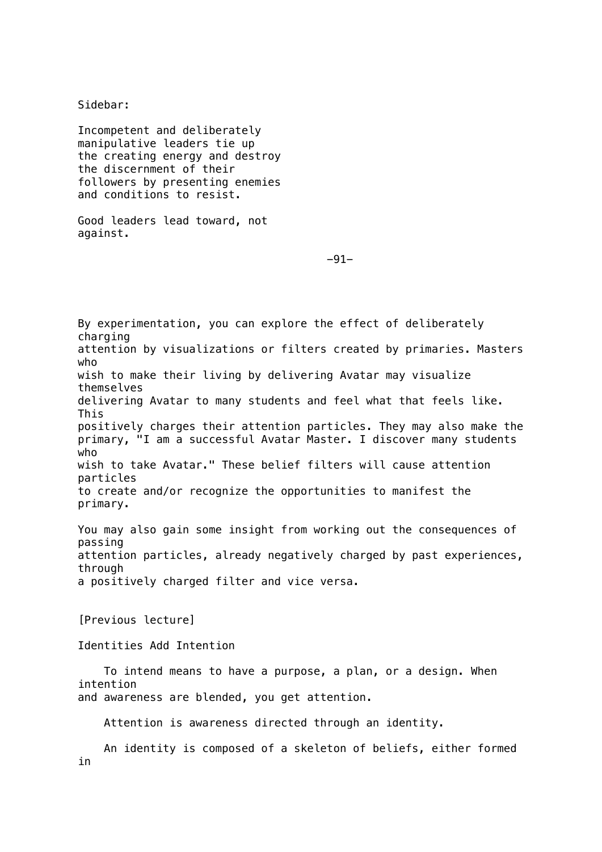Sidebar: Incompetent and deliberately manipulative leaders tie up the creating energy and destroy the discernment of their followers by presenting enemies and conditions to resist. Good leaders lead toward, not against. -91- By experimentation, you can explore the effect of deliberately charging attention by visualizations or filters created by primaries. Masters who wish to make their living by delivering Avatar may visualize themselves delivering Avatar to many students and feel what that feels like. This positively charges their attention particles. They may also make the primary, "I am a successful Avatar Master. I discover many students who wish to take Avatar." These belief filters will cause attention particles to create and/or recognize the opportunities to manifest the primary. You may also gain some insight from working out the consequences of passing attention particles, already negatively charged by past experiences, through a positively charged filter and vice versa. [Previous lecture] Identities Add Intention To intend means to have a purpose, a plan, or a design. When intention and awareness are blended, you get attention. Attention is awareness directed through an identity. An identity is composed of a skeleton of beliefs, either formed in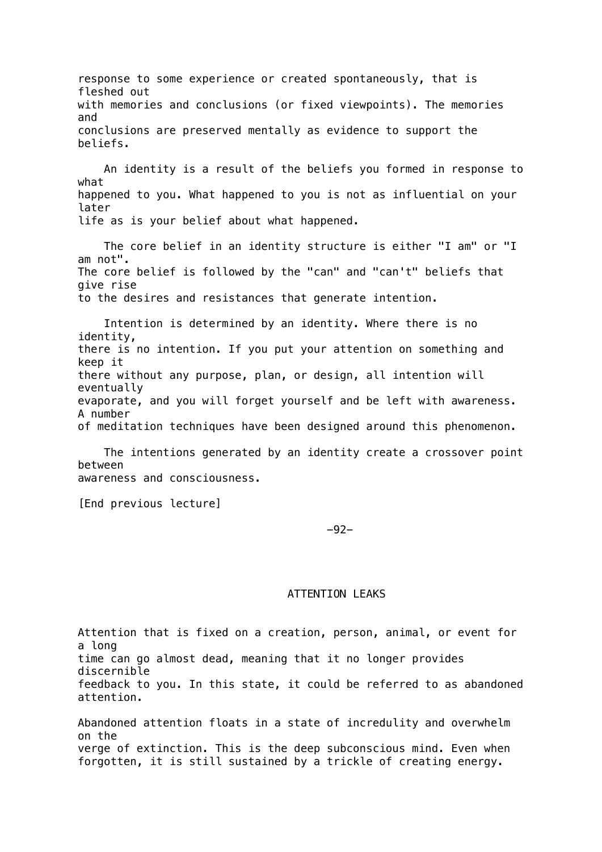response to some experience or created spontaneously, that is fleshed out with memories and conclusions (or fixed viewpoints). The memories and conclusions are preserved mentally as evidence to support the beliefs.

 An identity is a result of the beliefs you formed in response to what happened to you. What happened to you is not as influential on your later life as is your belief about what happened.

 The core belief in an identity structure is either "I am" or "I am not". The core belief is followed by the "can" and "can't" beliefs that give rise to the desires and resistances that generate intention.

 Intention is determined by an identity. Where there is no identity, there is no intention. If you put your attention on something and keep it there without any purpose, plan, or design, all intention will eventually evaporate, and you will forget yourself and be left with awareness. A number of meditation techniques have been designed around this phenomenon.

 The intentions generated by an identity create a crossover point between awareness and consciousness.

[End previous lecture]

-92-

#### ATTENTION LEAKS

Attention that is fixed on a creation, person, animal, or event for a long time can go almost dead, meaning that it no longer provides discernible feedback to you. In this state, it could be referred to as abandoned attention.

Abandoned attention floats in a state of incredulity and overwhelm on the verge of extinction. This is the deep subconscious mind. Even when forgotten, it is still sustained by a trickle of creating energy.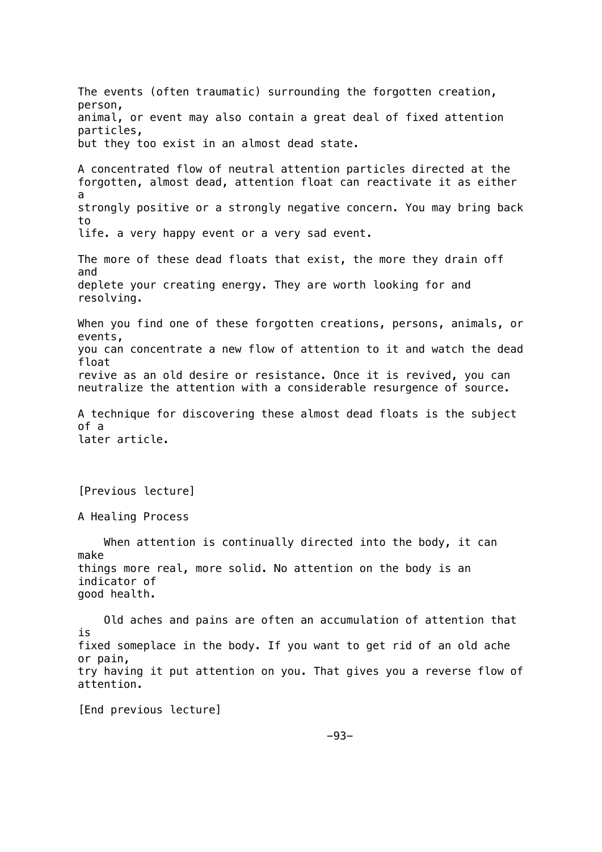The events (often traumatic) surrounding the forgotten creation, person, animal, or event may also contain a great deal of fixed attention particles, but they too exist in an almost dead state. A concentrated flow of neutral attention particles directed at the forgotten, almost dead, attention float can reactivate it as either a strongly positive or a strongly negative concern. You may bring back to life. a very happy event or a very sad event. The more of these dead floats that exist, the more they drain off and deplete your creating energy. They are worth looking for and resolving. When you find one of these forgotten creations, persons, animals, or events, you can concentrate a new flow of attention to it and watch the dead float revive as an old desire or resistance. Once it is revived, you can neutralize the attention with a considerable resurgence of source. A technique for discovering these almost dead floats is the subject of a later article. [Previous lecture] A Healing Process When attention is continually directed into the body, it can make things more real, more solid. No attention on the body is an indicator of good health. Old aches and pains are often an accumulation of attention that is fixed someplace in the body. If you want to get rid of an old ache or pain, try having it put attention on you. That gives you a reverse flow of attention. [End previous lecture]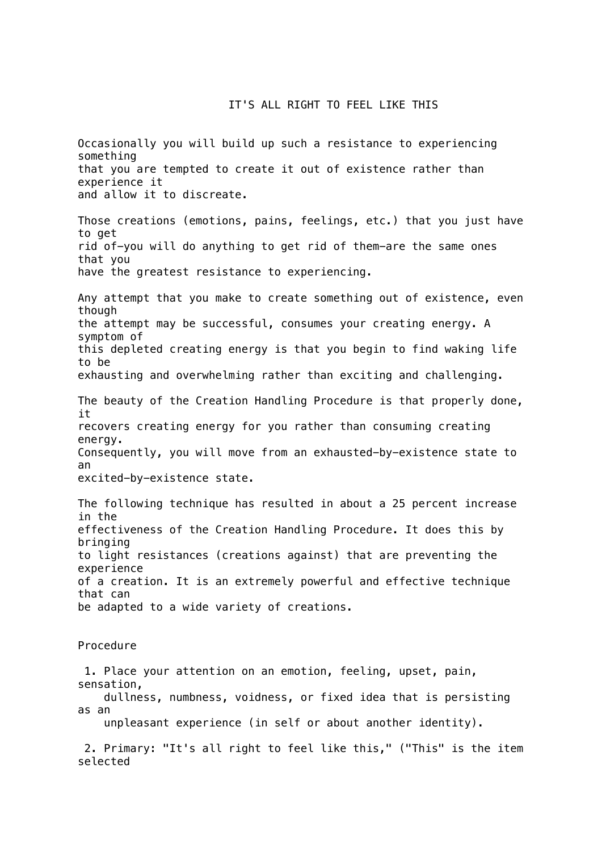# IT'S ALL RIGHT TO FEEL LIKE THIS

Occasionally you will build up such a resistance to experiencing something that you are tempted to create it out of existence rather than experience it and allow it to discreate. Those creations (emotions, pains, feelings, etc.) that you just have to get rid of-you will do anything to get rid of them-are the same ones that you have the greatest resistance to experiencing. Any attempt that you make to create something out of existence, even though the attempt may be successful, consumes your creating energy. A symptom of this depleted creating energy is that you begin to find waking life to be exhausting and overwhelming rather than exciting and challenging. The beauty of the Creation Handling Procedure is that properly done, it recovers creating energy for you rather than consuming creating energy. Consequently, you will move from an exhausted-by-existence state to an excited-by-existence state. The following technique has resulted in about a 25 percent increase in the effectiveness of the Creation Handling Procedure. It does this by bringing to light resistances (creations against) that are preventing the experience of a creation. It is an extremely powerful and effective technique that can be adapted to a wide variety of creations. Procedure 1. Place your attention on an emotion, feeling, upset, pain, sensation, dullness, numbness, voidness, or fixed idea that is persisting as an unpleasant experience (in self or about another identity). 2. Primary: "It's all right to feel like this," ("This" is the item selected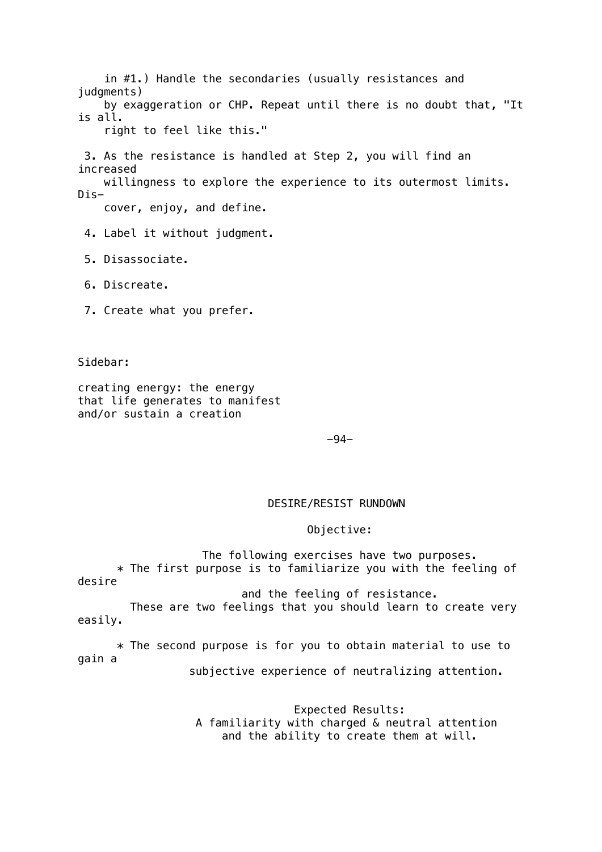in #1.) Handle the secondaries (usually resistances and judgments) by exaggeration or CHP. Repeat until there is no doubt that, "It is all. right to feel like this." 3. As the resistance is handled at Step 2, you will find an increased willingness to explore the experience to its outermost limits. Dis cover, enjoy, and define. 4. Label it without judgment. 5. Disassociate. 6. Discreate. 7. Create what you prefer.

Sidebar:

creating energy: the energy that life generates to manifest and/or sustain a creation

-94-

## DESIRE/RESIST RUNDOWN

## Objective:

 The following exercises have two purposes. \* The first purpose is to familiarize you with the feeling of desire

and the feeling of resistance.

 These are two feelings that you should learn to create very easily.

 \* The second purpose is for you to obtain material to use to gain a

subjective experience of neutralizing attention.

 Expected Results: A familiarity with charged & neutral attention and the ability to create them at will.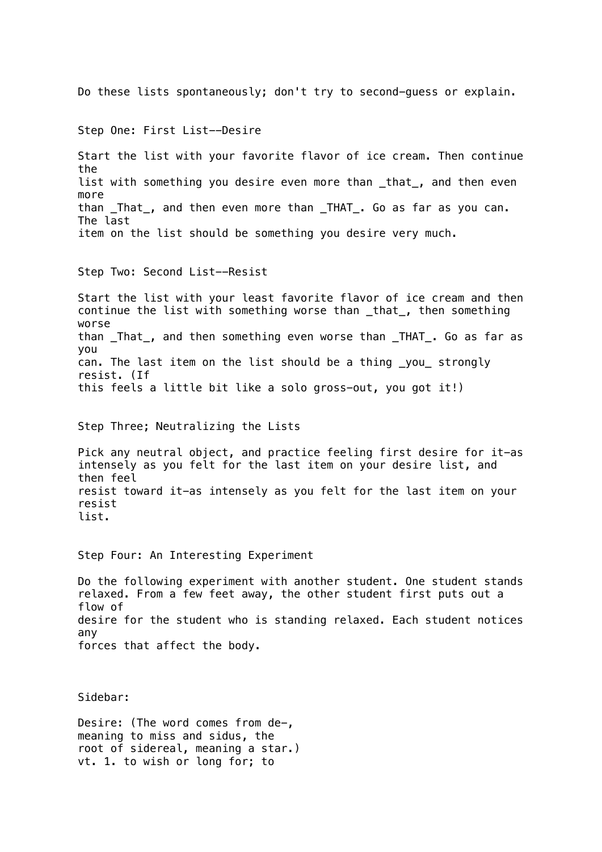Do these lists spontaneously; don't try to second-guess or explain. Step One: First List--Desire Start the list with your favorite flavor of ice cream. Then continue the list with something you desire even more than \_that\_, and then even more than That, and then even more than THAT. Go as far as you can. The last item on the list should be something you desire very much. Step Two: Second List--Resist Start the list with your least favorite flavor of ice cream and then continue the list with something worse than \_that\_, then something worse than \_That\_, and then something even worse than \_THAT\_. Go as far as you can. The last item on the list should be a thing \_you\_ strongly resist. (If this feels a little bit like a solo gross-out, you got it!) Step Three; Neutralizing the Lists Pick any neutral object, and practice feeling first desire for it-as intensely as you felt for the last item on your desire list, and then feel resist toward it-as intensely as you felt for the last item on your resist list. Step Four: An Interesting Experiment Do the following experiment with another student. One student stands relaxed. From a few feet away, the other student first puts out a flow of desire for the student who is standing relaxed. Each student notices any forces that affect the body. Sidebar: Desire: (The word comes from de-, meaning to miss and sidus, the root of sidereal, meaning a star.) vt. 1. to wish or long for; to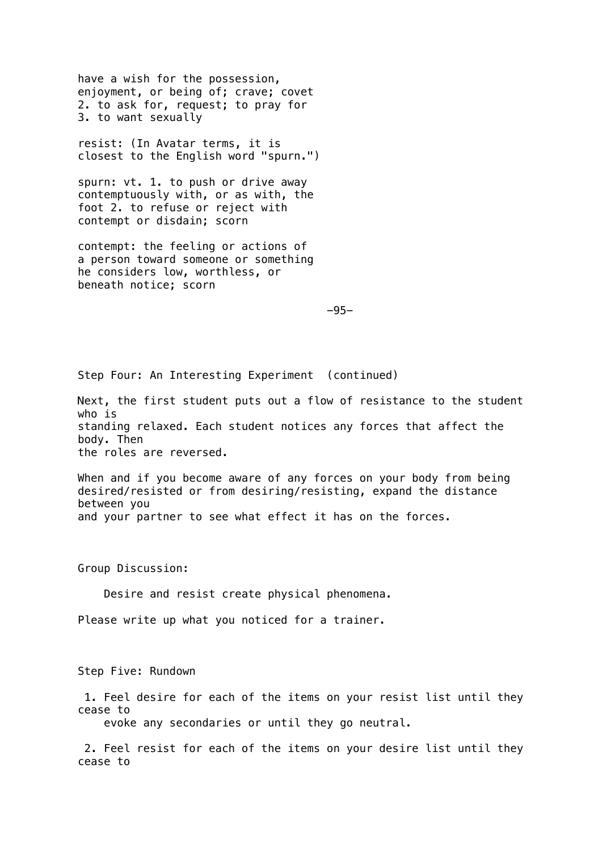have a wish for the possession, enjoyment, or being of; crave; covet 2. to ask for, request; to pray for 3. to want sexually

resist: (In Avatar terms, it is closest to the English word "spurn.")

spurn: vt. 1. to push or drive away contemptuously with, or as with, the foot 2. to refuse or reject with contempt or disdain; scorn

contempt: the feeling or actions of a person toward someone or something he considers low, worthless, or beneath notice; scorn

-95-

Step Four: An Interesting Experiment (continued)

Next, the first student puts out a flow of resistance to the student who is standing relaxed. Each student notices any forces that affect the body. Then the roles are reversed.

When and if you become aware of any forces on your body from being desired/resisted or from desiring/resisting, expand the distance between you and your partner to see what effect it has on the forces.

Group Discussion:

Desire and resist create physical phenomena.

Please write up what you noticed for a trainer.

Step Five: Rundown

 1. Feel desire for each of the items on your resist list until they cease to

evoke any secondaries or until they go neutral.

 2. Feel resist for each of the items on your desire list until they cease to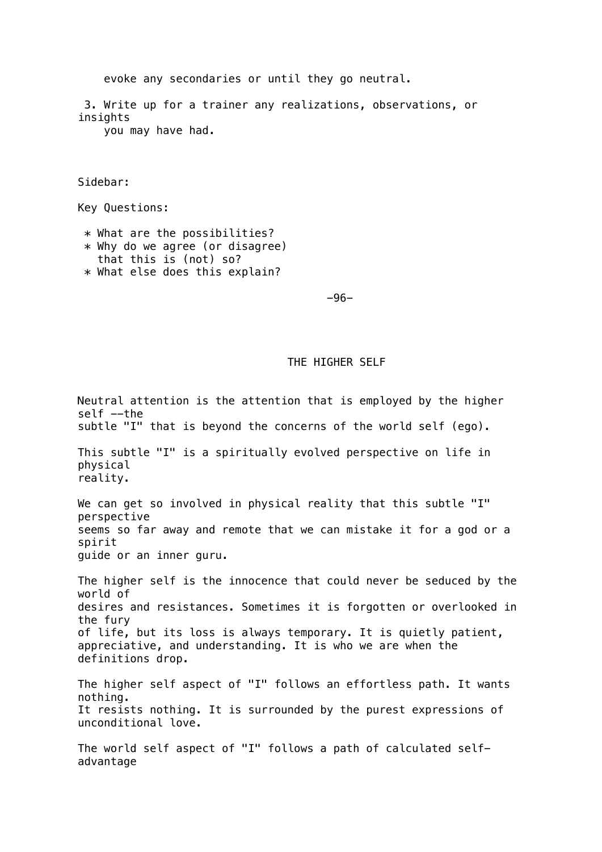evoke any secondaries or until they go neutral.

 3. Write up for a trainer any realizations, observations, or insights you may have had.

Sidebar:

Key Questions:

 \* What are the possibilities?  $*$  Why do we agree (or disagree)

- that this is (not) so?
- \* What else does this explain?

-96-

# THE HIGHER SELF

Neutral attention is the attention that is employed by the higher self --the subtle "I" that is beyond the concerns of the world self (ego). This subtle "I" is a spiritually evolved perspective on life in physical reality. We can get so involved in physical reality that this subtle "I" perspective seems so far away and remote that we can mistake it for a god or a spirit guide or an inner guru. The higher self is the innocence that could never be seduced by the world of desires and resistances. Sometimes it is forgotten or overlooked in the fury of life, but its loss is always temporary. It is quietly patient, appreciative, and understanding. It is who we are when the definitions drop. The higher self aspect of "I" follows an effortless path. It wants nothing. It resists nothing. It is surrounded by the purest expressions of unconditional love. The world self aspect of "I" follows a path of calculated selfadvantage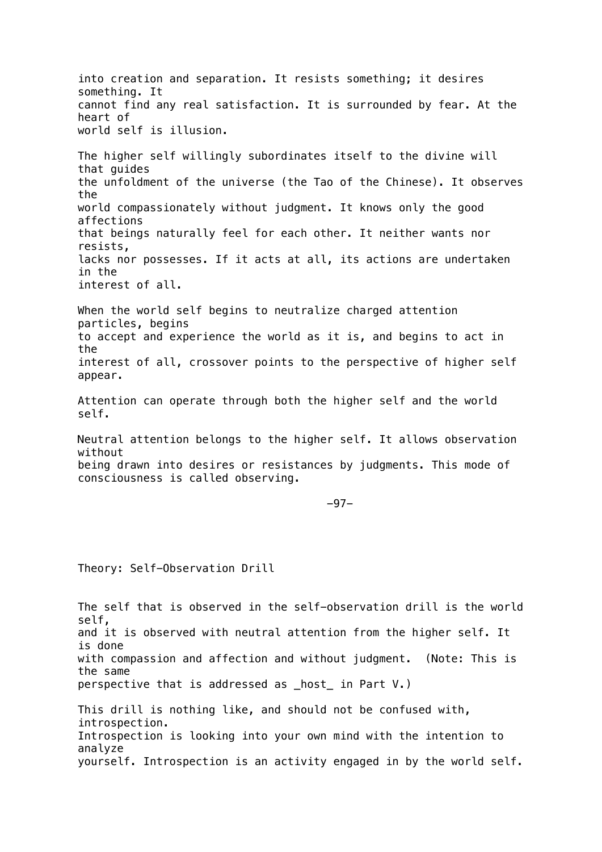into creation and separation. It resists something; it desires something. It cannot find any real satisfaction. It is surrounded by fear. At the heart of world self is illusion. The higher self willingly subordinates itself to the divine will that guides the unfoldment of the universe (the Tao of the Chinese). It observes the world compassionately without judgment. It knows only the good affections that beings naturally feel for each other. It neither wants nor resists, lacks nor possesses. If it acts at all, its actions are undertaken in the interest of all. When the world self begins to neutralize charged attention particles, begins to accept and experience the world as it is, and begins to act in the interest of all, crossover points to the perspective of higher self appear. Attention can operate through both the higher self and the world self. Neutral attention belongs to the higher self. It allows observation without being drawn into desires or resistances by judgments. This mode of consciousness is called observing. -97- Theory: Self-Observation Drill The self that is observed in the self-observation drill is the world self,

and it is observed with neutral attention from the higher self. It is done with compassion and affection and without judgment. (Note: This is the same perspective that is addressed as \_host\_ in Part V.)

This drill is nothing like, and should not be confused with, introspection. Introspection is looking into your own mind with the intention to analyze yourself. Introspection is an activity engaged in by the world self.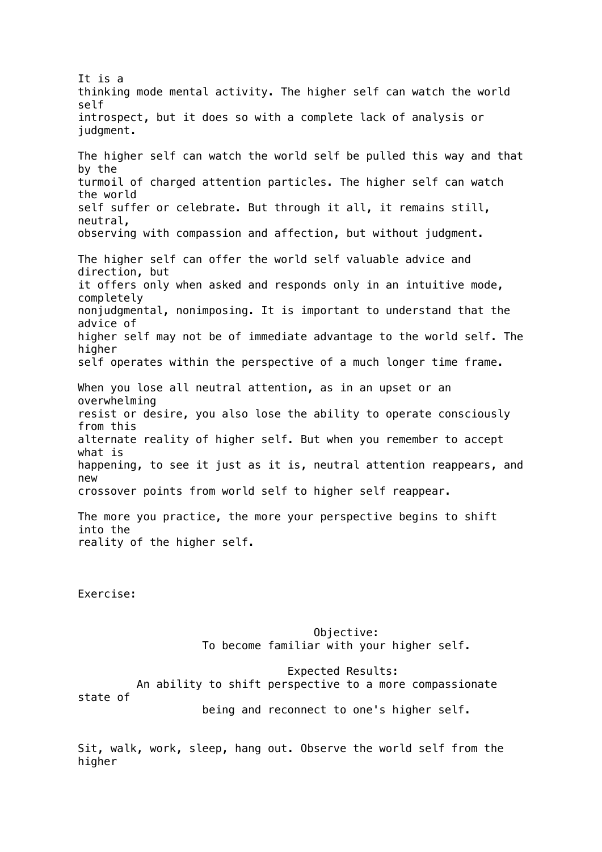It is a thinking mode mental activity. The higher self can watch the world self introspect, but it does so with a complete lack of analysis or judgment. The higher self can watch the world self be pulled this way and that by the turmoil of charged attention particles. The higher self can watch the world self suffer or celebrate. But through it all, it remains still, neutral, observing with compassion and affection, but without judgment. The higher self can offer the world self valuable advice and direction, but it offers only when asked and responds only in an intuitive mode, completely nonjudgmental, nonimposing. It is important to understand that the advice of higher self may not be of immediate advantage to the world self. The higher self operates within the perspective of a much longer time frame. When you lose all neutral attention, as in an upset or an overwhelming resist or desire, you also lose the ability to operate consciously from this alternate reality of higher self. But when you remember to accept what is happening, to see it just as it is, neutral attention reappears, and new crossover points from world self to higher self reappear. The more you practice, the more your perspective begins to shift into the reality of the higher self. Exercise: Objective: To become familiar with your higher self. Expected Results: An ability to shift perspective to a more compassionate state of being and reconnect to one's higher self.

Sit, walk, work, sleep, hang out. Observe the world self from the higher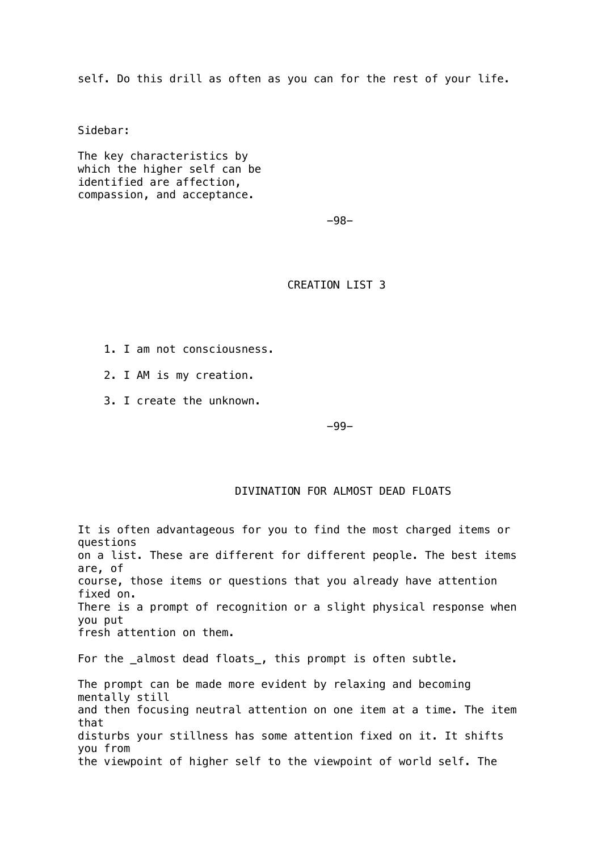self. Do this drill as often as you can for the rest of your life.

Sidebar:

The key characteristics by which the higher self can be identified are affection, compassion, and acceptance.

-98-

CREATION LIST 3

- 1. I am not consciousness.
- 2. I AM is my creation.
- 3. I create the unknown.

-99-

## DIVINATION FOR ALMOST DEAD FLOATS

It is often advantageous for you to find the most charged items or questions on a list. These are different for different people. The best items are, of course, those items or questions that you already have attention fixed on. There is a prompt of recognition or a slight physical response when you put fresh attention on them. For the \_almost dead floats\_, this prompt is often subtle. The prompt can be made more evident by relaxing and becoming mentally still and then focusing neutral attention on one item at a time. The item that disturbs your stillness has some attention fixed on it. It shifts you from the viewpoint of higher self to the viewpoint of world self. The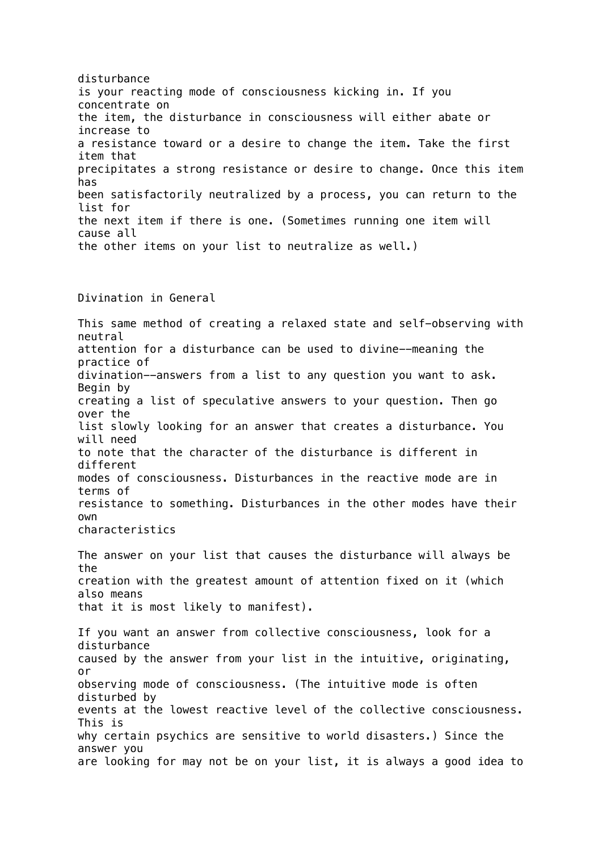disturbance is your reacting mode of consciousness kicking in. If you concentrate on the item, the disturbance in consciousness will either abate or increase to a resistance toward or a desire to change the item. Take the first item that precipitates a strong resistance or desire to change. Once this item has been satisfactorily neutralized by a process, you can return to the list for the next item if there is one. (Sometimes running one item will cause all the other items on your list to neutralize as well.)

Divination in General

This same method of creating a relaxed state and self-observing with neutral attention for a disturbance can be used to divine--meaning the practice of divination--answers from a list to any question you want to ask. Begin by creating a list of speculative answers to your question. Then go over the list slowly looking for an answer that creates a disturbance. You will need to note that the character of the disturbance is different in different modes of consciousness. Disturbances in the reactive mode are in terms of resistance to something. Disturbances in the other modes have their own characteristics The answer on your list that causes the disturbance will always be the creation with the greatest amount of attention fixed on it (which also means that it is most likely to manifest).

If you want an answer from collective consciousness, look for a disturbance caused by the answer from your list in the intuitive, originating, or observing mode of consciousness. (The intuitive mode is often disturbed by events at the lowest reactive level of the collective consciousness. This is why certain psychics are sensitive to world disasters.) Since the answer you are looking for may not be on your list, it is always a good idea to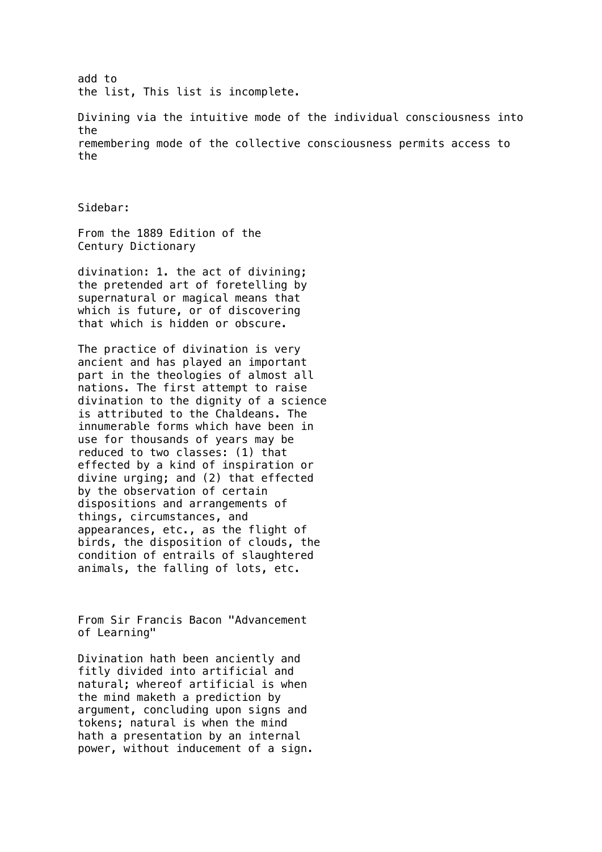add to the list, This list is incomplete.

Divining via the intuitive mode of the individual consciousness into the remembering mode of the collective consciousness permits access to the

Sidebar:

From the 1889 Edition of the Century Dictionary

divination: 1. the act of divining; the pretended art of foretelling by supernatural or magical means that which is future, or of discovering that which is hidden or obscure.

The practice of divination is very ancient and has played an important part in the theologies of almost all nations. The first attempt to raise divination to the dignity of a science is attributed to the Chaldeans. The innumerable forms which have been in use for thousands of years may be reduced to two classes: (1) that effected by a kind of inspiration or divine urging; and (2) that effected by the observation of certain dispositions and arrangements of things, circumstances, and appearances, etc., as the flight of birds, the disposition of clouds, the condition of entrails of slaughtered animals, the falling of lots, etc.

From Sir Francis Bacon "Advancement of Learning"

Divination hath been anciently and fitly divided into artificial and natural; whereof artificial is when the mind maketh a prediction by argument, concluding upon signs and tokens; natural is when the mind hath a presentation by an internal power, without inducement of a sign.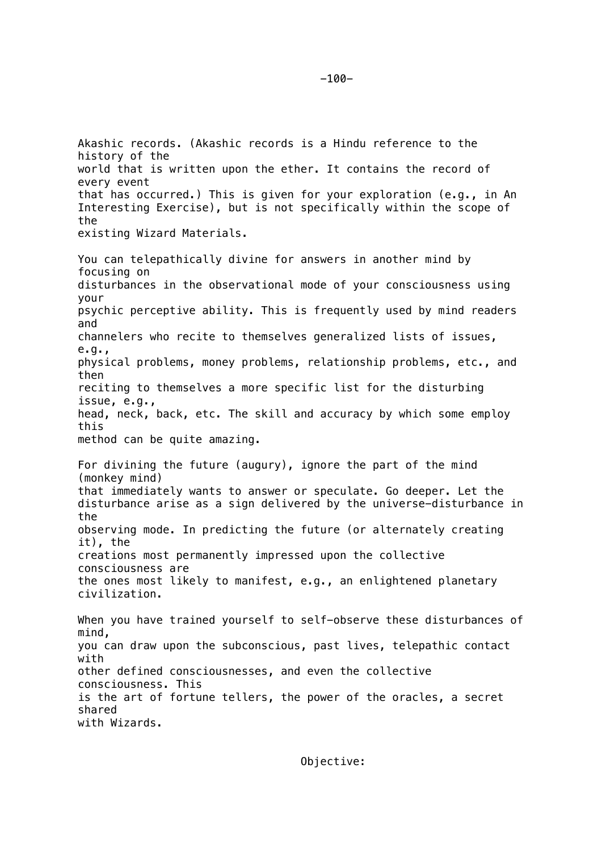world that is written upon the ether. It contains the record of every event that has occurred.) This is given for your exploration (e.g., in An Interesting Exercise), but is not specifically within the scope of the existing Wizard Materials. You can telepathically divine for answers in another mind by focusing on disturbances in the observational mode of your consciousness using your psychic perceptive ability. This is frequently used by mind readers and channelers who recite to themselves generalized lists of issues, e.g., physical problems, money problems, relationship problems, etc., and then reciting to themselves a more specific list for the disturbing issue, e.g., head, neck, back, etc. The skill and accuracy by which some employ this method can be quite amazing. For divining the future (augury), ignore the part of the mind (monkey mind) that immediately wants to answer or speculate. Go deeper. Let the disturbance arise as a sign delivered by the universe-disturbance in the observing mode. In predicting the future (or alternately creating it), the creations most permanently impressed upon the collective consciousness are the ones most likely to manifest, e.g., an enlightened planetary civilization. When you have trained yourself to self-observe these disturbances of mind, you can draw upon the subconscious, past lives, telepathic contact with other defined consciousnesses, and even the collective consciousness. This is the art of fortune tellers, the power of the oracles, a secret shared with Wizards.

-100-

history of the

Objective: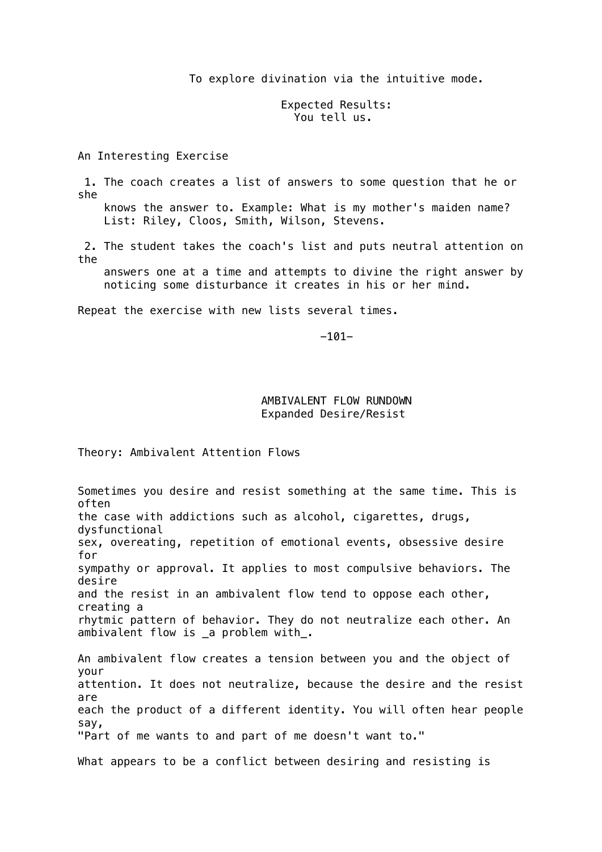#### To explore divination via the intuitive mode.

## Expected Results: You tell us.

An Interesting Exercise

 1. The coach creates a list of answers to some question that he or she knows the answer to. Example: What is my mother's maiden name?

List: Riley, Cloos, Smith, Wilson, Stevens.

 2. The student takes the coach's list and puts neutral attention on the

 answers one at a time and attempts to divine the right answer by noticing some disturbance it creates in his or her mind.

Repeat the exercise with new lists several times.

-101-

## AMBIVALENT FLOW RUNDOWN Expanded Desire/Resist

Theory: Ambivalent Attention Flows

Sometimes you desire and resist something at the same time. This is often the case with addictions such as alcohol, cigarettes, drugs, dysfunctional sex, overeating, repetition of emotional events, obsessive desire for sympathy or approval. It applies to most compulsive behaviors. The desire and the resist in an ambivalent flow tend to oppose each other, creating a rhytmic pattern of behavior. They do not neutralize each other. An ambivalent flow is \_a problem with\_. An ambivalent flow creates a tension between you and the object of your attention. It does not neutralize, because the desire and the resist are each the product of a different identity. You will often hear people say, "Part of me wants to and part of me doesn't want to." What appears to be a conflict between desiring and resisting is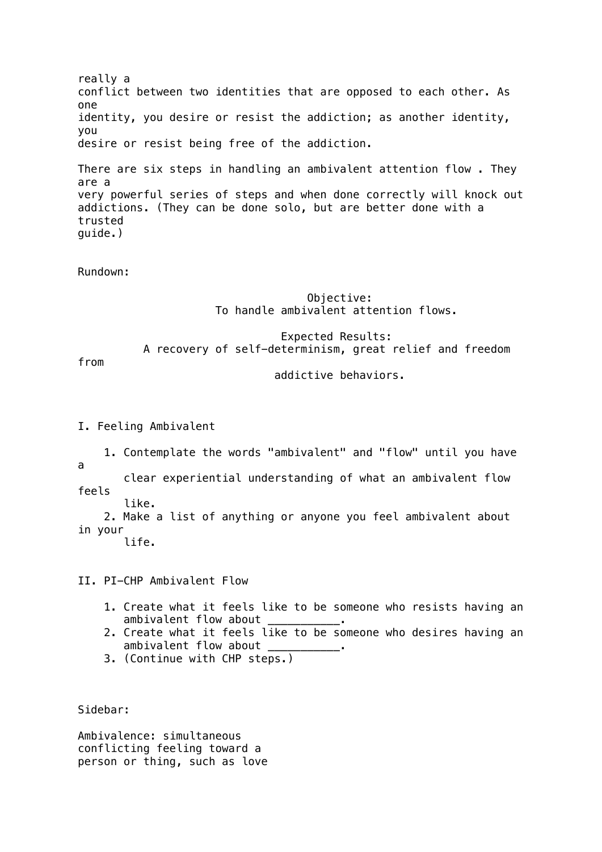really a conflict between two identities that are opposed to each other. As one identity, you desire or resist the addiction; as another identity, you desire or resist being free of the addiction. There are six steps in handling an ambivalent attention flow . They are a very powerful series of steps and when done correctly will knock out addictions. (They can be done solo, but are better done with a trusted guide.)

Rundown:

# Objective: To handle ambivalent attention flows.

 Expected Results: A recovery of self-determinism, great relief and freedom

from

addictive behaviors.

I. Feeling Ambivalent

 1. Contemplate the words "ambivalent" and "flow" until you have a

 clear experiential understanding of what an ambivalent flow feels like.

 2. Make a list of anything or anyone you feel ambivalent about in your

life.

II. PI-CHP Ambivalent Flow

- 1. Create what it feels like to be someone who resists having an ambivalent flow about
- 2. Create what it feels like to be someone who desires having an ambivalent flow about
- 3. (Continue with CHP steps.)

Sidebar:

Ambivalence: simultaneous conflicting feeling toward a person or thing, such as love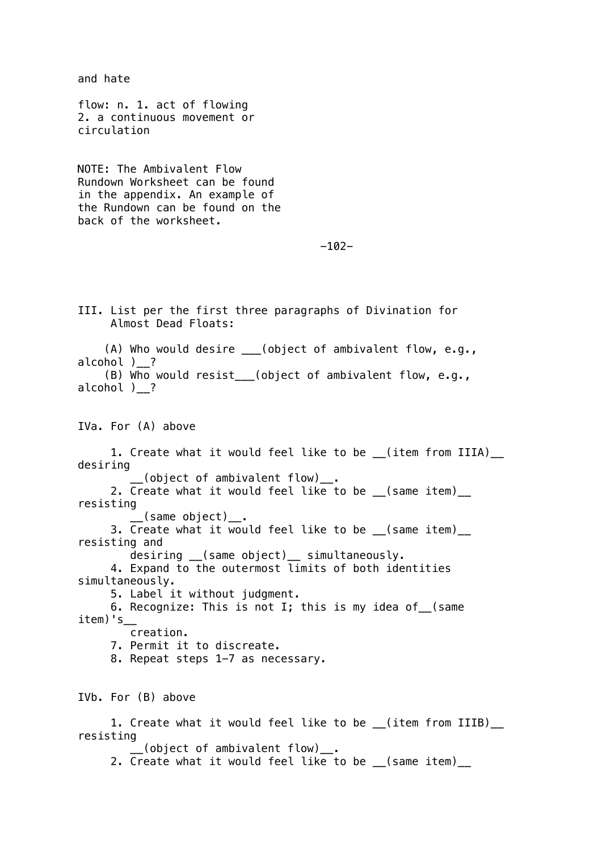and hate flow: n. 1. act of flowing 2. a continuous movement or circulation NOTE: The Ambivalent Flow Rundown Worksheet can be found in the appendix. An example of the Rundown can be found on the back of the worksheet.  $-102-$ III. List per the first three paragraphs of Divination for Almost Dead Floats: (A) Who would desire \_\_\_(object of ambivalent flow, e.g., alcohol ) ? (B) Who would resist\_\_\_(object of ambivalent flow, e.g., alcohol )\_\_? IVa. For (A) above 1. Create what it would feel like to be \_\_(item from IIIA)\_\_ desiring  $\overline{\phantom{a}}$  (object of ambivalent flow)  $\overline{\phantom{a}}$  . 2. Create what it would feel like to be (same item) resisting \_\_(same object)\_\_. 3. Create what it would feel like to be \_\_(same item)\_\_ resisting and desiring \_\_(same object)\_\_ simultaneously. 4. Expand to the outermost limits of both identities simultaneously. 5. Label it without judgment. 6. Recognize: This is not I; this is my idea of\_\_(same  $item)'s$  creation. 7. Permit it to discreate. 8. Repeat steps 1-7 as necessary. IVb. For (B) above 1. Create what it would feel like to be \_\_(item from IIIB)\_\_ resisting (object of ambivalent flow)\_. 2. Create what it would feel like to be \_\_(same item)\_\_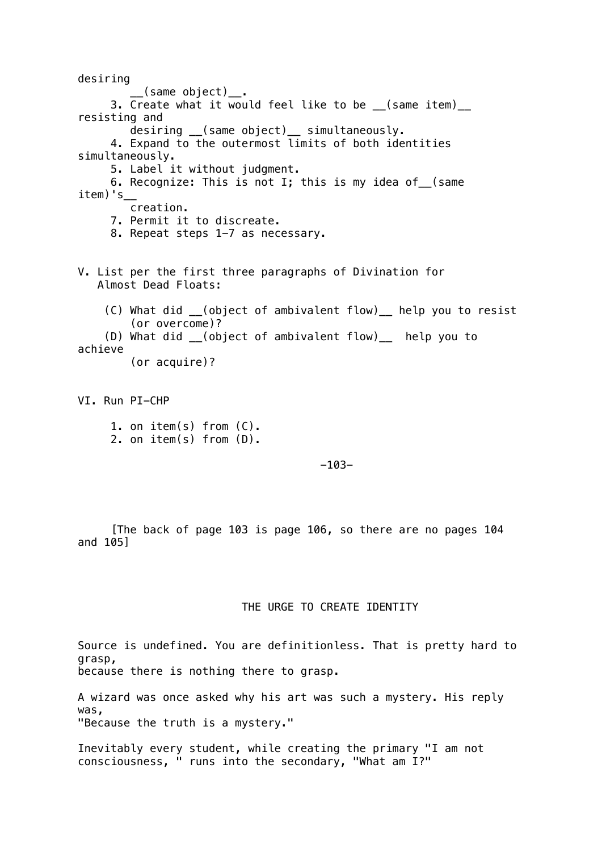desiring  $\sqrt{2}$  (same object)  $\frac{1}{2}$  . 3. Create what it would feel like to be \_\_(same item)\_\_ resisting and desiring \_\_(same object)\_\_ simultaneously. 4. Expand to the outermost limits of both identities simultaneously. 5. Label it without judgment. 6. Recognize: This is not I; this is my idea of\_\_(same  $item)'s$ \_\_ creation. 7. Permit it to discreate. 8. Repeat steps 1-7 as necessary. V. List per the first three paragraphs of Divination for Almost Dead Floats: (C) What did \_\_(object of ambivalent flow)\_\_ help you to resist (or overcome)? (D) What did \_\_(object of ambivalent flow)\_\_ help you to achieve (or acquire)? VI. Run PI-CHP 1. on item(s) from (C). 2. on item(s) from (D).

-103-

 [The back of page 103 is page 106, so there are no pages 104 and 105]

# THE URGE TO CREATE IDENTITY

Source is undefined. You are definitionless. That is pretty hard to grasp, because there is nothing there to grasp.

A wizard was once asked why his art was such a mystery. His reply was, "Because the truth is a mystery."

Inevitably every student, while creating the primary "I am not consciousness, " runs into the secondary, "What am I?"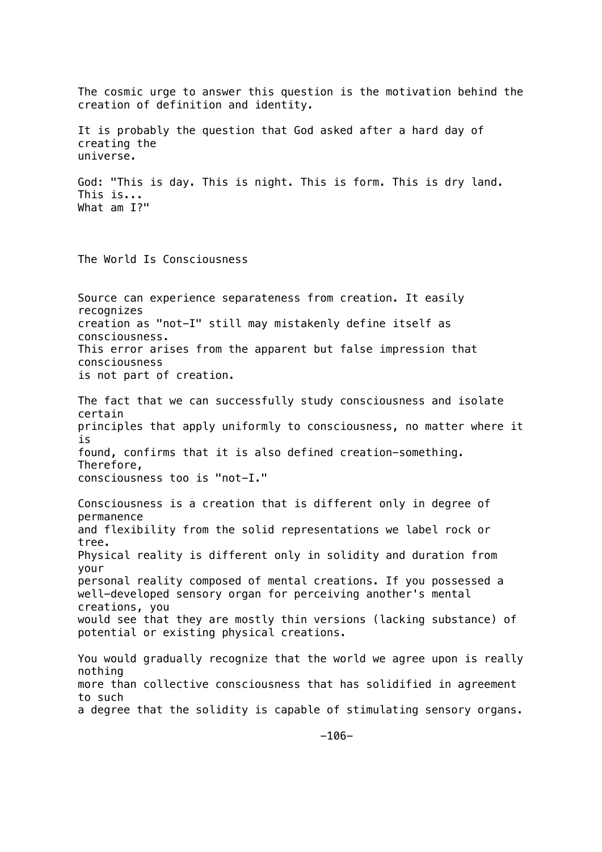The cosmic urge to answer this question is the motivation behind the creation of definition and identity. It is probably the question that God asked after a hard day of creating the universe. God: "This is day. This is night. This is form. This is dry land. This is... What am I?" The World Is Consciousness Source can experience separateness from creation. It easily recognizes creation as "not-I" still may mistakenly define itself as consciousness. This error arises from the apparent but false impression that consciousness is not part of creation. The fact that we can successfully study consciousness and isolate certain principles that apply uniformly to consciousness, no matter where it is found, confirms that it is also defined creation-something. Therefore, consciousness too is "not-I." Consciousness is a creation that is different only in degree of permanence and flexibility from the solid representations we label rock or tree. Physical reality is different only in solidity and duration from your personal reality composed of mental creations. If you possessed a well-developed sensory organ for perceiving another's mental creations, you would see that they are mostly thin versions (lacking substance) of potential or existing physical creations. You would gradually recognize that the world we agree upon is really nothing more than collective consciousness that has solidified in agreement to such a degree that the solidity is capable of stimulating sensory organs.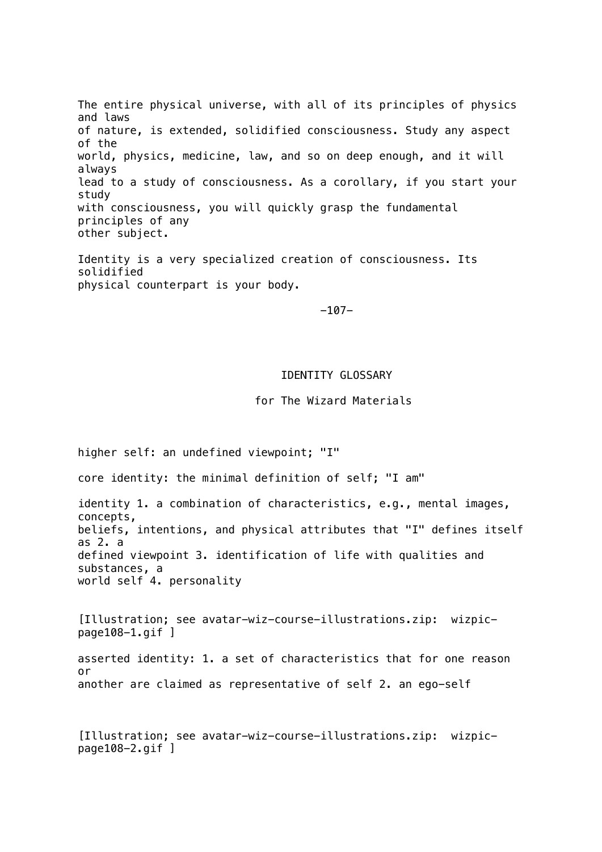The entire physical universe, with all of its principles of physics and laws of nature, is extended, solidified consciousness. Study any aspect of the world, physics, medicine, law, and so on deep enough, and it will always lead to a study of consciousness. As a corollary, if you start your study with consciousness, you will quickly grasp the fundamental principles of any other subject.

Identity is a very specialized creation of consciousness. Its solidified physical counterpart is your body.

-107-

#### IDENTITY GLOSSARY

for The Wizard Materials

higher self: an undefined viewpoint; "I"

core identity: the minimal definition of self; "I am"

identity 1. a combination of characteristics, e.g., mental images, concepts, beliefs, intentions, and physical attributes that "I" defines itself as 2. a defined viewpoint 3. identification of life with qualities and substances, a world self 4. personality

[Illustration; see avatar-wiz-course-illustrations.zip: wizpicpage108-1.gif ]

asserted identity: 1. a set of characteristics that for one reason or another are claimed as representative of self 2. an ego-self

[Illustration; see avatar-wiz-course-illustrations.zip: wizpicpage108-2.gif ]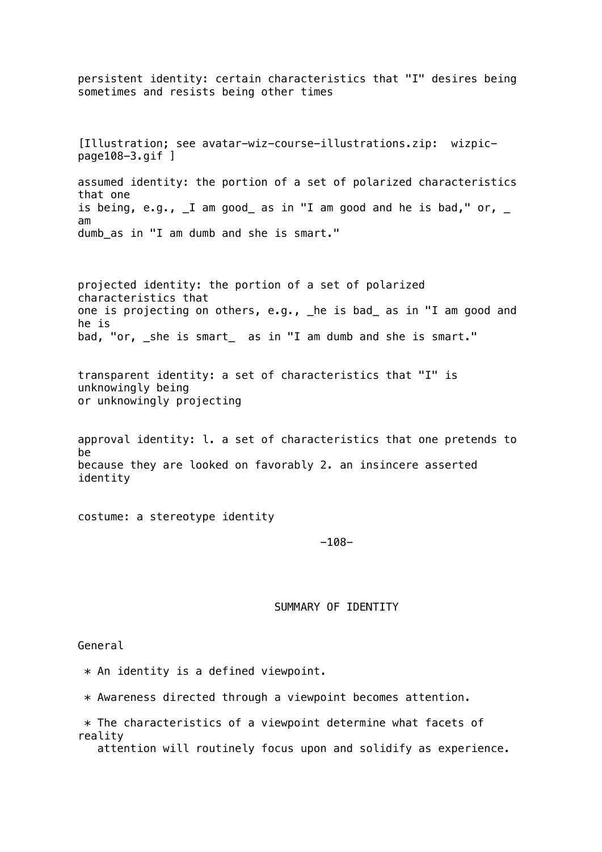persistent identity: certain characteristics that "I" desires being sometimes and resists being other times [Illustration; see avatar-wiz-course-illustrations.zip: wizpicpage108-3.gif ] assumed identity: the portion of a set of polarized characteristics that one is being, e.g.,  $I$  am good as in "I am good and he is bad," or,  $I$ am dumb\_as in "I am dumb and she is smart." projected identity: the portion of a set of polarized characteristics that one is projecting on others, e.g., \_he is bad\_ as in "I am good and he is bad, "or, \_she is smart\_ as in "I am dumb and she is smart." transparent identity: a set of characteristics that "I" is unknowingly being or unknowingly projecting approval identity: l. a set of characteristics that one pretends to be because they are looked on favorably 2. an insincere asserted identity costume: a stereotype identity -108- SUMMARY OF IDENTITY General

\* An identity is a defined viewpoint.

\* Awareness directed through a viewpoint becomes attention.

 \* The characteristics of a viewpoint determine what facets of reality

attention will routinely focus upon and solidify as experience.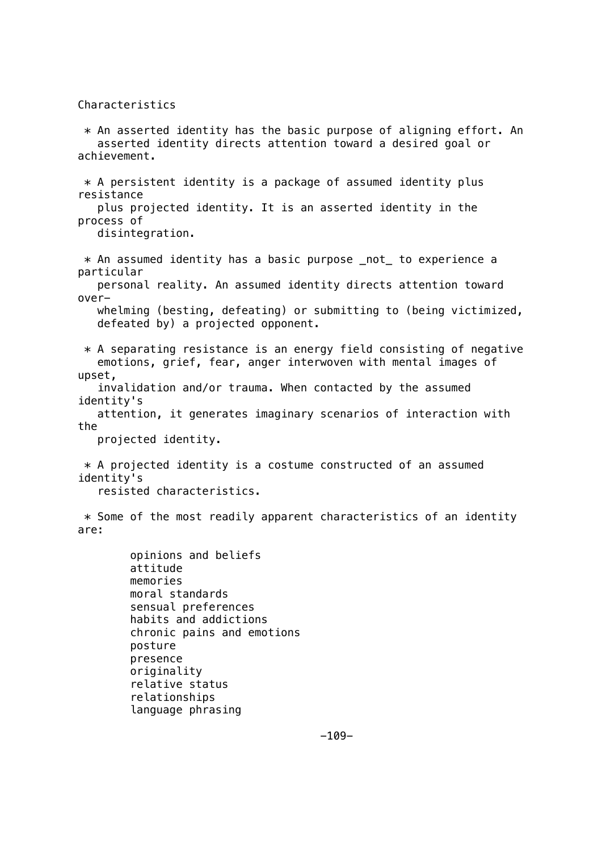Characteristics

 relationships language phrasing

 $*$  An asserted identity has the basic purpose of aligning effort. An asserted identity directs attention toward a desired goal or achievement.  $*$  A persistent identity is a package of assumed identity plus resistance plus projected identity. It is an asserted identity in the process of disintegration. \* An assumed identity has a basic purpose \_not\_ to experience a particular personal reality. An assumed identity directs attention toward over whelming (besting, defeating) or submitting to (being victimized, defeated by) a projected opponent.  $*$  A separating resistance is an energy field consisting of negative emotions, grief, fear, anger interwoven with mental images of upset, invalidation and/or trauma. When contacted by the assumed identity's attention, it generates imaginary scenarios of interaction with the projected identity. \* A projected identity is a costume constructed of an assumed identity's resisted characteristics.  $*$  Some of the most readily apparent characteristics of an identity are: opinions and beliefs attitude memories moral standards sensual preferences habits and addictions chronic pains and emotions posture presence originality relative status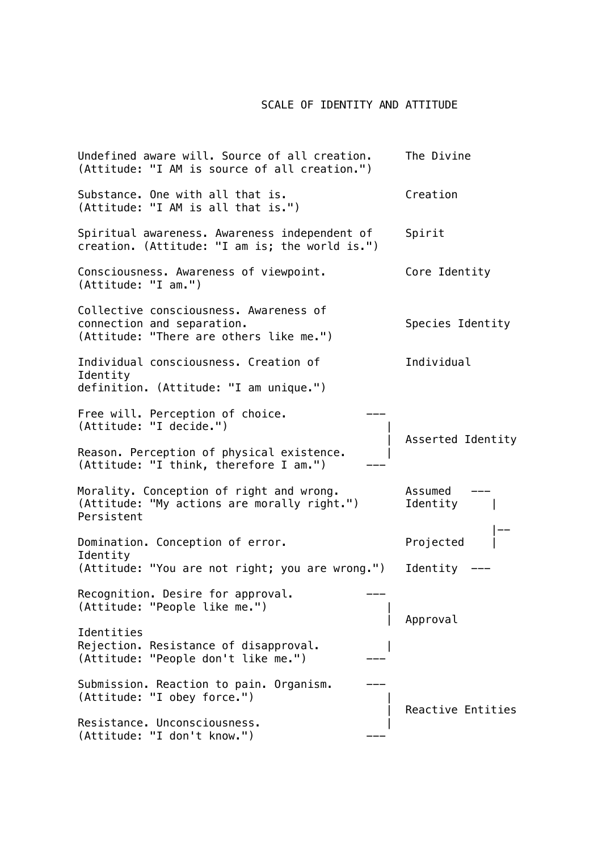## SCALE OF IDENTITY AND ATTITUDE

Undefined aware will. Source of all creation. The Divine (Attitude: "I AM is source of all creation.") Substance. One with all that is. The Creation (Attitude: "I AM is all that is.") Spiritual awareness. Awareness independent of Spirit creation. (Attitude: "I am is; the world is.") Consciousness. Awareness of viewpoint. Core Identity (Attitude: "I am.") Collective consciousness. Awareness of connection and separation. The set of the Species Identity (Attitude: "There are others like me.") Individual consciousness. Creation of Individual Identity definition. (Attitude: "I am unique.") Free will. Perception of choice. (Attitude: "I decide.") | | Asserted Identity Reason. Perception of physical existence.  $(Attitude: "I think, therefore I am.")$ Morality. Conception of right and wrong. Assumed (Attitude: "My actions are morally right.") Identity | Persistent |-- Domination. Conception of error. Projected Identity (Attitude: "You are not right; you are wrong.") Identity --- Recognition. Desire for approval. (Attitude: "People like me.") | | Approval Identities Rejection. Resistance of disapproval. | (Attitude: "People don't like me.") Submission. Reaction to pain. Organism. (Attitude: "I obey force.") | Reactive Entities Resistance. Unconsciousness.  $(Attitude: "I don't know."')$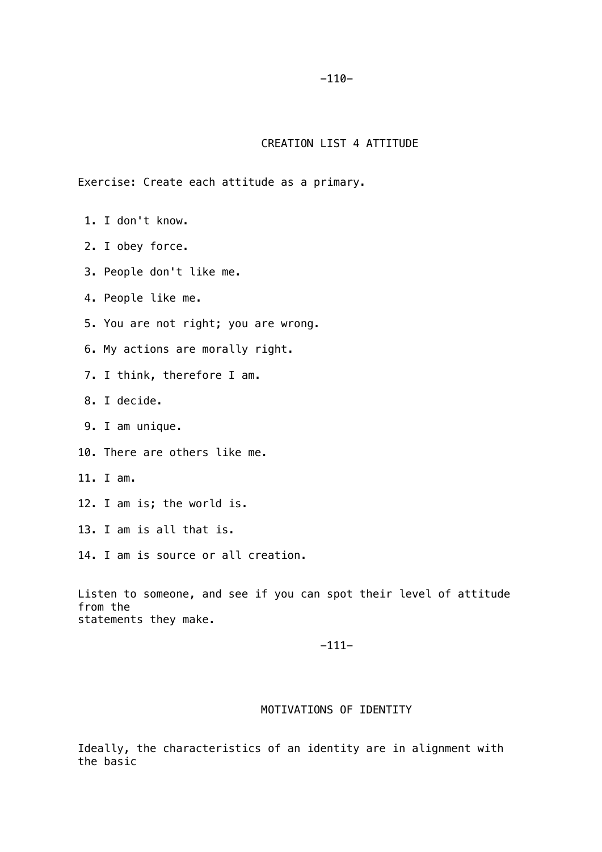## $-110-$

# CREATION LIST 4 ATTITUDE

Exercise: Create each attitude as a primary.

- 1. I don't know.
- 2. I obey force.
- 3. People don't like me.

4. People like me.

- 5. You are not right; you are wrong.
- 6. My actions are morally right.
- 7. I think, therefore I am.
- 8. I decide.
- 9. I am unique.
- 10. There are others like me.
- 11. I am.
- 12. I am is; the world is.
- 13. I am is all that is.
- 14. I am is source or all creation.

Listen to someone, and see if you can spot their level of attitude from the statements they make.

#### -111-

# MOTIVATIONS OF IDENTITY

Ideally, the characteristics of an identity are in alignment with the basic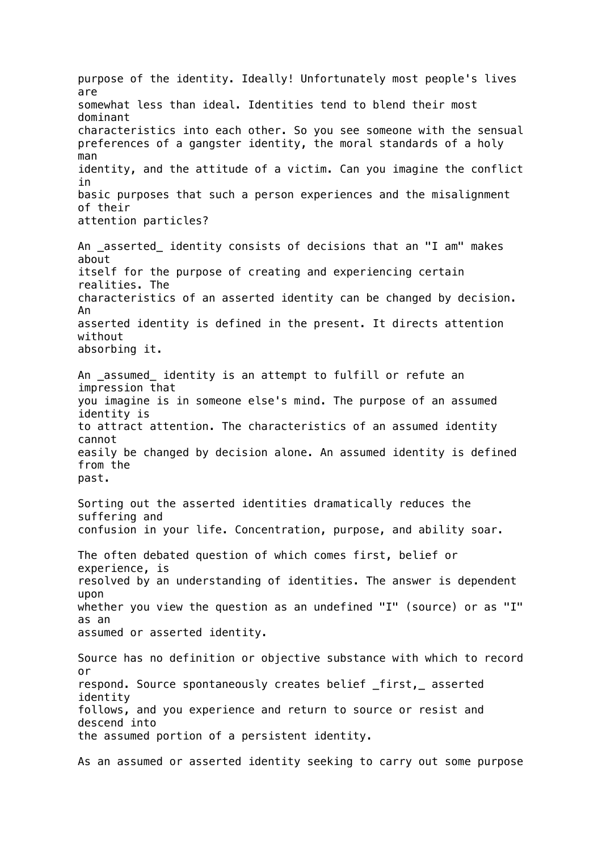purpose of the identity. Ideally! Unfortunately most people's lives are somewhat less than ideal. Identities tend to blend their most dominant characteristics into each other. So you see someone with the sensual preferences of a gangster identity, the moral standards of a holy man identity, and the attitude of a victim. Can you imagine the conflict in basic purposes that such a person experiences and the misalignment of their attention particles? An \_asserted\_ identity consists of decisions that an "I am" makes about itself for the purpose of creating and experiencing certain realities. The characteristics of an asserted identity can be changed by decision. An asserted identity is defined in the present. It directs attention without absorbing it. An assumed identity is an attempt to fulfill or refute an impression that you imagine is in someone else's mind. The purpose of an assumed identity is to attract attention. The characteristics of an assumed identity cannot easily be changed by decision alone. An assumed identity is defined from the past. Sorting out the asserted identities dramatically reduces the suffering and confusion in your life. Concentration, purpose, and ability soar. The often debated question of which comes first, belief or experience, is resolved by an understanding of identities. The answer is dependent upon whether you view the question as an undefined "I" (source) or as "I" as an assumed or asserted identity. Source has no definition or objective substance with which to record or respond. Source spontaneously creates belief \_first,\_ asserted identity follows, and you experience and return to source or resist and descend into the assumed portion of a persistent identity. As an assumed or asserted identity seeking to carry out some purpose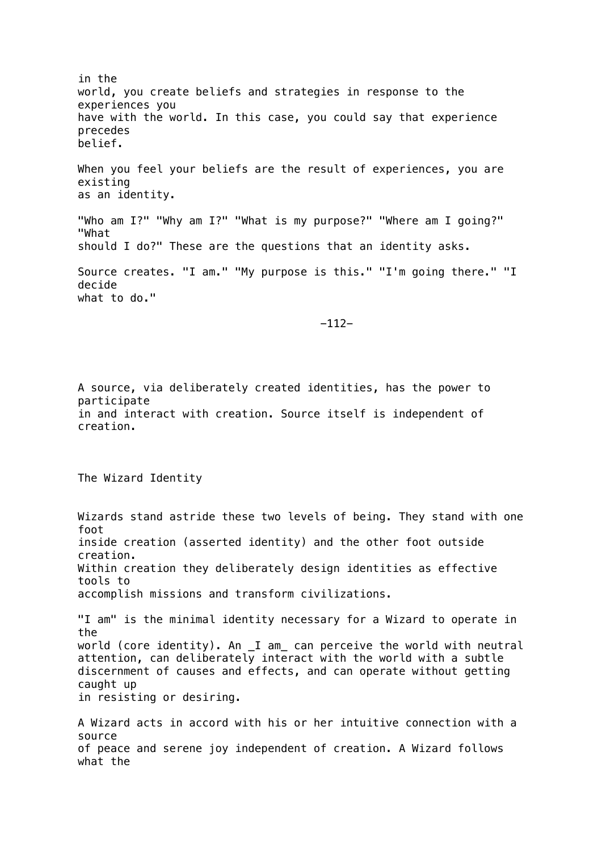in the world, you create beliefs and strategies in response to the experiences you have with the world. In this case, you could say that experience precedes belief. When you feel your beliefs are the result of experiences, you are existing as an identity. "Who am I?" "Why am I?" "What is my purpose?" "Where am I going?" "What should I do?" These are the questions that an identity asks. Source creates. "I am." "My purpose is this." "I'm going there." "I decide what to do." -112- A source, via deliberately created identities, has the power to participate in and interact with creation. Source itself is independent of creation. The Wizard Identity Wizards stand astride these two levels of being. They stand with one foot inside creation (asserted identity) and the other foot outside creation. Within creation they deliberately design identities as effective tools to accomplish missions and transform civilizations. "I am" is the minimal identity necessary for a Wizard to operate in the world (core identity). An \_I am\_ can perceive the world with neutral attention, can deliberately interact with the world with a subtle discernment of causes and effects, and can operate without getting caught up in resisting or desiring. A Wizard acts in accord with his or her intuitive connection with a source of peace and serene joy independent of creation. A Wizard follows what the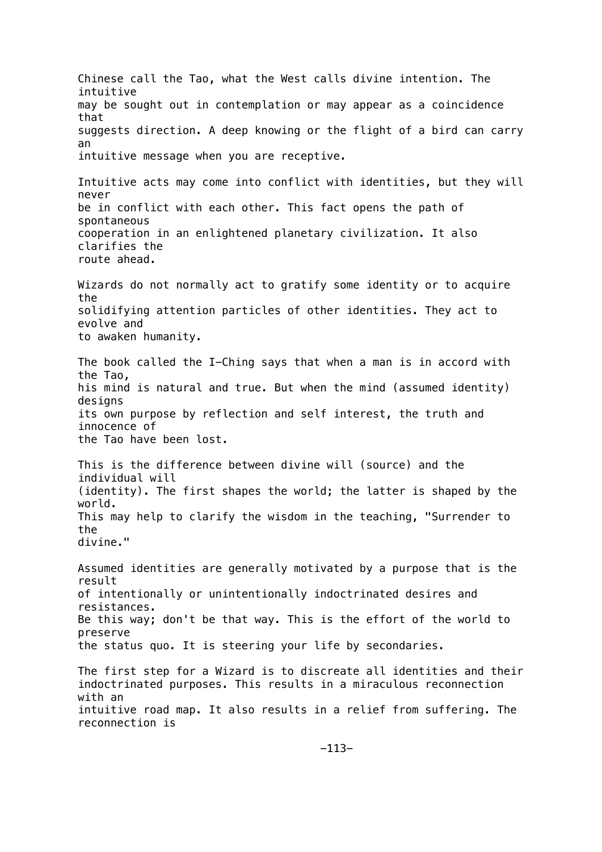Chinese call the Tao, what the West calls divine intention. The intuitive may be sought out in contemplation or may appear as a coincidence that suggests direction. A deep knowing or the flight of a bird can carry an intuitive message when you are receptive. Intuitive acts may come into conflict with identities, but they will never be in conflict with each other. This fact opens the path of spontaneous cooperation in an enlightened planetary civilization. It also clarifies the route ahead. Wizards do not normally act to gratify some identity or to acquire the solidifying attention particles of other identities. They act to evolve and to awaken humanity. The book called the I-Ching says that when a man is in accord with the Tao, his mind is natural and true. But when the mind (assumed identity) designs its own purpose by reflection and self interest, the truth and innocence of the Tao have been lost. This is the difference between divine will (source) and the individual will (identity). The first shapes the world; the latter is shaped by the world. This may help to clarify the wisdom in the teaching, "Surrender to the divine." Assumed identities are generally motivated by a purpose that is the result of intentionally or unintentionally indoctrinated desires and resistances. Be this way; don't be that way. This is the effort of the world to preserve the status quo. It is steering your life by secondaries. The first step for a Wizard is to discreate all identities and their indoctrinated purposes. This results in a miraculous reconnection with an intuitive road map. It also results in a relief from suffering. The reconnection is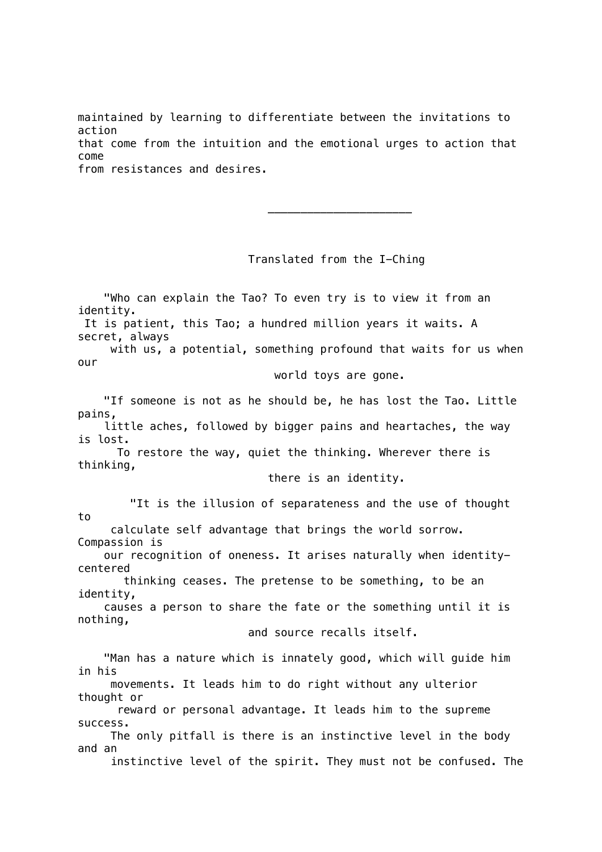maintained by learning to differentiate between the invitations to action that come from the intuition and the emotional urges to action that come from resistances and desires.

Translated from the I-Ching

 "Who can explain the Tao? To even try is to view it from an identity. It is patient, this Tao; a hundred million years it waits. A secret, always with us, a potential, something profound that waits for us when our

world toys are gone.

 "If someone is not as he should be, he has lost the Tao. Little pains, little aches, followed by bigger pains and heartaches, the way

is lost.

 $\frac{1}{2}$  , and the set of the set of the set of the set of the set of the set of the set of the set of the set of the set of the set of the set of the set of the set of the set of the set of the set of the set of the set

 To restore the way, quiet the thinking. Wherever there is thinking,

there is an identity.

 "It is the illusion of separateness and the use of thought to calculate self advantage that brings the world sorrow.

Compassion is our recognition of oneness. It arises naturally when identitycentered

 thinking ceases. The pretense to be something, to be an identity,

 causes a person to share the fate or the something until it is nothing,

and source recalls itself.

 "Man has a nature which is innately good, which will guide him in his

 movements. It leads him to do right without any ulterior thought or

 reward or personal advantage. It leads him to the supreme success.

 The only pitfall is there is an instinctive level in the body and an

instinctive level of the spirit. They must not be confused. The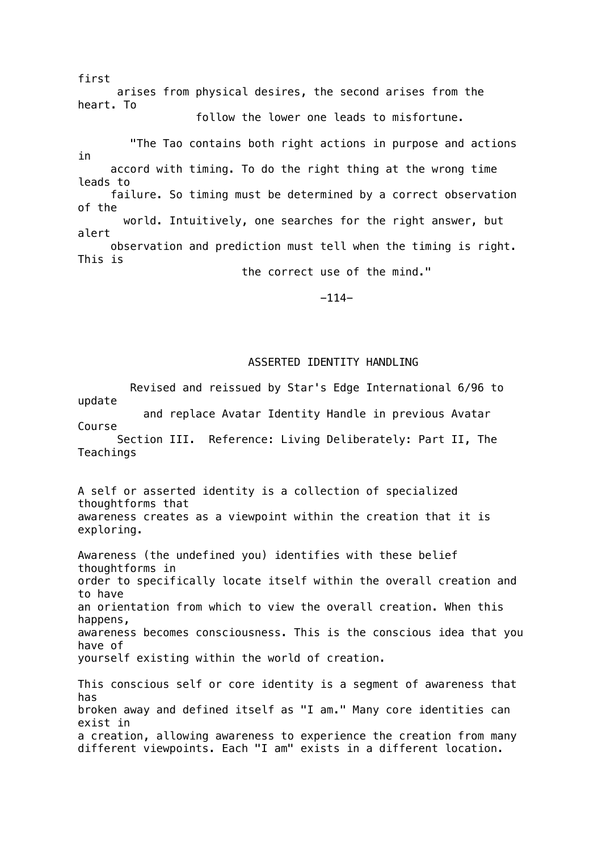first arises from physical desires, the second arises from the heart. To follow the lower one leads to misfortune.

 "The Tao contains both right actions in purpose and actions in accord with timing. To do the right thing at the wrong time leads to failure. So timing must be determined by a correct observation of the world. Intuitively, one searches for the right answer, but alert observation and prediction must tell when the timing is right. This is the correct use of the mind."

-114-

# ASSERTED IDENTITY HANDLING

 Revised and reissued by Star's Edge International 6/96 to update and replace Avatar Identity Handle in previous Avatar Course Section III. Reference: Living Deliberately: Part II, The **Teachings** A self or asserted identity is a collection of specialized thoughtforms that awareness creates as a viewpoint within the creation that it is exploring. Awareness (the undefined you) identifies with these belief

thoughtforms in order to specifically locate itself within the overall creation and to have an orientation from which to view the overall creation. When this happens, awareness becomes consciousness. This is the conscious idea that you have of yourself existing within the world of creation.

This conscious self or core identity is a segment of awareness that has broken away and defined itself as "I am." Many core identities can exist in a creation, allowing awareness to experience the creation from many different viewpoints. Each "I am" exists in a different location.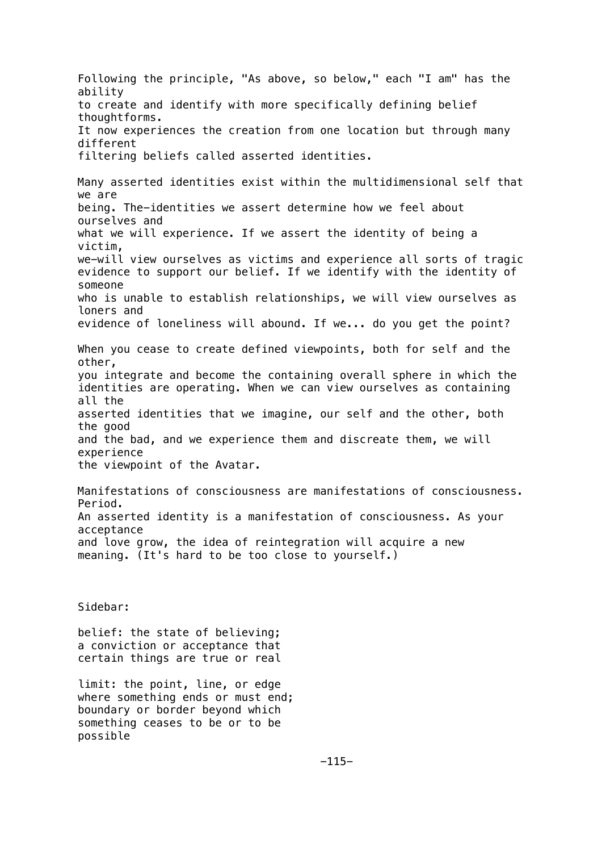Following the principle, "As above, so below," each "I am" has the ability to create and identify with more specifically defining belief thoughtforms. It now experiences the creation from one location but through many different filtering beliefs called asserted identities. Many asserted identities exist within the multidimensional self that we are being. The-identities we assert determine how we feel about ourselves and what we will experience. If we assert the identity of being a victim, we-will view ourselves as victims and experience all sorts of tragic evidence to support our belief. If we identify with the identity of someone who is unable to establish relationships, we will view ourselves as loners and evidence of loneliness will abound. If we... do you get the point? When you cease to create defined viewpoints, both for self and the other, you integrate and become the containing overall sphere in which the identities are operating. When we can view ourselves as containing all the asserted identities that we imagine, our self and the other, both the good and the bad, and we experience them and discreate them, we will experience the viewpoint of the Avatar. Manifestations of consciousness are manifestations of consciousness. Period. An asserted identity is a manifestation of consciousness. As your acceptance and love grow, the idea of reintegration will acquire a new meaning. (It's hard to be too close to yourself.) Sidebar: belief: the state of believing; a conviction or acceptance that certain things are true or real limit: the point, line, or edge where something ends or must end; boundary or border beyond which something ceases to be or to be

possible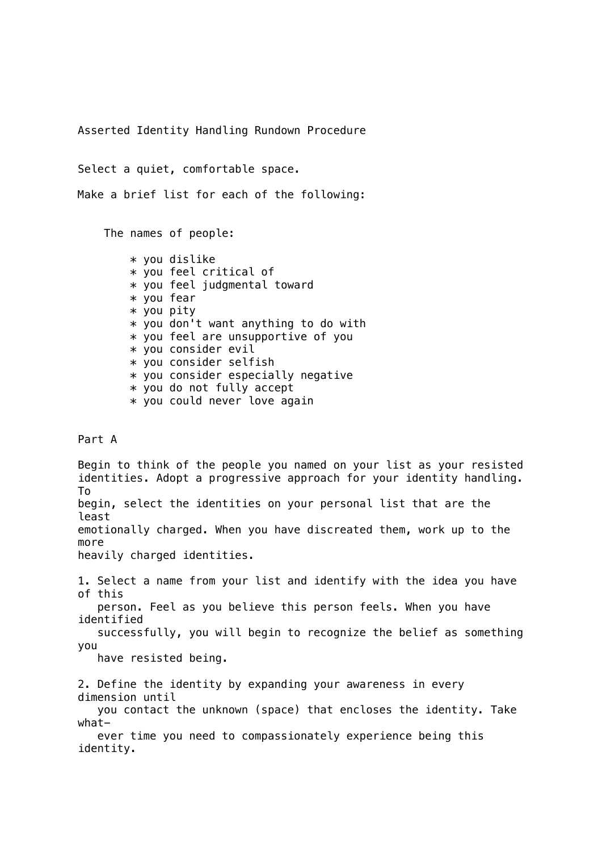Asserted Identity Handling Rundown Procedure

Select a quiet, comfortable space.

Make a brief list for each of the following:

The names of people:

 \* you dislike \* you feel critical of \* you feel judgmental toward \* you fear \* you pity \* you don't want anything to do with \* you feel are unsupportive of you \* you consider evil \* you consider selfish \* you consider especially negative \* you do not fully accept \* you could never love again

## Part A

Begin to think of the people you named on your list as your resisted identities. Adopt a progressive approach for your identity handling. To begin, select the identities on your personal list that are the least emotionally charged. When you have discreated them, work up to the more heavily charged identities. 1. Select a name from your list and identify with the idea you have of this person. Feel as you believe this person feels. When you have identified successfully, you will begin to recognize the belief as something you have resisted being. 2. Define the identity by expanding your awareness in every dimension until you contact the unknown (space) that encloses the identity. Take what ever time you need to compassionately experience being this identity.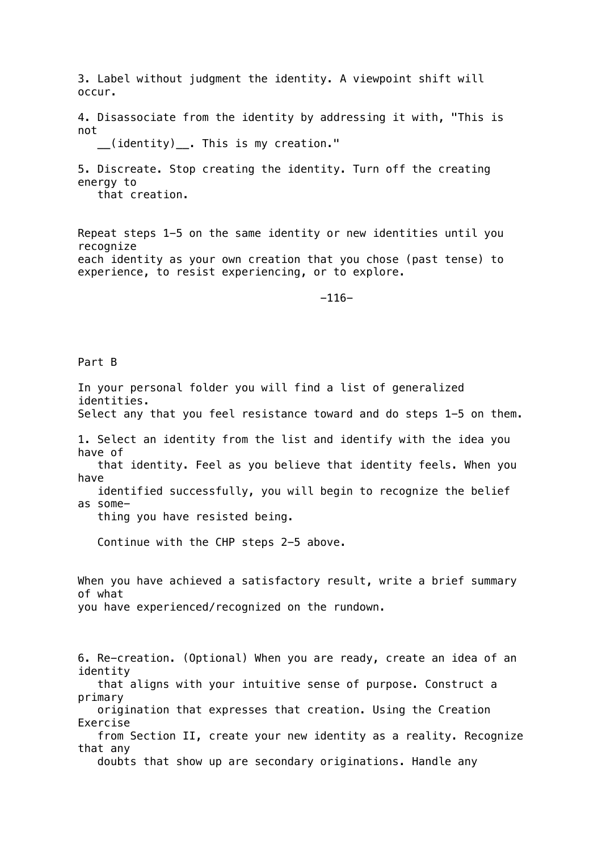3. Label without judgment the identity. A viewpoint shift will occur.

4. Disassociate from the identity by addressing it with, "This is not

\_\_(identity)\_\_. This is my creation."

5. Discreate. Stop creating the identity. Turn off the creating energy to

that creation.

Repeat steps 1-5 on the same identity or new identities until you recognize each identity as your own creation that you chose (past tense) to experience, to resist experiencing, or to explore.

-116-

Part B

In your personal folder you will find a list of generalized identities. Select any that you feel resistance toward and do steps 1-5 on them. 1. Select an identity from the list and identify with the idea you have of that identity. Feel as you believe that identity feels. When you have identified successfully, you will begin to recognize the belief as some thing you have resisted being. Continue with the CHP steps 2-5 above. When you have achieved a satisfactory result, write a brief summary of what you have experienced/recognized on the rundown. 6. Re-creation. (Optional) When you are ready, create an idea of an identity that aligns with your intuitive sense of purpose. Construct a primary origination that expresses that creation. Using the Creation Exercise from Section II, create your new identity as a reality. Recognize that any doubts that show up are secondary originations. Handle any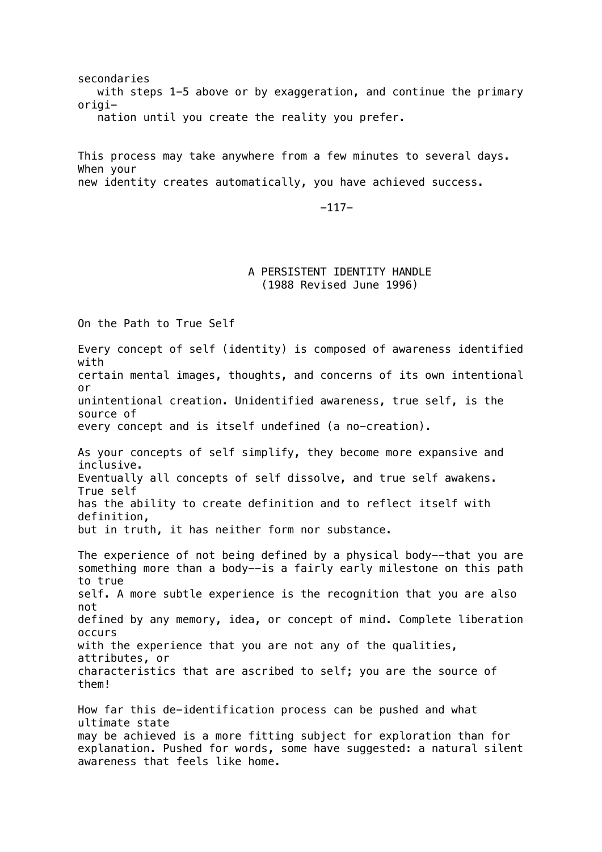secondaries with steps 1-5 above or by exaggeration, and continue the primary origi nation until you create the reality you prefer.

This process may take anywhere from a few minutes to several days. When your new identity creates automatically, you have achieved success.

-117-

## A PERSISTENT IDENTITY HANDLE (1988 Revised June 1996)

On the Path to True Self

Every concept of self (identity) is composed of awareness identified with certain mental images, thoughts, and concerns of its own intentional or unintentional creation. Unidentified awareness, true self, is the source of every concept and is itself undefined (a no-creation). As your concepts of self simplify, they become more expansive and inclusive. Eventually all concepts of self dissolve, and true self awakens. True self has the ability to create definition and to reflect itself with definition, but in truth, it has neither form nor substance. The experience of not being defined by a physical body--that you are something more than a body--is a fairly early milestone on this path to true self. A more subtle experience is the recognition that you are also not defined by any memory, idea, or concept of mind. Complete liberation occurs with the experience that you are not any of the qualities, attributes, or characteristics that are ascribed to self; you are the source of them! How far this de-identification process can be pushed and what ultimate state may be achieved is a more fitting subject for exploration than for explanation. Pushed for words, some have suggested: a natural silent awareness that feels like home.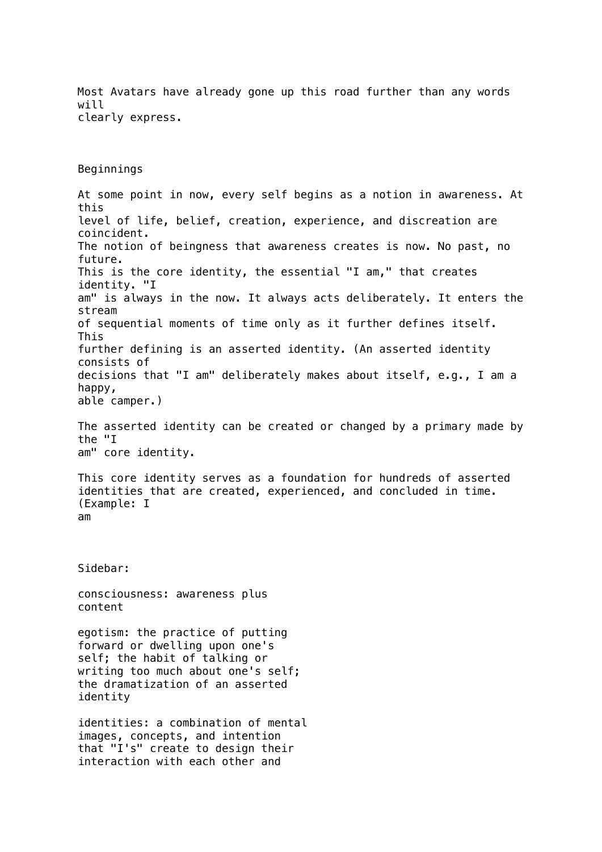Most Avatars have already gone up this road further than any words will clearly express.

Beginnings

At some point in now, every self begins as a notion in awareness. At this level of life, belief, creation, experience, and discreation are coincident. The notion of beingness that awareness creates is now. No past, no future. This is the core identity, the essential "I am," that creates identity. "I am" is always in the now. It always acts deliberately. It enters the stream of sequential moments of time only as it further defines itself. This further defining is an asserted identity. (An asserted identity consists of decisions that "I am" deliberately makes about itself, e.g., I am a happy, able camper.)

The asserted identity can be created or changed by a primary made by the "I am" core identity.

This core identity serves as a foundation for hundreds of asserted identities that are created, experienced, and concluded in time. (Example: I am

Sidebar:

consciousness: awareness plus content

egotism: the practice of putting forward or dwelling upon one's self; the habit of talking or writing too much about one's self; the dramatization of an asserted identity

identities: a combination of mental images, concepts, and intention that "I's" create to design their interaction with each other and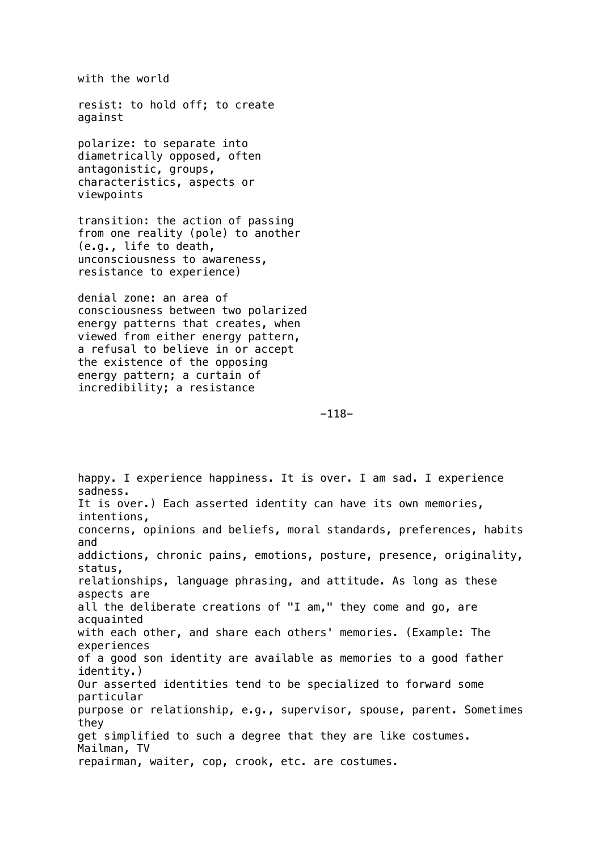with the world

resist: to hold off; to create against

polarize: to separate into diametrically opposed, often antagonistic, groups, characteristics, aspects or viewpoints

transition: the action of passing from one reality (pole) to another (e.g., life to death, unconsciousness to awareness, resistance to experience)

denial zone: an area of consciousness between two polarized energy patterns that creates, when viewed from either energy pattern, a refusal to believe in or accept the existence of the opposing energy pattern; a curtain of incredibility; a resistance

-118-

happy. I experience happiness. It is over. I am sad. I experience sadness. It is over.) Each asserted identity can have its own memories, intentions, concerns, opinions and beliefs, moral standards, preferences, habits and addictions, chronic pains, emotions, posture, presence, originality, status, relationships, language phrasing, and attitude. As long as these aspects are all the deliberate creations of "I am," they come and go, are acquainted with each other, and share each others' memories. (Example: The experiences of a good son identity are available as memories to a good father identity.) Our asserted identities tend to be specialized to forward some particular purpose or relationship, e.g., supervisor, spouse, parent. Sometimes they get simplified to such a degree that they are like costumes. Mailman, TV repairman, waiter, cop, crook, etc. are costumes.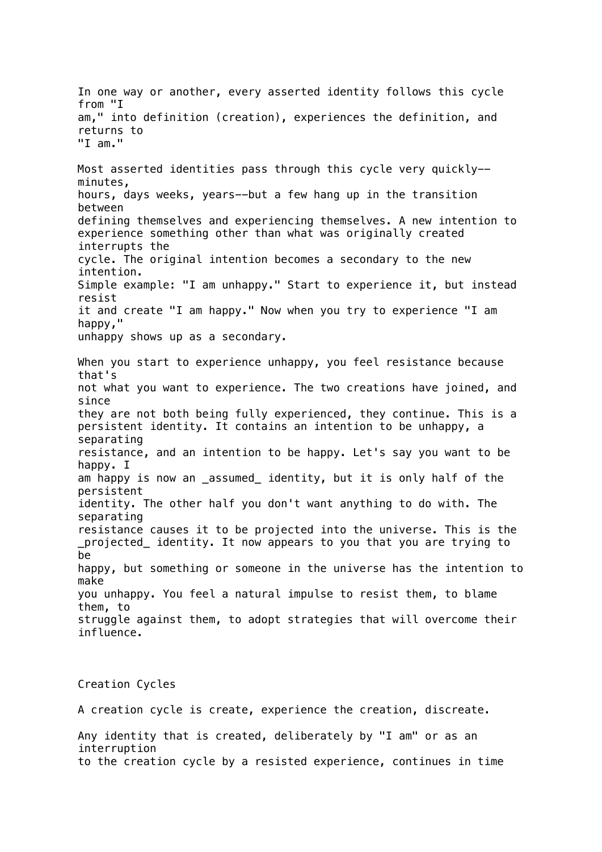In one way or another, every asserted identity follows this cycle from "I am," into definition (creation), experiences the definition, and returns to "I am." Most asserted identities pass through this cycle very quickly- minutes, hours, days weeks, years--but a few hang up in the transition between defining themselves and experiencing themselves. A new intention to experience something other than what was originally created interrupts the cycle. The original intention becomes a secondary to the new intention. Simple example: "I am unhappy." Start to experience it, but instead resist it and create "I am happy." Now when you try to experience "I am happy," unhappy shows up as a secondary. When you start to experience unhappy, you feel resistance because that's not what you want to experience. The two creations have joined, and since they are not both being fully experienced, they continue. This is a persistent identity. It contains an intention to be unhappy, a separating resistance, and an intention to be happy. Let's say you want to be happy. I am happy is now an assumed identity, but it is only half of the persistent identity. The other half you don't want anything to do with. The separating resistance causes it to be projected into the universe. This is the \_projected\_ identity. It now appears to you that you are trying to be happy, but something or someone in the universe has the intention to make you unhappy. You feel a natural impulse to resist them, to blame them, to struggle against them, to adopt strategies that will overcome their influence.

Creation Cycles

A creation cycle is create, experience the creation, discreate.

Any identity that is created, deliberately by "I am" or as an interruption to the creation cycle by a resisted experience, continues in time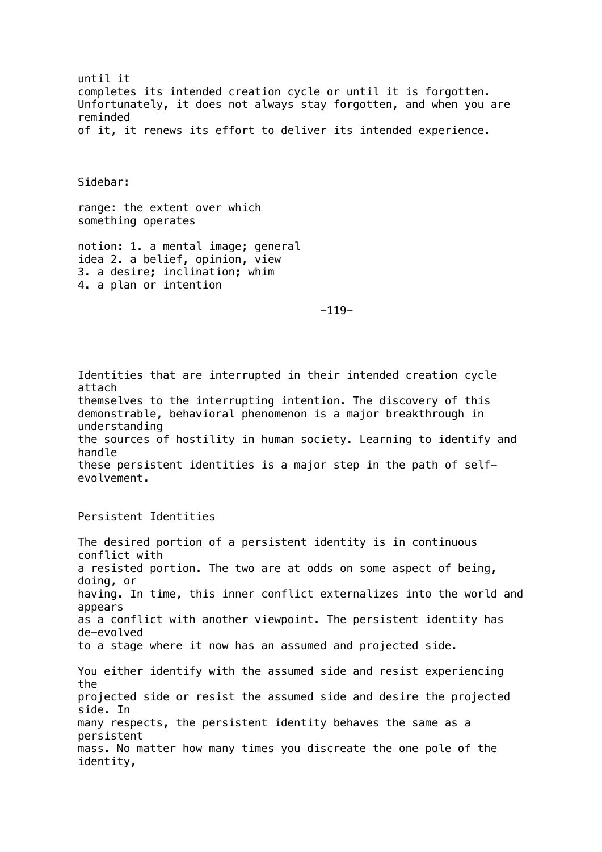until it completes its intended creation cycle or until it is forgotten. Unfortunately, it does not always stay forgotten, and when you are reminded of it, it renews its effort to deliver its intended experience.

Sidebar:

range: the extent over which something operates

notion: 1. a mental image; general idea 2. a belief, opinion, view 3. a desire; inclination; whim 4. a plan or intention

-119-

Identities that are interrupted in their intended creation cycle attach themselves to the interrupting intention. The discovery of this demonstrable, behavioral phenomenon is a major breakthrough in understanding the sources of hostility in human society. Learning to identify and handle these persistent identities is a major step in the path of selfevolvement.

Persistent Identities

The desired portion of a persistent identity is in continuous conflict with a resisted portion. The two are at odds on some aspect of being, doing, or having. In time, this inner conflict externalizes into the world and appears as a conflict with another viewpoint. The persistent identity has de-evolved to a stage where it now has an assumed and projected side. You either identify with the assumed side and resist experiencing the projected side or resist the assumed side and desire the projected side. In many respects, the persistent identity behaves the same as a persistent mass. No matter how many times you discreate the one pole of the identity,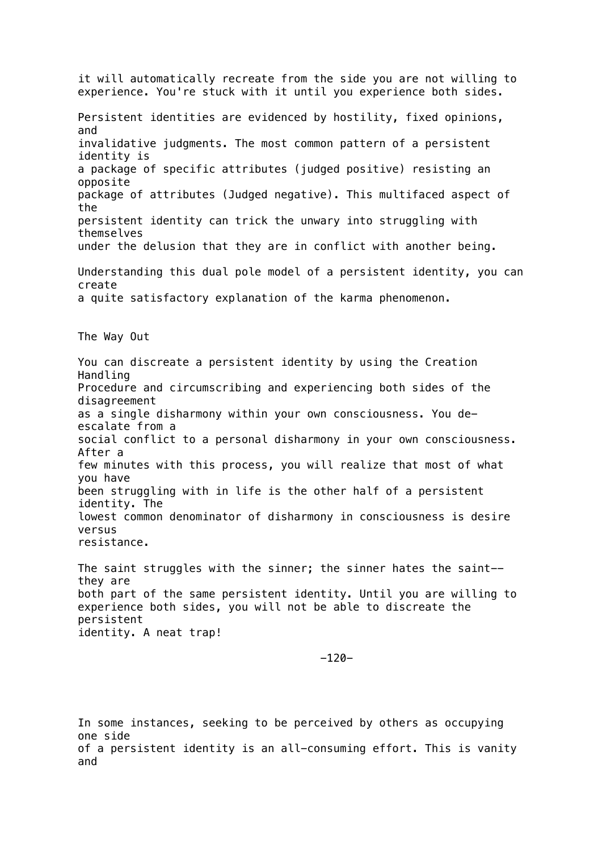it will automatically recreate from the side you are not willing to experience. You're stuck with it until you experience both sides. Persistent identities are evidenced by hostility, fixed opinions, and invalidative judgments. The most common pattern of a persistent identity is a package of specific attributes (judged positive) resisting an opposite package of attributes (Judged negative). This multifaced aspect of the persistent identity can trick the unwary into struggling with themselves under the delusion that they are in conflict with another being. Understanding this dual pole model of a persistent identity, you can create a quite satisfactory explanation of the karma phenomenon. The Way Out You can discreate a persistent identity by using the Creation Handling Procedure and circumscribing and experiencing both sides of the disagreement as a single disharmony within your own consciousness. You deescalate from a social conflict to a personal disharmony in your own consciousness. After a few minutes with this process, you will realize that most of what you have been struggling with in life is the other half of a persistent identity. The lowest common denominator of disharmony in consciousness is desire versus resistance. The saint struggles with the sinner; the sinner hates the saint- they are both part of the same persistent identity. Until you are willing to experience both sides, you will not be able to discreate the persistent identity. A neat trap!

-120-

In some instances, seeking to be perceived by others as occupying one side of a persistent identity is an all-consuming effort. This is vanity and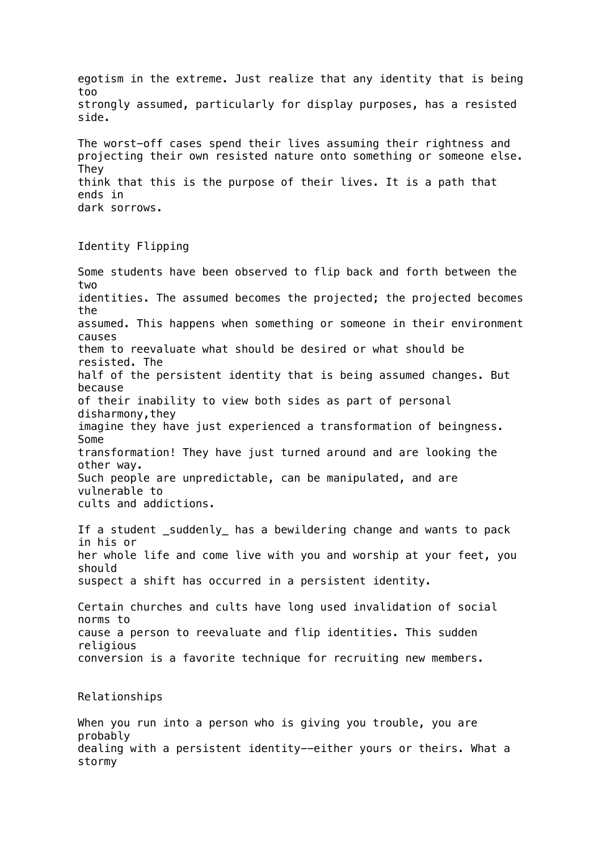egotism in the extreme. Just realize that any identity that is being too strongly assumed, particularly for display purposes, has a resisted side. The worst-off cases spend their lives assuming their rightness and projecting their own resisted nature onto something or someone else. They think that this is the purpose of their lives. It is a path that ends in

```
Identity Flipping
```
Some students have been observed to flip back and forth between the two identities. The assumed becomes the projected; the projected becomes the assumed. This happens when something or someone in their environment causes them to reevaluate what should be desired or what should be resisted. The half of the persistent identity that is being assumed changes. But because of their inability to view both sides as part of personal disharmony,they imagine they have just experienced a transformation of beingness. Some transformation! They have just turned around and are looking the other way. Such people are unpredictable, can be manipulated, and are vulnerable to cults and addictions.

If a student \_suddenly\_ has a bewildering change and wants to pack in his or her whole life and come live with you and worship at your feet, you should suspect a shift has occurred in a persistent identity.

Certain churches and cults have long used invalidation of social norms to cause a person to reevaluate and flip identities. This sudden religious conversion is a favorite technique for recruiting new members.

Relationships

When you run into a person who is giving you trouble, you are probably dealing with a persistent identity--either yours or theirs. What a stormy

dark sorrows.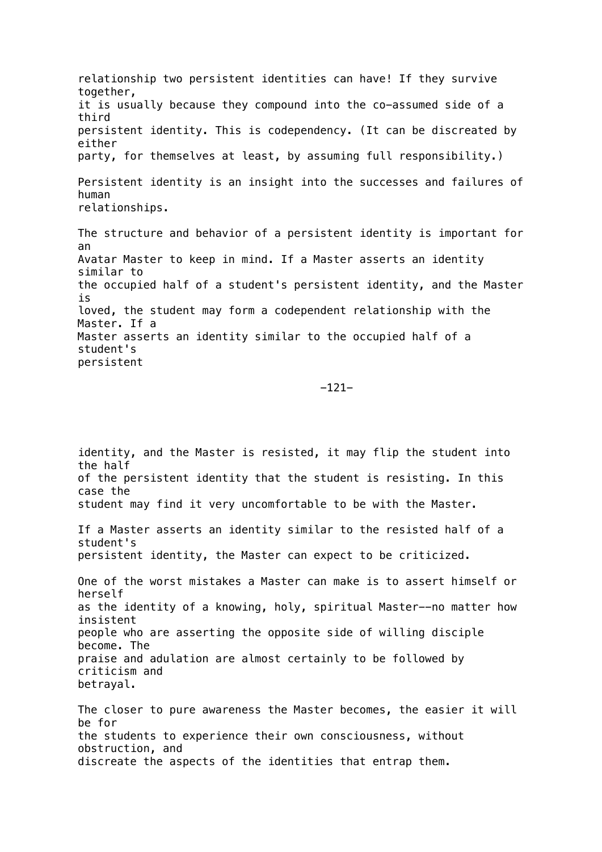relationship two persistent identities can have! If they survive together, it is usually because they compound into the co-assumed side of a third persistent identity. This is codependency. (It can be discreated by either party, for themselves at least, by assuming full responsibility.) Persistent identity is an insight into the successes and failures of human relationships.

The structure and behavior of a persistent identity is important for an Avatar Master to keep in mind. If a Master asserts an identity similar to the occupied half of a student's persistent identity, and the Master is loved, the student may form a codependent relationship with the Master. If a Master asserts an identity similar to the occupied half of a student's persistent

-121-

identity, and the Master is resisted, it may flip the student into the half of the persistent identity that the student is resisting. In this case the student may find it very uncomfortable to be with the Master. If a Master asserts an identity similar to the resisted half of a student's persistent identity, the Master can expect to be criticized. One of the worst mistakes a Master can make is to assert himself or herself as the identity of a knowing, holy, spiritual Master--no matter how insistent people who are asserting the opposite side of willing disciple become. The praise and adulation are almost certainly to be followed by criticism and betrayal. The closer to pure awareness the Master becomes, the easier it will be for the students to experience their own consciousness, without obstruction, and discreate the aspects of the identities that entrap them.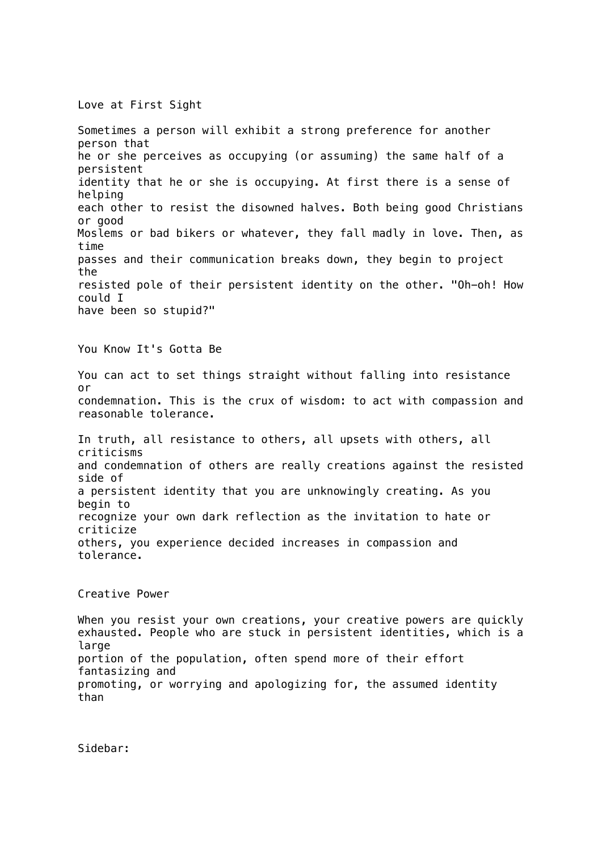Love at First Sight

Sometimes a person will exhibit a strong preference for another person that he or she perceives as occupying (or assuming) the same half of a persistent identity that he or she is occupying. At first there is a sense of helping each other to resist the disowned halves. Both being good Christians or good Moslems or bad bikers or whatever, they fall madly in love. Then, as time passes and their communication breaks down, they begin to project the resisted pole of their persistent identity on the other. "Oh-oh! How could I have been so stupid?"

You Know It's Gotta Be

You can act to set things straight without falling into resistance or condemnation. This is the crux of wisdom: to act with compassion and reasonable tolerance.

In truth, all resistance to others, all upsets with others, all criticisms and condemnation of others are really creations against the resisted side of a persistent identity that you are unknowingly creating. As you begin to recognize your own dark reflection as the invitation to hate or criticize others, you experience decided increases in compassion and tolerance.

## Creative Power

When you resist your own creations, your creative powers are quickly exhausted. People who are stuck in persistent identities, which is a large portion of the population, often spend more of their effort fantasizing and promoting, or worrying and apologizing for, the assumed identity than

Sidebar: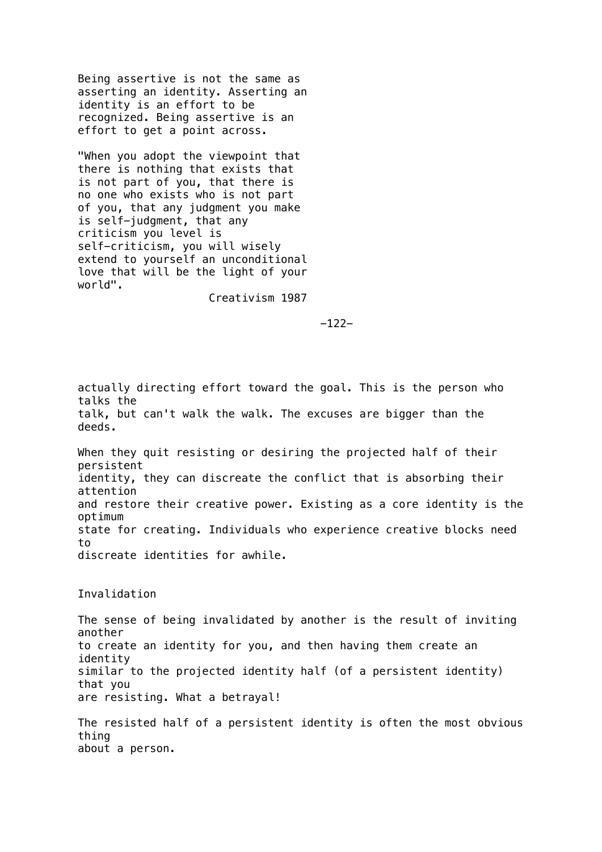Being assertive is not the same as asserting an identity. Asserting an identity is an effort to be recognized. Being assertive is an effort to get a point across.

"When you adopt the viewpoint that there is nothing that exists that is not part of you, that there is no one who exists who is not part of you, that any judgment you make is self-judgment, that any criticism you level is self-criticism, you will wisely extend to yourself an unconditional love that will be the light of your world".

Creativism 1987

-122-

actually directing effort toward the goal. This is the person who talks the talk, but can't walk the walk. The excuses are bigger than the deeds.

When they quit resisting or desiring the projected half of their persistent identity, they can discreate the conflict that is absorbing their attention and restore their creative power. Existing as a core identity is the optimum state for creating. Individuals who experience creative blocks need  $t_0$ discreate identities for awhile.

Invalidation

The sense of being invalidated by another is the result of inviting another to create an identity for you, and then having them create an identity similar to the projected identity half (of a persistent identity) that you are resisting. What a betrayal!

The resisted half of a persistent identity is often the most obvious thing about a person.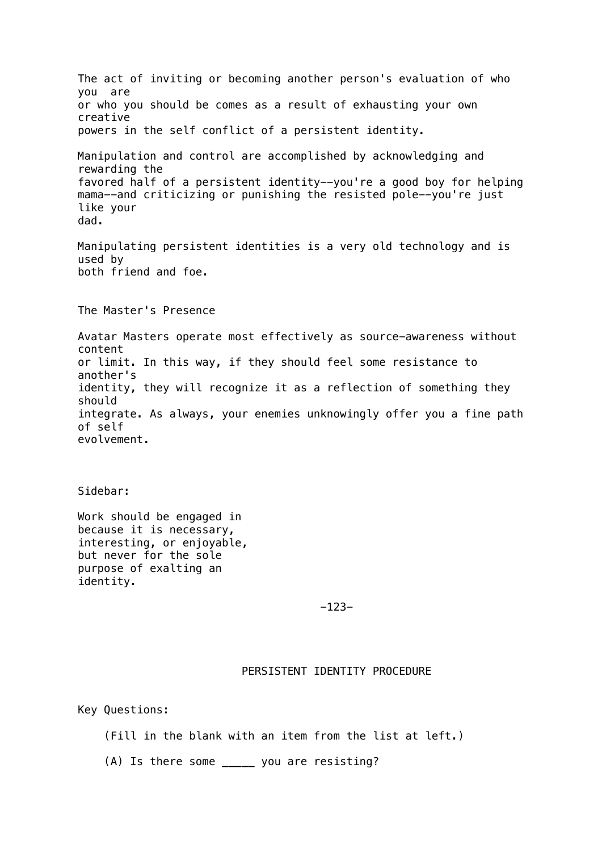The act of inviting or becoming another person's evaluation of who you are or who you should be comes as a result of exhausting your own creative powers in the self conflict of a persistent identity. Manipulation and control are accomplished by acknowledging and rewarding the favored half of a persistent identity--you're a good boy for helping mama--and criticizing or punishing the resisted pole--you're just like your dad. Manipulating persistent identities is a very old technology and is used by both friend and foe. The Master's Presence Avatar Masters operate most effectively as source-awareness without content or limit. In this way, if they should feel some resistance to another's identity, they will recognize it as a reflection of something they should integrate. As always, your enemies unknowingly offer you a fine path of self evolvement.

Sidebar:

Work should be engaged in because it is necessary, interesting, or enjoyable, but never for the sole purpose of exalting an identity.

-123-

# PERSISTENT IDENTITY PROCEDURE

Key Questions:

(Fill in the blank with an item from the list at left.)

(A) Is there some \_\_\_\_\_ you are resisting?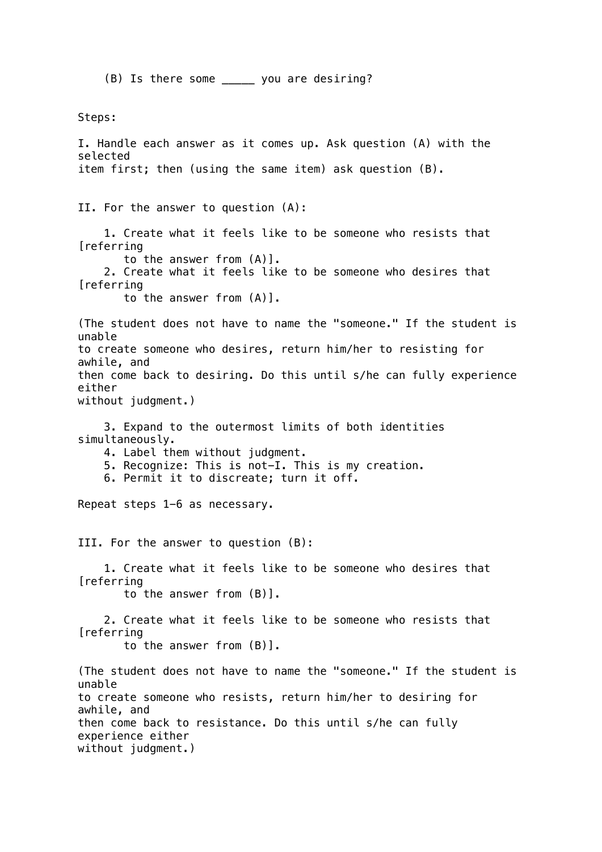(B) Is there some \_\_\_\_\_ you are desiring?

Steps: I. Handle each answer as it comes up. Ask question (A) with the selected item first; then (using the same item) ask question (B). II. For the answer to question (A): 1. Create what it feels like to be someone who resists that [referring to the answer from (A)]. 2. Create what it feels like to be someone who desires that [referring to the answer from (A)]. (The student does not have to name the "someone." If the student is unable to create someone who desires, return him/her to resisting for awhile, and then come back to desiring. Do this until s/he can fully experience either without judgment.) 3. Expand to the outermost limits of both identities simultaneously. 4. Label them without judgment. 5. Recognize: This is not-I. This is my creation. 6. Permit it to discreate; turn it off. Repeat steps 1-6 as necessary. III. For the answer to question (B): 1. Create what it feels like to be someone who desires that [referring to the answer from (B)]. 2. Create what it feels like to be someone who resists that **[referring**  to the answer from (B)]. (The student does not have to name the "someone." If the student is unable to create someone who resists, return him/her to desiring for awhile, and then come back to resistance. Do this until s/he can fully experience either without judgment.)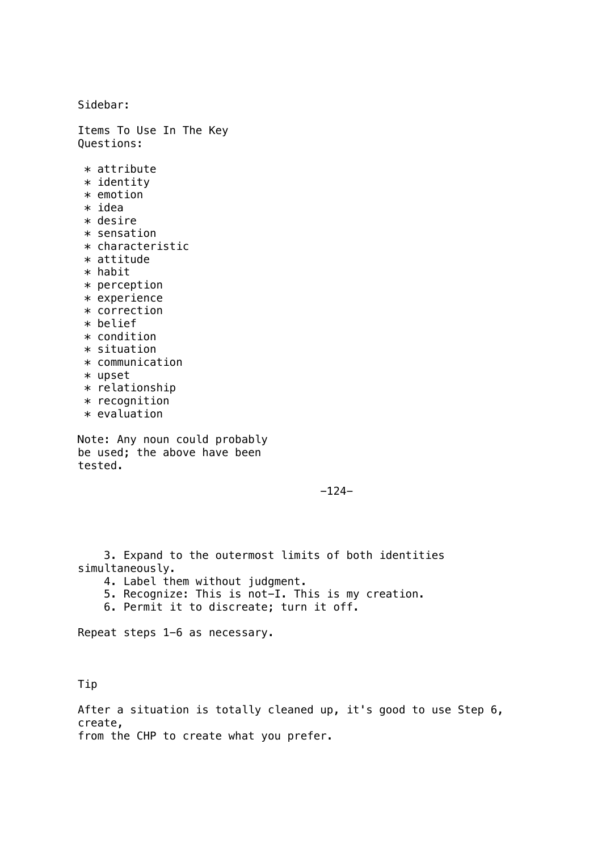Sidebar:

Items To Use In The Key Questions:

- $*$  attribute
- \* identity \* emotion
- $*$  idea
- $*$  desire
- \* sensation
- $*$  characteristic
- \* attitude
- $*$  habit
- \* perception
- \* experience
- \* correction
- \* belief
- \* condition
- \* situation
- \* communication
- \* upset
- \* relationship
- \* recognition
- \* evaluation

Note: Any noun could probably be used; the above have been tested.

 $-124-$ 

 3. Expand to the outermost limits of both identities simultaneously.

- 4. Label them without judgment.
- 5. Recognize: This is not-I. This is my creation.
- 6. Permit it to discreate; turn it off.

Repeat steps 1-6 as necessary.

Tip

After a situation is totally cleaned up, it's good to use Step 6, create, from the CHP to create what you prefer.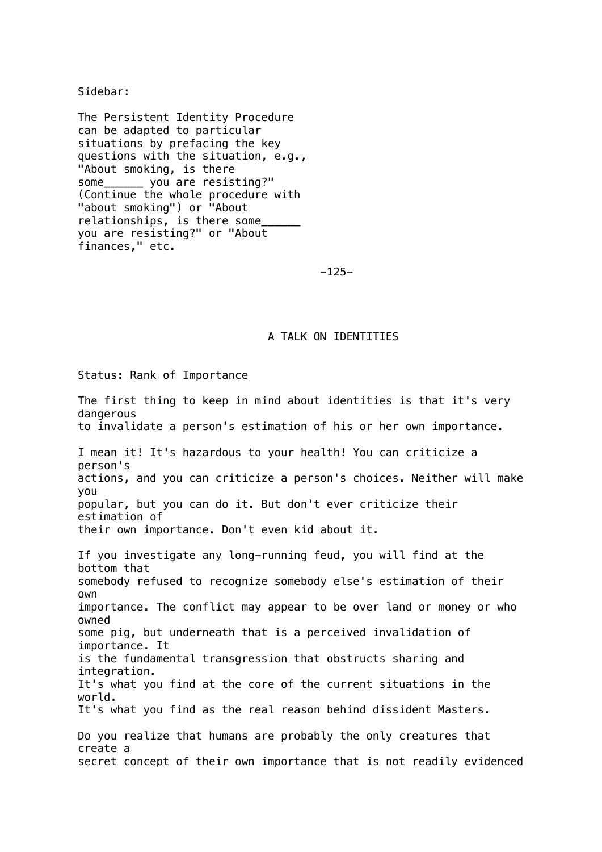Sidebar:

The Persistent Identity Procedure can be adapted to particular situations by prefacing the key questions with the situation, e.g., "About smoking, is there some\_\_\_\_\_\_ you are resisting?" (Continue the whole procedure with "about smoking") or "About relationships, is there some\_\_\_\_\_\_ you are resisting?" or "About finances," etc.

#### -125-

## A TALK ON IDENTITIES

Status: Rank of Importance

The first thing to keep in mind about identities is that it's very dangerous to invalidate a person's estimation of his or her own importance. I mean it! It's hazardous to your health! You can criticize a person's actions, and you can criticize a person's choices. Neither will make you popular, but you can do it. But don't ever criticize their estimation of their own importance. Don't even kid about it. If you investigate any long-running feud, you will find at the bottom that somebody refused to recognize somebody else's estimation of their own importance. The conflict may appear to be over land or money or who owned some pig, but underneath that is a perceived invalidation of importance. It is the fundamental transgression that obstructs sharing and integration. It's what you find at the core of the current situations in the world. It's what you find as the real reason behind dissident Masters. Do you realize that humans are probably the only creatures that create a secret concept of their own importance that is not readily evidenced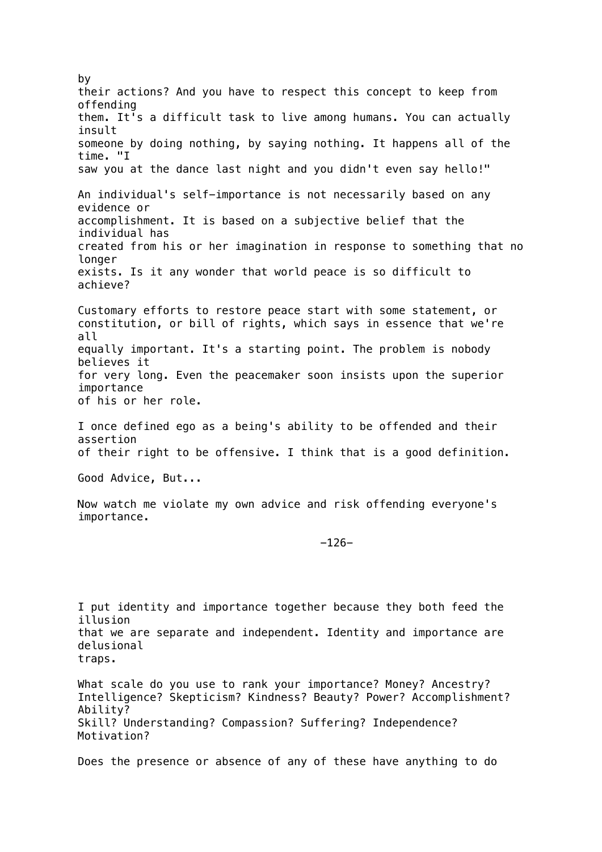by their actions? And you have to respect this concept to keep from offending them. It's a difficult task to live among humans. You can actually insult someone by doing nothing, by saying nothing. It happens all of the time. "I saw you at the dance last night and you didn't even say hello!" An individual's self-importance is not necessarily based on any evidence or accomplishment. It is based on a subjective belief that the individual has created from his or her imagination in response to something that no longer exists. Is it any wonder that world peace is so difficult to achieve? Customary efforts to restore peace start with some statement, or constitution, or bill of rights, which says in essence that we're all equally important. It's a starting point. The problem is nobody believes it for very long. Even the peacemaker soon insists upon the superior importance of his or her role. I once defined ego as a being's ability to be offended and their assertion of their right to be offensive. I think that is a good definition. Good Advice, But... Now watch me violate my own advice and risk offending everyone's importance. -126- I put identity and importance together because they both feed the illusion that we are separate and independent. Identity and importance are delusional traps. What scale do you use to rank your importance? Money? Ancestry? Intelligence? Skepticism? Kindness? Beauty? Power? Accomplishment? Ability? Skill? Understanding? Compassion? Suffering? Independence? Motivation? Does the presence or absence of any of these have anything to do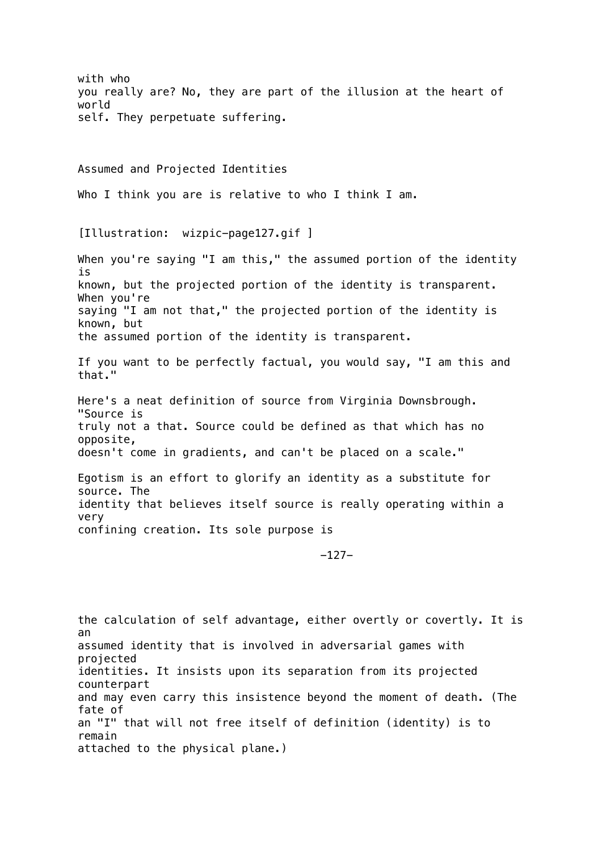with who you really are? No, they are part of the illusion at the heart of world self. They perpetuate suffering. Assumed and Projected Identities Who I think you are is relative to who I think I am. [Illustration: wizpic-page127.gif ] When you're saying "I am this," the assumed portion of the identity is known, but the projected portion of the identity is transparent. When you're saying "I am not that," the projected portion of the identity is known, but the assumed portion of the identity is transparent. If you want to be perfectly factual, you would say, "I am this and that." Here's a neat definition of source from Virginia Downsbrough. "Source is truly not a that. Source could be defined as that which has no opposite, doesn't come in gradients, and can't be placed on a scale." Egotism is an effort to glorify an identity as a substitute for source. The identity that believes itself source is really operating within a very confining creation. Its sole purpose is -127 the calculation of self advantage, either overtly or covertly. It is an assumed identity that is involved in adversarial games with projected identities. It insists upon its separation from its projected counterpart and may even carry this insistence beyond the moment of death. (The fate of an "I" that will not free itself of definition (identity) is to remain attached to the physical plane.)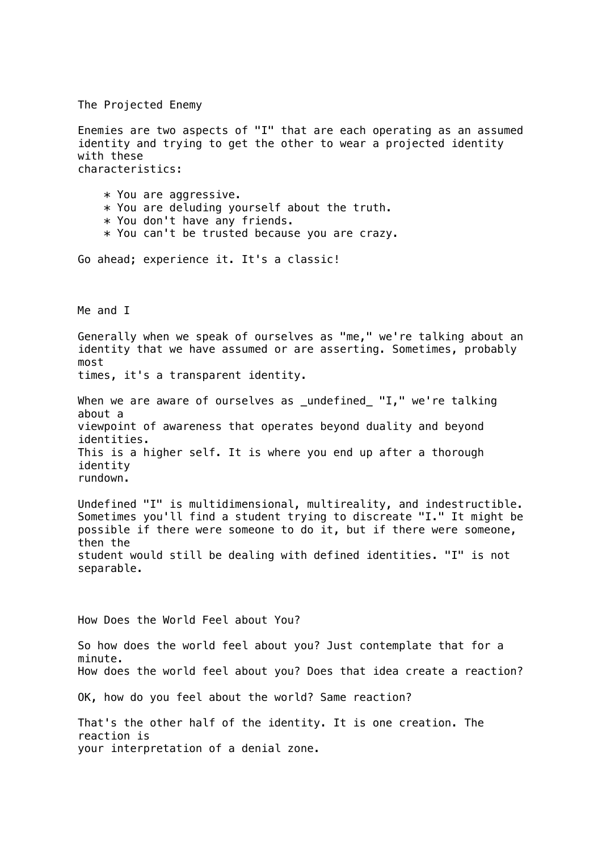The Projected Enemy

Enemies are two aspects of "I" that are each operating as an assumed identity and trying to get the other to wear a projected identity with these characteristics: \* You are aggressive. \* You are deluding yourself about the truth. \* You don't have any friends. \* You can't be trusted because you are crazy. Go ahead; experience it. It's a classic! Me and I Generally when we speak of ourselves as "me," we're talking about an identity that we have assumed or are asserting. Sometimes, probably most times, it's a transparent identity. When we are aware of ourselves as \_undefined\_ "I," we're talking about a viewpoint of awareness that operates beyond duality and beyond identities. This is a higher self. It is where you end up after a thorough identity rundown. Undefined "I" is multidimensional, multireality, and indestructible. Sometimes you'll find a student trying to discreate "I." It might be possible if there were someone to do it, but if there were someone, then the student would still be dealing with defined identities. "I" is not separable. How Does the World Feel about You? So how does the world feel about you? Just contemplate that for a minute. How does the world feel about you? Does that idea create a reaction? OK, how do you feel about the world? Same reaction? That's the other half of the identity. It is one creation. The reaction is

your interpretation of a denial zone.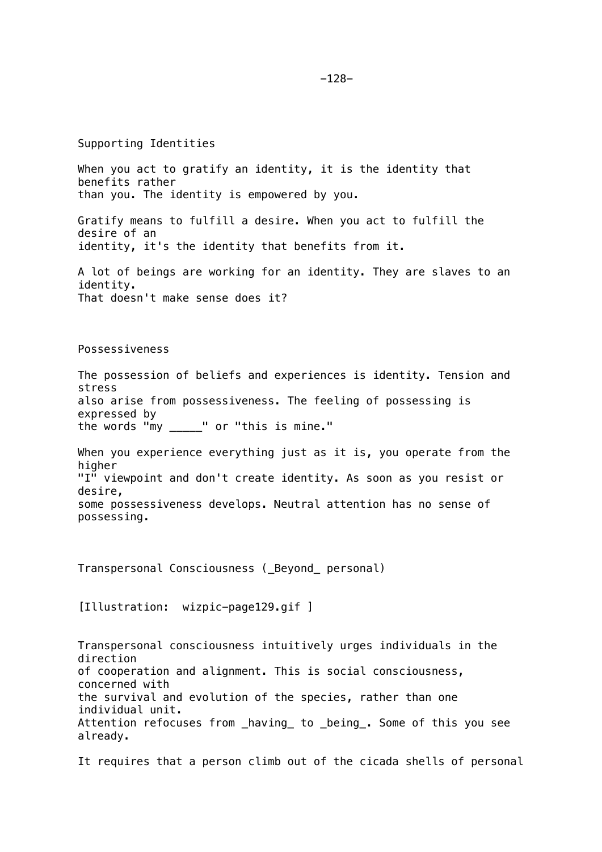Supporting Identities

When you act to gratify an identity, it is the identity that benefits rather than you. The identity is empowered by you. Gratify means to fulfill a desire. When you act to fulfill the desire of an identity, it's the identity that benefits from it. A lot of beings are working for an identity. They are slaves to an identity. That doesn't make sense does it? Possessiveness The possession of beliefs and experiences is identity. Tension and stress also arise from possessiveness. The feeling of possessing is expressed by the words "my \_\_\_\_\_" or "this is mine." When you experience everything just as it is, you operate from the higher "I" viewpoint and don't create identity. As soon as you resist or desire,

some possessiveness develops. Neutral attention has no sense of possessing.

Transpersonal Consciousness (\_Beyond\_ personal)

[Illustration: wizpic-page129.gif ]

Transpersonal consciousness intuitively urges individuals in the direction of cooperation and alignment. This is social consciousness, concerned with the survival and evolution of the species, rather than one individual unit. Attention refocuses from having to being . Some of this you see already.

It requires that a person climb out of the cicada shells of personal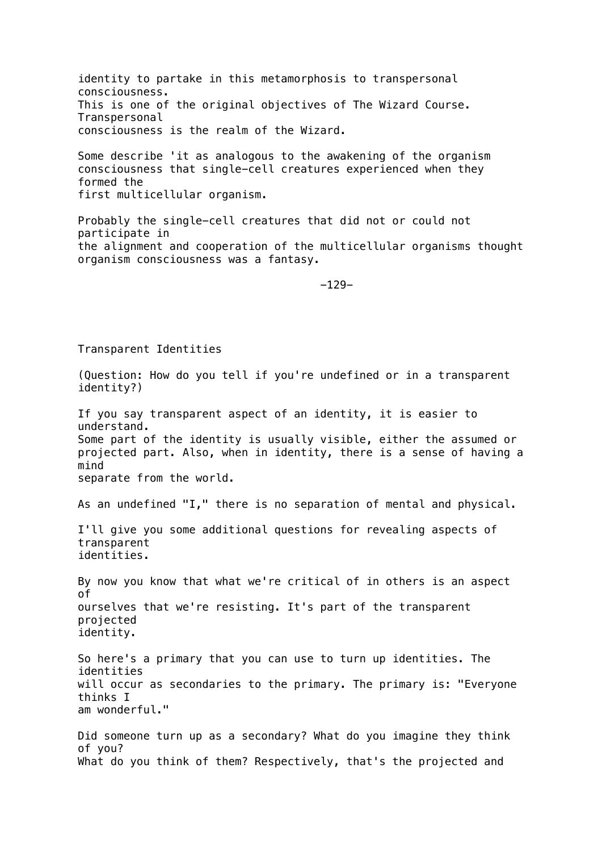identity to partake in this metamorphosis to transpersonal consciousness. This is one of the original objectives of The Wizard Course. Transpersonal consciousness is the realm of the Wizard.

Some describe 'it as analogous to the awakening of the organism consciousness that single-cell creatures experienced when they formed the first multicellular organism.

Probably the single-cell creatures that did not or could not participate in the alignment and cooperation of the multicellular organisms thought organism consciousness was a fantasy.

-129-

Transparent Identities

(Question: How do you tell if you're undefined or in a transparent identity?) If you say transparent aspect of an identity, it is easier to understand. Some part of the identity is usually visible, either the assumed or projected part. Also, when in identity, there is a sense of having a mind separate from the world. As an undefined "I," there is no separation of mental and physical. I'll give you some additional questions for revealing aspects of transparent identities. By now you know that what we're critical of in others is an aspect of ourselves that we're resisting. It's part of the transparent projected identity. So here's a primary that you can use to turn up identities. The identities will occur as secondaries to the primary. The primary is: "Everyone thinks I am wonderful." Did someone turn up as a secondary? What do you imagine they think of you? What do you think of them? Respectively, that's the projected and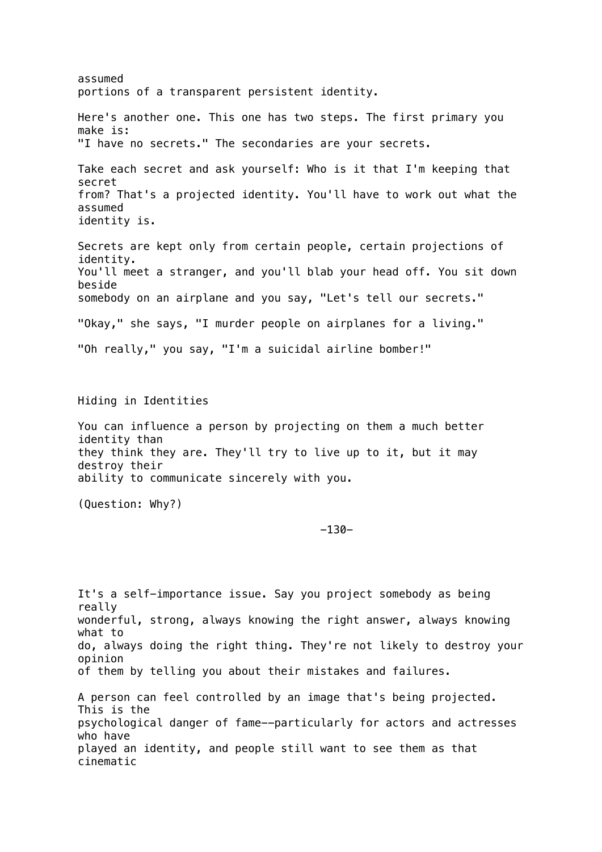assumed portions of a transparent persistent identity. Here's another one. This one has two steps. The first primary you make is: "I have no secrets." The secondaries are your secrets. Take each secret and ask yourself: Who is it that I'm keeping that secret from? That's a projected identity. You'll have to work out what the assumed identity is. Secrets are kept only from certain people, certain projections of identity. You'll meet a stranger, and you'll blab your head off. You sit down beside somebody on an airplane and you say, "Let's tell our secrets." "Okay," she says, "I murder people on airplanes for a living." "Oh really," you say, "I'm a suicidal airline bomber!" Hiding in Identities You can influence a person by projecting on them a much better identity than they think they are. They'll try to live up to it, but it may destroy their ability to communicate sincerely with you. (Question: Why?) -130- It's a self-importance issue. Say you project somebody as being really wonderful, strong, always knowing the right answer, always knowing

do, always doing the right thing. They're not likely to destroy your opinion of them by telling you about their mistakes and failures.

what to

A person can feel controlled by an image that's being projected. This is the psychological danger of fame--particularly for actors and actresses who have played an identity, and people still want to see them as that cinematic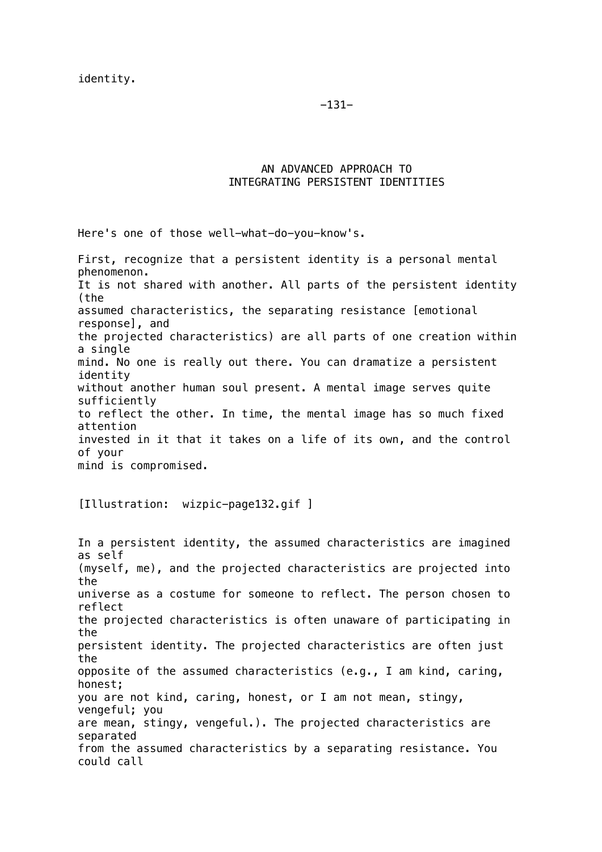-131-

# AN ADVANCED APPROACH TO INTEGRATING PERSISTENT IDENTITIES

Here's one of those well-what-do-you-know's.

First, recognize that a persistent identity is a personal mental phenomenon. It is not shared with another. All parts of the persistent identity (the assumed characteristics, the separating resistance [emotional response], and the projected characteristics) are all parts of one creation within a single mind. No one is really out there. You can dramatize a persistent identity without another human soul present. A mental image serves quite sufficiently to reflect the other. In time, the mental image has so much fixed attention invested in it that it takes on a life of its own, and the control of your mind is compromised.

[Illustration: wizpic-page132.gif ]

In a persistent identity, the assumed characteristics are imagined as self (myself, me), and the projected characteristics are projected into the universe as a costume for someone to reflect. The person chosen to reflect the projected characteristics is often unaware of participating in the persistent identity. The projected characteristics are often just the opposite of the assumed characteristics (e.g., I am kind, caring, honest; you are not kind, caring, honest, or I am not mean, stingy, vengeful; you are mean, stingy, vengeful.). The projected characteristics are separated from the assumed characteristics by a separating resistance. You could call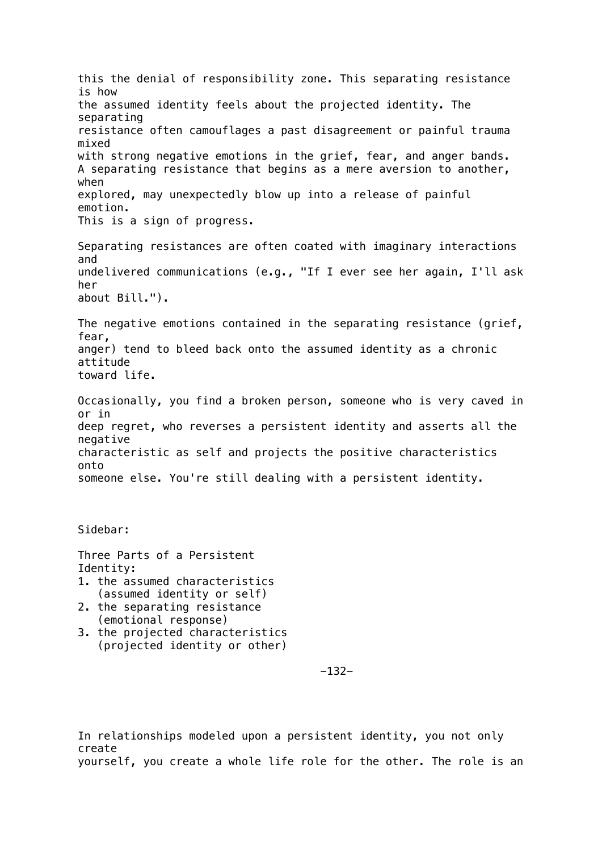this the denial of responsibility zone. This separating resistance is how the assumed identity feels about the projected identity. The separating resistance often camouflages a past disagreement or painful trauma mixed with strong negative emotions in the grief, fear, and anger bands. A separating resistance that begins as a mere aversion to another, when explored, may unexpectedly blow up into a release of painful emotion. This is a sign of progress. Separating resistances are often coated with imaginary interactions and undelivered communications (e.g., "If I ever see her again, I'll ask her about Bill."). The negative emotions contained in the separating resistance (grief, fear, anger) tend to bleed back onto the assumed identity as a chronic attitude toward life. Occasionally, you find a broken person, someone who is very caved in or in deep regret, who reverses a persistent identity and asserts all the negative characteristic as self and projects the positive characteristics onto someone else. You're still dealing with a persistent identity. Sidebar: Three Parts of a Persistent Identity: 1. the assumed characteristics (assumed identity or self) 2. the separating resistance (emotional response)

3. the projected characteristics (projected identity or other)

-132-

In relationships modeled upon a persistent identity, you not only create yourself, you create a whole life role for the other. The role is an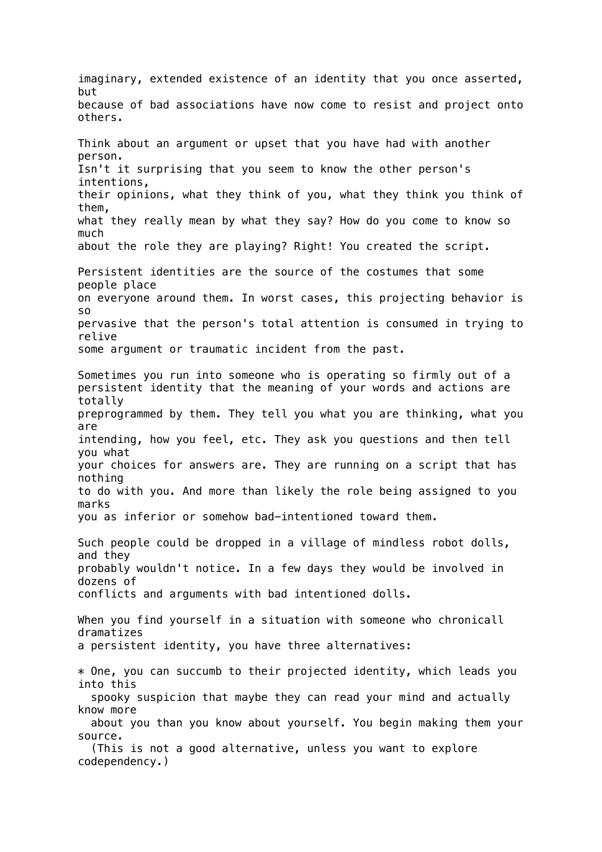imaginary, extended existence of an identity that you once asserted, but because of bad associations have now come to resist and project onto others. Think about an argument or upset that you have had with another person. Isn't it surprising that you seem to know the other person's intentions, their opinions, what they think of you, what they think you think of them, what they really mean by what they say? How do you come to know so much about the role they are playing? Right! You created the script. Persistent identities are the source of the costumes that some people place on everyone around them. In worst cases, this projecting behavior is so pervasive that the person's total attention is consumed in trying to relive some argument or traumatic incident from the past. Sometimes you run into someone who is operating so firmly out of a persistent identity that the meaning of your words and actions are totally preprogrammed by them. They tell you what you are thinking, what you are intending, how you feel, etc. They ask you questions and then tell you what your choices for answers are. They are running on a script that has nothing to do with you. And more than likely the role being assigned to you marks you as inferior or somehow bad-intentioned toward them. Such people could be dropped in a village of mindless robot dolls, and they probably wouldn't notice. In a few days they would be involved in dozens of conflicts and arguments with bad intentioned dolls. When you find yourself in a situation with someone who chronicall dramatizes a persistent identity, you have three alternatives: \* One, you can succumb to their projected identity, which leads you into this spooky suspicion that maybe they can read your mind and actually know more about you than you know about yourself. You begin making them your source. (This is not a good alternative, unless you want to explore codependency.)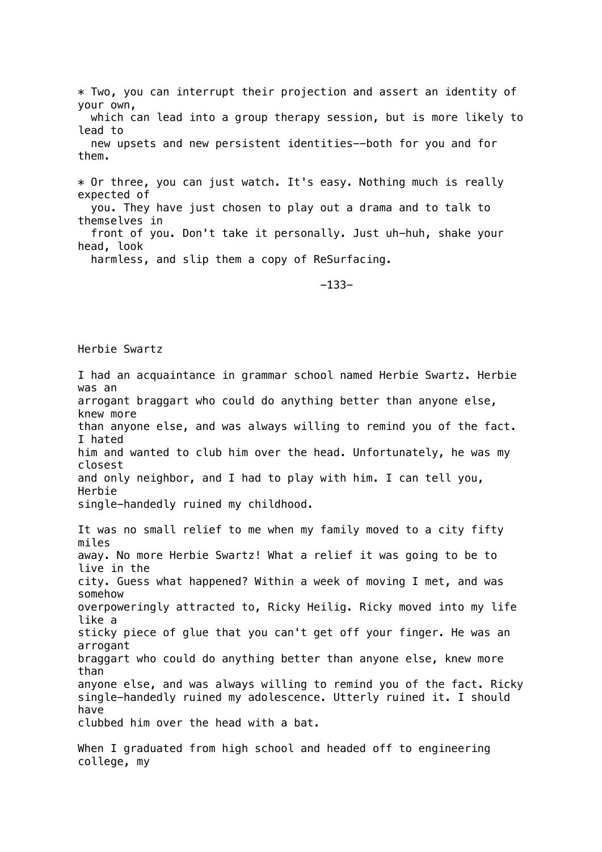\* Two, you can interrupt their projection and assert an identity of your own, which can lead into a group therapy session, but is more likely to lead to new upsets and new persistent identities--both for you and for them. \* Or three, you can just watch. It's easy. Nothing much is really expected of you. They have just chosen to play out a drama and to talk to themselves in front of you. Don't take it personally. Just uh-huh, shake your

head, look harmless, and slip them a copy of ReSurfacing.

-133-

## Herbie Swartz

I had an acquaintance in grammar school named Herbie Swartz. Herbie was an arrogant braggart who could do anything better than anyone else, knew more than anyone else, and was always willing to remind you of the fact. I hated him and wanted to club him over the head. Unfortunately, he was my closest and only neighbor, and I had to play with him. I can tell you, Herbie single-handedly ruined my childhood.

It was no small relief to me when my family moved to a city fifty miles away. No more Herbie Swartz! What a relief it was going to be to live in the city. Guess what happened? Within a week of moving I met, and was somehow overpoweringly attracted to, Ricky Heilig. Ricky moved into my life like a sticky piece of glue that you can't get off your finger. He was an arrogant braggart who could do anything better than anyone else, knew more than anyone else, and was always willing to remind you of the fact. Ricky single-handedly ruined my adolescence. Utterly ruined it. I should have clubbed him over the head with a bat.

When I graduated from high school and headed off to engineering college, my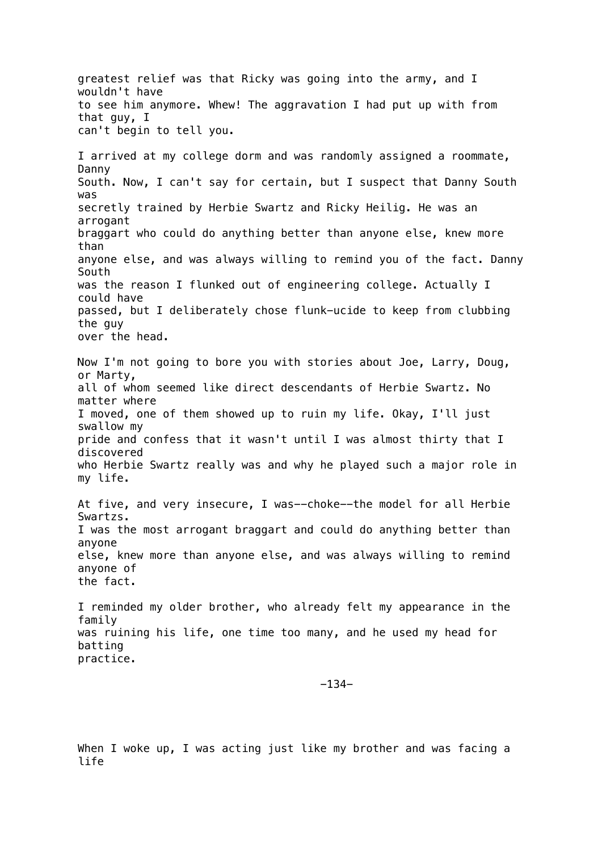greatest relief was that Ricky was going into the army, and I wouldn't have to see him anymore. Whew! The aggravation I had put up with from that guy, I can't begin to tell you. I arrived at my college dorm and was randomly assigned a roommate, Danny South. Now, I can't say for certain, but I suspect that Danny South was secretly trained by Herbie Swartz and Ricky Heilig. He was an arrogant braggart who could do anything better than anyone else, knew more than anyone else, and was always willing to remind you of the fact. Danny South was the reason I flunked out of engineering college. Actually I could have passed, but I deliberately chose flunk-ucide to keep from clubbing the guy over the head. Now I'm not going to bore you with stories about Joe, Larry, Doug, or Marty, all of whom seemed like direct descendants of Herbie Swartz. No matter where I moved, one of them showed up to ruin my life. Okay, I'll just swallow my pride and confess that it wasn't until I was almost thirty that I discovered who Herbie Swartz really was and why he played such a major role in my life. At five, and very insecure, I was--choke--the model for all Herbie Swartzs. I was the most arrogant braggart and could do anything better than anyone else, knew more than anyone else, and was always willing to remind anyone of the fact. I reminded my older brother, who already felt my appearance in the family was ruining his life, one time too many, and he used my head for batting practice.

-134-

When I woke up, I was acting just like my brother and was facing a life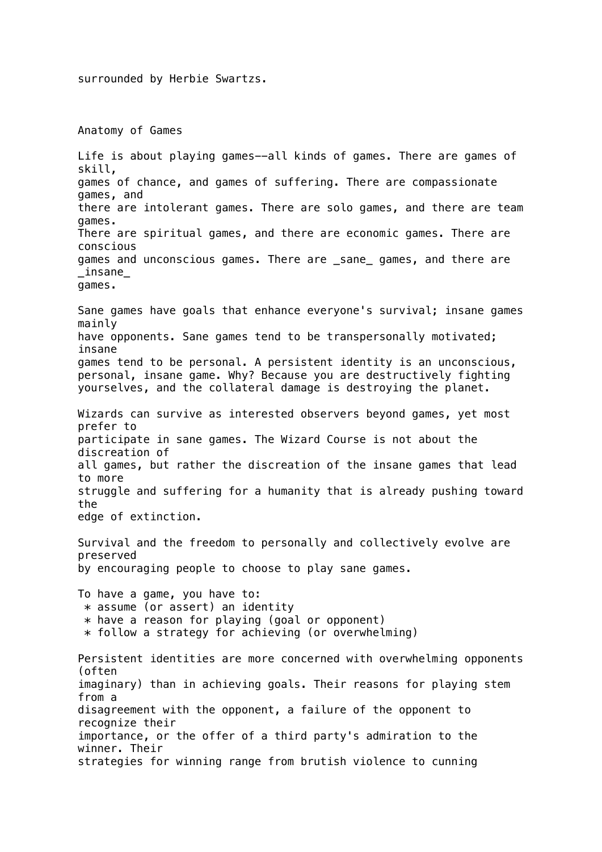surrounded by Herbie Swartzs.

Anatomy of Games

Life is about playing games--all kinds of games. There are games of skill, games of chance, and games of suffering. There are compassionate games, and there are intolerant games. There are solo games, and there are team games. There are spiritual games, and there are economic games. There are conscious games and unconscious games. There are \_sane\_ games, and there are \_insane\_ games. Sane games have goals that enhance everyone's survival; insane games mainly have opponents. Sane games tend to be transpersonally motivated; insane games tend to be personal. A persistent identity is an unconscious, personal, insane game. Why? Because you are destructively fighting yourselves, and the collateral damage is destroying the planet. Wizards can survive as interested observers beyond games, yet most prefer to participate in sane games. The Wizard Course is not about the discreation of all games, but rather the discreation of the insane games that lead to more struggle and suffering for a humanity that is already pushing toward the edge of extinction. Survival and the freedom to personally and collectively evolve are preserved by encouraging people to choose to play sane games. To have a game, you have to:  $*$  assume (or assert) an identity  $*$  have a reason for playing (goal or opponent)  $*$  follow a strategy for achieving (or overwhelming) Persistent identities are more concerned with overwhelming opponents (often imaginary) than in achieving goals. Their reasons for playing stem from a disagreement with the opponent, a failure of the opponent to recognize their importance, or the offer of a third party's admiration to the winner. Their strategies for winning range from brutish violence to cunning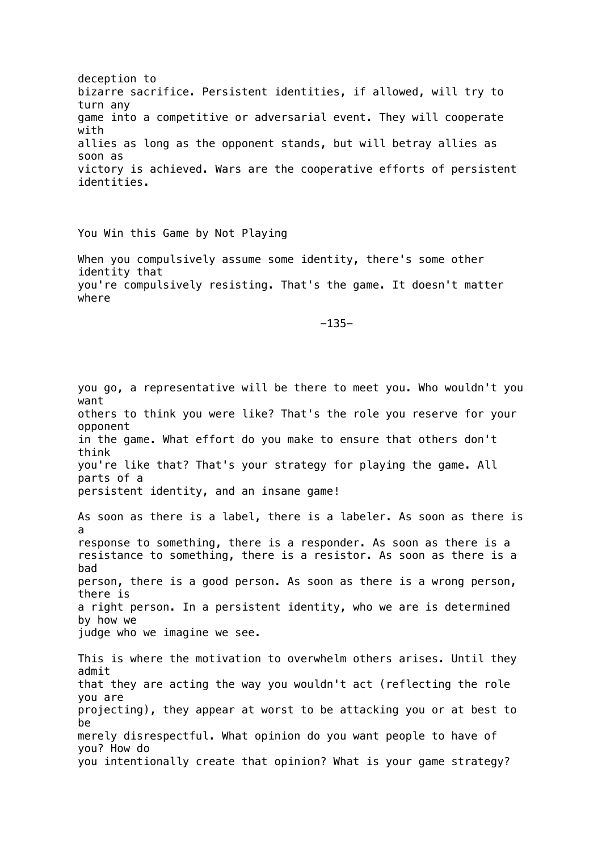deception to bizarre sacrifice. Persistent identities, if allowed, will try to turn any game into a competitive or adversarial event. They will cooperate with allies as long as the opponent stands, but will betray allies as soon as victory is achieved. Wars are the cooperative efforts of persistent identities.

You Win this Game by Not Playing

When you compulsively assume some identity, there's some other identity that you're compulsively resisting. That's the game. It doesn't matter where

-135-

you go, a representative will be there to meet you. Who wouldn't you want others to think you were like? That's the role you reserve for your opponent in the game. What effort do you make to ensure that others don't think you're like that? That's your strategy for playing the game. All parts of a persistent identity, and an insane game!

As soon as there is a label, there is a labeler. As soon as there is a response to something, there is a responder. As soon as there is a resistance to something, there is a resistor. As soon as there is a bad person, there is a good person. As soon as there is a wrong person, there is a right person. In a persistent identity, who we are is determined by how we judge who we imagine we see.

This is where the motivation to overwhelm others arises. Until they admit that they are acting the way you wouldn't act (reflecting the role you are projecting), they appear at worst to be attacking you or at best to be merely disrespectful. What opinion do you want people to have of you? How do you intentionally create that opinion? What is your game strategy?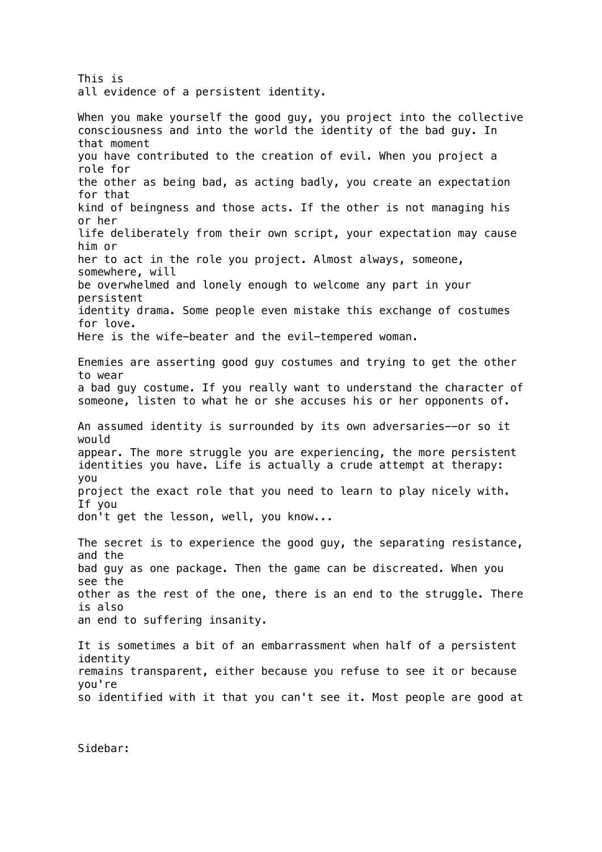This is all evidence of a persistent identity. When you make yourself the good guy, you project into the collective consciousness and into the world the identity of the bad guy. In that moment you have contributed to the creation of evil. When you project a role for the other as being bad, as acting badly, you create an expectation for that kind of beingness and those acts. If the other is not managing his or her life deliberately from their own script, your expectation may cause him or her to act in the role you project. Almost always, someone, somewhere, will be overwhelmed and lonely enough to welcome any part in your persistent identity drama. Some people even mistake this exchange of costumes for love. Here is the wife-beater and the evil-tempered woman. Enemies are asserting good guy costumes and trying to get the other to wear a bad guy costume. If you really want to understand the character of someone, listen to what he or she accuses his or her opponents of. An assumed identity is surrounded by its own adversaries--or so it would appear. The more struggle you are experiencing, the more persistent identities you have. Life is actually a crude attempt at therapy: you project the exact role that you need to learn to play nicely with. If you don't get the lesson, well, you know... The secret is to experience the good guy, the separating resistance, and the bad guy as one package. Then the game can be discreated. When you see the other as the rest of the one, there is an end to the struggle. There is also an end to suffering insanity. It is sometimes a bit of an embarrassment when half of a persistent identity remains transparent, either because you refuse to see it or because you're so identified with it that you can't see it. Most people are good at

Sidebar: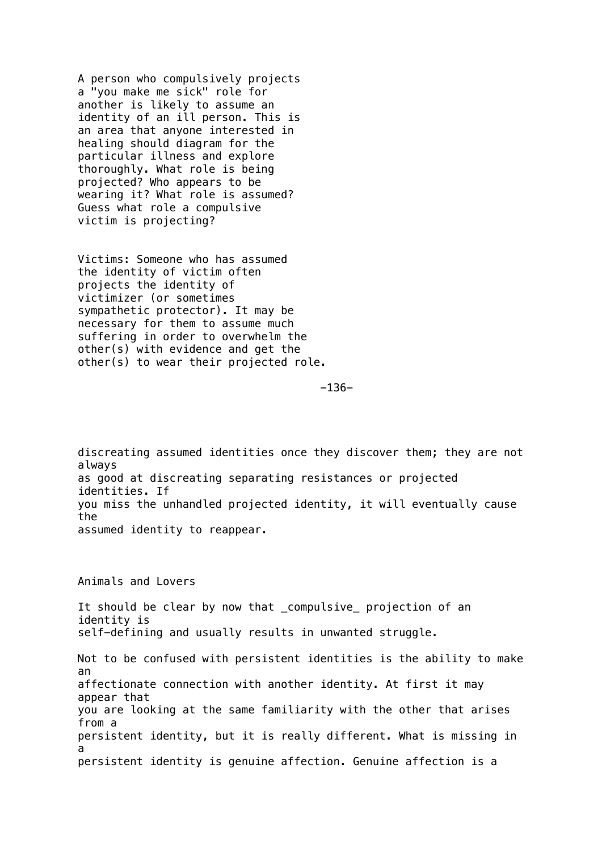A person who compulsively projects a "you make me sick" role for another is likely to assume an identity of an ill person. This is an area that anyone interested in healing should diagram for the particular illness and explore thoroughly. What role is being projected? Who appears to be wearing it? What role is assumed? Guess what role a compulsive victim is projecting?

Victims: Someone who has assumed the identity of victim often projects the identity of victimizer (or sometimes sympathetic protector). It may be necessary for them to assume much suffering in order to overwhelm the other(s) with evidence and get the other(s) to wear their projected role.

-136-

discreating assumed identities once they discover them; they are not always as good at discreating separating resistances or projected identities. If you miss the unhandled projected identity, it will eventually cause the assumed identity to reappear.

Animals and Lovers

It should be clear by now that compulsive projection of an identity is self-defining and usually results in unwanted struggle. Not to be confused with persistent identities is the ability to make an affectionate connection with another identity. At first it may appear that you are looking at the same familiarity with the other that arises from a persistent identity, but it is really different. What is missing in a persistent identity is genuine affection. Genuine affection is a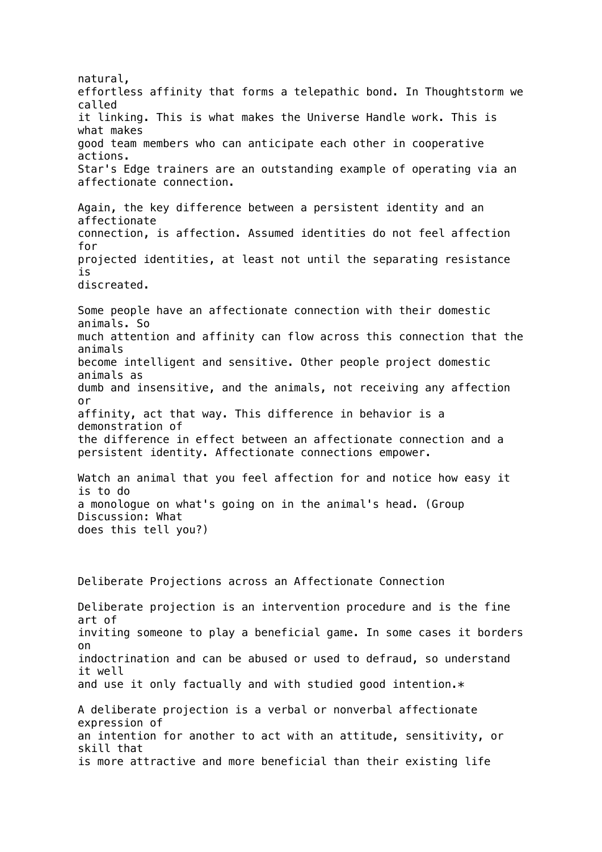natural, effortless affinity that forms a telepathic bond. In Thoughtstorm we called it linking. This is what makes the Universe Handle work. This is what makes good team members who can anticipate each other in cooperative actions. Star's Edge trainers are an outstanding example of operating via an affectionate connection. Again, the key difference between a persistent identity and an affectionate connection, is affection. Assumed identities do not feel affection for projected identities, at least not until the separating resistance is discreated. Some people have an affectionate connection with their domestic animals. So much attention and affinity can flow across this connection that the animals become intelligent and sensitive. Other people project domestic animals as dumb and insensitive, and the animals, not receiving any affection or affinity, act that way. This difference in behavior is a demonstration of the difference in effect between an affectionate connection and a persistent identity. Affectionate connections empower. Watch an animal that you feel affection for and notice how easy it is to do a monologue on what's going on in the animal's head. (Group Discussion: What does this tell you?) Deliberate Projections across an Affectionate Connection Deliberate projection is an intervention procedure and is the fine art of inviting someone to play a beneficial game. In some cases it borders on indoctrination and can be abused or used to defraud, so understand it well and use it only factually and with studied good intention. $*$ A deliberate projection is a verbal or nonverbal affectionate expression of an intention for another to act with an attitude, sensitivity, or skill that is more attractive and more beneficial than their existing life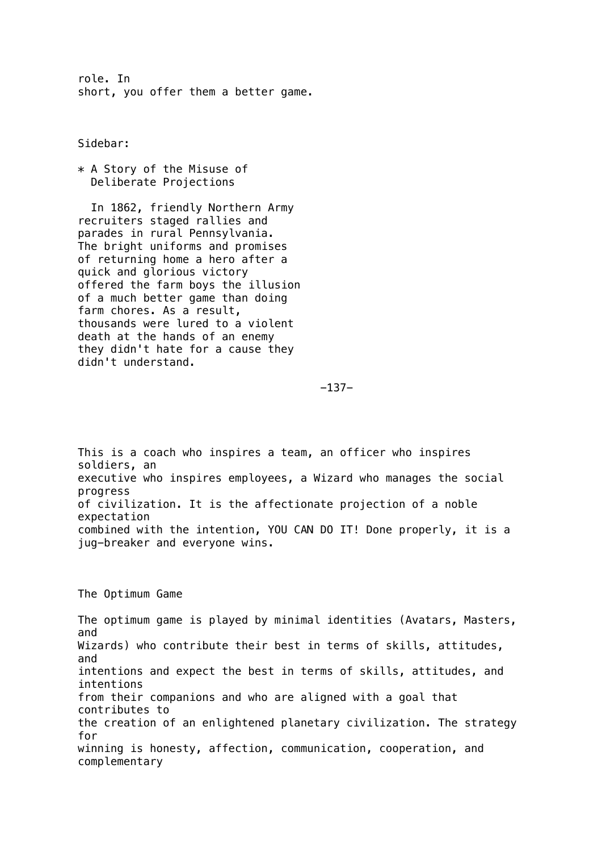role. In short, you offer them a better game.

Sidebar:

\* A Story of the Misuse of Deliberate Projections

 In 1862, friendly Northern Army recruiters staged rallies and parades in rural Pennsylvania. The bright uniforms and promises of returning home a hero after a quick and glorious victory offered the farm boys the illusion of a much better game than doing farm chores. As a result, thousands were lured to a violent death at the hands of an enemy they didn't hate for a cause they didn't understand.

-137-

This is a coach who inspires a team, an officer who inspires soldiers, an executive who inspires employees, a Wizard who manages the social progress of civilization. It is the affectionate projection of a noble expectation combined with the intention, YOU CAN DO IT! Done properly, it is a jug-breaker and everyone wins.

The Optimum Game

The optimum game is played by minimal identities (Avatars, Masters, and Wizards) who contribute their best in terms of skills, attitudes, and intentions and expect the best in terms of skills, attitudes, and intentions from their companions and who are aligned with a goal that contributes to the creation of an enlightened planetary civilization. The strategy for winning is honesty, affection, communication, cooperation, and complementary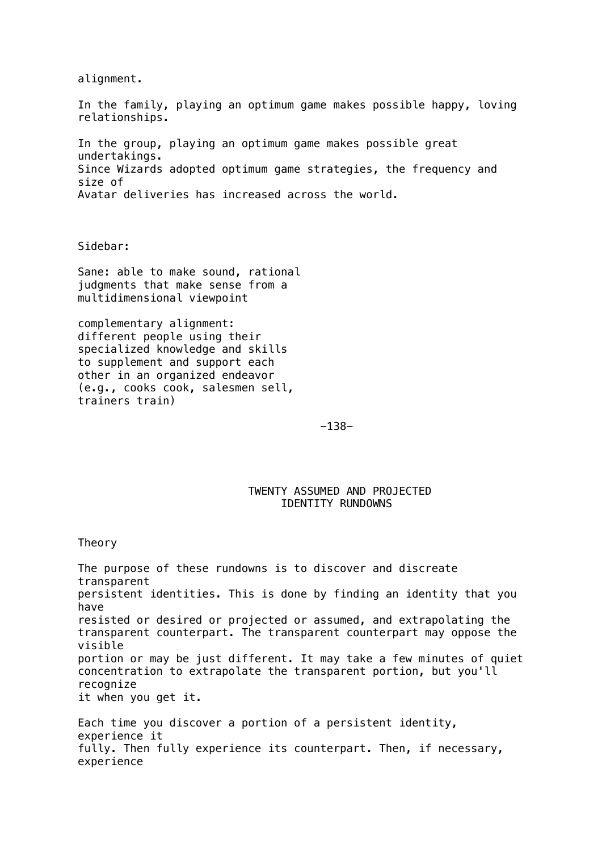alignment.

In the family, playing an optimum game makes possible happy, loving relationships.

In the group, playing an optimum game makes possible great undertakings. Since Wizards adopted optimum game strategies, the frequency and size of Avatar deliveries has increased across the world.

Sidebar:

Sane: able to make sound, rational judgments that make sense from a multidimensional viewpoint

complementary alignment: different people using their specialized knowledge and skills to supplement and support each other in an organized endeavor (e.g., cooks cook, salesmen sell, trainers train)

-138-

# TWENTY ASSUMED AND PROJECTED IDENTITY RUNDOWNS

#### Theory

The purpose of these rundowns is to discover and discreate transparent persistent identities. This is done by finding an identity that you have resisted or desired or projected or assumed, and extrapolating the transparent counterpart. The transparent counterpart may oppose the visible portion or may be just different. It may take a few minutes of quiet concentration to extrapolate the transparent portion, but you'll recognize it when you get it.

Each time you discover a portion of a persistent identity, experience it fully. Then fully experience its counterpart. Then, if necessary, experience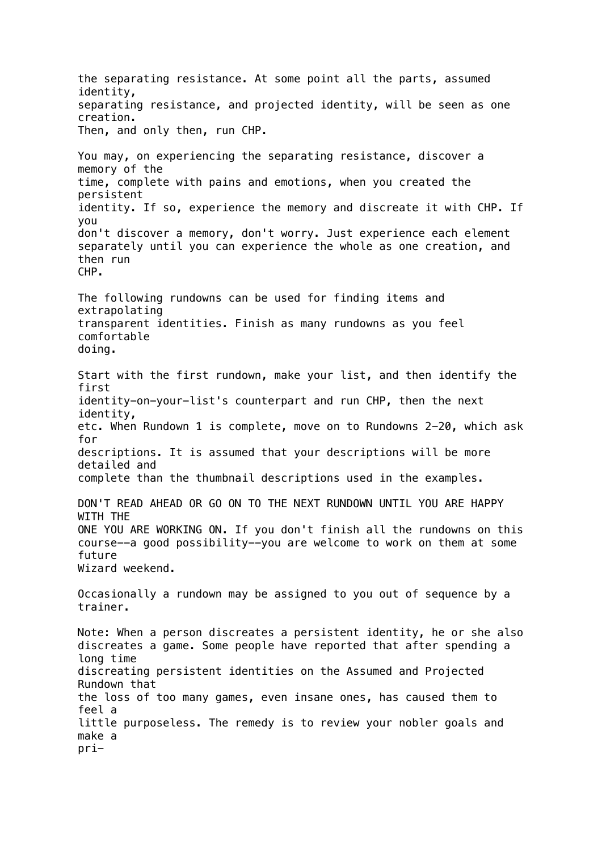the separating resistance. At some point all the parts, assumed identity, separating resistance, and projected identity, will be seen as one creation. Then, and only then, run CHP. You may, on experiencing the separating resistance, discover a memory of the time, complete with pains and emotions, when you created the persistent identity. If so, experience the memory and discreate it with CHP. If you don't discover a memory, don't worry. Just experience each element separately until you can experience the whole as one creation, and then run CHP. The following rundowns can be used for finding items and extrapolating transparent identities. Finish as many rundowns as you feel comfortable doing. Start with the first rundown, make your list, and then identify the first identity-on-your-list's counterpart and run CHP, then the next identity, etc. When Rundown 1 is complete, move on to Rundowns 2-20, which ask for descriptions. It is assumed that your descriptions will be more detailed and complete than the thumbnail descriptions used in the examples. DON'T READ AHEAD OR GO ON TO THE NEXT RUNDOWN UNTIL YOU ARE HAPPY WITH THE ONE YOU ARE WORKING ON. If you don't finish all the rundowns on this course--a good possibility--you are welcome to work on them at some future Wizard weekend. Occasionally a rundown may be assigned to you out of sequence by a trainer. Note: When a person discreates a persistent identity, he or she also discreates a game. Some people have reported that after spending a long time discreating persistent identities on the Assumed and Projected Rundown that the loss of too many games, even insane ones, has caused them to feel a little purposeless. The remedy is to review your nobler goals and make a pri-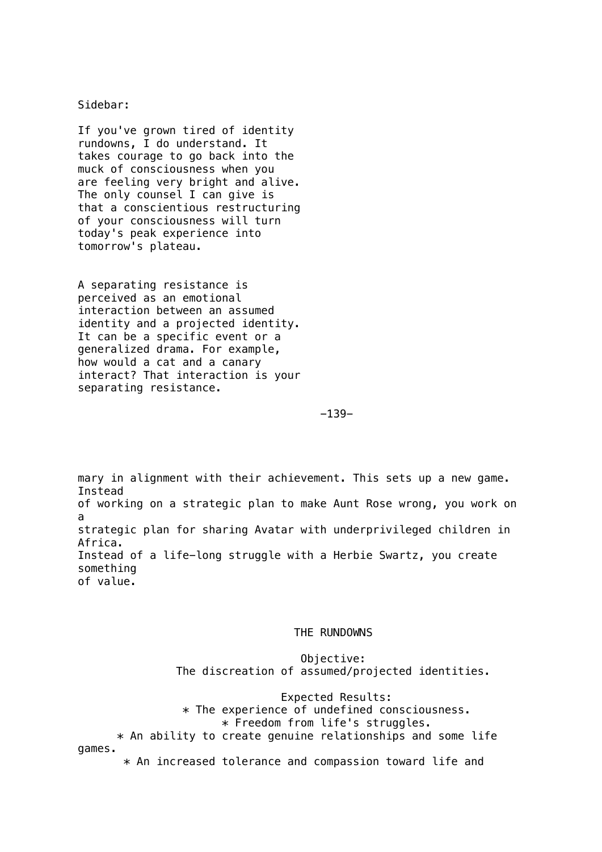### Sidebar:

If you've grown tired of identity rundowns, I do understand. It takes courage to go back into the muck of consciousness when you are feeling very bright and alive. The only counsel I can give is that a conscientious restructuring of your consciousness will turn today's peak experience into tomorrow's plateau.

A separating resistance is perceived as an emotional interaction between an assumed identity and a projected identity. It can be a specific event or a generalized drama. For example, how would a cat and a canary interact? That interaction is your separating resistance.

-139-

mary in alignment with their achievement. This sets up a new game. Instead of working on a strategic plan to make Aunt Rose wrong, you work on a strategic plan for sharing Avatar with underprivileged children in Africa. Instead of a life-long struggle with a Herbie Swartz, you create something of value.

#### THE RUNDOWNS

 Objective: The discreation of assumed/projected identities.

 Expected Results: \* The experience of undefined consciousness. \* Freedom from life's struggles.  $*$  An ability to create genuine relationships and some life games. \* An increased tolerance and compassion toward life and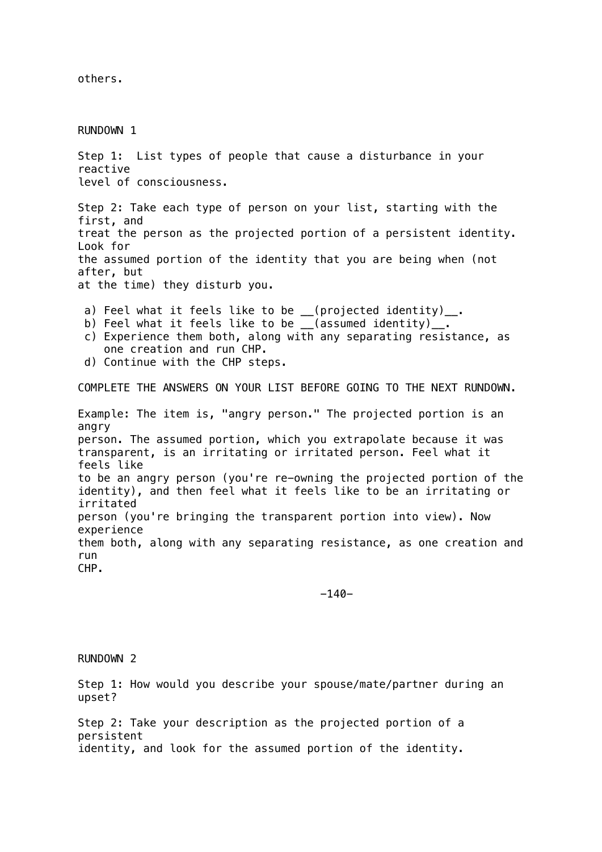others.

RUNDOWN 1 Step 1: List types of people that cause a disturbance in your reactive level of consciousness. Step 2: Take each type of person on your list, starting with the first, and treat the person as the projected portion of a persistent identity. Look for the assumed portion of the identity that you are being when (not after, but at the time) they disturb you. a) Feel what it feels like to be  $($ projected identity) $\ldots$ . b) Feel what it feels like to be  $($ assumed identity)<sub>--</sub>. c) Experience them both, along with any separating resistance, as one creation and run CHP. d) Continue with the CHP steps. COMPLETE THE ANSWERS ON YOUR LIST BEFORE GOING TO THE NEXT RUNDOWN. Example: The item is, "angry person." The projected portion is an angry person. The assumed portion, which you extrapolate because it was transparent, is an irritating or irritated person. Feel what it feels like to be an angry person (you're re-owning the projected portion of the

identity), and then feel what it feels like to be an irritating or irritated person (you're bringing the transparent portion into view). Now experience them both, along with any separating resistance, as one creation and run CHP.

-140-

RUNDOWN 2

Step 1: How would you describe your spouse/mate/partner during an upset?

Step 2: Take your description as the projected portion of a persistent identity, and look for the assumed portion of the identity.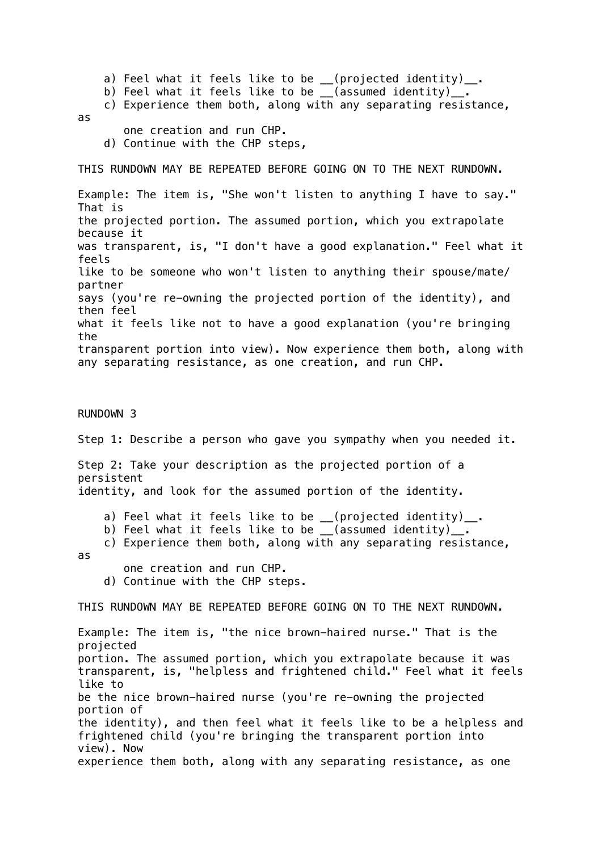a) Feel what it feels like to be \_\_(projected identity)\_\_. b) Feel what it feels like to be \_\_(assumed identity)\_\_. c) Experience them both, along with any separating resistance, as one creation and run CHP. d) Continue with the CHP steps, THIS RUNDOWN MAY BE REPEATED BEFORE GOING ON TO THE NEXT RUNDOWN. Example: The item is, "She won't listen to anything I have to say." That is the projected portion. The assumed portion, which you extrapolate because it was transparent, is, "I don't have a good explanation." Feel what it feels like to be someone who won't listen to anything their spouse/mate/ partner says (you're re-owning the projected portion of the identity), and then feel what it feels like not to have a good explanation (you're bringing the transparent portion into view). Now experience them both, along with any separating resistance, as one creation, and run CHP. RUNDOWN 3

# Step 1: Describe a person who gave you sympathy when you needed it.

Step 2: Take your description as the projected portion of a persistent identity, and look for the assumed portion of the identity.

- a) Feel what it feels like to be \_\_(projected identity)\_\_.
- b) Feel what it feels like to be \_\_(assumed identity)\_.

c) Experience them both, along with any separating resistance,

#### as

 one creation and run CHP. d) Continue with the CHP steps.

THIS RUNDOWN MAY BE REPEATED BEFORE GOING ON TO THE NEXT RUNDOWN.

Example: The item is, "the nice brown-haired nurse." That is the projected portion. The assumed portion, which you extrapolate because it was transparent, is, "helpless and frightened child." Feel what it feels like to be the nice brown-haired nurse (you're re-owning the projected portion of the identity), and then feel what it feels like to be a helpless and frightened child (you're bringing the transparent portion into view). Now experience them both, along with any separating resistance, as one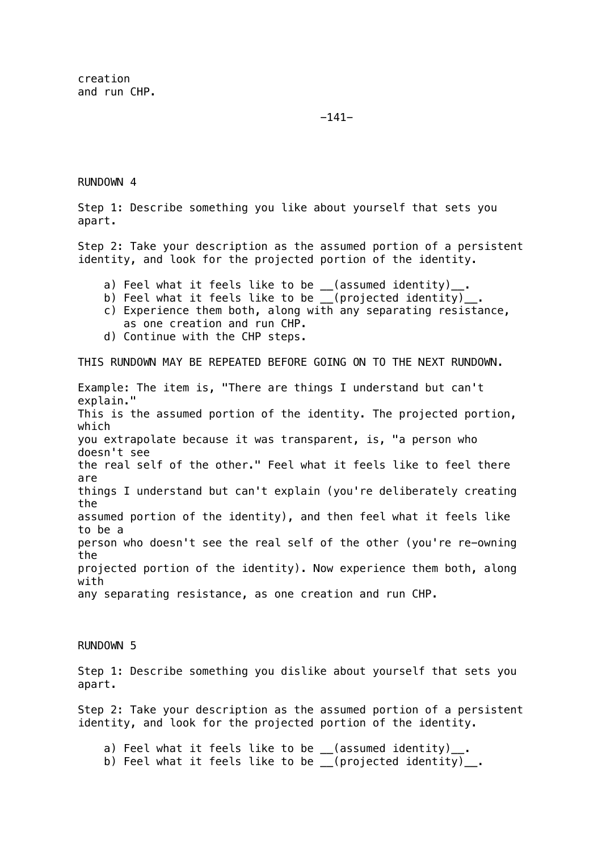creation and run CHP.

-141-

RUNDOWN 4

Step 1: Describe something you like about yourself that sets you apart.

Step 2: Take your description as the assumed portion of a persistent identity, and look for the projected portion of the identity.

- a) Feel what it feels like to be \_\_(assumed identity)\_
- b) Feel what it feels like to be \_\_(projected identity)\_
- c) Experience them both, along with any separating resistance, as one creation and run CHP.
- d) Continue with the CHP steps.

THIS RUNDOWN MAY BE REPEATED BEFORE GOING ON TO THE NEXT RUNDOWN.

Example: The item is, "There are things I understand but can't explain." This is the assumed portion of the identity. The projected portion, which you extrapolate because it was transparent, is, "a person who doesn't see the real self of the other." Feel what it feels like to feel there are things I understand but can't explain (you're deliberately creating the assumed portion of the identity), and then feel what it feels like to be a person who doesn't see the real self of the other (you're re-owning the projected portion of the identity). Now experience them both, along with any separating resistance, as one creation and run CHP.

RUNDOWN 5

Step 1: Describe something you dislike about yourself that sets you apart.

Step 2: Take your description as the assumed portion of a persistent identity, and look for the projected portion of the identity.

a) Feel what it feels like to be \_\_(assumed identity)\_\_.

b) Feel what it feels like to be \_\_(projected identity)\_.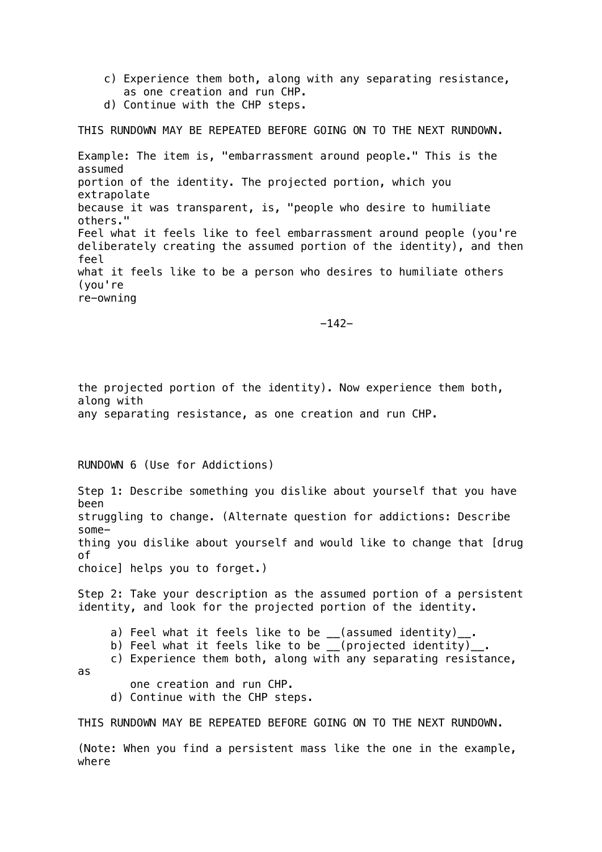- c) Experience them both, along with any separating resistance, as one creation and run CHP.
- d) Continue with the CHP steps.

THIS RUNDOWN MAY BE REPEATED BEFORE GOING ON TO THE NEXT RUNDOWN.

Example: The item is, "embarrassment around people." This is the assumed portion of the identity. The projected portion, which you extrapolate because it was transparent, is, "people who desire to humiliate others." Feel what it feels like to feel embarrassment around people (you're deliberately creating the assumed portion of the identity), and then feel what it feels like to be a person who desires to humiliate others (you're re-owning

 $-142-$ 

the projected portion of the identity). Now experience them both, along with any separating resistance, as one creation and run CHP.

RUNDOWN 6 (Use for Addictions)

Step 1: Describe something you dislike about yourself that you have been struggling to change. (Alternate question for addictions: Describe something you dislike about yourself and would like to change that [drug of choice] helps you to forget.)

Step 2: Take your description as the assumed portion of a persistent identity, and look for the projected portion of the identity.

- a) Feel what it feels like to be \_\_(assumed identity)\_\_.
- b) Feel what it feels like to be \_\_(projected identity)\_
- c) Experience them both, along with any separating resistance,
- as
- one creation and run CHP.
- d) Continue with the CHP steps.

THIS RUNDOWN MAY BE REPEATED BEFORE GOING ON TO THE NEXT RUNDOWN.

(Note: When you find a persistent mass like the one in the example, where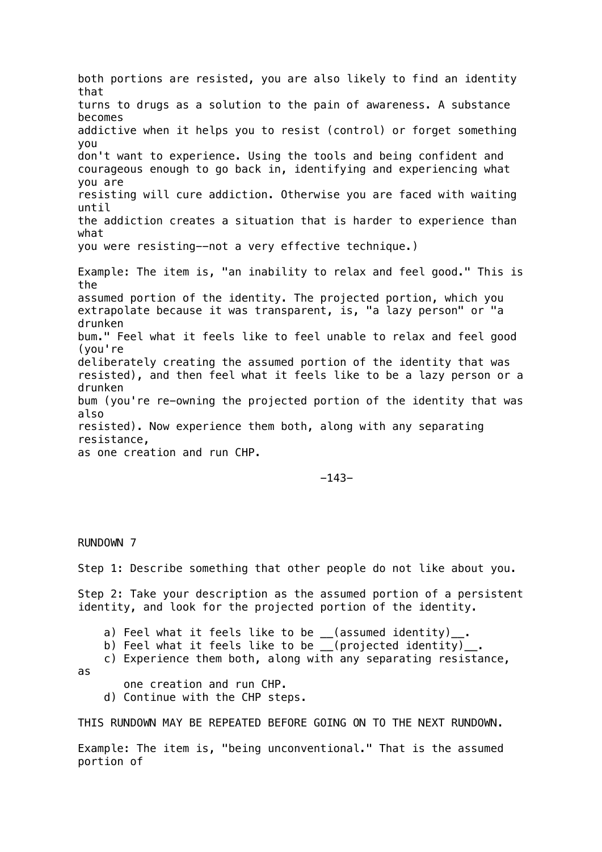both portions are resisted, you are also likely to find an identity that turns to drugs as a solution to the pain of awareness. A substance becomes addictive when it helps you to resist (control) or forget something you don't want to experience. Using the tools and being confident and courageous enough to go back in, identifying and experiencing what you are resisting will cure addiction. Otherwise you are faced with waiting until the addiction creates a situation that is harder to experience than what you were resisting--not a very effective technique.) Example: The item is, "an inability to relax and feel good." This is the assumed portion of the identity. The projected portion, which you extrapolate because it was transparent, is, "a lazy person" or "a drunken bum." Feel what it feels like to feel unable to relax and feel good (you're deliberately creating the assumed portion of the identity that was resisted), and then feel what it feels like to be a lazy person or a drunken bum (you're re-owning the projected portion of the identity that was also resisted). Now experience them both, along with any separating resistance, as one creation and run CHP.

-143-

RUNDOWN 7

Step 1: Describe something that other people do not like about you.

Step 2: Take your description as the assumed portion of a persistent identity, and look for the projected portion of the identity.

- a) Feel what it feels like to be \_\_(assumed identity)\_\_.
- b) Feel what it feels like to be \_\_(projected identity)\_
- c) Experience them both, along with any separating resistance,
- as
- one creation and run CHP.
- d) Continue with the CHP steps.

THIS RUNDOWN MAY BE REPEATED BEFORE GOING ON TO THE NEXT RUNDOWN.

Example: The item is, "being unconventional." That is the assumed portion of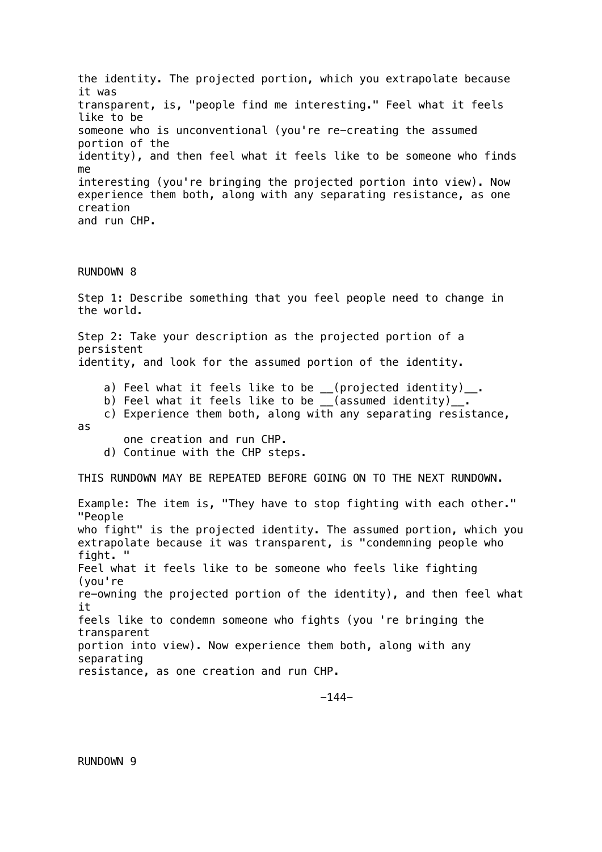the identity. The projected portion, which you extrapolate because it was transparent, is, "people find me interesting." Feel what it feels like to be someone who is unconventional (you're re-creating the assumed portion of the identity), and then feel what it feels like to be someone who finds me interesting (you're bringing the projected portion into view). Now experience them both, along with any separating resistance, as one creation and run CHP.

# RUNDOWN 8

Step 1: Describe something that you feel people need to change in the world.

Step 2: Take your description as the projected portion of a persistent identity, and look for the assumed portion of the identity.

- a) Feel what it feels like to be \_\_(projected identity)\_\_.
- b) Feel what it feels like to be (assumed identity).
- c) Experience them both, along with any separating resistance,
- as

one creation and run CHP.

d) Continue with the CHP steps.

THIS RUNDOWN MAY BE REPEATED BEFORE GOING ON TO THE NEXT RUNDOWN.

Example: The item is, "They have to stop fighting with each other." "People who fight" is the projected identity. The assumed portion, which you extrapolate because it was transparent, is "condemning people who fight. " Feel what it feels like to be someone who feels like fighting (you're re-owning the projected portion of the identity), and then feel what it feels like to condemn someone who fights (you 're bringing the transparent portion into view). Now experience them both, along with any separating resistance, as one creation and run CHP.

-144-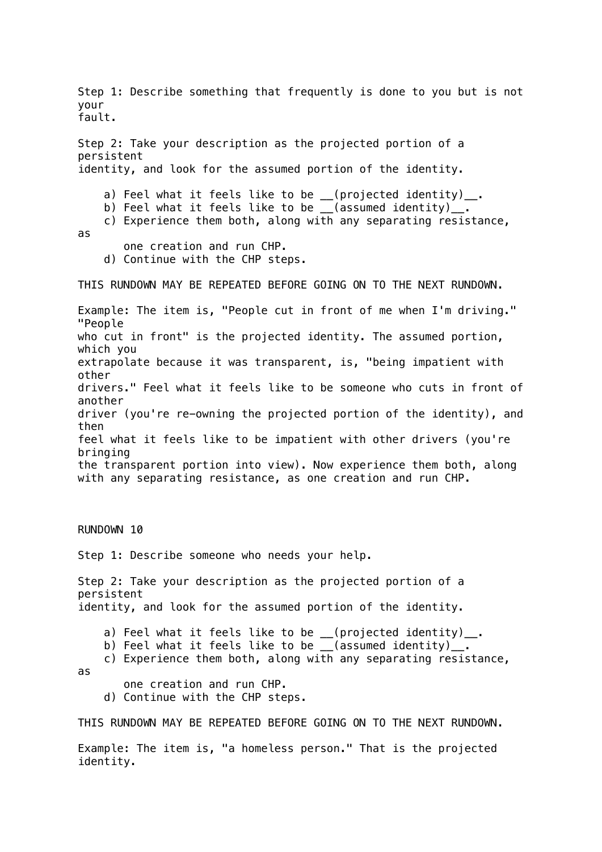Step 1: Describe something that frequently is done to you but is not your fault. Step 2: Take your description as the projected portion of a persistent identity, and look for the assumed portion of the identity. a) Feel what it feels like to be \_\_(projected identity)\_\_. b) Feel what it feels like to be \_\_(assumed identity)\_\_. c) Experience them both, along with any separating resistance, as one creation and run CHP. d) Continue with the CHP steps. THIS RUNDOWN MAY BE REPEATED BEFORE GOING ON TO THE NEXT RUNDOWN. Example: The item is, "People cut in front of me when I'm driving." "People who cut in front" is the projected identity. The assumed portion, which you extrapolate because it was transparent, is, "being impatient with other drivers." Feel what it feels like to be someone who cuts in front of another driver (you're re-owning the projected portion of the identity), and then feel what it feels like to be impatient with other drivers (you're bringing the transparent portion into view). Now experience them both, along with any separating resistance, as one creation and run CHP. RUNDOWN 10 Step 1: Describe someone who needs your help. Step 2: Take your description as the projected portion of a persistent identity, and look for the assumed portion of the identity. a) Feel what it feels like to be \_\_(projected identity)\_\_. b) Feel what it feels like to be \_\_(assumed identity)\_. c) Experience them both, along with any separating resistance, as one creation and run CHP. d) Continue with the CHP steps. THIS RUNDOWN MAY BE REPEATED BEFORE GOING ON TO THE NEXT RUNDOWN. Example: The item is, "a homeless person." That is the projected

identity.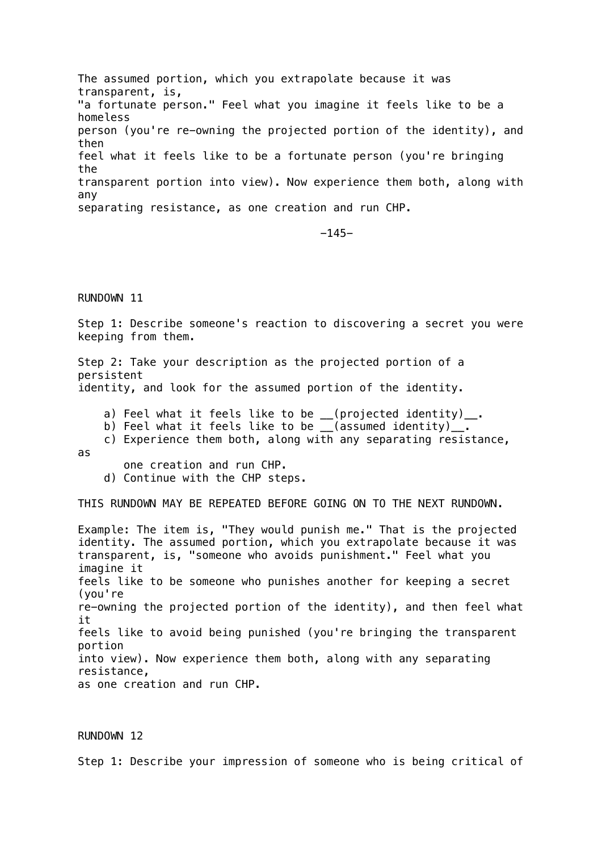The assumed portion, which you extrapolate because it was transparent, is, "a fortunate person." Feel what you imagine it feels like to be a homeless person (you're re-owning the projected portion of the identity), and then feel what it feels like to be a fortunate person (you're bringing the transparent portion into view). Now experience them both, along with any separating resistance, as one creation and run CHP.

-145-

#### RUNDOWN 11

Step 1: Describe someone's reaction to discovering a secret you were keeping from them.

Step 2: Take your description as the projected portion of a persistent

identity, and look for the assumed portion of the identity.

- a) Feel what it feels like to be \_\_(projected identity)\_\_.
- b) Feel what it feels like to be \_\_(assumed identity)\_\_.
- c) Experience them both, along with any separating resistance, as

one creation and run CHP.

d) Continue with the CHP steps.

THIS RUNDOWN MAY BE REPEATED BEFORE GOING ON TO THE NEXT RUNDOWN.

Example: The item is, "They would punish me." That is the projected identity. The assumed portion, which you extrapolate because it was transparent, is, "someone who avoids punishment." Feel what you imagine it feels like to be someone who punishes another for keeping a secret (you're re-owning the projected portion of the identity), and then feel what it feels like to avoid being punished (you're bringing the transparent portion into view). Now experience them both, along with any separating resistance, as one creation and run CHP.

#### RUNDOWN 12

Step 1: Describe your impression of someone who is being critical of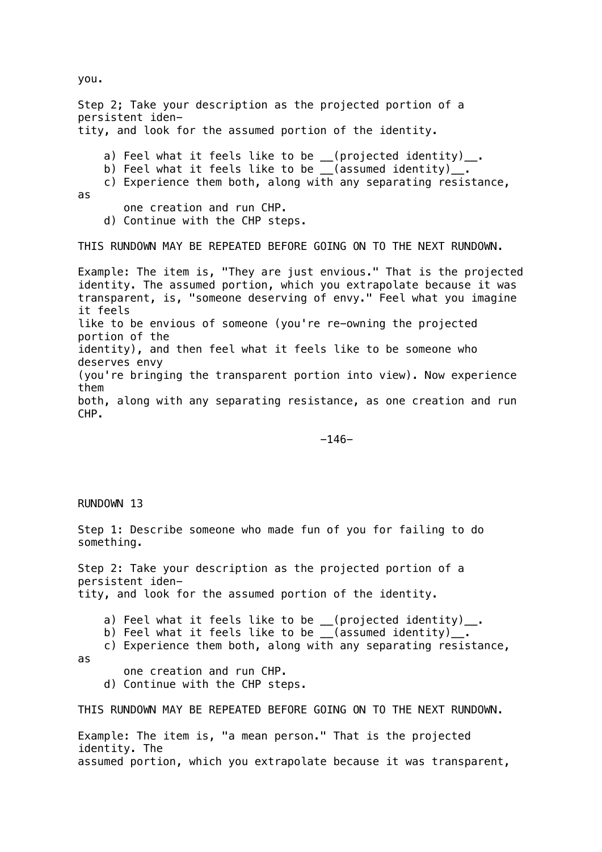Step 2; Take your description as the projected portion of a persistent identity, and look for the assumed portion of the identity. a) Feel what it feels like to be \_\_(projected identity)\_\_. b) Feel what it feels like to be \_\_(assumed identity)\_. c) Experience them both, along with any separating resistance, as one creation and run CHP. d) Continue with the CHP steps. THIS RUNDOWN MAY BE REPEATED BEFORE GOING ON TO THE NEXT RUNDOWN.

Example: The item is, "They are just envious." That is the projected identity. The assumed portion, which you extrapolate because it was transparent, is, "someone deserving of envy." Feel what you imagine it feels like to be envious of someone (you're re-owning the projected portion of the identity), and then feel what it feels like to be someone who deserves envy (you're bringing the transparent portion into view). Now experience them both, along with any separating resistance, as one creation and run CHP.

-146-

RUNDOWN 13

Step 1: Describe someone who made fun of you for failing to do something.

Step 2: Take your description as the projected portion of a persistent identity, and look for the assumed portion of the identity.

a) Feel what it feels like to be \_\_(projected identity)\_\_.

b) Feel what it feels like to be  $($  assumed identity).

c) Experience them both, along with any separating resistance,

as

one creation and run CHP.

d) Continue with the CHP steps.

THIS RUNDOWN MAY BE REPEATED BEFORE GOING ON TO THE NEXT RUNDOWN.

Example: The item is, "a mean person." That is the projected identity. The assumed portion, which you extrapolate because it was transparent,

you.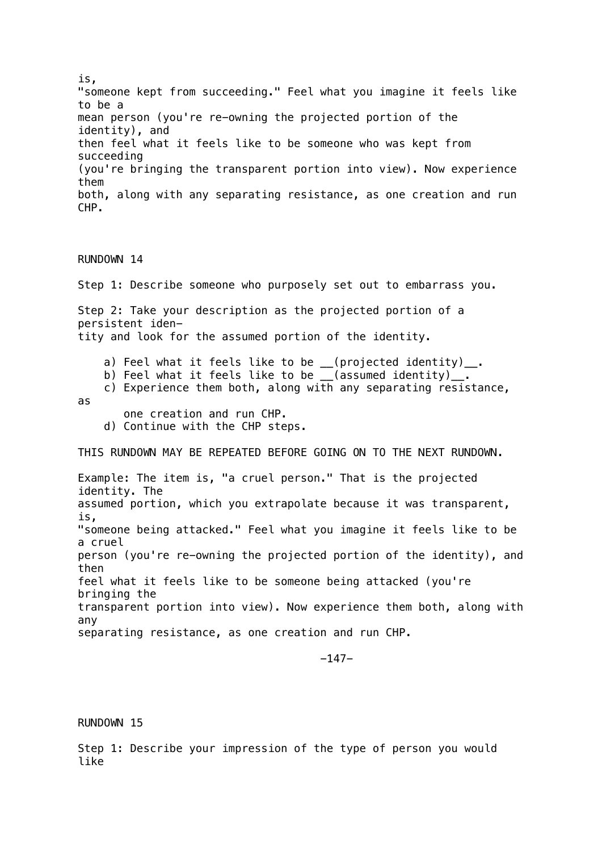is, "someone kept from succeeding." Feel what you imagine it feels like to be a mean person (you're re-owning the projected portion of the identity), and then feel what it feels like to be someone who was kept from succeeding (you're bringing the transparent portion into view). Now experience them both, along with any separating resistance, as one creation and run CHP.

RUNDOWN 14

Step 1: Describe someone who purposely set out to embarrass you.

Step 2: Take your description as the projected portion of a persistent identity and look for the assumed portion of the identity.

- a) Feel what it feels like to be \_\_(projected identity)\_\_.
- b) Feel what it feels like to be \_\_(assumed identity)\_\_.
- c) Experience them both, along with any separating resistance, as
	- one creation and run CHP.
	- d) Continue with the CHP steps.

THIS RUNDOWN MAY BE REPEATED BEFORE GOING ON TO THE NEXT RUNDOWN.

Example: The item is, "a cruel person." That is the projected identity. The assumed portion, which you extrapolate because it was transparent, is, "someone being attacked." Feel what you imagine it feels like to be a cruel person (you're re-owning the projected portion of the identity), and then feel what it feels like to be someone being attacked (you're bringing the transparent portion into view). Now experience them both, along with any separating resistance, as one creation and run CHP.

-147-

RUNDOWN 15

Step 1: Describe your impression of the type of person you would like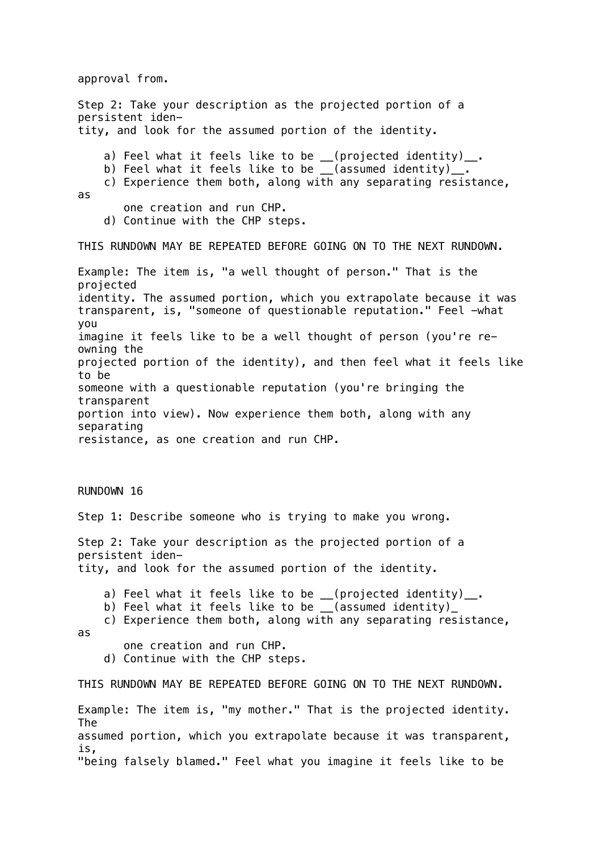approval from.

Step 2: Take your description as the projected portion of a persistent identity, and look for the assumed portion of the identity. a) Feel what it feels like to be \_\_(projected identity)\_\_. b) Feel what it feels like to be \_\_(assumed identity)\_. c) Experience them both, along with any separating resistance, as one creation and run CHP. d) Continue with the CHP steps. THIS RUNDOWN MAY BE REPEATED BEFORE GOING ON TO THE NEXT RUNDOWN. Example: The item is, "a well thought of person." That is the projected identity. The assumed portion, which you extrapolate because it was transparent, is, "someone of questionable reputation." Feel -what you imagine it feels like to be a well thought of person (you're reowning the projected portion of the identity), and then feel what it feels like to be someone with a questionable reputation (you're bringing the transparent portion into view). Now experience them both, along with any separating resistance, as one creation and run CHP. RUNDOWN 16 Step 1: Describe someone who is trying to make you wrong. Step 2: Take your description as the projected portion of a persistent identity, and look for the assumed portion of the identity. a) Feel what it feels like to be \_\_(projected identity)\_\_. b) Feel what it feels like to be \_\_(assumed identity)\_ c) Experience them both, along with any separating resistance, as one creation and run CHP. d) Continue with the CHP steps. THIS RUNDOWN MAY BE REPEATED BEFORE GOING ON TO THE NEXT RUNDOWN. Example: The item is, "my mother." That is the projected identity. The assumed portion, which you extrapolate because it was transparent, is, "being falsely blamed." Feel what you imagine it feels like to be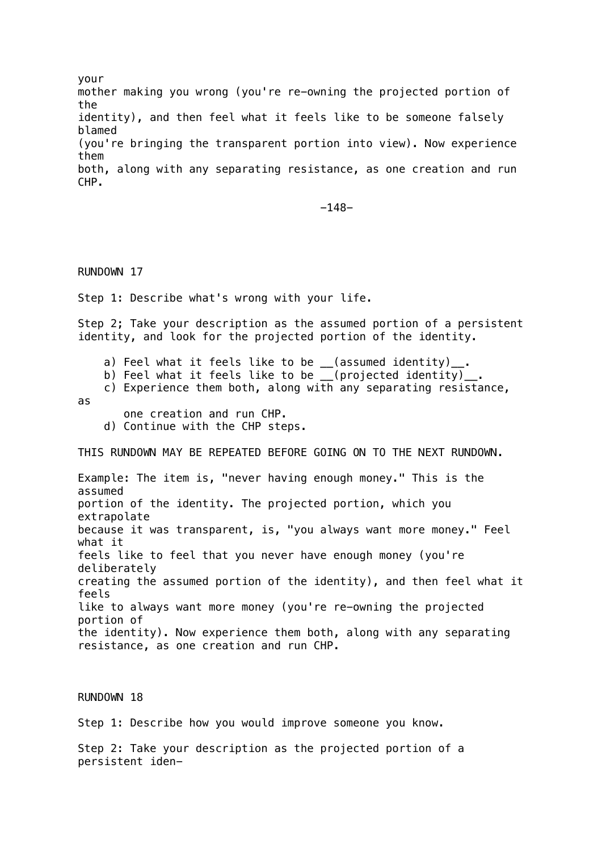your mother making you wrong (you're re-owning the projected portion of the identity), and then feel what it feels like to be someone falsely blamed (you're bringing the transparent portion into view). Now experience them both, along with any separating resistance, as one creation and run CHP.

-148-

RUNDOWN 17

Step 1: Describe what's wrong with your life.

Step 2; Take your description as the assumed portion of a persistent identity, and look for the projected portion of the identity.

- a) Feel what it feels like to be  $($ assumed identity)<sub>--</sub>.
- b) Feel what it feels like to be \_\_(projected identity)\_.
- c) Experience them both, along with any separating resistance, as
	- one creation and run CHP.
	- d) Continue with the CHP steps.

THIS RUNDOWN MAY BE REPEATED BEFORE GOING ON TO THE NEXT RUNDOWN.

Example: The item is, "never having enough money." This is the assumed portion of the identity. The projected portion, which you extrapolate because it was transparent, is, "you always want more money." Feel what it feels like to feel that you never have enough money (you're deliberately creating the assumed portion of the identity), and then feel what it feels like to always want more money (you're re-owning the projected portion of the identity). Now experience them both, along with any separating resistance, as one creation and run CHP.

#### RUNDOWN 18

Step 1: Describe how you would improve someone you know.

Step 2: Take your description as the projected portion of a persistent iden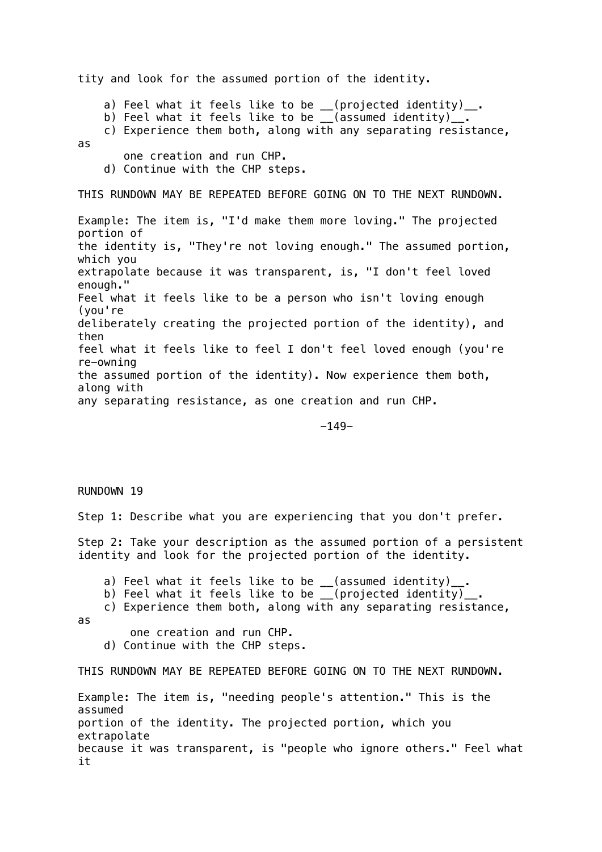tity and look for the assumed portion of the identity.

 a) Feel what it feels like to be \_\_(projected identity)\_\_. b) Feel what it feels like to be \_\_(assumed identity)\_\_. c) Experience them both, along with any separating resistance, as one creation and run CHP. d) Continue with the CHP steps. THIS RUNDOWN MAY BE REPEATED BEFORE GOING ON TO THE NEXT RUNDOWN. Example: The item is, "I'd make them more loving." The projected portion of the identity is, "They're not loving enough." The assumed portion, which you extrapolate because it was transparent, is, "I don't feel loved enough." Feel what it feels like to be a person who isn't loving enough (you're deliberately creating the projected portion of the identity), and then feel what it feels like to feel I don't feel loved enough (you're re-owning the assumed portion of the identity). Now experience them both, along with any separating resistance, as one creation and run CHP.

-149-

#### RUNDOWN 19

Step 1: Describe what you are experiencing that you don't prefer.

Step 2: Take your description as the assumed portion of a persistent identity and look for the projected portion of the identity.

a) Feel what it feels like to be \_\_(assumed identity)\_\_.

b) Feel what it feels like to be \_\_(projected identity)\_

c) Experience them both, along with any separating resistance,

as

one creation and run CHP.

d) Continue with the CHP steps.

THIS RUNDOWN MAY BE REPEATED BEFORE GOING ON TO THE NEXT RUNDOWN.

Example: The item is, "needing people's attention." This is the assumed portion of the identity. The projected portion, which you extrapolate because it was transparent, is "people who ignore others." Feel what it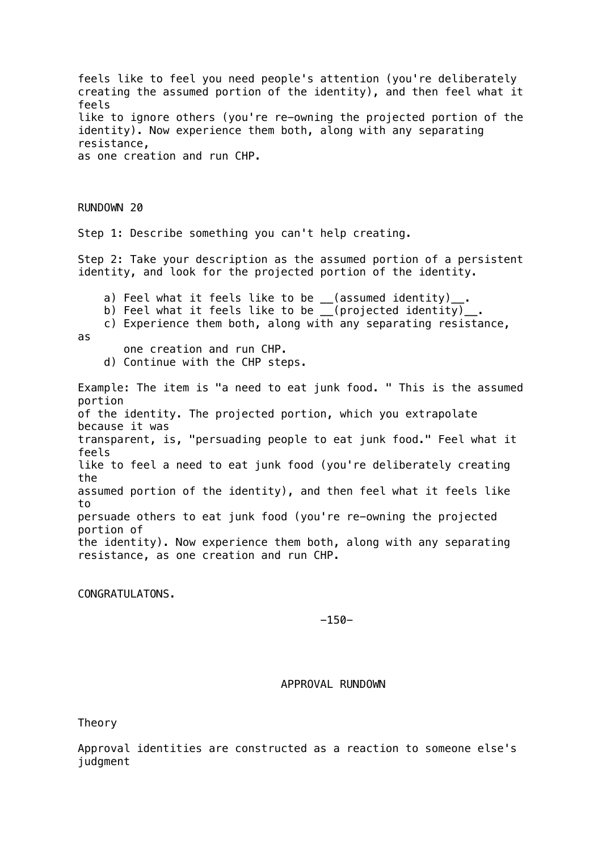feels like to feel you need people's attention (you're deliberately creating the assumed portion of the identity), and then feel what it feels like to ignore others (you're re-owning the projected portion of the identity). Now experience them both, along with any separating resistance, as one creation and run CHP. RUNDOWN 20 Step 1: Describe something you can't help creating. Step 2: Take your description as the assumed portion of a persistent identity, and look for the projected portion of the identity. a) Feel what it feels like to be \_\_(assumed identity)\_\_. b) Feel what it feels like to be \_\_(projected identity)\_ c) Experience them both, along with any separating resistance, as one creation and run CHP. d) Continue with the CHP steps. Example: The item is "a need to eat junk food. " This is the assumed portion of the identity. The projected portion, which you extrapolate because it was transparent, is, "persuading people to eat junk food." Feel what it feels like to feel a need to eat junk food (you're deliberately creating the assumed portion of the identity), and then feel what it feels like to persuade others to eat junk food (you're re-owning the projected portion of the identity). Now experience them both, along with any separating resistance, as one creation and run CHP.

CONGRATULATONS.

-150-

APPROVAL RUNDOWN

Theory

Approval identities are constructed as a reaction to someone else's judgment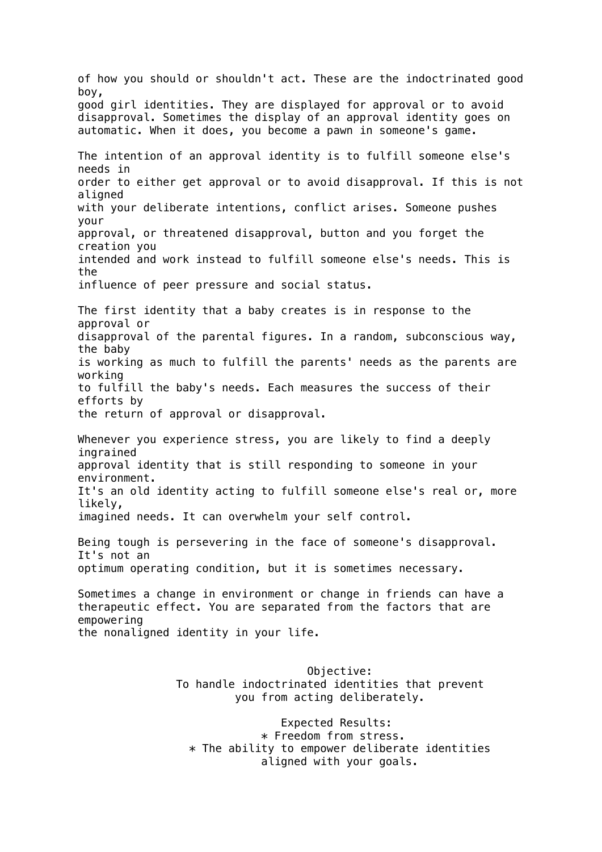of how you should or shouldn't act. These are the indoctrinated good boy, good girl identities. They are displayed for approval or to avoid disapproval. Sometimes the display of an approval identity goes on automatic. When it does, you become a pawn in someone's game. The intention of an approval identity is to fulfill someone else's needs in order to either get approval or to avoid disapproval. If this is not aligned with your deliberate intentions, conflict arises. Someone pushes your approval, or threatened disapproval, button and you forget the creation you intended and work instead to fulfill someone else's needs. This is the influence of peer pressure and social status. The first identity that a baby creates is in response to the approval or disapproval of the parental figures. In a random, subconscious way, the baby is working as much to fulfill the parents' needs as the parents are working to fulfill the baby's needs. Each measures the success of their efforts by the return of approval or disapproval. Whenever you experience stress, you are likely to find a deeply ingrained approval identity that is still responding to someone in your environment. It's an old identity acting to fulfill someone else's real or, more likely, imagined needs. It can overwhelm your self control. Being tough is persevering in the face of someone's disapproval. It's not an optimum operating condition, but it is sometimes necessary. Sometimes a change in environment or change in friends can have a therapeutic effect. You are separated from the factors that are empowering the nonaligned identity in your life. Objective: To handle indoctrinated identities that prevent you from acting deliberately. Expected Results: \* Freedom from stress.  $*$  The ability to empower deliberate identities

aligned with your goals.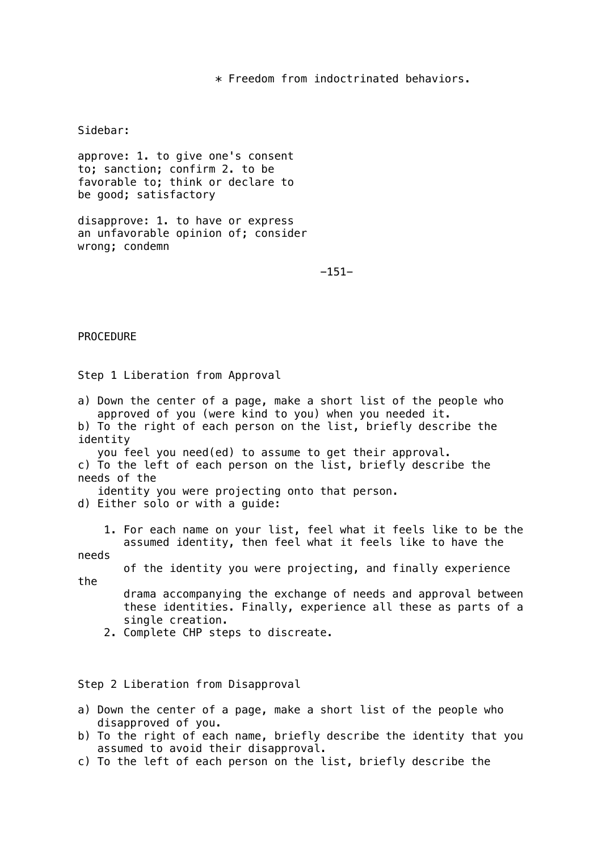\* Freedom from indoctrinated behaviors.

Sidebar:

approve: 1. to give one's consent to; sanction; confirm 2. to be favorable to; think or declare to be good; satisfactory

disapprove: 1. to have or express an unfavorable opinion of; consider wrong; condemn

-151-

PROCEDURE

Step 1 Liberation from Approval

a) Down the center of a page, make a short list of the people who approved of you (were kind to you) when you needed it. b) To the right of each person on the list, briefly describe the identity you feel you need(ed) to assume to get their approval. c) To the left of each person on the list, briefly describe the needs of the

identity you were projecting onto that person.

d) Either solo or with a guide:

 1. For each name on your list, feel what it feels like to be the assumed identity, then feel what it feels like to have the

needs

the

of the identity you were projecting, and finally experience

 drama accompanying the exchange of needs and approval between these identities. Finally, experience all these as parts of a single creation.

2. Complete CHP steps to discreate.

Step 2 Liberation from Disapproval

- a) Down the center of a page, make a short list of the people who disapproved of you.
- b) To the right of each name, briefly describe the identity that you assumed to avoid their disapproval.
- c) To the left of each person on the list, briefly describe the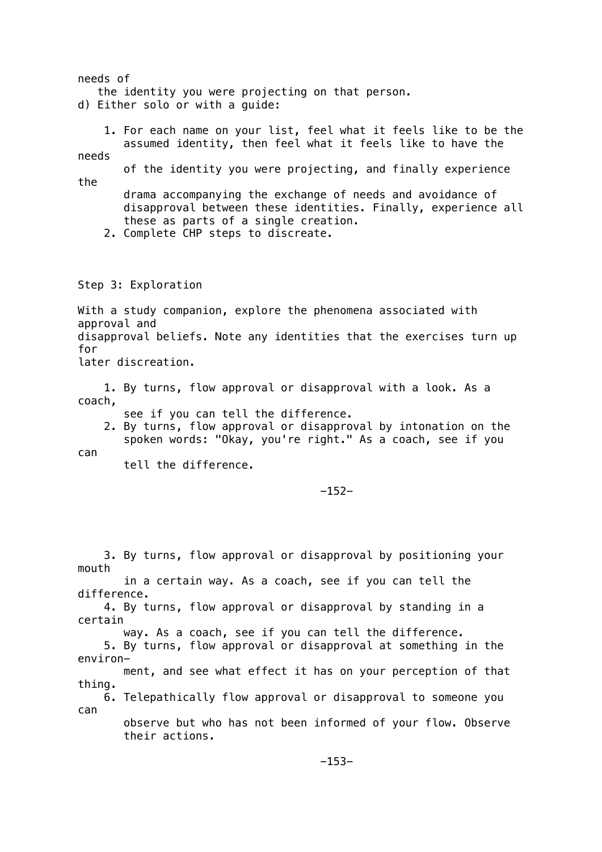needs of the identity you were projecting on that person. d) Either solo or with a guide: 1. For each name on your list, feel what it feels like to be the assumed identity, then feel what it feels like to have the needs of the identity you were projecting, and finally experience the drama accompanying the exchange of needs and avoidance of disapproval between these identities. Finally, experience all these as parts of a single creation. 2. Complete CHP steps to discreate. Step 3: Exploration With a study companion, explore the phenomena associated with approval and disapproval beliefs. Note any identities that the exercises turn up for later discreation. 1. By turns, flow approval or disapproval with a look. As a coach, see if you can tell the difference. 2. By turns, flow approval or disapproval by intonation on the spoken words: "Okay, you're right." As a coach, see if you can tell the difference. -152- 3. By turns, flow approval or disapproval by positioning your mouth in a certain way. As a coach, see if you can tell the difference. 4. By turns, flow approval or disapproval by standing in a certain way. As a coach, see if you can tell the difference. 5. By turns, flow approval or disapproval at something in the environ ment, and see what effect it has on your perception of that thing.

 6. Telepathically flow approval or disapproval to someone you can

 observe but who has not been informed of your flow. Observe their actions.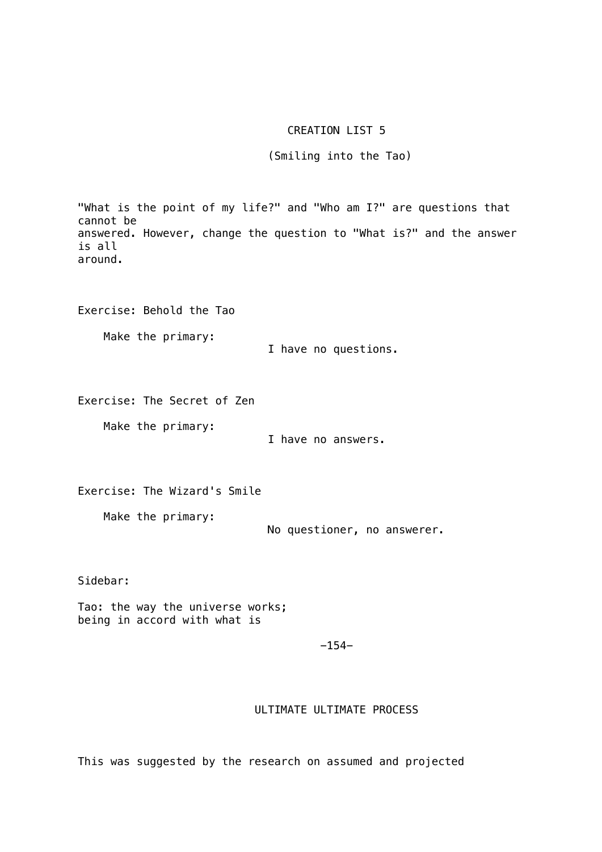# CREATION LIST 5

(Smiling into the Tao)

"What is the point of my life?" and "Who am I?" are questions that cannot be answered. However, change the question to "What is?" and the answer is all around. Exercise: Behold the Tao Make the primary: I have no questions. Exercise: The Secret of Zen Make the primary: I have no answers. Exercise: The Wizard's Smile Make the primary: No questioner, no answerer. Sidebar: Tao: the way the universe works; being in accord with what is  $-154-$ 

## ULTIMATE ULTIMATE PROCESS

This was suggested by the research on assumed and projected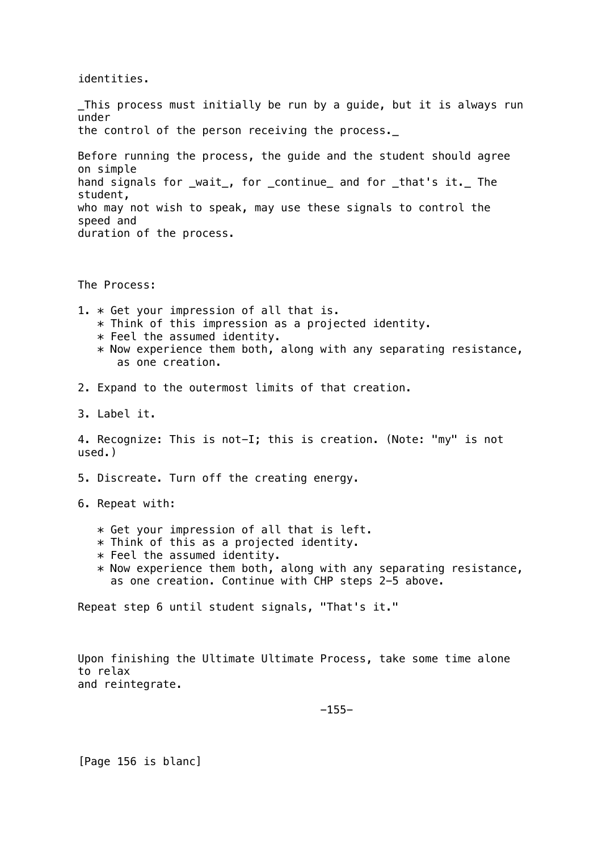identities.

\_This process must initially be run by a guide, but it is always run under the control of the person receiving the process. Before running the process, the guide and the student should agree on simple hand signals for \_wait\_, for \_continue\_ and for \_that's it.\_ The student, who may not wish to speak, may use these signals to control the speed and duration of the process. The Process: 1. \* Get your impression of all that is. \* Think of this impression as a projected identity.  $*$  Feel the assumed identity.  $*$  Now experience them both, along with any separating resistance, as one creation. 2. Expand to the outermost limits of that creation. 3. Label it. 4. Recognize: This is not-I; this is creation. (Note: "my" is not used.) 5. Discreate. Turn off the creating energy. 6. Repeat with: \* Get your impression of all that is left.  $*$  Think of this as a projected identity.  $*$  Feel the assumed identity. \* Now experience them both, along with any separating resistance, as one creation. Continue with CHP steps 2-5 above. Repeat step 6 until student signals, "That's it."

Upon finishing the Ultimate Ultimate Process, take some time alone to relax and reintegrate.

 $-155-$ 

[Page 156 is blanc]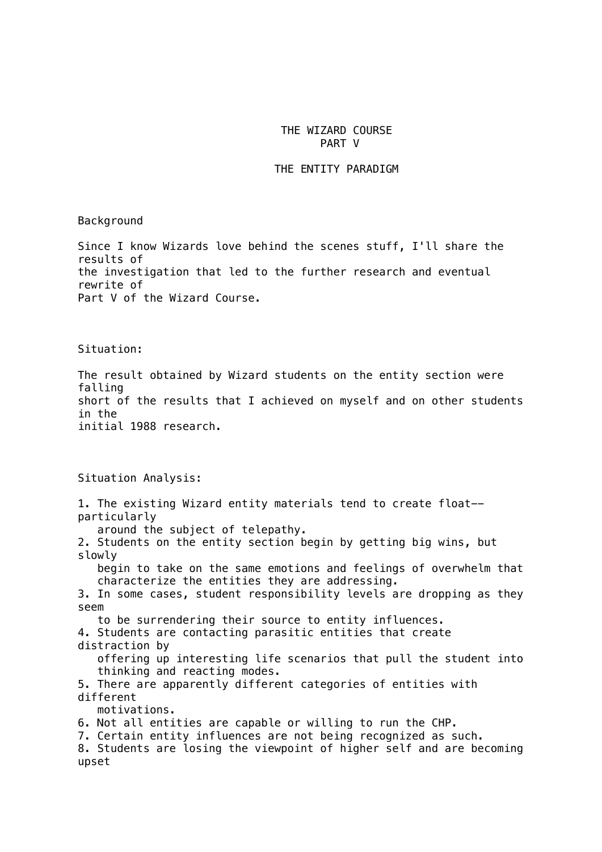### THE WIZARD COURSE PART V

#### THE ENTITY PARADIGM

Background

Since I know Wizards love behind the scenes stuff, I'll share the results of the investigation that led to the further research and eventual rewrite of Part V of the Wizard Course.

Situation:

The result obtained by Wizard students on the entity section were falling short of the results that I achieved on myself and on other students in the initial 1988 research.

Situation Analysis: 1. The existing Wizard entity materials tend to create float- particularly around the subject of telepathy. 2. Students on the entity section begin by getting big wins, but slowly begin to take on the same emotions and feelings of overwhelm that characterize the entities they are addressing. 3. In some cases, student responsibility levels are dropping as they seem to be surrendering their source to entity influences. 4. Students are contacting parasitic entities that create distraction by offering up interesting life scenarios that pull the student into thinking and reacting modes. 5. There are apparently different categories of entities with different motivations. 6. Not all entities are capable or willing to run the CHP. 7. Certain entity influences are not being recognized as such. 8. Students are losing the viewpoint of higher self and are becoming upset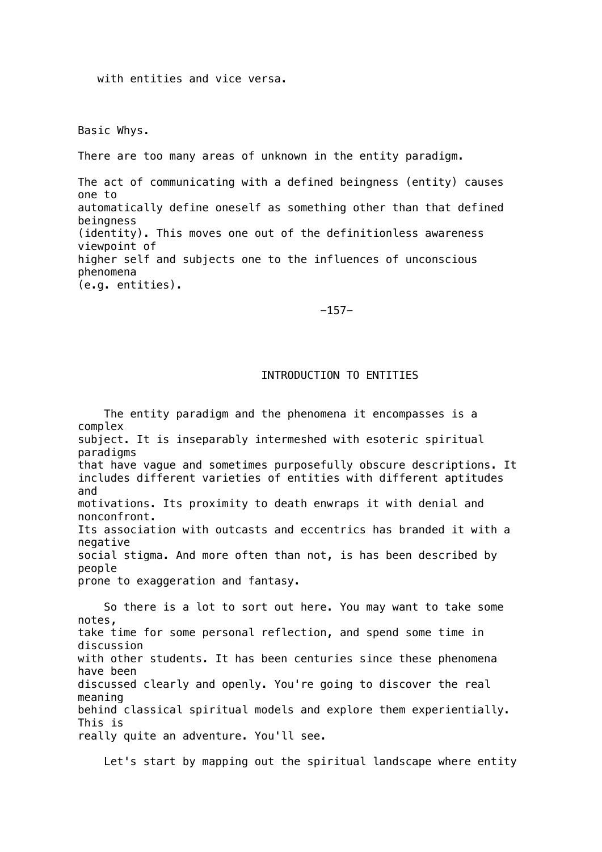with entities and vice versa.

Basic Whys.

There are too many areas of unknown in the entity paradigm.

The act of communicating with a defined beingness (entity) causes one to automatically define oneself as something other than that defined beingness (identity). This moves one out of the definitionless awareness viewpoint of higher self and subjects one to the influences of unconscious phenomena (e.g. entities).

-157-

## INTRODUCTION TO ENTITIES

 The entity paradigm and the phenomena it encompasses is a complex subject. It is inseparably intermeshed with esoteric spiritual paradigms that have vague and sometimes purposefully obscure descriptions. It includes different varieties of entities with different aptitudes and motivations. Its proximity to death enwraps it with denial and nonconfront. Its association with outcasts and eccentrics has branded it with a negative social stigma. And more often than not, is has been described by people prone to exaggeration and fantasy.

 So there is a lot to sort out here. You may want to take some notes, take time for some personal reflection, and spend some time in discussion with other students. It has been centuries since these phenomena have been discussed clearly and openly. You're going to discover the real meaning behind classical spiritual models and explore them experientially. This is really quite an adventure. You'll see.

Let's start by mapping out the spiritual landscape where entity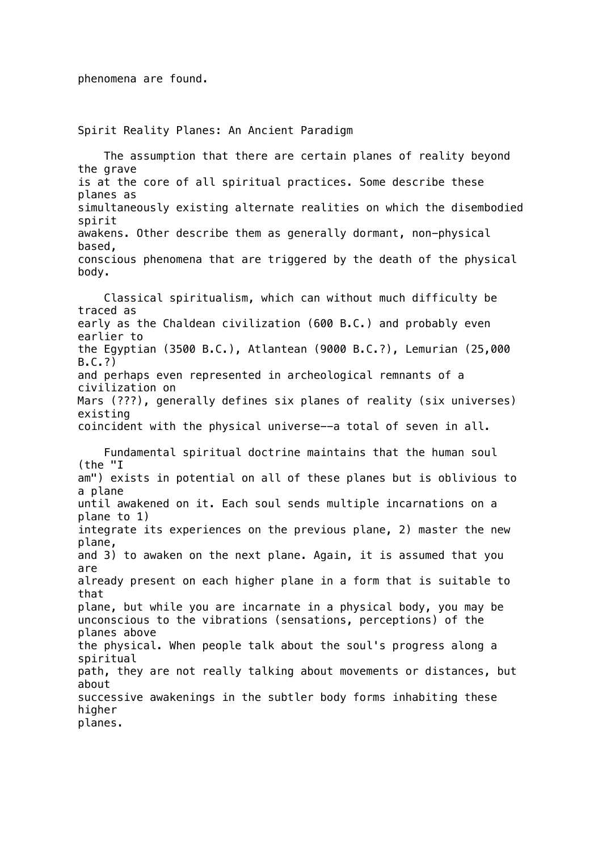Spirit Reality Planes: An Ancient Paradigm

 The assumption that there are certain planes of reality beyond the grave is at the core of all spiritual practices. Some describe these planes as simultaneously existing alternate realities on which the disembodied spirit awakens. Other describe them as generally dormant, non-physical based, conscious phenomena that are triggered by the death of the physical body. Classical spiritualism, which can without much difficulty be traced as early as the Chaldean civilization (600 B.C.) and probably even earlier to the Egyptian (3500 B.C.), Atlantean (9000 B.C.?), Lemurian (25,000 B.C.?) and perhaps even represented in archeological remnants of a civilization on Mars (???), generally defines six planes of reality (six universes) existing coincident with the physical universe--a total of seven in all. Fundamental spiritual doctrine maintains that the human soul (the "I am") exists in potential on all of these planes but is oblivious to a plane until awakened on it. Each soul sends multiple incarnations on a plane to 1) integrate its experiences on the previous plane, 2) master the new plane, and 3) to awaken on the next plane. Again, it is assumed that you are already present on each higher plane in a form that is suitable to that plane, but while you are incarnate in a physical body, you may be unconscious to the vibrations (sensations, perceptions) of the planes above the physical. When people talk about the soul's progress along a spiritual path, they are not really talking about movements or distances, but about successive awakenings in the subtler body forms inhabiting these higher planes.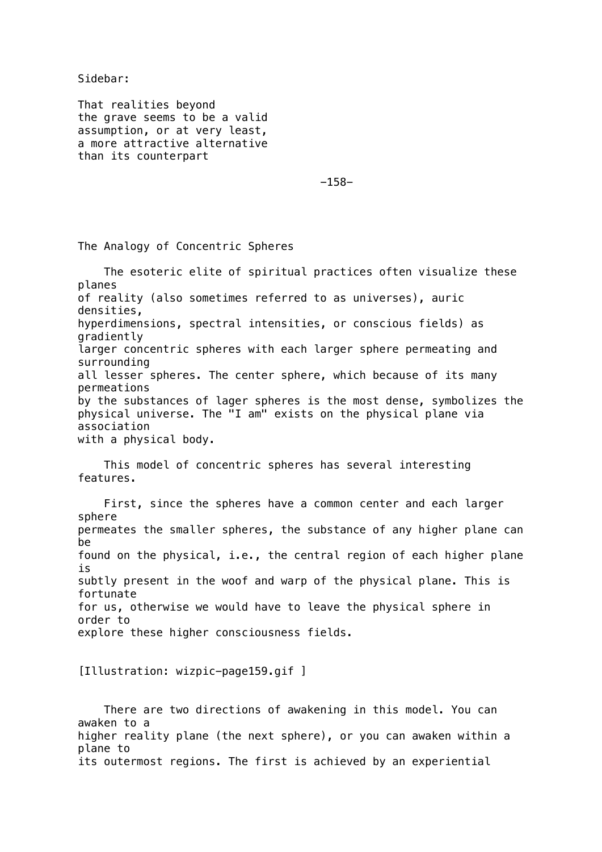Sidebar:

That realities beyond the grave seems to be a valid assumption, or at very least, a more attractive alternative than its counterpart

-158-

The Analogy of Concentric Spheres

 The esoteric elite of spiritual practices often visualize these planes of reality (also sometimes referred to as universes), auric densities, hyperdimensions, spectral intensities, or conscious fields) as gradiently larger concentric spheres with each larger sphere permeating and surrounding all lesser spheres. The center sphere, which because of its many permeations by the substances of lager spheres is the most dense, symbolizes the physical universe. The "I am" exists on the physical plane via association with a physical body.

 This model of concentric spheres has several interesting features.

 First, since the spheres have a common center and each larger sphere permeates the smaller spheres, the substance of any higher plane can be found on the physical, i.e., the central region of each higher plane is subtly present in the woof and warp of the physical plane. This is fortunate for us, otherwise we would have to leave the physical sphere in order to explore these higher consciousness fields.

[Illustration: wizpic-page159.gif ]

 There are two directions of awakening in this model. You can awaken to a higher reality plane (the next sphere), or you can awaken within a plane to its outermost regions. The first is achieved by an experiential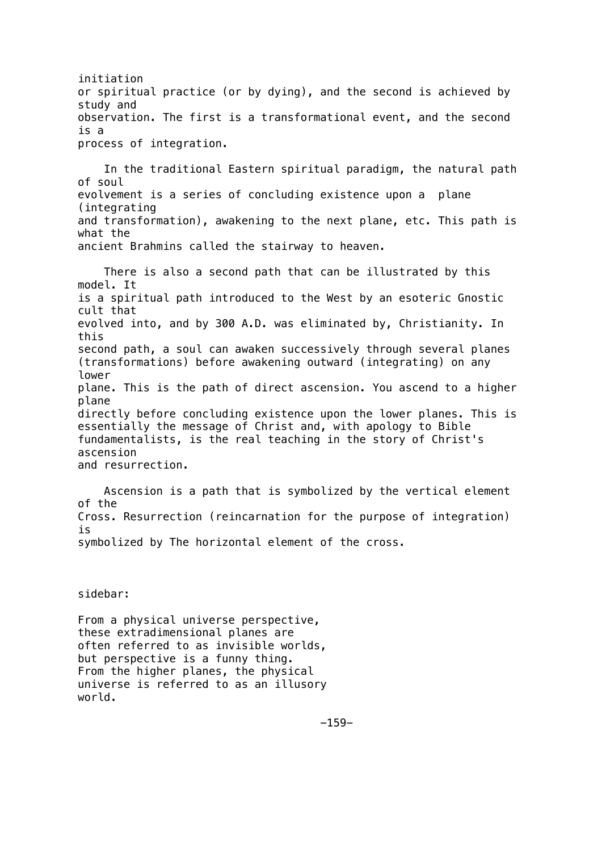initiation or spiritual practice (or by dying), and the second is achieved by study and observation. The first is a transformational event, and the second is a process of integration.

 In the traditional Eastern spiritual paradigm, the natural path of soul evolvement is a series of concluding existence upon a plane (integrating and transformation), awakening to the next plane, etc. This path is what the ancient Brahmins called the stairway to heaven.

 There is also a second path that can be illustrated by this model. It is a spiritual path introduced to the West by an esoteric Gnostic cult that evolved into, and by 300 A.D. was eliminated by, Christianity. In this second path, a soul can awaken successively through several planes (transformations) before awakening outward (integrating) on any lower plane. This is the path of direct ascension. You ascend to a higher plane directly before concluding existence upon the lower planes. This is essentially the message of Christ and, with apology to Bible fundamentalists, is the real teaching in the story of Christ's ascension and resurrection.

 Ascension is a path that is symbolized by the vertical element of the Cross. Resurrection (reincarnation for the purpose of integration) is symbolized by The horizontal element of the cross.

sidebar:

From a physical universe perspective, these extradimensional planes are often referred to as invisible worlds, but perspective is a funny thing. From the higher planes, the physical universe is referred to as an illusory world.

 $-159-$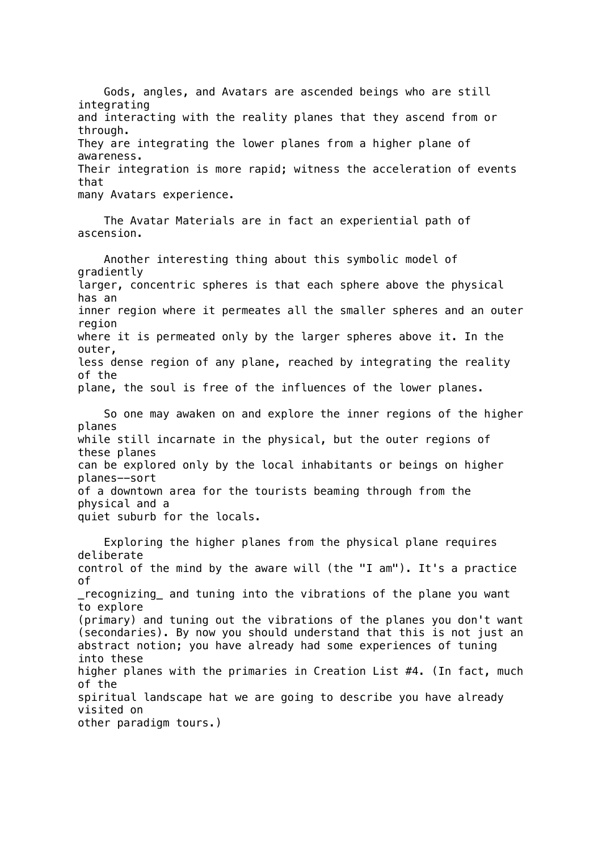Gods, angles, and Avatars are ascended beings who are still integrating and interacting with the reality planes that they ascend from or through. They are integrating the lower planes from a higher plane of awareness. Their integration is more rapid; witness the acceleration of events that many Avatars experience.

 The Avatar Materials are in fact an experiential path of ascension.

 Another interesting thing about this symbolic model of gradiently larger, concentric spheres is that each sphere above the physical has an inner region where it permeates all the smaller spheres and an outer region where it is permeated only by the larger spheres above it. In the outer, less dense region of any plane, reached by integrating the reality of the plane, the soul is free of the influences of the lower planes.

 So one may awaken on and explore the inner regions of the higher planes while still incarnate in the physical, but the outer regions of these planes can be explored only by the local inhabitants or beings on higher planes--sort of a downtown area for the tourists beaming through from the physical and a quiet suburb for the locals.

 Exploring the higher planes from the physical plane requires deliberate control of the mind by the aware will (the "I am"). It's a practice of recognizing and tuning into the vibrations of the plane you want to explore (primary) and tuning out the vibrations of the planes you don't want (secondaries). By now you should understand that this is not just an abstract notion; you have already had some experiences of tuning into these higher planes with the primaries in Creation List #4. (In fact, much of the spiritual landscape hat we are going to describe you have already visited on other paradigm tours.)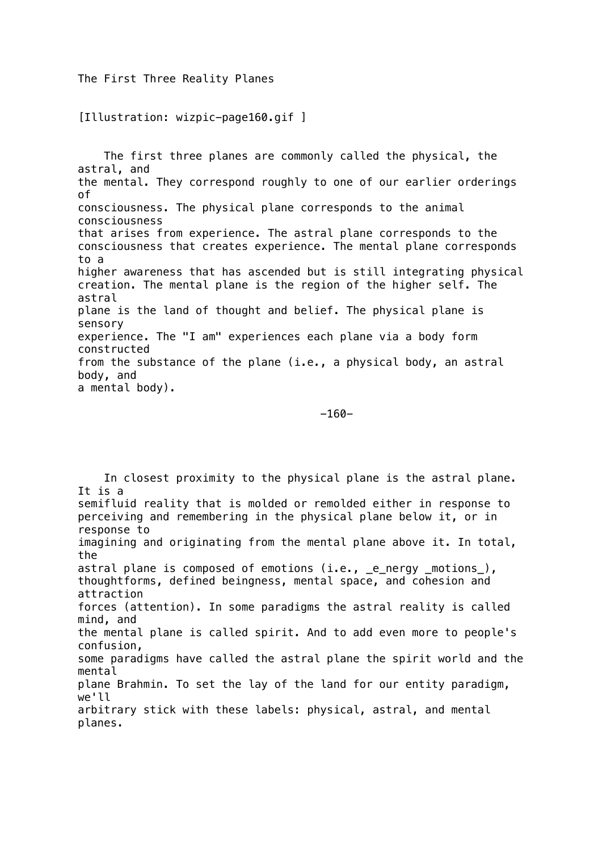The First Three Reality Planes

[Illustration: wizpic-page160.gif ]

 The first three planes are commonly called the physical, the astral, and the mental. They correspond roughly to one of our earlier orderings of consciousness. The physical plane corresponds to the animal consciousness that arises from experience. The astral plane corresponds to the consciousness that creates experience. The mental plane corresponds to a higher awareness that has ascended but is still integrating physical creation. The mental plane is the region of the higher self. The astral plane is the land of thought and belief. The physical plane is sensory experience. The "I am" experiences each plane via a body form constructed from the substance of the plane (i.e., a physical body, an astral body, and a mental body).

-160-

 In closest proximity to the physical plane is the astral plane. It is a semifluid reality that is molded or remolded either in response to perceiving and remembering in the physical plane below it, or in response to imagining and originating from the mental plane above it. In total, the astral plane is composed of emotions (i.e., \_e\_nergy \_motions\_), thoughtforms, defined beingness, mental space, and cohesion and attraction forces (attention). In some paradigms the astral reality is called mind, and the mental plane is called spirit. And to add even more to people's confusion, some paradigms have called the astral plane the spirit world and the mental plane Brahmin. To set the lay of the land for our entity paradigm, we'll arbitrary stick with these labels: physical, astral, and mental planes.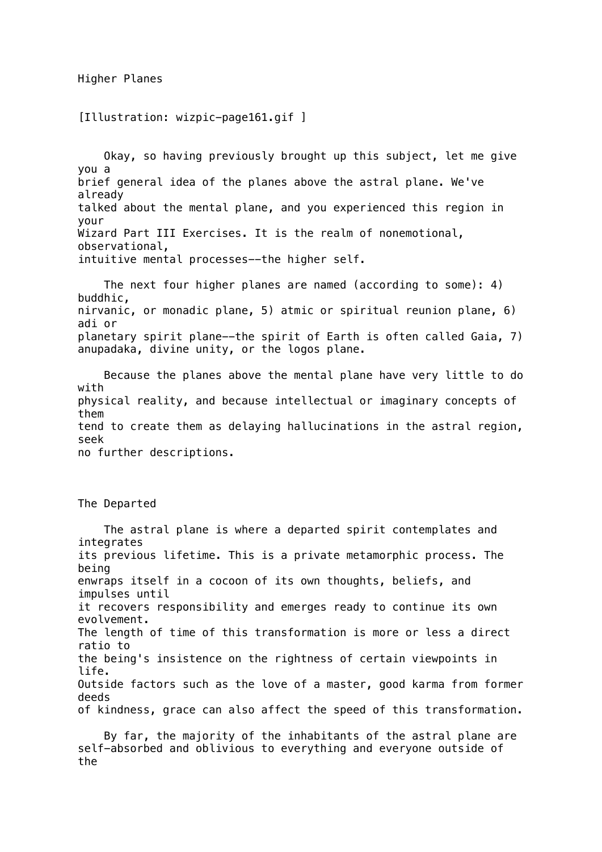Higher Planes

[Illustration: wizpic-page161.gif ]

 Okay, so having previously brought up this subject, let me give you a brief general idea of the planes above the astral plane. We've already talked about the mental plane, and you experienced this region in your Wizard Part III Exercises. It is the realm of nonemotional, observational, intuitive mental processes--the higher self.

 The next four higher planes are named (according to some): 4) buddhic, nirvanic, or monadic plane, 5) atmic or spiritual reunion plane, 6) adi or planetary spirit plane--the spirit of Earth is often called Gaia, 7) anupadaka, divine unity, or the logos plane.

 Because the planes above the mental plane have very little to do with physical reality, and because intellectual or imaginary concepts of them tend to create them as delaying hallucinations in the astral region, seek no further descriptions.

The Departed

 The astral plane is where a departed spirit contemplates and integrates its previous lifetime. This is a private metamorphic process. The being enwraps itself in a cocoon of its own thoughts, beliefs, and impulses until it recovers responsibility and emerges ready to continue its own evolvement. The length of time of this transformation is more or less a direct ratio to the being's insistence on the rightness of certain viewpoints in life. Outside factors such as the love of a master, good karma from former deeds of kindness, grace can also affect the speed of this transformation.

 By far, the majority of the inhabitants of the astral plane are self-absorbed and oblivious to everything and everyone outside of the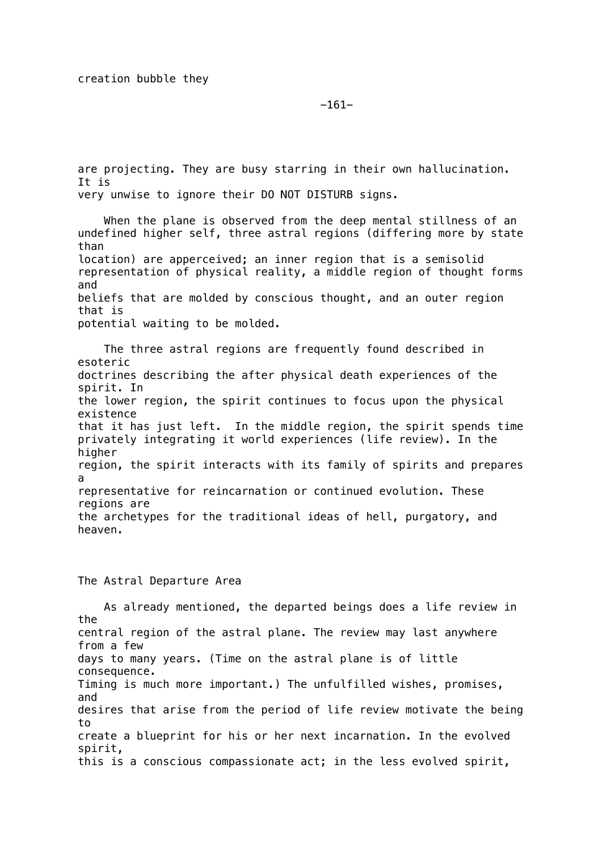-161-

are projecting. They are busy starring in their own hallucination. It is very unwise to ignore their DO NOT DISTURB signs.

 When the plane is observed from the deep mental stillness of an undefined higher self, three astral regions (differing more by state than location) are apperceived; an inner region that is a semisolid representation of physical reality, a middle region of thought forms and beliefs that are molded by conscious thought, and an outer region that is potential waiting to be molded.

 The three astral regions are frequently found described in esoteric doctrines describing the after physical death experiences of the spirit. In the lower region, the spirit continues to focus upon the physical existence that it has just left. In the middle region, the spirit spends time privately integrating it world experiences (life review). In the higher region, the spirit interacts with its family of spirits and prepares a representative for reincarnation or continued evolution. These regions are the archetypes for the traditional ideas of hell, purgatory, and heaven.

The Astral Departure Area

 As already mentioned, the departed beings does a life review in the central region of the astral plane. The review may last anywhere from a few days to many years. (Time on the astral plane is of little consequence. Timing is much more important.) The unfulfilled wishes, promises, and desires that arise from the period of life review motivate the being to create a blueprint for his or her next incarnation. In the evolved spirit, this is a conscious compassionate act; in the less evolved spirit,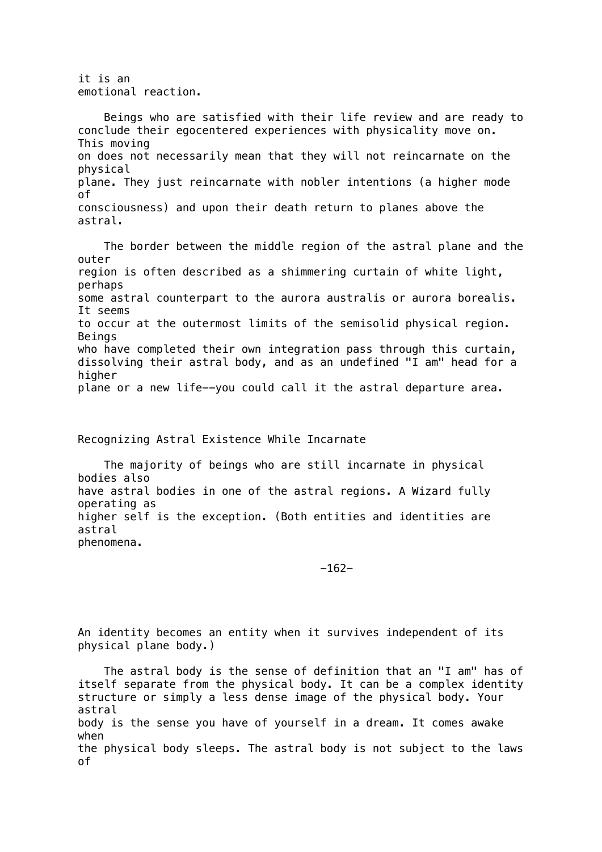it is an emotional reaction.

 Beings who are satisfied with their life review and are ready to conclude their egocentered experiences with physicality move on. This moving on does not necessarily mean that they will not reincarnate on the physical plane. They just reincarnate with nobler intentions (a higher mode of consciousness) and upon their death return to planes above the astral.

 The border between the middle region of the astral plane and the outer region is often described as a shimmering curtain of white light, perhaps some astral counterpart to the aurora australis or aurora borealis. It seems to occur at the outermost limits of the semisolid physical region. Beings who have completed their own integration pass through this curtain, dissolving their astral body, and as an undefined "I am" head for a higher plane or a new life--you could call it the astral departure area.

Recognizing Astral Existence While Incarnate

 The majority of beings who are still incarnate in physical bodies also have astral bodies in one of the astral regions. A Wizard fully operating as higher self is the exception. (Both entities and identities are astral phenomena.

-162-

An identity becomes an entity when it survives independent of its physical plane body.)

 The astral body is the sense of definition that an "I am" has of itself separate from the physical body. It can be a complex identity structure or simply a less dense image of the physical body. Your astral body is the sense you have of yourself in a dream. It comes awake when the physical body sleeps. The astral body is not subject to the laws of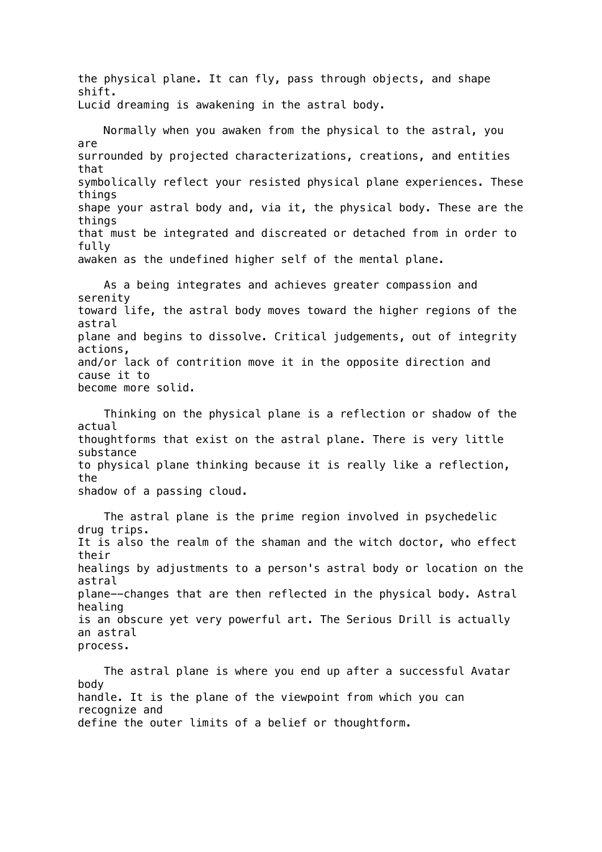the physical plane. It can fly, pass through objects, and shape shift. Lucid dreaming is awakening in the astral body.

 Normally when you awaken from the physical to the astral, you are surrounded by projected characterizations, creations, and entities that symbolically reflect your resisted physical plane experiences. These things shape your astral body and, via it, the physical body. These are the things that must be integrated and discreated or detached from in order to fully awaken as the undefined higher self of the mental plane.

 As a being integrates and achieves greater compassion and serenity toward life, the astral body moves toward the higher regions of the astral plane and begins to dissolve. Critical judgements, out of integrity actions, and/or lack of contrition move it in the opposite direction and cause it to become more solid.

 Thinking on the physical plane is a reflection or shadow of the actual thoughtforms that exist on the astral plane. There is very little substance to physical plane thinking because it is really like a reflection, the shadow of a passing cloud.

 The astral plane is the prime region involved in psychedelic drug trips. It is also the realm of the shaman and the witch doctor, who effect their healings by adjustments to a person's astral body or location on the astral plane--changes that are then reflected in the physical body. Astral healing is an obscure yet very powerful art. The Serious Drill is actually an astral process.

 The astral plane is where you end up after a successful Avatar body handle. It is the plane of the viewpoint from which you can recognize and define the outer limits of a belief or thoughtform.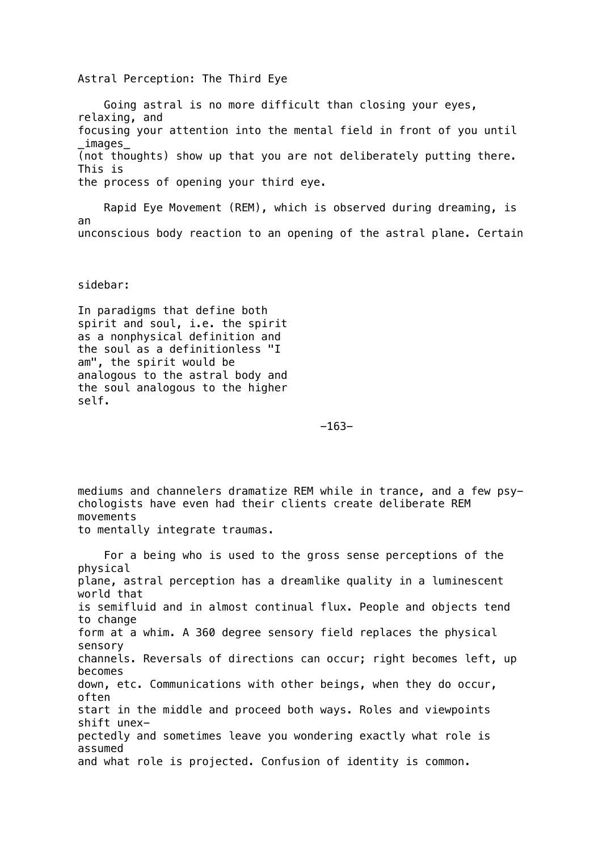Astral Perception: The Third Eye

 Going astral is no more difficult than closing your eyes, relaxing, and focusing your attention into the mental field in front of you until \_images\_ (not thoughts) show up that you are not deliberately putting there. This is the process of opening your third eye.

 Rapid Eye Movement (REM), which is observed during dreaming, is an unconscious body reaction to an opening of the astral plane. Certain

sidebar:

In paradigms that define both spirit and soul, i.e. the spirit as a nonphysical definition and the soul as a definitionless "I am", the spirit would be analogous to the astral body and the soul analogous to the higher self.

-163-

mediums and channelers dramatize REM while in trance, and a few psychologists have even had their clients create deliberate REM movements to mentally integrate traumas.

 For a being who is used to the gross sense perceptions of the physical plane, astral perception has a dreamlike quality in a luminescent world that is semifluid and in almost continual flux. People and objects tend to change form at a whim. A 360 degree sensory field replaces the physical sensory channels. Reversals of directions can occur; right becomes left, up becomes down, etc. Communications with other beings, when they do occur, often start in the middle and proceed both ways. Roles and viewpoints shift unexpectedly and sometimes leave you wondering exactly what role is assumed and what role is projected. Confusion of identity is common.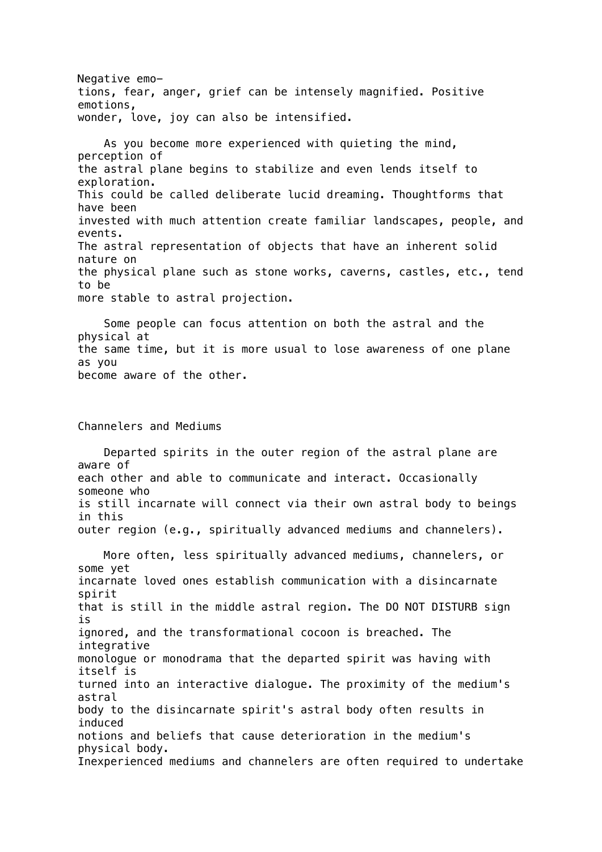Negative emotions, fear, anger, grief can be intensely magnified. Positive emotions, wonder, love, joy can also be intensified. As you become more experienced with quieting the mind, perception of the astral plane begins to stabilize and even lends itself to exploration. This could be called deliberate lucid dreaming. Thoughtforms that have been invested with much attention create familiar landscapes, people, and events. The astral representation of objects that have an inherent solid nature on the physical plane such as stone works, caverns, castles, etc., tend to be more stable to astral projection. Some people can focus attention on both the astral and the physical at the same time, but it is more usual to lose awareness of one plane as you become aware of the other. Channelers and Mediums Departed spirits in the outer region of the astral plane are aware of each other and able to communicate and interact. Occasionally someone who is still incarnate will connect via their own astral body to beings

in this outer region (e.g., spiritually advanced mediums and channelers).

 More often, less spiritually advanced mediums, channelers, or some yet incarnate loved ones establish communication with a disincarnate spirit that is still in the middle astral region. The DO NOT DISTURB sign is ignored, and the transformational cocoon is breached. The integrative monologue or monodrama that the departed spirit was having with itself is turned into an interactive dialogue. The proximity of the medium's astral body to the disincarnate spirit's astral body often results in induced notions and beliefs that cause deterioration in the medium's physical body. Inexperienced mediums and channelers are often required to undertake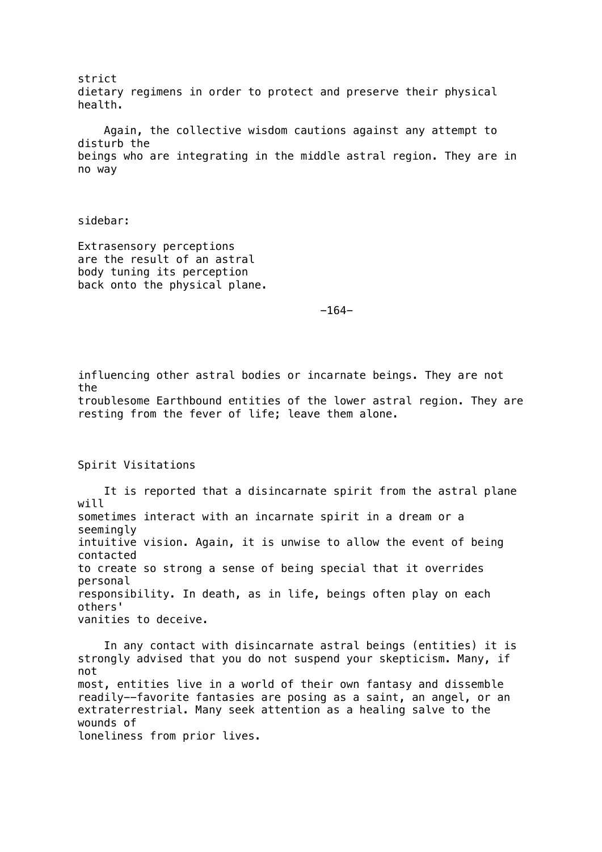strict dietary regimens in order to protect and preserve their physical health. Again, the collective wisdom cautions against any attempt to disturb the beings who are integrating in the middle astral region. They are in no way

sidebar:

Extrasensory perceptions are the result of an astral body tuning its perception back onto the physical plane.

 $-164-$ 

influencing other astral bodies or incarnate beings. They are not the

troublesome Earthbound entities of the lower astral region. They are resting from the fever of life; leave them alone.

Spirit Visitations

 It is reported that a disincarnate spirit from the astral plane will sometimes interact with an incarnate spirit in a dream or a seemingly intuitive vision. Again, it is unwise to allow the event of being contacted to create so strong a sense of being special that it overrides personal responsibility. In death, as in life, beings often play on each others' vanities to deceive.

 In any contact with disincarnate astral beings (entities) it is strongly advised that you do not suspend your skepticism. Many, if not most, entities live in a world of their own fantasy and dissemble readily--favorite fantasies are posing as a saint, an angel, or an extraterrestrial. Many seek attention as a healing salve to the wounds of loneliness from prior lives.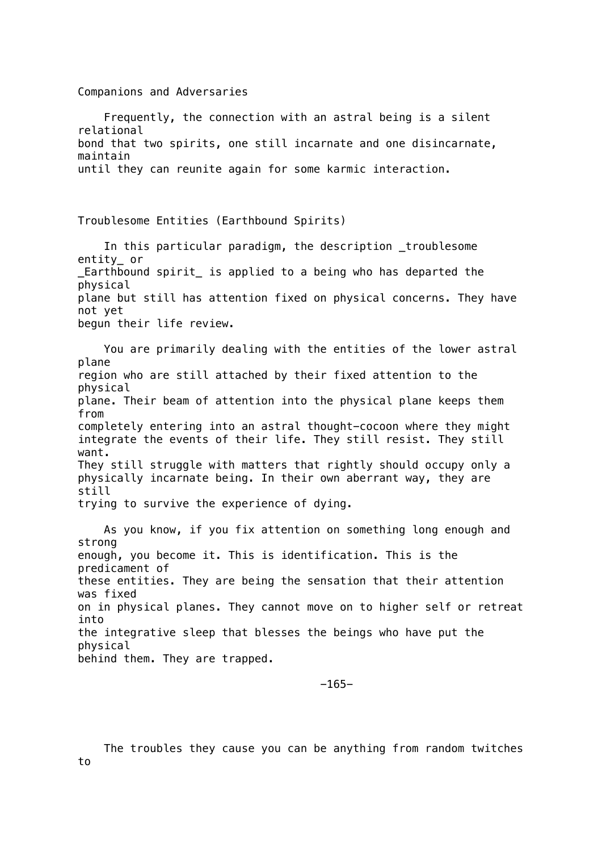Companions and Adversaries Frequently, the connection with an astral being is a silent relational bond that two spirits, one still incarnate and one disincarnate, maintain until they can reunite again for some karmic interaction. Troublesome Entities (Earthbound Spirits) In this particular paradigm, the description troublesome entity\_ or \_Earthbound spirit\_ is applied to a being who has departed the physical plane but still has attention fixed on physical concerns. They have not yet begun their life review. You are primarily dealing with the entities of the lower astral plane region who are still attached by their fixed attention to the physical plane. Their beam of attention into the physical plane keeps them from completely entering into an astral thought-cocoon where they might integrate the events of their life. They still resist. They still want. They still struggle with matters that rightly should occupy only a physically incarnate being. In their own aberrant way, they are still trying to survive the experience of dying. As you know, if you fix attention on something long enough and strong enough, you become it. This is identification. This is the predicament of these entities. They are being the sensation that their attention was fixed on in physical planes. They cannot move on to higher self or retreat into the integrative sleep that blesses the beings who have put the physical behind them. They are trapped.

-165-

 The troubles they cause you can be anything from random twitches to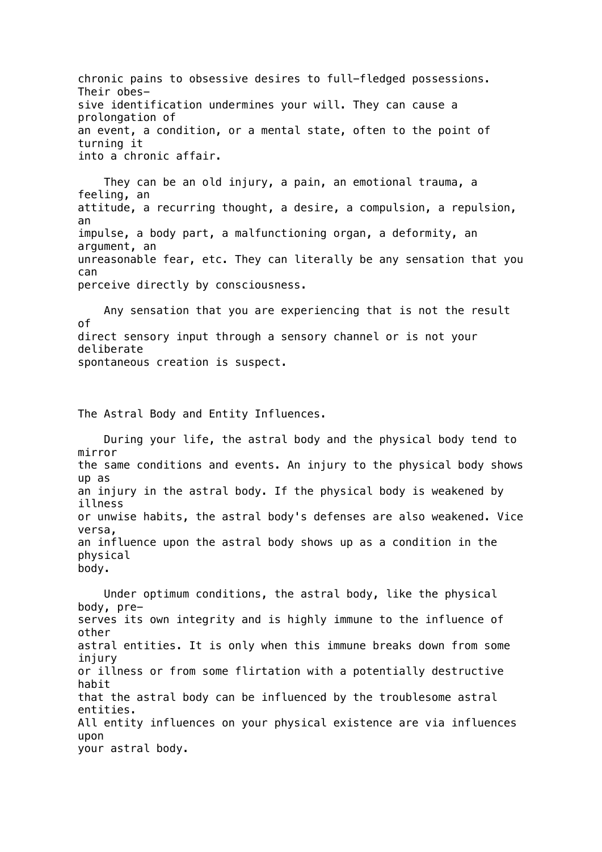chronic pains to obsessive desires to full-fledged possessions. Their obessive identification undermines your will. They can cause a prolongation of an event, a condition, or a mental state, often to the point of turning it into a chronic affair.

 They can be an old injury, a pain, an emotional trauma, a feeling, an attitude, a recurring thought, a desire, a compulsion, a repulsion, an impulse, a body part, a malfunctioning organ, a deformity, an argument, an unreasonable fear, etc. They can literally be any sensation that you can perceive directly by consciousness.

 Any sensation that you are experiencing that is not the result of direct sensory input through a sensory channel or is not your deliberate spontaneous creation is suspect.

The Astral Body and Entity Influences.

 During your life, the astral body and the physical body tend to mirror the same conditions and events. An injury to the physical body shows up as an injury in the astral body. If the physical body is weakened by illness or unwise habits, the astral body's defenses are also weakened. Vice versa, an influence upon the astral body shows up as a condition in the physical body.

 Under optimum conditions, the astral body, like the physical body, preserves its own integrity and is highly immune to the influence of other astral entities. It is only when this immune breaks down from some injury or illness or from some flirtation with a potentially destructive habit that the astral body can be influenced by the troublesome astral entities. All entity influences on your physical existence are via influences upon your astral body.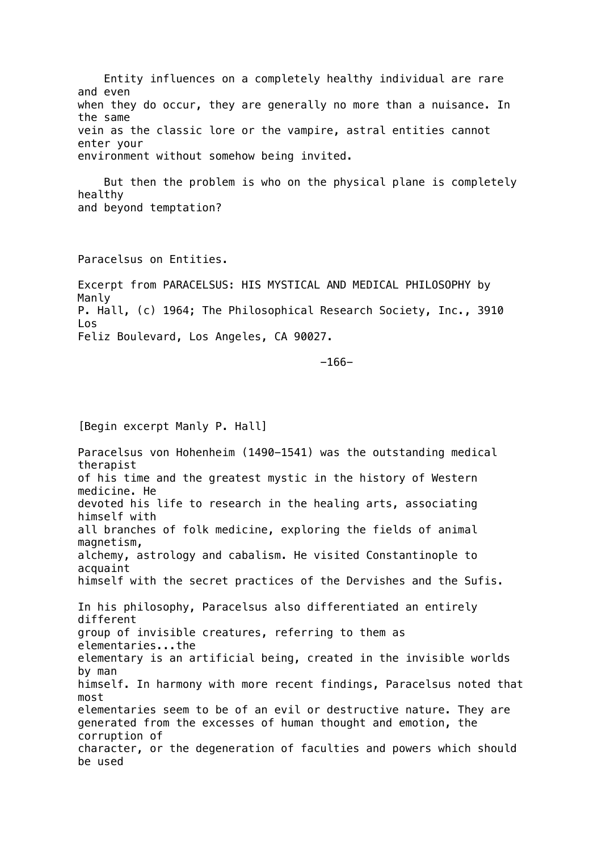Entity influences on a completely healthy individual are rare and even when they do occur, they are generally no more than a nuisance. In the same vein as the classic lore or the vampire, astral entities cannot enter your environment without somehow being invited.

 But then the problem is who on the physical plane is completely healthy and beyond temptation?

Paracelsus on Entities.

Excerpt from PARACELSUS: HIS MYSTICAL AND MEDICAL PHILOSOPHY by Manly P. Hall, (c) 1964; The Philosophical Research Society, Inc., 3910 Los Feliz Boulevard, Los Angeles, CA 90027.

 $-166-$ 

[Begin excerpt Manly P. Hall]

Paracelsus von Hohenheim (1490-1541) was the outstanding medical therapist of his time and the greatest mystic in the history of Western medicine. He devoted his life to research in the healing arts, associating himself with all branches of folk medicine, exploring the fields of animal magnetism, alchemy, astrology and cabalism. He visited Constantinople to acquaint himself with the secret practices of the Dervishes and the Sufis. In his philosophy, Paracelsus also differentiated an entirely different group of invisible creatures, referring to them as elementaries...the elementary is an artificial being, created in the invisible worlds by man himself. In harmony with more recent findings, Paracelsus noted that most elementaries seem to be of an evil or destructive nature. They are generated from the excesses of human thought and emotion, the corruption of character, or the degeneration of faculties and powers which should be used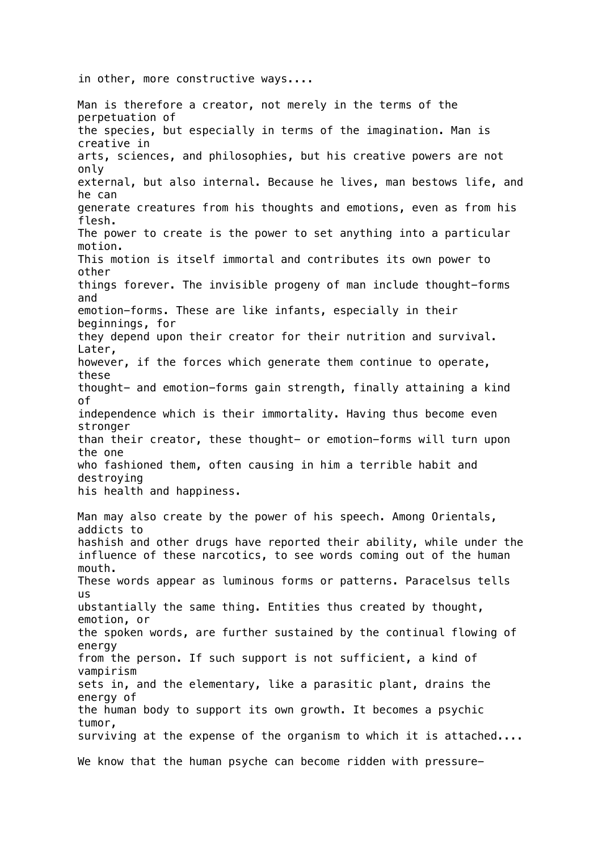in other, more constructive ways....

Man is therefore a creator, not merely in the terms of the perpetuation of the species, but especially in terms of the imagination. Man is creative in arts, sciences, and philosophies, but his creative powers are not only external, but also internal. Because he lives, man bestows life, and he can generate creatures from his thoughts and emotions, even as from his flesh. The power to create is the power to set anything into a particular motion. This motion is itself immortal and contributes its own power to other things forever. The invisible progeny of man include thought-forms and emotion-forms. These are like infants, especially in their beginnings, for they depend upon their creator for their nutrition and survival. Later, however, if the forces which generate them continue to operate, these thought- and emotion-forms gain strength, finally attaining a kind of independence which is their immortality. Having thus become even stronger than their creator, these thought- or emotion-forms will turn upon the one who fashioned them, often causing in him a terrible habit and destroying his health and happiness. Man may also create by the power of his speech. Among Orientals, addicts to hashish and other drugs have reported their ability, while under the influence of these narcotics, to see words coming out of the human mouth. These words appear as luminous forms or patterns. Paracelsus tells us ubstantially the same thing. Entities thus created by thought, emotion, or the spoken words, are further sustained by the continual flowing of energy from the person. If such support is not sufficient, a kind of vampirism sets in, and the elementary, like a parasitic plant, drains the energy of the human body to support its own growth. It becomes a psychic tumor, surviving at the expense of the organism to which it is attached.... We know that the human psyche can become ridden with pressure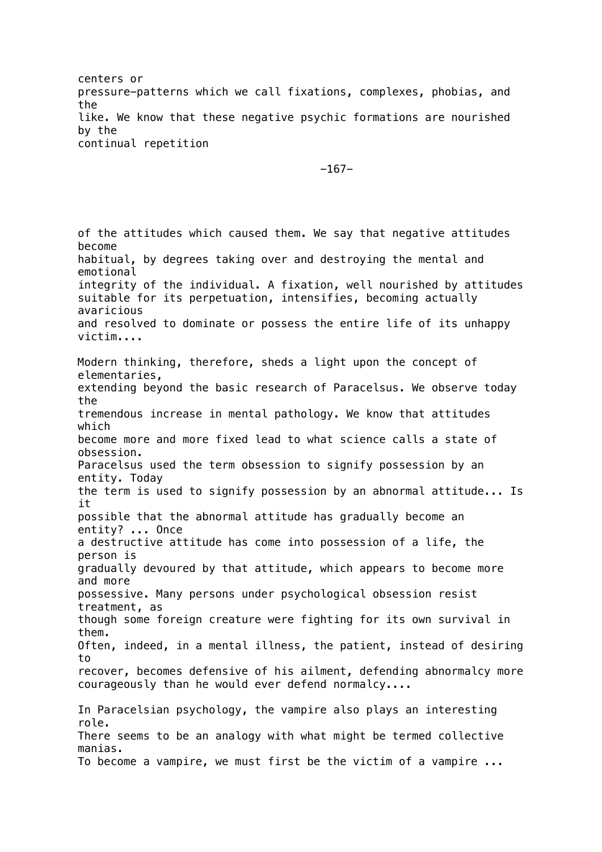centers or pressure-patterns which we call fixations, complexes, phobias, and the like. We know that these negative psychic formations are nourished by the continual repetition

-167-

of the attitudes which caused them. We say that negative attitudes become habitual, by degrees taking over and destroying the mental and emotional integrity of the individual. A fixation, well nourished by attitudes suitable for its perpetuation, intensifies, becoming actually avaricious and resolved to dominate or possess the entire life of its unhappy victim.... Modern thinking, therefore, sheds a light upon the concept of elementaries, extending beyond the basic research of Paracelsus. We observe today the tremendous increase in mental pathology. We know that attitudes which become more and more fixed lead to what science calls a state of obsession. Paracelsus used the term obsession to signify possession by an entity. Today the term is used to signify possession by an abnormal attitude... Is it possible that the abnormal attitude has gradually become an entity? ... Once a destructive attitude has come into possession of a life, the person is gradually devoured by that attitude, which appears to become more and more possessive. Many persons under psychological obsession resist treatment, as though some foreign creature were fighting for its own survival in them. Often, indeed, in a mental illness, the patient, instead of desiring to recover, becomes defensive of his ailment, defending abnormalcy more courageously than he would ever defend normalcy.... In Paracelsian psychology, the vampire also plays an interesting role. There seems to be an analogy with what might be termed collective manias. To become a vampire, we must first be the victim of a vampire ...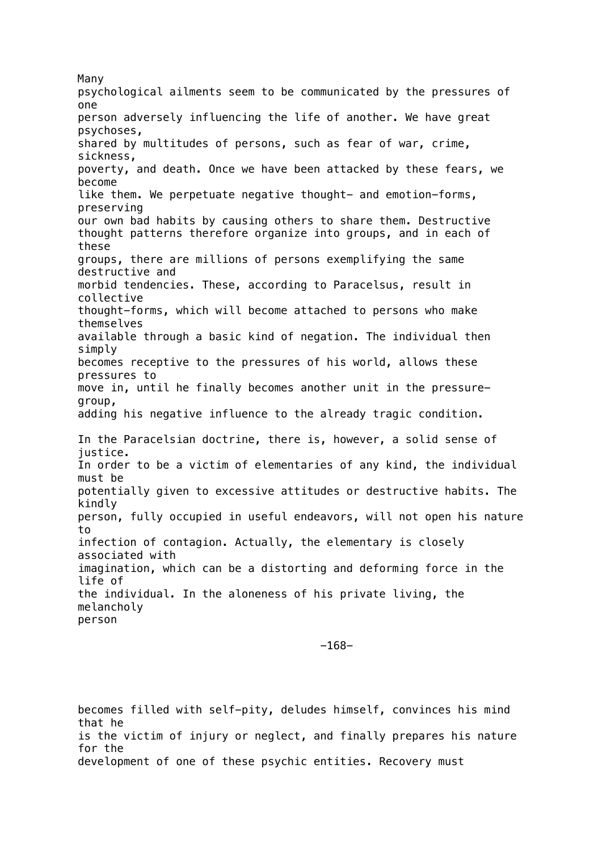Many psychological ailments seem to be communicated by the pressures of one person adversely influencing the life of another. We have great psychoses, shared by multitudes of persons, such as fear of war, crime, sickness, poverty, and death. Once we have been attacked by these fears, we become like them. We perpetuate negative thought- and emotion-forms, preserving our own bad habits by causing others to share them. Destructive thought patterns therefore organize into groups, and in each of these groups, there are millions of persons exemplifying the same destructive and morbid tendencies. These, according to Paracelsus, result in collective thought-forms, which will become attached to persons who make themselves available through a basic kind of negation. The individual then simply becomes receptive to the pressures of his world, allows these pressures to move in, until he finally becomes another unit in the pressuregroup, adding his negative influence to the already tragic condition. In the Paracelsian doctrine, there is, however, a solid sense of justice. In order to be a victim of elementaries of any kind, the individual must be potentially given to excessive attitudes or destructive habits. The kindly person, fully occupied in useful endeavors, will not open his nature to infection of contagion. Actually, the elementary is closely associated with imagination, which can be a distorting and deforming force in the life of the individual. In the aloneness of his private living, the melancholy person

-168-

becomes filled with self-pity, deludes himself, convinces his mind that he is the victim of injury or neglect, and finally prepares his nature for the development of one of these psychic entities. Recovery must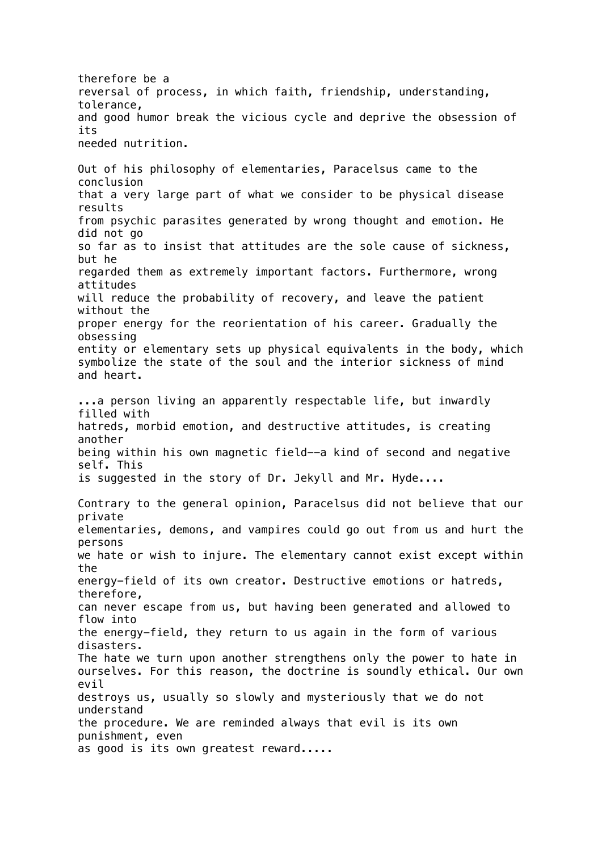therefore be a reversal of process, in which faith, friendship, understanding, tolerance, and good humor break the vicious cycle and deprive the obsession of its needed nutrition. Out of his philosophy of elementaries, Paracelsus came to the conclusion that a very large part of what we consider to be physical disease results from psychic parasites generated by wrong thought and emotion. He did not go so far as to insist that attitudes are the sole cause of sickness, but he regarded them as extremely important factors. Furthermore, wrong attitudes will reduce the probability of recovery, and leave the patient without the proper energy for the reorientation of his career. Gradually the obsessing entity or elementary sets up physical equivalents in the body, which symbolize the state of the soul and the interior sickness of mind and heart. ...a person living an apparently respectable life, but inwardly filled with hatreds, morbid emotion, and destructive attitudes, is creating another being within his own magnetic field--a kind of second and negative self. This is suggested in the story of Dr. Jekyll and Mr. Hyde.... Contrary to the general opinion, Paracelsus did not believe that our private elementaries, demons, and vampires could go out from us and hurt the persons we hate or wish to injure. The elementary cannot exist except within the energy-field of its own creator. Destructive emotions or hatreds, therefore, can never escape from us, but having been generated and allowed to flow into the energy-field, they return to us again in the form of various disasters. The hate we turn upon another strengthens only the power to hate in ourselves. For this reason, the doctrine is soundly ethical. Our own evil destroys us, usually so slowly and mysteriously that we do not understand the procedure. We are reminded always that evil is its own punishment, even as good is its own greatest reward.....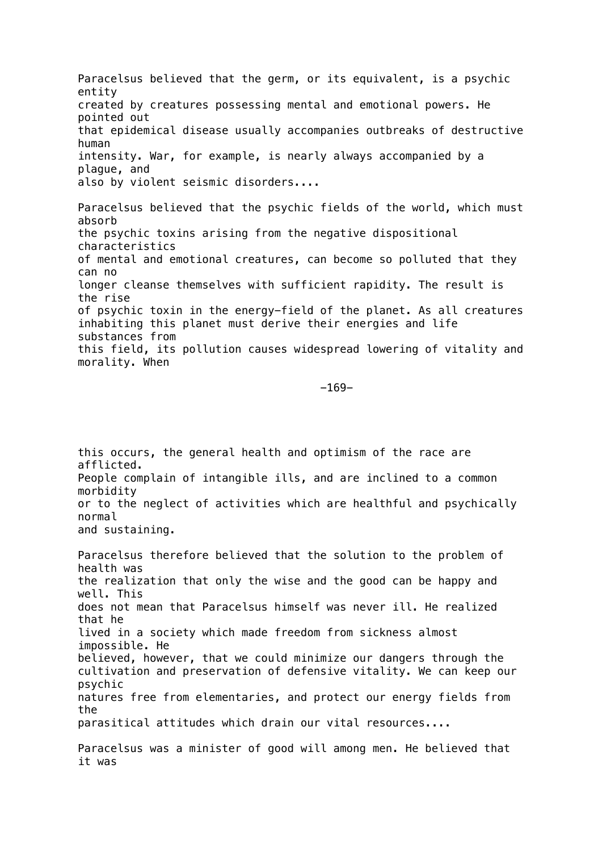Paracelsus believed that the germ, or its equivalent, is a psychic entity created by creatures possessing mental and emotional powers. He pointed out that epidemical disease usually accompanies outbreaks of destructive human intensity. War, for example, is nearly always accompanied by a plague, and also by violent seismic disorders.... Paracelsus believed that the psychic fields of the world, which must absorb the psychic toxins arising from the negative dispositional characteristics of mental and emotional creatures, can become so polluted that they can no longer cleanse themselves with sufficient rapidity. The result is the rise of psychic toxin in the energy-field of the planet. As all creatures inhabiting this planet must derive their energies and life substances from this field, its pollution causes widespread lowering of vitality and morality. When

-169-

this occurs, the general health and optimism of the race are afflicted. People complain of intangible ills, and are inclined to a common morbidity or to the neglect of activities which are healthful and psychically normal and sustaining.

Paracelsus therefore believed that the solution to the problem of health was the realization that only the wise and the good can be happy and well. This does not mean that Paracelsus himself was never ill. He realized that he lived in a society which made freedom from sickness almost impossible. He believed, however, that we could minimize our dangers through the cultivation and preservation of defensive vitality. We can keep our psychic natures free from elementaries, and protect our energy fields from the parasitical attitudes which drain our vital resources.... Paracelsus was a minister of good will among men. He believed that it was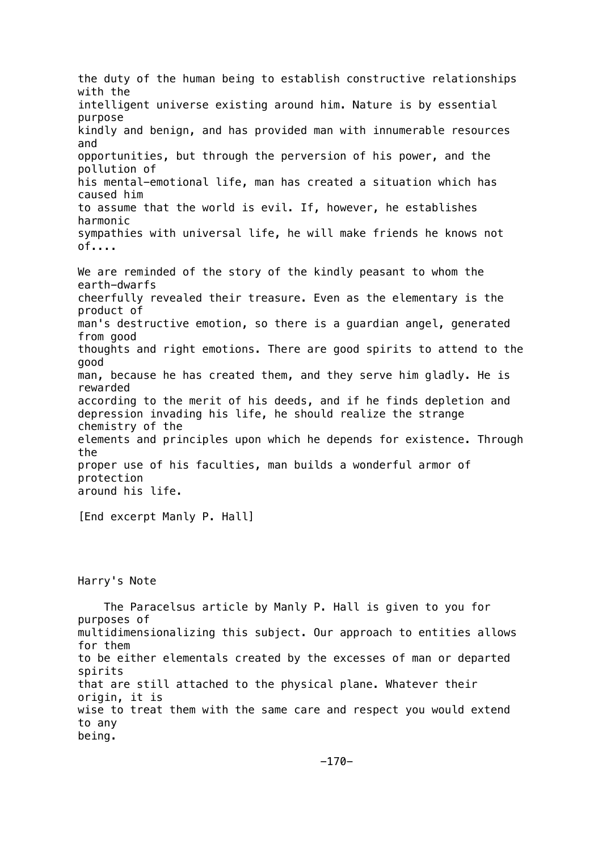the duty of the human being to establish constructive relationships with the intelligent universe existing around him. Nature is by essential purpose kindly and benign, and has provided man with innumerable resources and opportunities, but through the perversion of his power, and the pollution of his mental-emotional life, man has created a situation which has caused him to assume that the world is evil. If, however, he establishes harmonic sympathies with universal life, he will make friends he knows not of.... We are reminded of the story of the kindly peasant to whom the earth-dwarfs cheerfully revealed their treasure. Even as the elementary is the product of man's destructive emotion, so there is a guardian angel, generated from good thoughts and right emotions. There are good spirits to attend to the good man, because he has created them, and they serve him gladly. He is rewarded according to the merit of his deeds, and if he finds depletion and depression invading his life, he should realize the strange chemistry of the elements and principles upon which he depends for existence. Through the proper use of his faculties, man builds a wonderful armor of protection around his life.

[End excerpt Manly P. Hall]

Harry's Note

 The Paracelsus article by Manly P. Hall is given to you for purposes of multidimensionalizing this subject. Our approach to entities allows for them to be either elementals created by the excesses of man or departed spirits that are still attached to the physical plane. Whatever their origin, it is wise to treat them with the same care and respect you would extend to any being.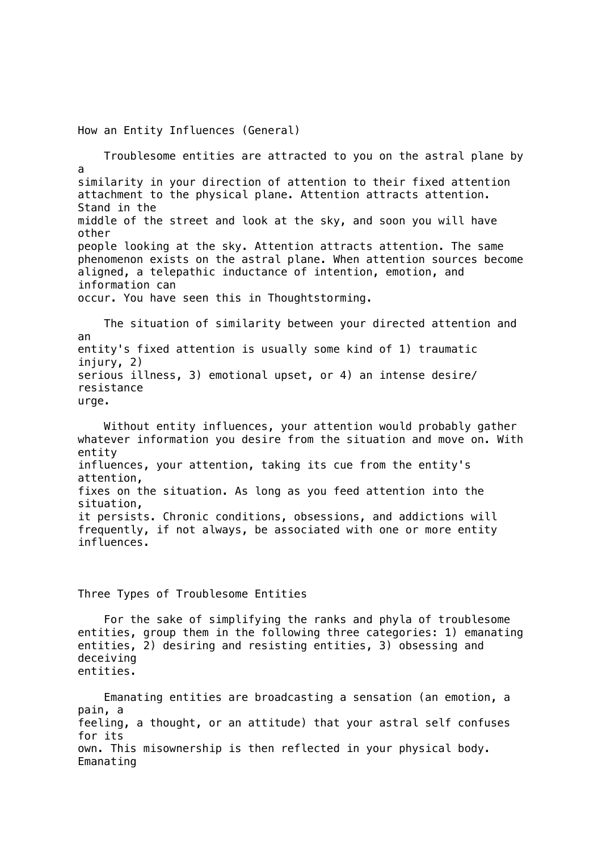How an Entity Influences (General) Troublesome entities are attracted to you on the astral plane by a similarity in your direction of attention to their fixed attention attachment to the physical plane. Attention attracts attention. Stand in the middle of the street and look at the sky, and soon you will have other people looking at the sky. Attention attracts attention. The same phenomenon exists on the astral plane. When attention sources become aligned, a telepathic inductance of intention, emotion, and information can occur. You have seen this in Thoughtstorming. The situation of similarity between your directed attention and an entity's fixed attention is usually some kind of 1) traumatic injury, 2) serious illness, 3) emotional upset, or 4) an intense desire/ resistance urge. Without entity influences, your attention would probably gather whatever information you desire from the situation and move on. With entity influences, your attention, taking its cue from the entity's attention, fixes on the situation. As long as you feed attention into the situation, it persists. Chronic conditions, obsessions, and addictions will frequently, if not always, be associated with one or more entity influences. Three Types of Troublesome Entities For the sake of simplifying the ranks and phyla of troublesome

entities, group them in the following three categories: 1) emanating entities, 2) desiring and resisting entities, 3) obsessing and deceiving entities.

 Emanating entities are broadcasting a sensation (an emotion, a pain, a feeling, a thought, or an attitude) that your astral self confuses for its own. This misownership is then reflected in your physical body. Emanating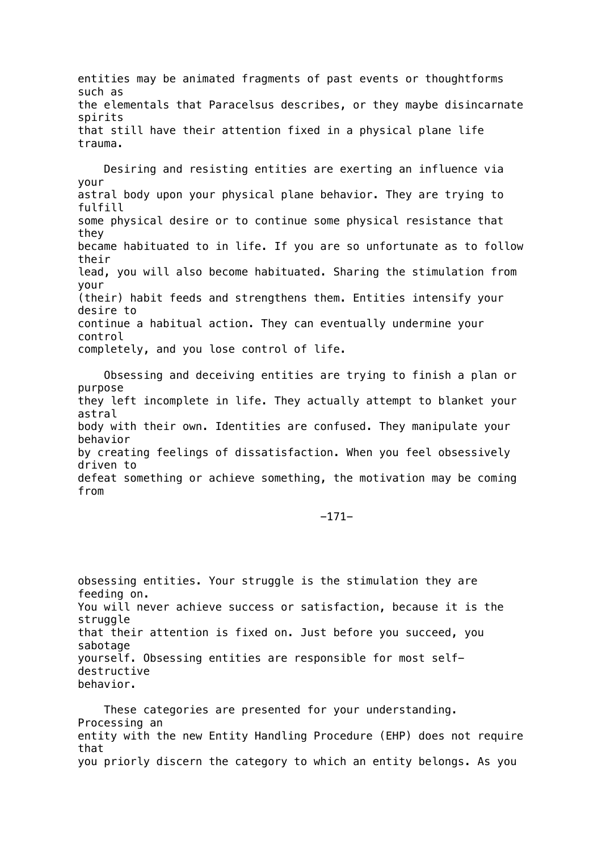entities may be animated fragments of past events or thoughtforms such as the elementals that Paracelsus describes, or they maybe disincarnate spirits that still have their attention fixed in a physical plane life trauma.

 Desiring and resisting entities are exerting an influence via your astral body upon your physical plane behavior. They are trying to fulfill some physical desire or to continue some physical resistance that they became habituated to in life. If you are so unfortunate as to follow their lead, you will also become habituated. Sharing the stimulation from your (their) habit feeds and strengthens them. Entities intensify your desire to continue a habitual action. They can eventually undermine your control completely, and you lose control of life.

 Obsessing and deceiving entities are trying to finish a plan or purpose they left incomplete in life. They actually attempt to blanket your astral body with their own. Identities are confused. They manipulate your behavior by creating feelings of dissatisfaction. When you feel obsessively driven to defeat something or achieve something, the motivation may be coming from

-171-

obsessing entities. Your struggle is the stimulation they are feeding on. You will never achieve success or satisfaction, because it is the struggle that their attention is fixed on. Just before you succeed, you sabotage yourself. Obsessing entities are responsible for most selfdestructive behavior.

 These categories are presented for your understanding. Processing an entity with the new Entity Handling Procedure (EHP) does not require that you priorly discern the category to which an entity belongs. As you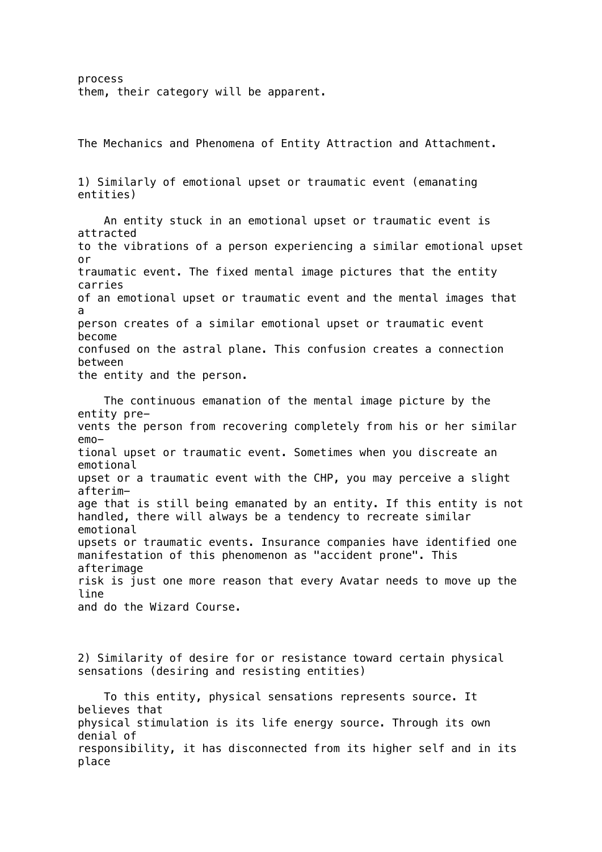process them, their category will be apparent.

The Mechanics and Phenomena of Entity Attraction and Attachment.

1) Similarly of emotional upset or traumatic event (emanating entities)

 An entity stuck in an emotional upset or traumatic event is attracted to the vibrations of a person experiencing a similar emotional upset or traumatic event. The fixed mental image pictures that the entity carries of an emotional upset or traumatic event and the mental images that a person creates of a similar emotional upset or traumatic event become confused on the astral plane. This confusion creates a connection between the entity and the person.

 The continuous emanation of the mental image picture by the entity prevents the person from recovering completely from his or her similar emotional upset or traumatic event. Sometimes when you discreate an emotional upset or a traumatic event with the CHP, you may perceive a slight afterimage that is still being emanated by an entity. If this entity is not handled, there will always be a tendency to recreate similar emotional upsets or traumatic events. Insurance companies have identified one manifestation of this phenomenon as "accident prone". This afterimage risk is just one more reason that every Avatar needs to move up the line and do the Wizard Course.

2) Similarity of desire for or resistance toward certain physical sensations (desiring and resisting entities)

 To this entity, physical sensations represents source. It believes that physical stimulation is its life energy source. Through its own denial of responsibility, it has disconnected from its higher self and in its place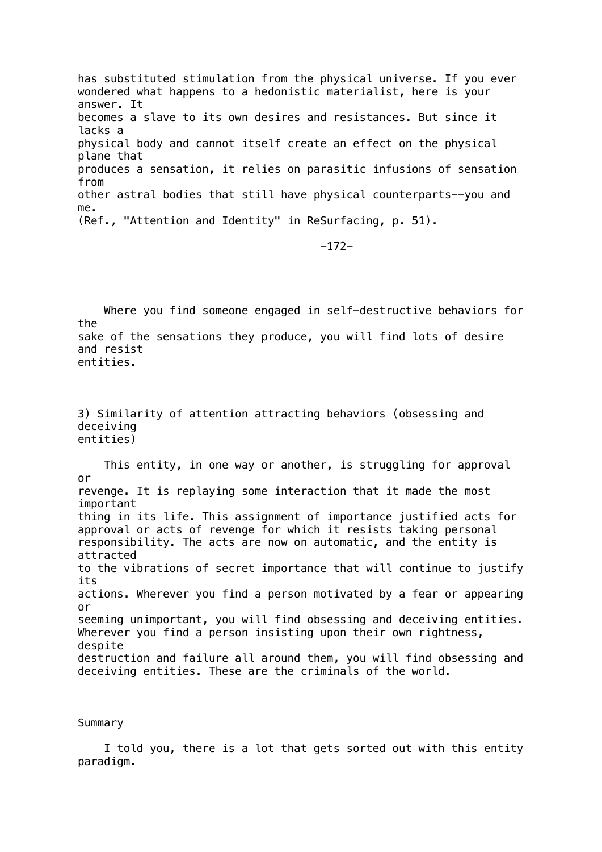has substituted stimulation from the physical universe. If you ever wondered what happens to a hedonistic materialist, here is your answer. It becomes a slave to its own desires and resistances. But since it lacks a physical body and cannot itself create an effect on the physical plane that produces a sensation, it relies on parasitic infusions of sensation from other astral bodies that still have physical counterparts--you and me. (Ref., "Attention and Identity" in ReSurfacing, p. 51).

-172-

 Where you find someone engaged in self-destructive behaviors for the sake of the sensations they produce, you will find lots of desire and resist entities.

3) Similarity of attention attracting behaviors (obsessing and deceiving entities)

 This entity, in one way or another, is struggling for approval or revenge. It is replaying some interaction that it made the most important thing in its life. This assignment of importance justified acts for approval or acts of revenge for which it resists taking personal responsibility. The acts are now on automatic, and the entity is attracted to the vibrations of secret importance that will continue to justify its actions. Wherever you find a person motivated by a fear or appearing or seeming unimportant, you will find obsessing and deceiving entities. Wherever you find a person insisting upon their own rightness, despite destruction and failure all around them, you will find obsessing and deceiving entities. These are the criminals of the world.

#### Summary

 I told you, there is a lot that gets sorted out with this entity paradigm.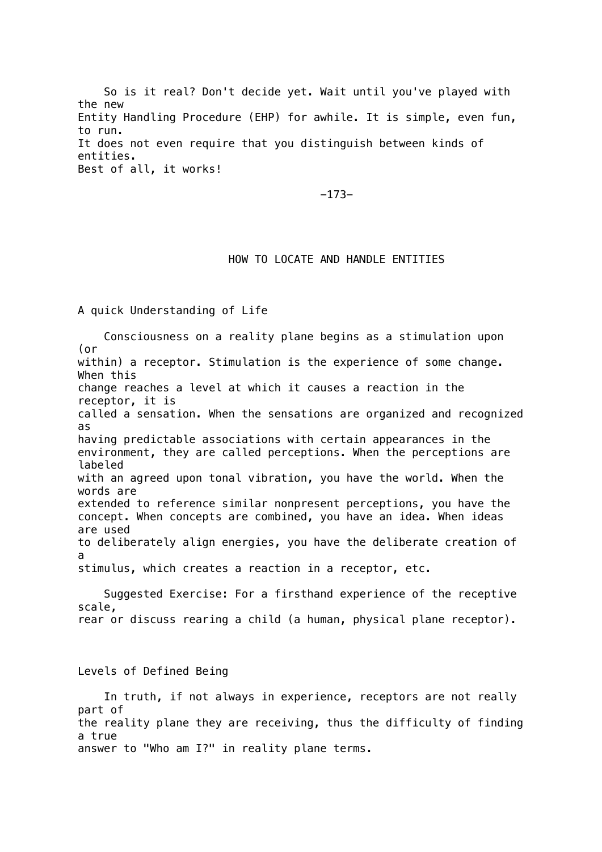So is it real? Don't decide yet. Wait until you've played with the new Entity Handling Procedure (EHP) for awhile. It is simple, even fun, to run. It does not even require that you distinguish between kinds of entities. Best of all, it works!

-173-

## HOW TO LOCATE AND HANDLE ENTITIES

A quick Understanding of Life

 Consciousness on a reality plane begins as a stimulation upon (or within) a receptor. Stimulation is the experience of some change. When this change reaches a level at which it causes a reaction in the receptor, it is called a sensation. When the sensations are organized and recognized as having predictable associations with certain appearances in the environment, they are called perceptions. When the perceptions are labeled with an agreed upon tonal vibration, you have the world. When the words are extended to reference similar nonpresent perceptions, you have the concept. When concepts are combined, you have an idea. When ideas are used to deliberately align energies, you have the deliberate creation of a stimulus, which creates a reaction in a receptor, etc.

 Suggested Exercise: For a firsthand experience of the receptive scale, rear or discuss rearing a child (a human, physical plane receptor).

Levels of Defined Being

 In truth, if not always in experience, receptors are not really part of the reality plane they are receiving, thus the difficulty of finding a true answer to "Who am I?" in reality plane terms.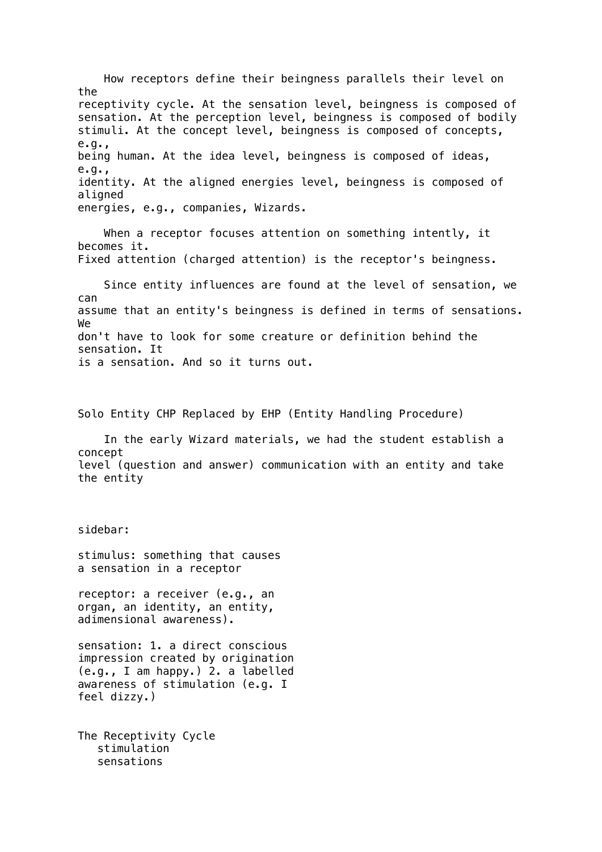How receptors define their beingness parallels their level on the receptivity cycle. At the sensation level, beingness is composed of sensation. At the perception level, beingness is composed of bodily stimuli. At the concept level, beingness is composed of concepts, e.g., being human. At the idea level, beingness is composed of ideas, e.g., identity. At the aligned energies level, beingness is composed of aligned energies, e.g., companies, Wizards.

 When a receptor focuses attention on something intently, it becomes it. Fixed attention (charged attention) is the receptor's beingness.

 Since entity influences are found at the level of sensation, we can assume that an entity's beingness is defined in terms of sensations. We don't have to look for some creature or definition behind the sensation. It is a sensation. And so it turns out.

Solo Entity CHP Replaced by EHP (Entity Handling Procedure)

 In the early Wizard materials, we had the student establish a concept level (question and answer) communication with an entity and take the entity

sidebar:

stimulus: something that causes a sensation in a receptor

receptor: a receiver (e.g., an organ, an identity, an entity, adimensional awareness).

sensation: 1. a direct conscious impression created by origination (e.g., I am happy.) 2. a labelled awareness of stimulation (e.g. I feel dizzy.)

The Receptivity Cycle stimulation sensations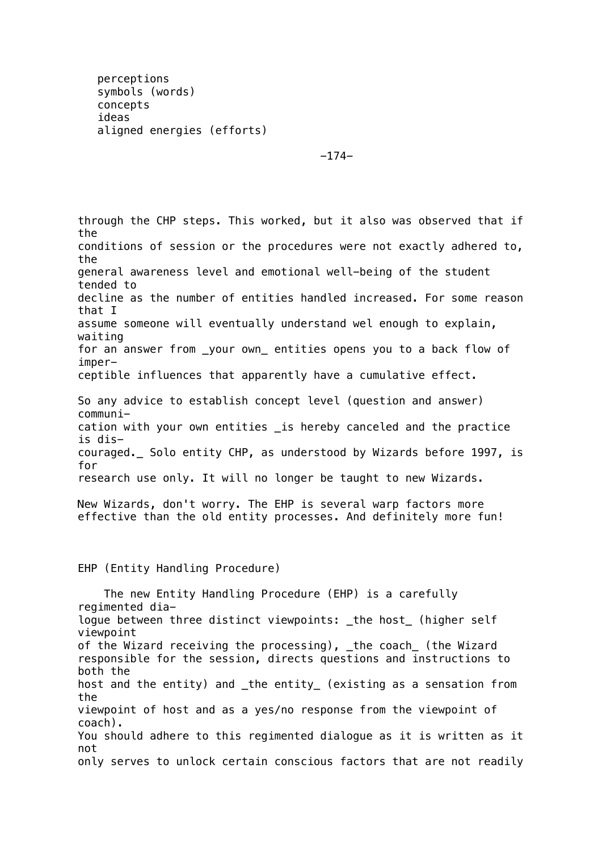perceptions symbols (words) concepts ideas aligned energies (efforts)

-174-

through the CHP steps. This worked, but it also was observed that if the conditions of session or the procedures were not exactly adhered to, the general awareness level and emotional well-being of the student tended to decline as the number of entities handled increased. For some reason that I assume someone will eventually understand wel enough to explain, waiting for an answer from \_your own\_ entities opens you to a back flow of imperceptible influences that apparently have a cumulative effect. So any advice to establish concept level (question and answer) communication with your own entities \_is hereby canceled and the practice is discouraged.\_ Solo entity CHP, as understood by Wizards before 1997, is for research use only. It will no longer be taught to new Wizards. New Wizards, don't worry. The EHP is several warp factors more effective than the old entity processes. And definitely more fun! EHP (Entity Handling Procedure)

 The new Entity Handling Procedure (EHP) is a carefully regimented dialogue between three distinct viewpoints: \_the host\_ (higher self viewpoint of the Wizard receiving the processing), \_the coach\_ (the Wizard responsible for the session, directs questions and instructions to both the host and the entity) and \_the entity\_ (existing as a sensation from the viewpoint of host and as a yes/no response from the viewpoint of coach). You should adhere to this regimented dialogue as it is written as it not only serves to unlock certain conscious factors that are not readily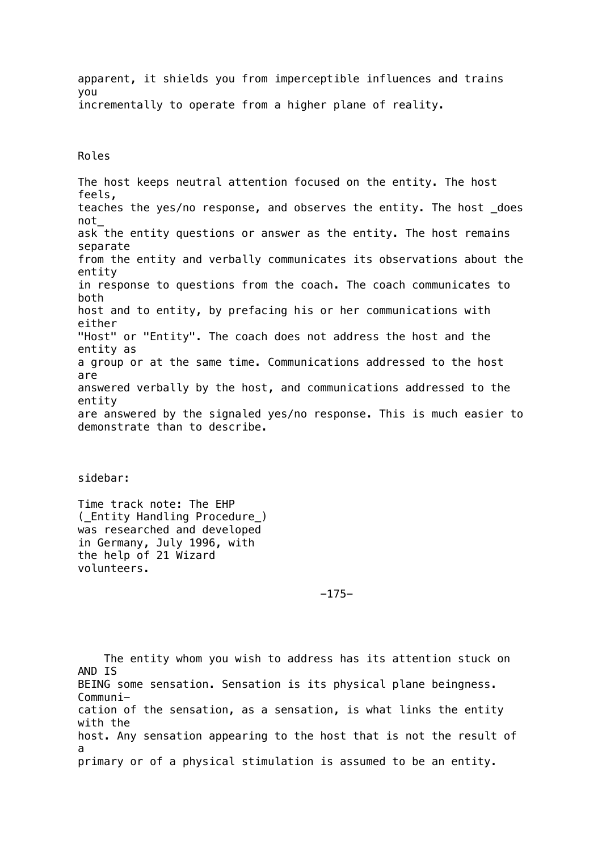apparent, it shields you from imperceptible influences and trains you incrementally to operate from a higher plane of reality.

Roles

The host keeps neutral attention focused on the entity. The host feels, teaches the yes/no response, and observes the entity. The host \_does not\_ ask the entity questions or answer as the entity. The host remains separate from the entity and verbally communicates its observations about the entity in response to questions from the coach. The coach communicates to both host and to entity, by prefacing his or her communications with either "Host" or "Entity". The coach does not address the host and the entity as a group or at the same time. Communications addressed to the host are answered verbally by the host, and communications addressed to the entity are answered by the signaled yes/no response. This is much easier to demonstrate than to describe.

sidebar:

Time track note: The EHP (\_Entity Handling Procedure\_) was researched and developed in Germany, July 1996, with the help of 21 Wizard volunteers.

-175-

 The entity whom you wish to address has its attention stuck on AND IS BEING some sensation. Sensation is its physical plane beingness. Communication of the sensation, as a sensation, is what links the entity with the host. Any sensation appearing to the host that is not the result of a primary or of a physical stimulation is assumed to be an entity.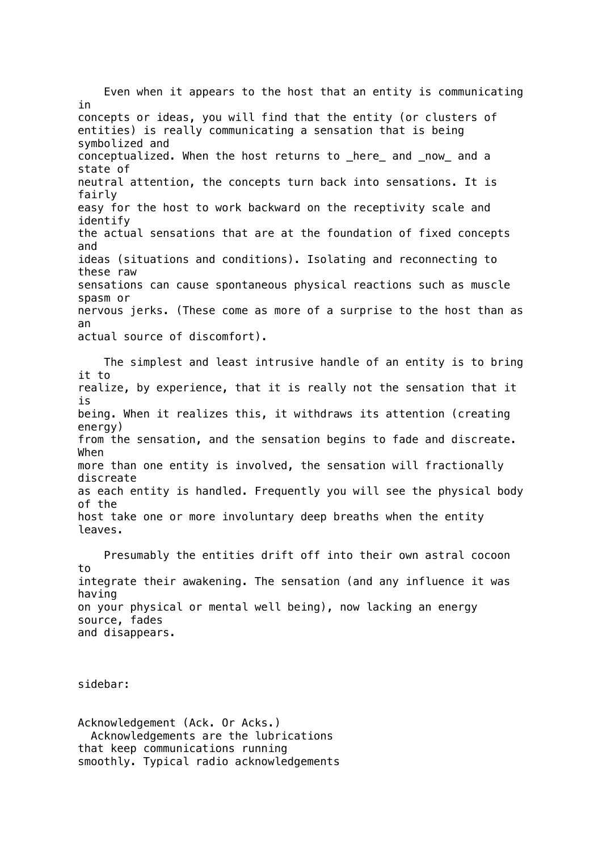Even when it appears to the host that an entity is communicating in concepts or ideas, you will find that the entity (or clusters of entities) is really communicating a sensation that is being symbolized and conceptualized. When the host returns to \_here\_ and \_now\_ and a state of neutral attention, the concepts turn back into sensations. It is fairly easy for the host to work backward on the receptivity scale and identify the actual sensations that are at the foundation of fixed concepts and ideas (situations and conditions). Isolating and reconnecting to these raw sensations can cause spontaneous physical reactions such as muscle spasm or nervous jerks. (These come as more of a surprise to the host than as an actual source of discomfort).

 The simplest and least intrusive handle of an entity is to bring it to realize, by experience, that it is really not the sensation that it is being. When it realizes this, it withdraws its attention (creating energy) from the sensation, and the sensation begins to fade and discreate. When more than one entity is involved, the sensation will fractionally discreate as each entity is handled. Frequently you will see the physical body of the host take one or more involuntary deep breaths when the entity leaves.

 Presumably the entities drift off into their own astral cocoon to integrate their awakening. The sensation (and any influence it was having on your physical or mental well being), now lacking an energy source, fades and disappears.

sidebar:

Acknowledgement (Ack. Or Acks.) Acknowledgements are the lubrications that keep communications running smoothly. Typical radio acknowledgements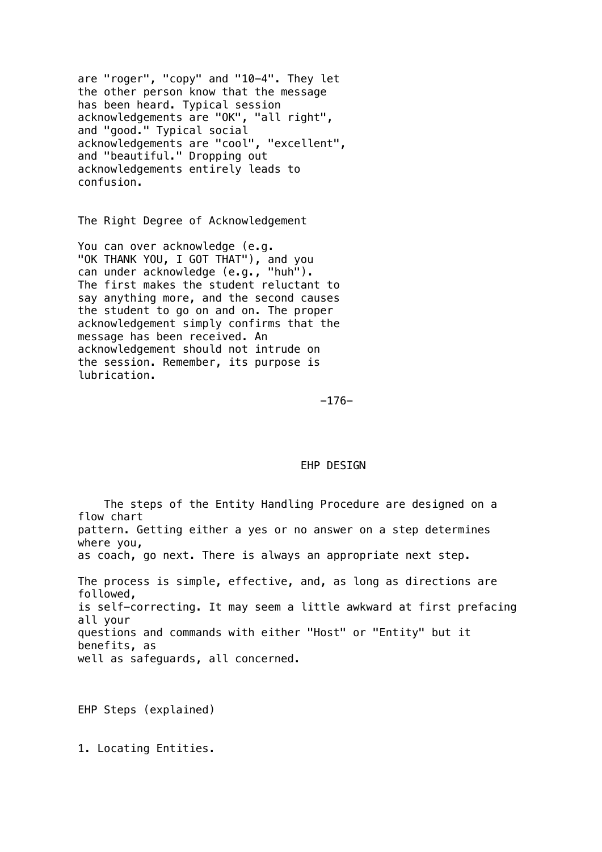are "roger", "copy" and "10-4". They let the other person know that the message has been heard. Typical session acknowledgements are "OK", "all right", and "good." Typical social acknowledgements are "cool", "excellent", and "beautiful." Dropping out acknowledgements entirely leads to confusion.

The Right Degree of Acknowledgement

You can over acknowledge (e.g. "OK THANK YOU, I GOT THAT"), and you can under acknowledge (e.g., "huh"). The first makes the student reluctant to say anything more, and the second causes the student to go on and on. The proper acknowledgement simply confirms that the message has been received. An acknowledgement should not intrude on the session. Remember, its purpose is lubrication.

-176-

### EHP DESIGN

 The steps of the Entity Handling Procedure are designed on a flow chart pattern. Getting either a yes or no answer on a step determines where you, as coach, go next. There is always an appropriate next step. The process is simple, effective, and, as long as directions are followed, is self-correcting. It may seem a little awkward at first prefacing all your questions and commands with either "Host" or "Entity" but it benefits, as well as safeguards, all concerned.

EHP Steps (explained)

1. Locating Entities.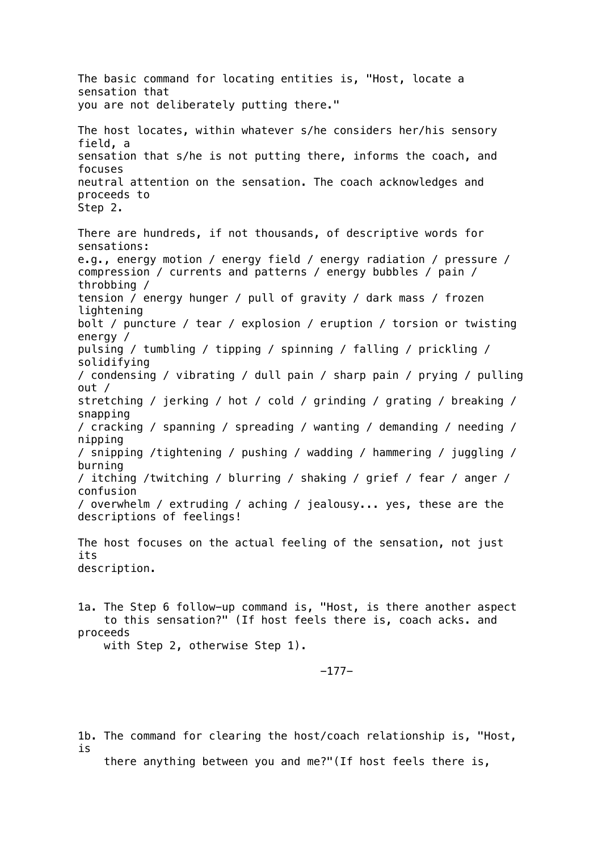The basic command for locating entities is, "Host, locate a sensation that you are not deliberately putting there." The host locates, within whatever s/he considers her/his sensory field, a sensation that s/he is not putting there, informs the coach, and focuses neutral attention on the sensation. The coach acknowledges and proceeds to Step 2. There are hundreds, if not thousands, of descriptive words for sensations: e.g., energy motion / energy field / energy radiation / pressure / compression / currents and patterns / energy bubbles / pain / throbbing / tension / energy hunger / pull of gravity / dark mass / frozen lightening bolt / puncture / tear / explosion / eruption / torsion or twisting energy / pulsing / tumbling / tipping / spinning / falling / prickling / solidifying / condensing / vibrating / dull pain / sharp pain / prying / pulling out / stretching / jerking / hot / cold / grinding / grating / breaking / snapping / cracking / spanning / spreading / wanting / demanding / needing / nipping / snipping /tightening / pushing / wadding / hammering / juggling / burning / itching /twitching / blurring / shaking / grief / fear / anger / confusion / overwhelm / extruding / aching / jealousy... yes, these are the descriptions of feelings! The host focuses on the actual feeling of the sensation, not just its description. 1a. The Step 6 follow-up command is, "Host, is there another aspect to this sensation?" (If host feels there is, coach acks. and proceeds with Step 2, otherwise Step 1). -177-

1b. The command for clearing the host/coach relationship is, "Host, is

there anything between you and me?"(If host feels there is,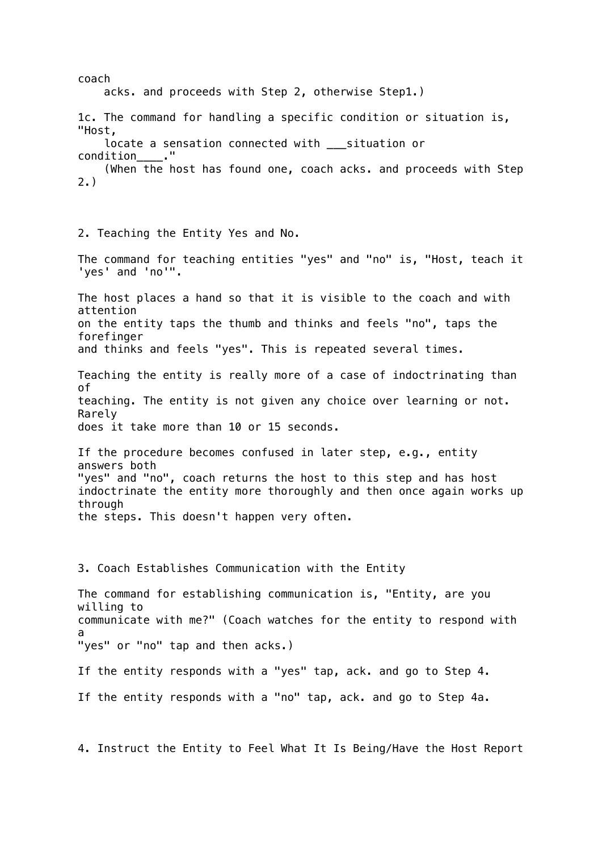coach acks. and proceeds with Step 2, otherwise Step1.) 1c. The command for handling a specific condition or situation is, "Host, locate a sensation connected with \_\_\_situation or condition ." (When the host has found one, coach acks. and proceeds with Step 2.) 2. Teaching the Entity Yes and No. The command for teaching entities "yes" and "no" is, "Host, teach it 'yes' and 'no'". The host places a hand so that it is visible to the coach and with attention on the entity taps the thumb and thinks and feels "no", taps the forefinger and thinks and feels "yes". This is repeated several times. Teaching the entity is really more of a case of indoctrinating than of teaching. The entity is not given any choice over learning or not. Rarely does it take more than 10 or 15 seconds. If the procedure becomes confused in later step, e.g., entity answers both "yes" and "no", coach returns the host to this step and has host indoctrinate the entity more thoroughly and then once again works up through the steps. This doesn't happen very often. 3. Coach Establishes Communication with the Entity The command for establishing communication is, "Entity, are you willing to communicate with me?" (Coach watches for the entity to respond with a "yes" or "no" tap and then acks.) If the entity responds with a "yes" tap, ack. and go to Step 4. If the entity responds with a "no" tap, ack. and go to Step 4a.

4. Instruct the Entity to Feel What It Is Being/Have the Host Report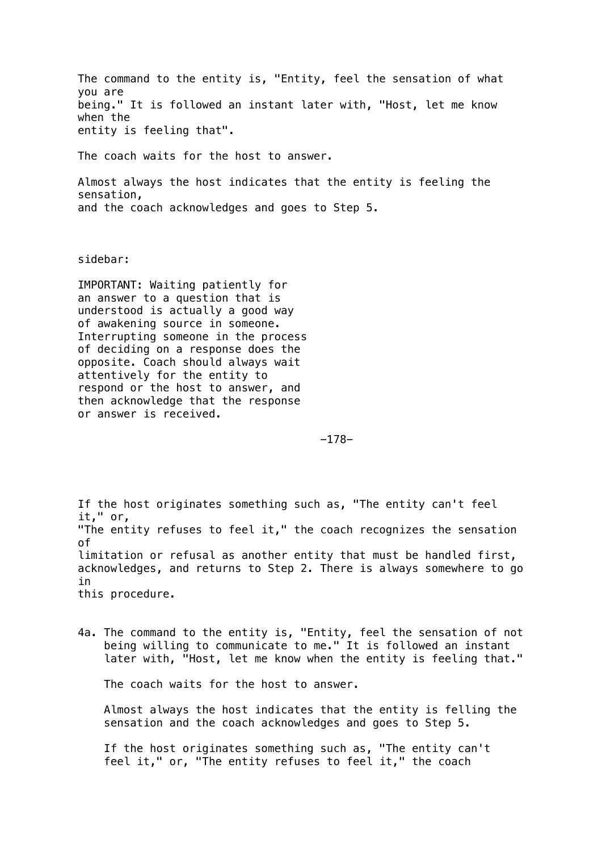The command to the entity is, "Entity, feel the sensation of what you are being." It is followed an instant later with, "Host, let me know when the entity is feeling that".

The coach waits for the host to answer.

Almost always the host indicates that the entity is feeling the sensation, and the coach acknowledges and goes to Step 5.

sidebar:

IMPORTANT: Waiting patiently for an answer to a question that is understood is actually a good way of awakening source in someone. Interrupting someone in the process of deciding on a response does the opposite. Coach should always wait attentively for the entity to respond or the host to answer, and then acknowledge that the response or answer is received.

-178-

If the host originates something such as, "The entity can't feel it," or, "The entity refuses to feel it," the coach recognizes the sensation of limitation or refusal as another entity that must be handled first, acknowledges, and returns to Step 2. There is always somewhere to go in this procedure.

4a. The command to the entity is, "Entity, feel the sensation of not being willing to communicate to me." It is followed an instant later with, "Host, let me know when the entity is feeling that."

The coach waits for the host to answer.

 Almost always the host indicates that the entity is felling the sensation and the coach acknowledges and goes to Step 5.

 If the host originates something such as, "The entity can't feel it," or, "The entity refuses to feel it," the coach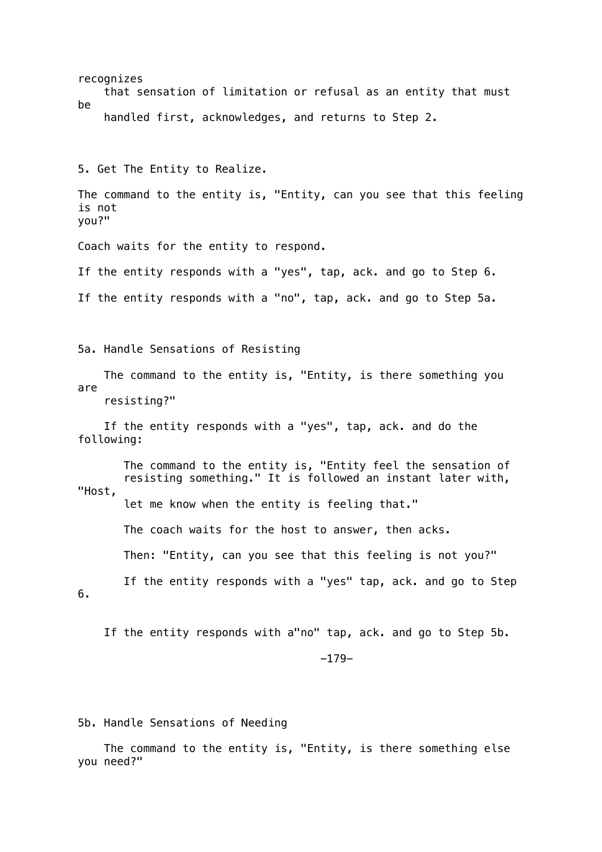recognizes that sensation of limitation or refusal as an entity that must be handled first, acknowledges, and returns to Step 2. 5. Get The Entity to Realize. The command to the entity is, "Entity, can you see that this feeling is not you?" Coach waits for the entity to respond. If the entity responds with a "yes", tap, ack. and go to Step 6. If the entity responds with a "no", tap, ack. and go to Step 5a. 5a. Handle Sensations of Resisting The command to the entity is, "Entity, is there something you are resisting?" If the entity responds with a "yes", tap, ack. and do the following: The command to the entity is, "Entity feel the sensation of resisting something." It is followed an instant later with, "Host, let me know when the entity is feeling that." The coach waits for the host to answer, then acks. Then: "Entity, can you see that this feeling is not you?" If the entity responds with a "yes" tap, ack. and go to Step 6. If the entity responds with a"no" tap, ack. and go to Step 5b. -179-

5b. Handle Sensations of Needing

 The command to the entity is, "Entity, is there something else you need?"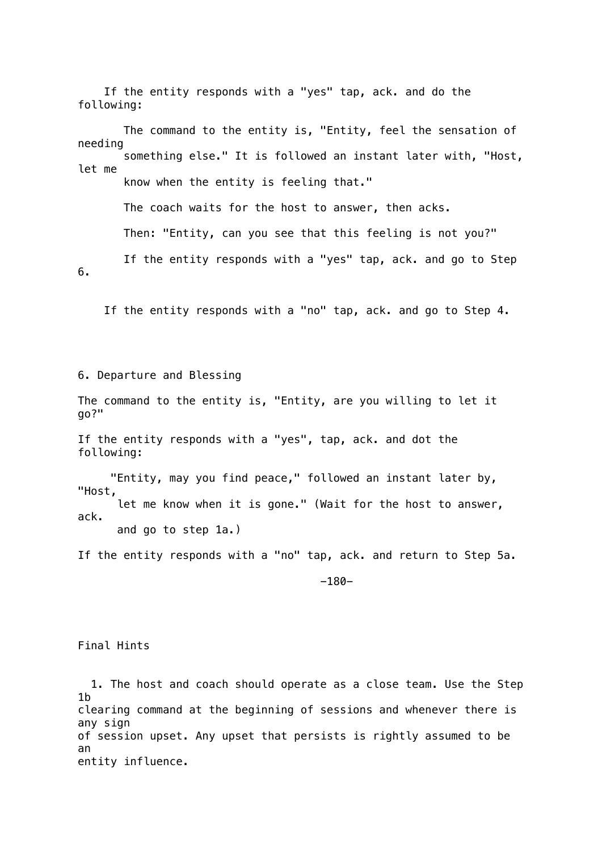If the entity responds with a "yes" tap, ack. and do the following: The command to the entity is, "Entity, feel the sensation of needing something else." It is followed an instant later with, "Host, let me know when the entity is feeling that." The coach waits for the host to answer, then acks. Then: "Entity, can you see that this feeling is not you?" If the entity responds with a "yes" tap, ack. and go to Step 6.

If the entity responds with a "no" tap, ack. and go to Step 4.

6. Departure and Blessing

The command to the entity is, "Entity, are you willing to let it go?"

If the entity responds with a "yes", tap, ack. and dot the following:

 "Entity, may you find peace," followed an instant later by, "Host, let me know when it is gone." (Wait for the host to answer, ack. and go to step 1a.)

If the entity responds with a "no" tap, ack. and return to Step 5a.

-180-

Final Hints

 1. The host and coach should operate as a close team. Use the Step 1b clearing command at the beginning of sessions and whenever there is any sign of session upset. Any upset that persists is rightly assumed to be an entity influence.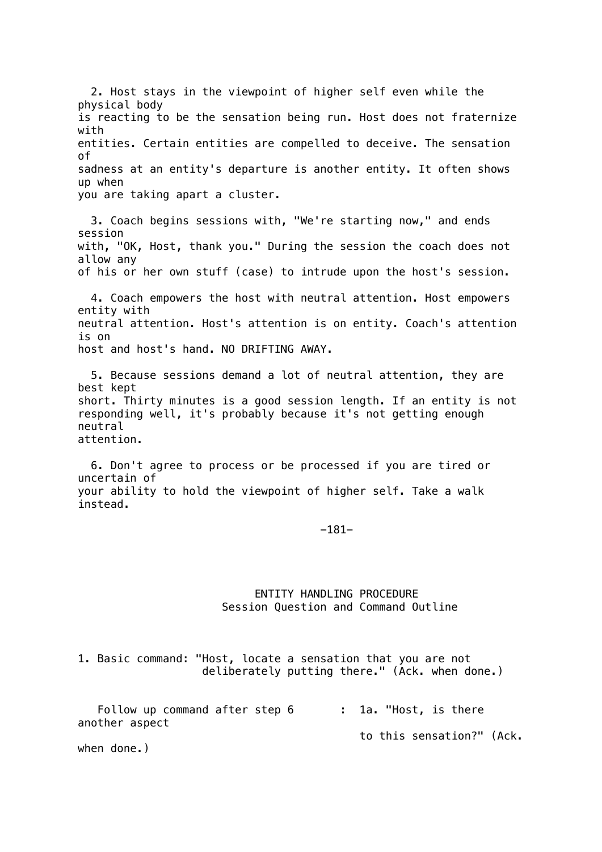2. Host stays in the viewpoint of higher self even while the physical body is reacting to be the sensation being run. Host does not fraternize with entities. Certain entities are compelled to deceive. The sensation of sadness at an entity's departure is another entity. It often shows up when you are taking apart a cluster. 3. Coach begins sessions with, "We're starting now," and ends session with, "OK, Host, thank you." During the session the coach does not allow any of his or her own stuff (case) to intrude upon the host's session. 4. Coach empowers the host with neutral attention. Host empowers entity with neutral attention. Host's attention is on entity. Coach's attention is on host and host's hand. NO DRIFTING AWAY. 5. Because sessions demand a lot of neutral attention, they are best kept short. Thirty minutes is a good session length. If an entity is not responding well, it's probably because it's not getting enough neutral attention. 6. Don't agree to process or be processed if you are tired or uncertain of your ability to hold the viewpoint of higher self. Take a walk instead. -181- ENTITY HANDLING PROCEDURE

Session Question and Command Outline

1. Basic command: "Host, locate a sensation that you are not deliberately putting there." (Ack. when done.)

| Follow up command after step 6 | : 1a. "Host, is there     |
|--------------------------------|---------------------------|
| another aspect                 |                           |
|                                | to this sensation?" (Ack. |
| when done.)                    |                           |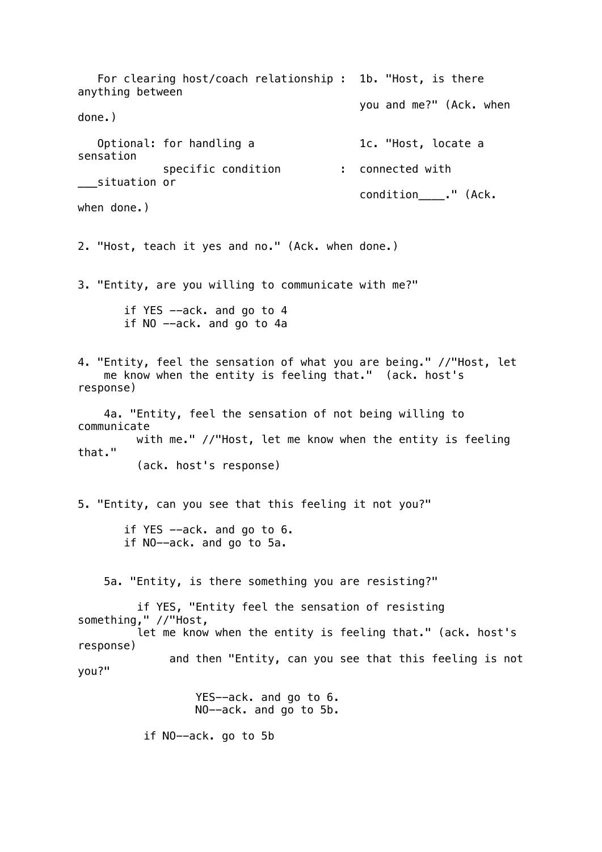For clearing host/coach relationship : 1b. "Host, is there anything between you and me?" (Ack. when done.) Optional: for handling a 1c. "Host, locate a sensation specific condition : connected with \_\_\_situation or condition ." (Ack. when done.) 2. "Host, teach it yes and no." (Ack. when done.) 3. "Entity, are you willing to communicate with me?" if YES --ack. and go to 4 if NO --ack. and go to 4a 4. "Entity, feel the sensation of what you are being." //"Host, let me know when the entity is feeling that." (ack. host's response) 4a. "Entity, feel the sensation of not being willing to communicate with me." //"Host, let me know when the entity is feeling that." (ack. host's response) 5. "Entity, can you see that this feeling it not you?" if YES --ack. and go to 6. if NO--ack. and go to 5a. 5a. "Entity, is there something you are resisting?" if YES, "Entity feel the sensation of resisting something," //"Host, let me know when the entity is feeling that." (ack. host's response) and then "Entity, can you see that this feeling is not you?" YES--ack. and go to 6. NO--ack. and go to 5b. if NO--ack. go to 5b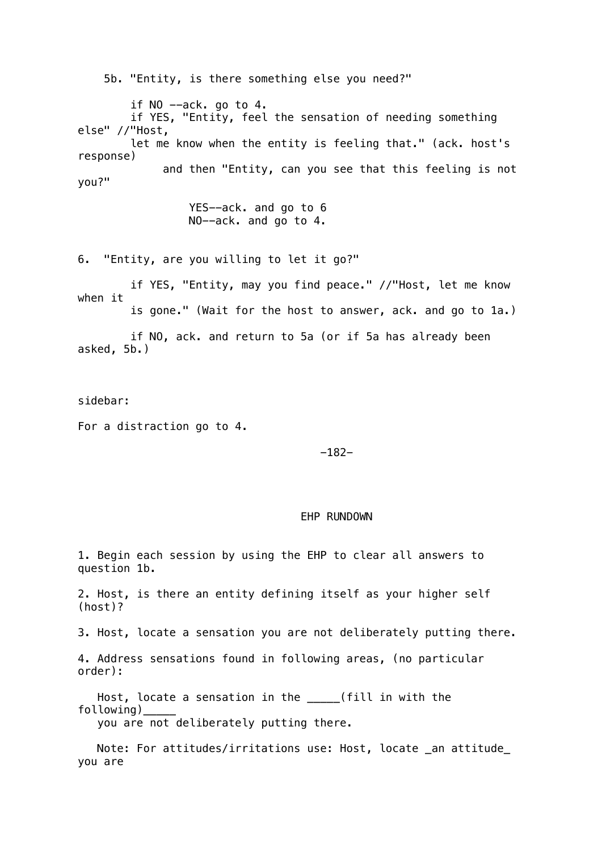5b. "Entity, is there something else you need?" if  $NO$  --ack. go to 4. if YES, "Entity, feel the sensation of needing something else" //"Host, let me know when the entity is feeling that." (ack. host's response) and then "Entity, can you see that this feeling is not you?"

> YES--ack. and go to 6 NO--ack. and go to 4.

6. "Entity, are you willing to let it go?"

 if YES, "Entity, may you find peace." //"Host, let me know when it is gone." (Wait for the host to answer, ack. and go to 1a.)

 if NO, ack. and return to 5a (or if 5a has already been asked, 5b.)

sidebar:

For a distraction go to 4.

# -182-

## EHP RUNDOWN

1. Begin each session by using the EHP to clear all answers to question 1b.

2. Host, is there an entity defining itself as your higher self (host)?

3. Host, locate a sensation you are not deliberately putting there.

4. Address sensations found in following areas, (no particular order):

 Host, locate a sensation in the \_\_\_\_\_(fill in with the following)\_\_\_\_\_

you are not deliberately putting there.

 Note: For attitudes/irritations use: Host, locate \_an attitude\_ you are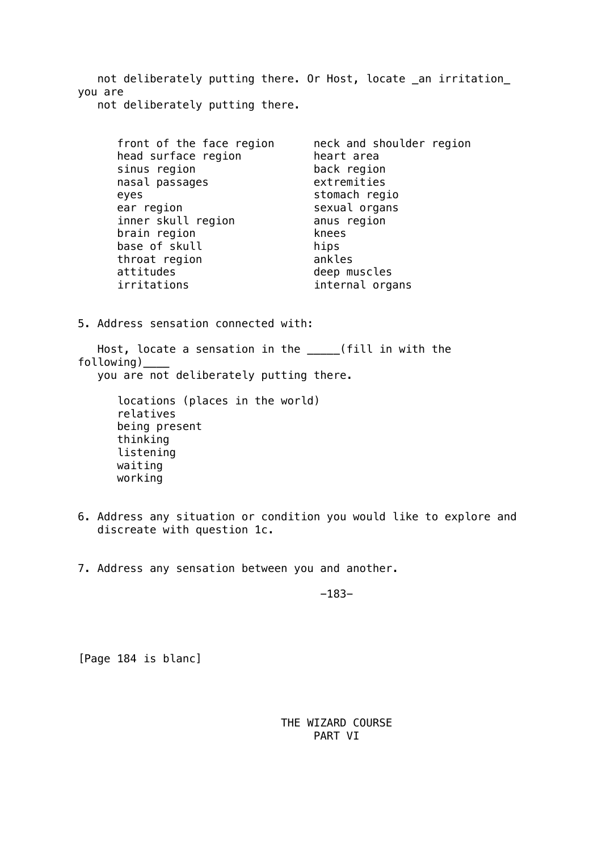not deliberately putting there. Or Host, locate \_an irritation\_ you are not deliberately putting there.

| front of the face region<br>head surface region<br>sinus region | neck and shoulder region<br>heart area<br>back region |
|-----------------------------------------------------------------|-------------------------------------------------------|
| nasal passages                                                  | extremities                                           |
| eyes                                                            | stomach regio                                         |
| ear region                                                      | sexual organs                                         |
| inner skull region                                              | anus region                                           |
| brain region                                                    | knees                                                 |
| base of skull                                                   | hips                                                  |
| throat region                                                   | ankles                                                |
| attitudes                                                       | deep muscles                                          |
| irritations                                                     | internal organs                                       |

5. Address sensation connected with:

 Host, locate a sensation in the \_\_\_\_\_(fill in with the following)\_\_\_\_ you are not deliberately putting there.

> locations (places in the world) relatives being present thinking listening waiting working

- 6. Address any situation or condition you would like to explore and discreate with question 1c.
- 7. Address any sensation between you and another.

-183-

[Page 184 is blanc]

 THE WIZARD COURSE PART VI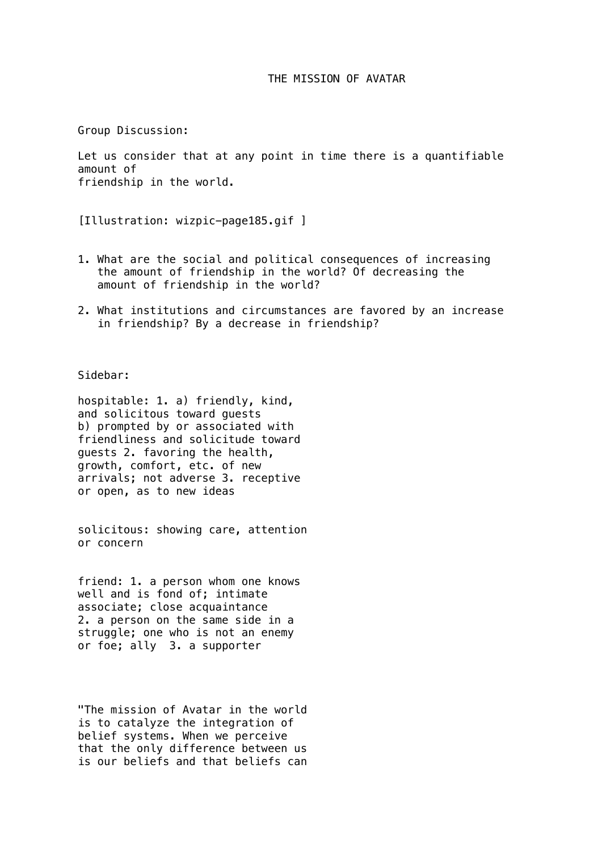# THE MISSION OF AVATAR

Group Discussion:

Let us consider that at any point in time there is a quantifiable amount of friendship in the world.

[Illustration: wizpic-page185.gif ]

- 1. What are the social and political consequences of increasing the amount of friendship in the world? Of decreasing the amount of friendship in the world?
- 2. What institutions and circumstances are favored by an increase in friendship? By a decrease in friendship?

Sidebar:

hospitable: 1. a) friendly, kind, and solicitous toward guests b) prompted by or associated with friendliness and solicitude toward guests 2. favoring the health, growth, comfort, etc. of new arrivals; not adverse 3. receptive or open, as to new ideas

solicitous: showing care, attention or concern

friend: 1. a person whom one knows well and is fond of; intimate associate; close acquaintance 2. a person on the same side in a struggle; one who is not an enemy or foe; ally 3. a supporter

"The mission of Avatar in the world is to catalyze the integration of belief systems. When we perceive that the only difference between us is our beliefs and that beliefs can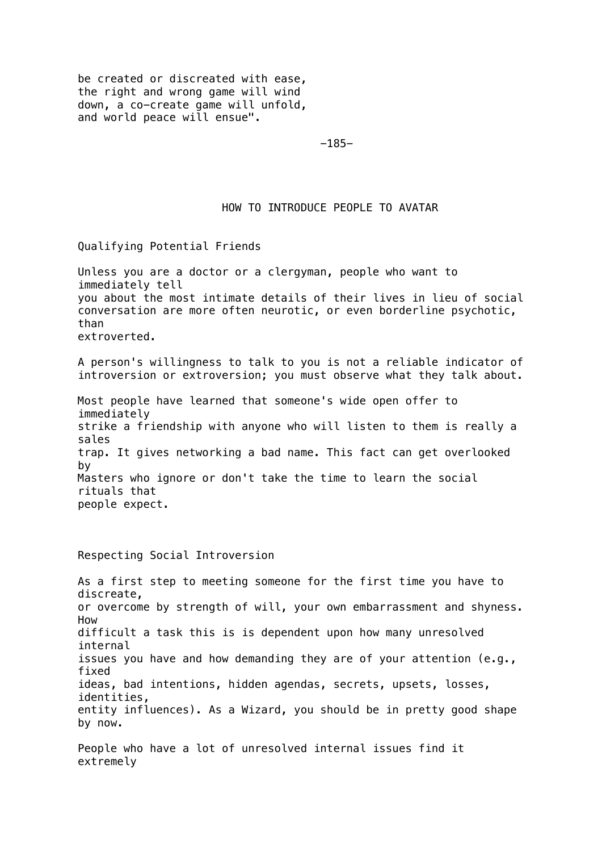be created or discreated with ease, the right and wrong game will wind down, a co-create game will unfold, and world peace will ensue".

-185-

## HOW TO INTRODUCE PEOPLE TO AVATAR

Qualifying Potential Friends

Unless you are a doctor or a clergyman, people who want to immediately tell you about the most intimate details of their lives in lieu of social conversation are more often neurotic, or even borderline psychotic, than extroverted.

A person's willingness to talk to you is not a reliable indicator of introversion or extroversion; you must observe what they talk about.

Most people have learned that someone's wide open offer to immediately strike a friendship with anyone who will listen to them is really a sales trap. It gives networking a bad name. This fact can get overlooked by Masters who ignore or don't take the time to learn the social rituals that people expect.

Respecting Social Introversion

As a first step to meeting someone for the first time you have to discreate, or overcome by strength of will, your own embarrassment and shyness. How difficult a task this is is dependent upon how many unresolved internal issues you have and how demanding they are of your attention (e.g., fixed ideas, bad intentions, hidden agendas, secrets, upsets, losses, identities, entity influences). As a Wizard, you should be in pretty good shape by now.

People who have a lot of unresolved internal issues find it extremely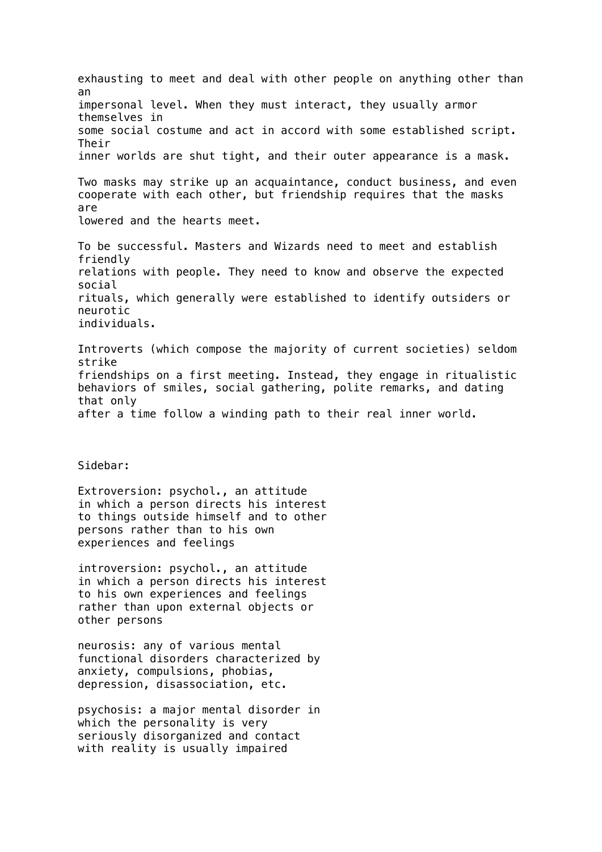exhausting to meet and deal with other people on anything other than an impersonal level. When they must interact, they usually armor themselves in some social costume and act in accord with some established script. Their inner worlds are shut tight, and their outer appearance is a mask. Two masks may strike up an acquaintance, conduct business, and even cooperate with each other, but friendship requires that the masks are lowered and the hearts meet. To be successful. Masters and Wizards need to meet and establish friendly relations with people. They need to know and observe the expected social rituals, which generally were established to identify outsiders or neurotic individuals. Introverts (which compose the majority of current societies) seldom strike friendships on a first meeting. Instead, they engage in ritualistic behaviors of smiles, social gathering, polite remarks, and dating that only after a time follow a winding path to their real inner world. Sidebar: Extroversion: psychol., an attitude in which a person directs his interest to things outside himself and to other persons rather than to his own experiences and feelings introversion: psychol., an attitude in which a person directs his interest to his own experiences and feelings rather than upon external objects or other persons neurosis: any of various mental functional disorders characterized by anxiety, compulsions, phobias, depression, disassociation, etc. psychosis: a major mental disorder in which the personality is very seriously disorganized and contact with reality is usually impaired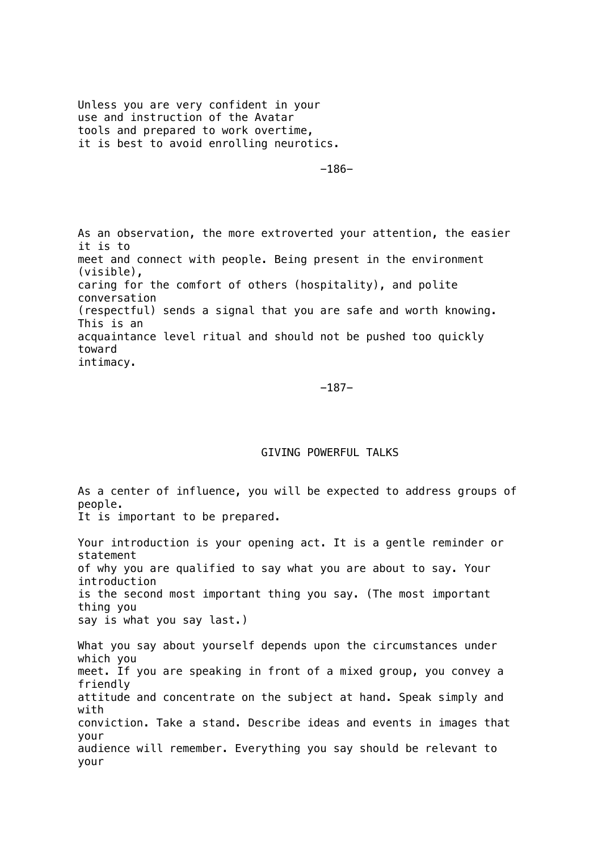Unless you are very confident in your use and instruction of the Avatar tools and prepared to work overtime, it is best to avoid enrolling neurotics.

-186-

As an observation, the more extroverted your attention, the easier it is to meet and connect with people. Being present in the environment (visible), caring for the comfort of others (hospitality), and polite conversation (respectful) sends a signal that you are safe and worth knowing. This is an acquaintance level ritual and should not be pushed too quickly toward intimacy.

 $-187-$ 

## GIVING POWERFUL TALKS

As a center of influence, you will be expected to address groups of people. It is important to be prepared. Your introduction is your opening act. It is a gentle reminder or statement of why you are qualified to say what you are about to say. Your introduction is the second most important thing you say. (The most important thing you say is what you say last.) What you say about yourself depends upon the circumstances under which you meet. If you are speaking in front of a mixed group, you convey a friendly attitude and concentrate on the subject at hand. Speak simply and with conviction. Take a stand. Describe ideas and events in images that your audience will remember. Everything you say should be relevant to your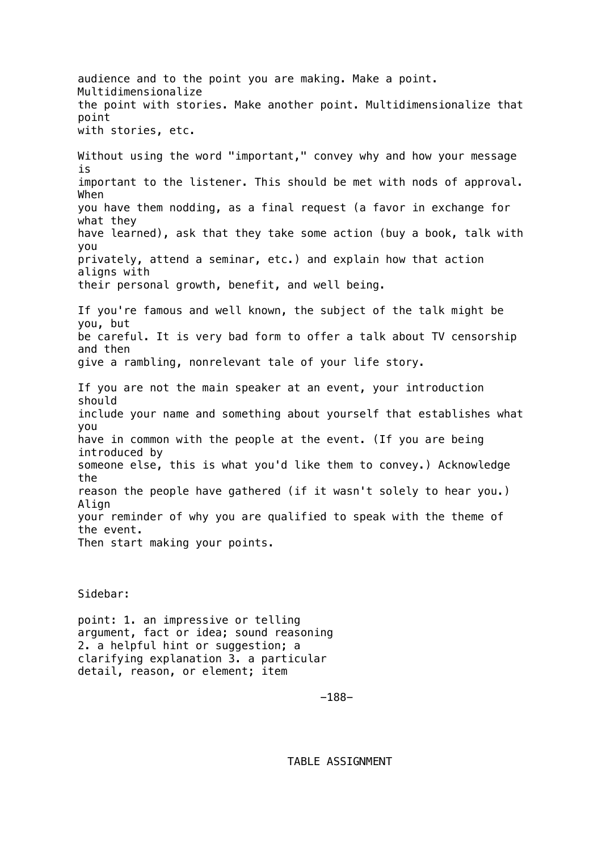audience and to the point you are making. Make a point. Multidimensionalize the point with stories. Make another point. Multidimensionalize that point with stories, etc. Without using the word "important," convey why and how your message is important to the listener. This should be met with nods of approval. When you have them nodding, as a final request (a favor in exchange for what they have learned), ask that they take some action (buy a book, talk with you privately, attend a seminar, etc.) and explain how that action aligns with their personal growth, benefit, and well being. If you're famous and well known, the subject of the talk might be you, but be careful. It is very bad form to offer a talk about TV censorship and then give a rambling, nonrelevant tale of your life story. If you are not the main speaker at an event, your introduction should include your name and something about yourself that establishes what you have in common with the people at the event. (If you are being introduced by someone else, this is what you'd like them to convey.) Acknowledge the reason the people have gathered (if it wasn't solely to hear you.) Align your reminder of why you are qualified to speak with the theme of the event. Then start making your points.

Sidebar:

point: 1. an impressive or telling argument, fact or idea; sound reasoning 2. a helpful hint or suggestion; a clarifying explanation 3. a particular detail, reason, or element; item

-188-

TABLE ASSIGNMENT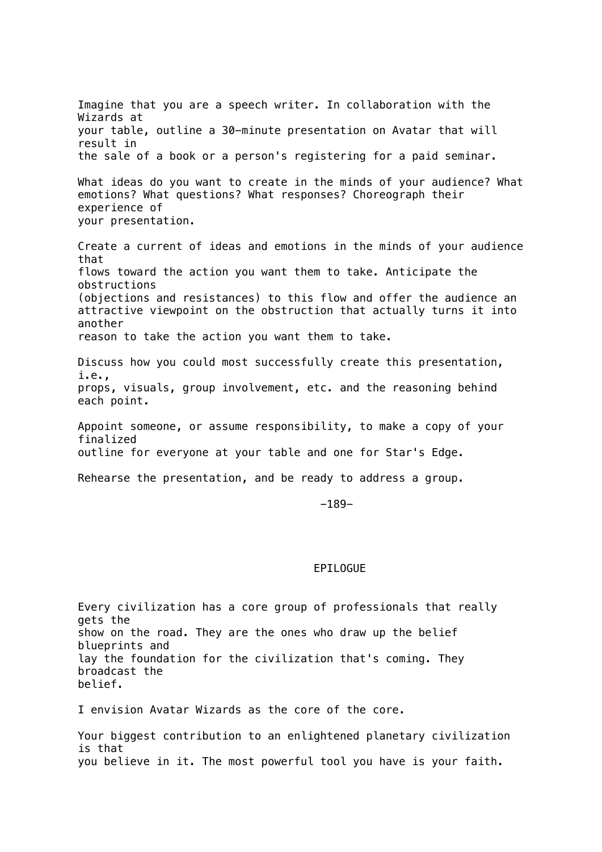Imagine that you are a speech writer. In collaboration with the Wizards at your table, outline a 30-minute presentation on Avatar that will result in the sale of a book or a person's registering for a paid seminar. What ideas do you want to create in the minds of your audience? What emotions? What questions? What responses? Choreograph their experience of your presentation. Create a current of ideas and emotions in the minds of your audience that flows toward the action you want them to take. Anticipate the obstructions (objections and resistances) to this flow and offer the audience an attractive viewpoint on the obstruction that actually turns it into another reason to take the action you want them to take. Discuss how you could most successfully create this presentation, i.e., props, visuals, group involvement, etc. and the reasoning behind each point. Appoint someone, or assume responsibility, to make a copy of your finalized outline for everyone at your table and one for Star's Edge. Rehearse the presentation, and be ready to address a group. -189-

#### EPILOGUE

Every civilization has a core group of professionals that really gets the show on the road. They are the ones who draw up the belief blueprints and lay the foundation for the civilization that's coming. They broadcast the belief.

I envision Avatar Wizards as the core of the core.

Your biggest contribution to an enlightened planetary civilization is that you believe in it. The most powerful tool you have is your faith.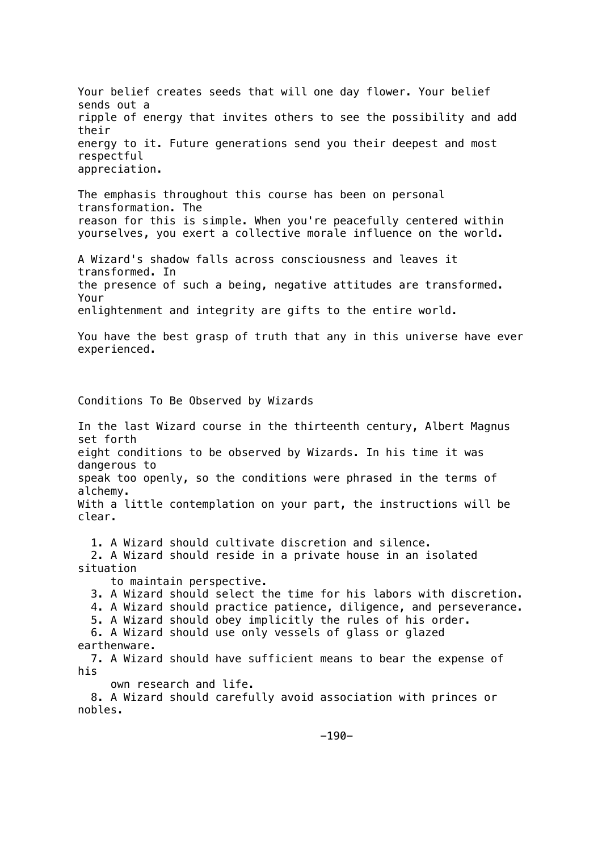Your belief creates seeds that will one day flower. Your belief sends out a ripple of energy that invites others to see the possibility and add their energy to it. Future generations send you their deepest and most respectful appreciation.

The emphasis throughout this course has been on personal transformation. The reason for this is simple. When you're peacefully centered within yourselves, you exert a collective morale influence on the world.

A Wizard's shadow falls across consciousness and leaves it transformed. In the presence of such a being, negative attitudes are transformed. Your enlightenment and integrity are gifts to the entire world.

You have the best grasp of truth that any in this universe have ever experienced.

Conditions To Be Observed by Wizards

In the last Wizard course in the thirteenth century, Albert Magnus set forth eight conditions to be observed by Wizards. In his time it was dangerous to speak too openly, so the conditions were phrased in the terms of alchemy. With a little contemplation on your part, the instructions will be clear.

1. A Wizard should cultivate discretion and silence.

 2. A Wizard should reside in a private house in an isolated situation

to maintain perspective.

3. A Wizard should select the time for his labors with discretion.

4. A Wizard should practice patience, diligence, and perseverance.

 5. A Wizard should obey implicitly the rules of his order. 6. A Wizard should use only vessels of glass or glazed

earthenware.

 7. A Wizard should have sufficient means to bear the expense of his

own research and life.

 8. A Wizard should carefully avoid association with princes or nobles.

 $-190-$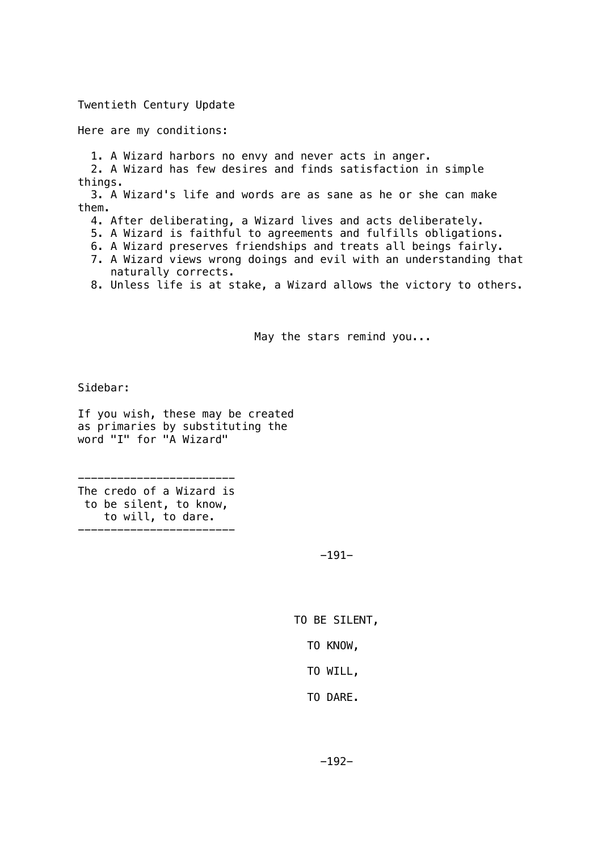### Twentieth Century Update

Here are my conditions:

1. A Wizard harbors no envy and never acts in anger.

 2. A Wizard has few desires and finds satisfaction in simple things.

 3. A Wizard's life and words are as sane as he or she can make them.

- 4. After deliberating, a Wizard lives and acts deliberately.
- 5. A Wizard is faithful to agreements and fulfills obligations.
- 6. A Wizard preserves friendships and treats all beings fairly.
- 7. A Wizard views wrong doings and evil with an understanding that naturally corrects.

8. Unless life is at stake, a Wizard allows the victory to others.

May the stars remind you...

Sidebar:

If you wish, these may be created as primaries by substituting the word "I" for "A Wizard"

------------------------ The credo of a Wizard is to be silent, to know, to will, to dare.

------------------------

-191-

TO BE SILENT,

TO KNOW,

TO WILL,

TO DARE.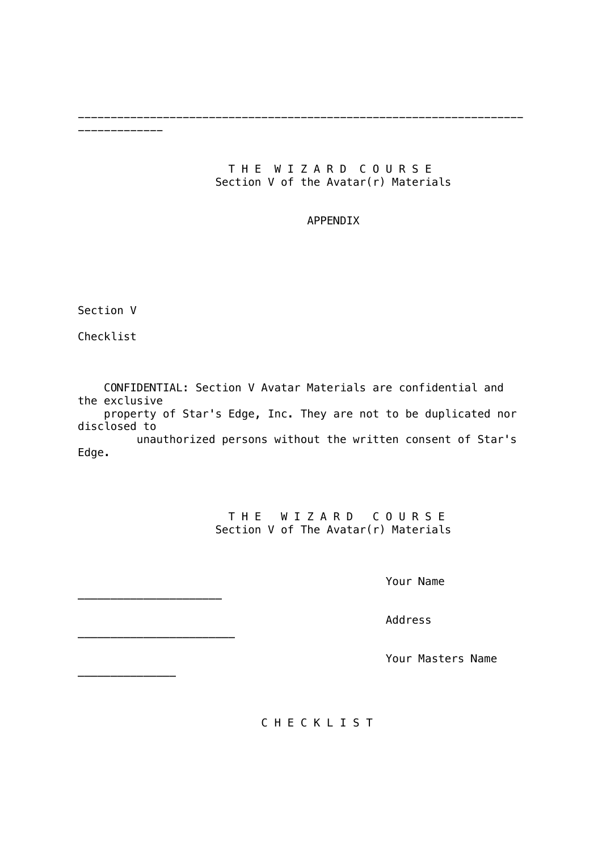# THE WIZARD COURSE Section V of the Avatar(r) Materials

--------------------------------------------------------------------

# APPENDIX

Section V

-------------

Checklist

 CONFIDENTIAL: Section V Avatar Materials are confidential and the exclusive

 property of Star's Edge, Inc. They are not to be duplicated nor disclosed to

 unauthorized persons without the written consent of Star's Edge.

> THE WIZARD COURSE Section V of The Avatar(r) Materials

> > Your Name

Address

Your Masters Name

C H E C K L I S T

\_\_\_\_\_\_\_\_\_\_\_\_\_\_\_

\_\_\_\_\_\_\_\_\_\_\_\_\_\_\_\_\_\_\_\_\_\_

\_\_\_\_\_\_\_\_\_\_\_\_\_\_\_\_\_\_\_\_\_\_\_\_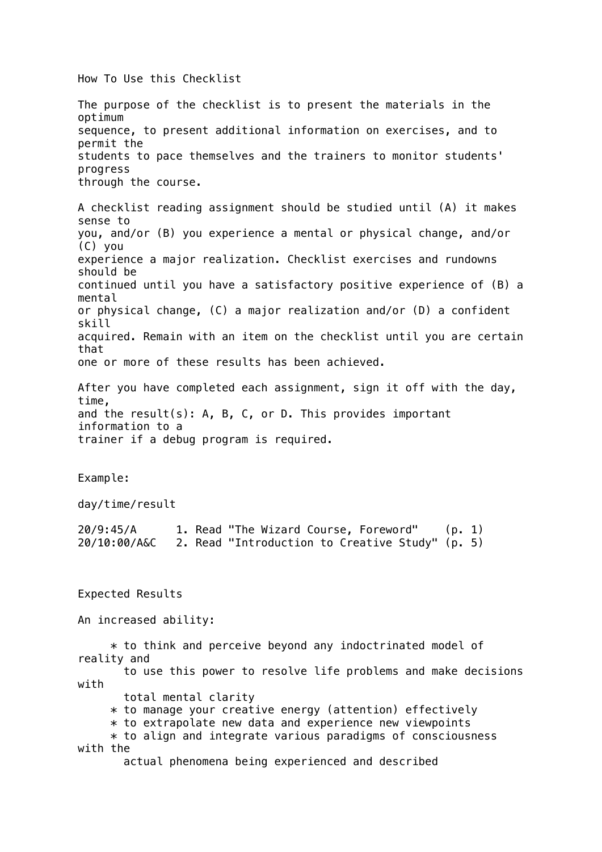How To Use this Checklist

The purpose of the checklist is to present the materials in the optimum sequence, to present additional information on exercises, and to permit the students to pace themselves and the trainers to monitor students' progress through the course. A checklist reading assignment should be studied until (A) it makes sense to you, and/or (B) you experience a mental or physical change, and/or (C) you experience a major realization. Checklist exercises and rundowns should be continued until you have a satisfactory positive experience of (B) a mental or physical change, (C) a major realization and/or (D) a confident skill acquired. Remain with an item on the checklist until you are certain that one or more of these results has been achieved. After you have completed each assignment, sign it off with the day, time, and the result(s): A, B, C, or D. This provides important information to a trainer if a debug program is required. Example: day/time/result 20/9:45/A 1. Read "The Wizard Course, Foreword" (p. 1) 20/10:00/A&C 2. Read "Introduction to Creative Study" (p. 5) Expected Results An increased ability:  $*$  to think and perceive beyond any indoctrinated model of reality and to use this power to resolve life problems and make decisions with total mental clarity \* to manage your creative energy (attention) effectively  $*$  to extrapolate new data and experience new viewpoints  $*$  to align and integrate various paradigms of consciousness with the actual phenomena being experienced and described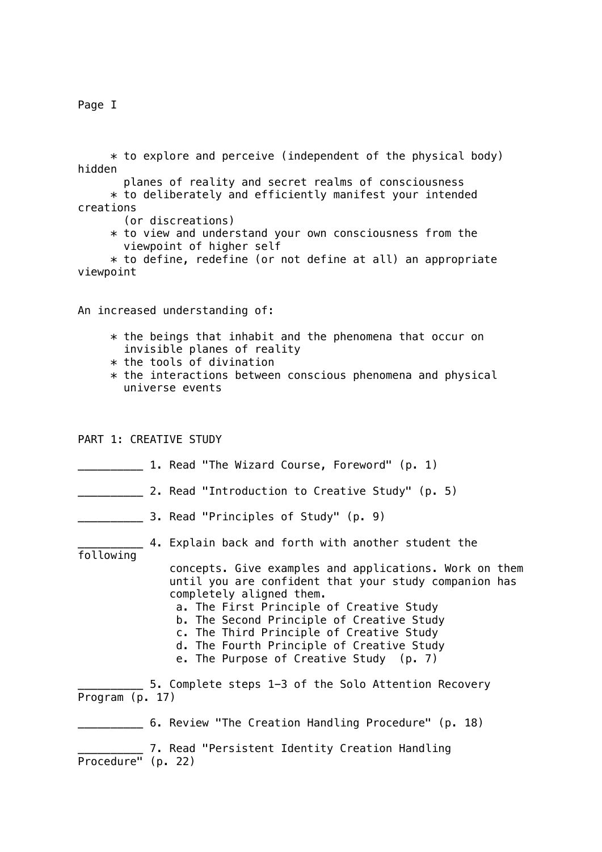Page I

 $*$  to explore and perceive (independent of the physical body) hidden

 planes of reality and secret realms of consciousness \* to deliberately and efficiently manifest your intended creations

(or discreations)

 $*$  to view and understand your own consciousness from the viewpoint of higher self

 $*$  to define, redefine (or not define at all) an appropriate viewpoint

An increased understanding of:

- $*$  the beings that inhabit and the phenomena that occur on invisible planes of reality
- $*$  the tools of divination
- $*$  the interactions between conscious phenomena and physical universe events

PART 1: CREATIVE STUDY

- **LETTE:** 1. Read "The Wizard Course, Foreword" (p. 1)
- \_\_\_\_\_\_\_\_\_\_ 2. Read "Introduction to Creative Study" (p. 5)
- **EXECUTE:** 3. Read "Principles of Study" (p. 9)
	- \_\_\_\_\_\_\_\_\_\_ 4. Explain back and forth with another student the

following

 concepts. Give examples and applications. Work on them until you are confident that your study companion has completely aligned them.

- a. The First Principle of Creative Study
- b. The Second Principle of Creative Study
- c. The Third Principle of Creative Study
- d. The Fourth Principle of Creative Study
- e. The Purpose of Creative Study (p. 7)

\_\_\_\_\_\_\_\_\_\_ 5. Complete steps 1-3 of the Solo Attention Recovery Program (p. 17)

\_\_\_\_\_\_\_\_\_\_ 6. Review "The Creation Handling Procedure" (p. 18)

7. Read "Persistent Identity Creation Handling Procedure" (p. 22)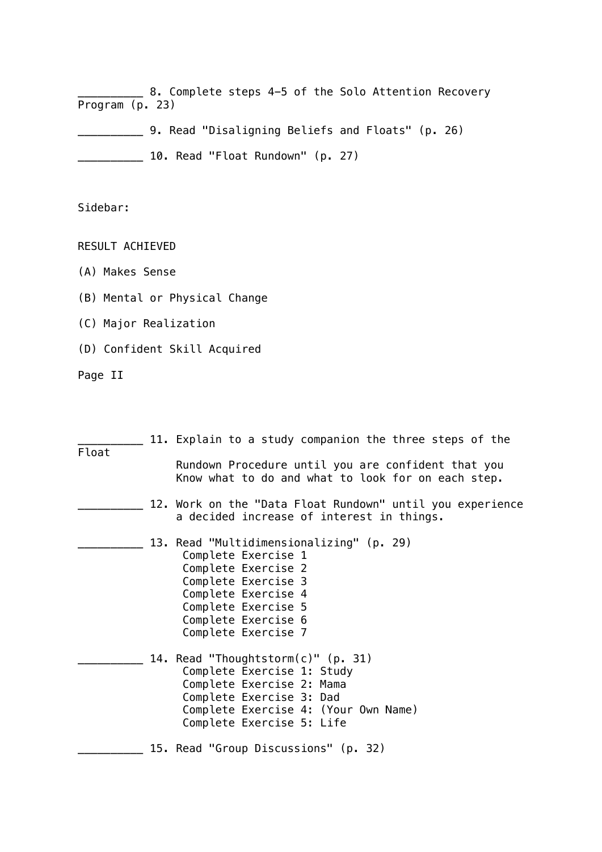\_\_\_\_\_\_\_\_\_\_ 8. Complete steps 4-5 of the Solo Attention Recovery Program (p. 23)

\_\_\_\_\_\_\_\_\_\_ 9. Read "Disaligning Beliefs and Floats" (p. 26)

\_\_\_\_\_\_\_\_\_\_ 10. Read "Float Rundown" (p. 27)

Sidebar:

RESULT ACHIEVED

- (A) Makes Sense
- (B) Mental or Physical Change
- (C) Major Realization
- (D) Confident Skill Acquired

Page II

| Float | 11. Explain to a study companion the three steps of the                                                                                                                                                   |
|-------|-----------------------------------------------------------------------------------------------------------------------------------------------------------------------------------------------------------|
|       | Rundown Procedure until you are confident that you<br>Know what to do and what to look for on each step.                                                                                                  |
|       | 12. Work on the "Data Float Rundown" until you experience<br>a decided increase of interest in things.                                                                                                    |
|       | 13. Read "Multidimensionalizing" (p. 29)<br>Complete Exercise 1<br>Complete Exercise 2<br>Complete Exercise 3<br>Complete Exercise 4<br>Complete Exercise 5<br>Complete Exercise 6<br>Complete Exercise 7 |
|       | 14. Read "Thoughtstorm(c)" (p. 31)<br>Complete Exercise 1: Study<br>Complete Exercise 2: Mama<br>Complete Exercise 3: Dad<br>Complete Exercise 4: (Your Own Name)<br>Complete Exercise 5: Life            |
|       | 15. Read "Group Discussions" (p. 32)                                                                                                                                                                      |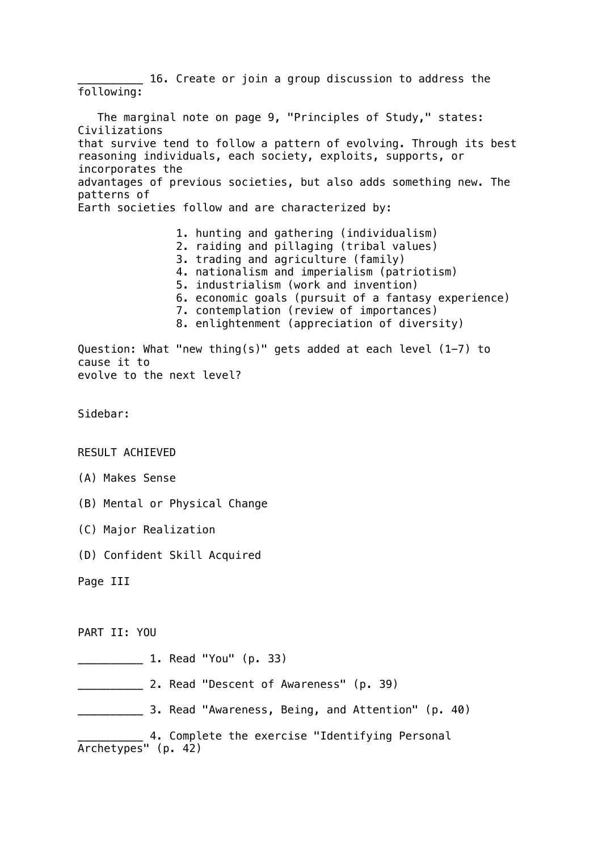\_\_\_\_\_\_\_\_\_\_ 16. Create or join a group discussion to address the following: The marginal note on page 9, "Principles of Study," states: Civilizations that survive tend to follow a pattern of evolving. Through its best reasoning individuals, each society, exploits, supports, or incorporates the advantages of previous societies, but also adds something new. The patterns of Earth societies follow and are characterized by: 1. hunting and gathering (individualism) 2. raiding and pillaging (tribal values) 3. trading and agriculture (family) 4. nationalism and imperialism (patriotism) 5. industrialism (work and invention) 6. economic goals (pursuit of a fantasy experience) 7. contemplation (review of importances) 8. enlightenment (appreciation of diversity) Question: What "new thing(s)" gets added at each level (1-7) to cause it to evolve to the next level? Sidebar: RESULT ACHIEVED (A) Makes Sense (B) Mental or Physical Change (C) Major Realization (D) Confident Skill Acquired Page III PART II: YOU \_\_\_\_\_\_\_\_\_\_ 1. Read "You" (p. 33) \_\_\_\_\_\_\_\_\_\_ 2. Read "Descent of Awareness" (p. 39) \_\_\_\_\_\_\_\_\_\_ 3. Read "Awareness, Being, and Attention" (p. 40) \_\_\_\_\_\_\_\_\_\_ 4. Complete the exercise "Identifying Personal Archetypes" (p. 42)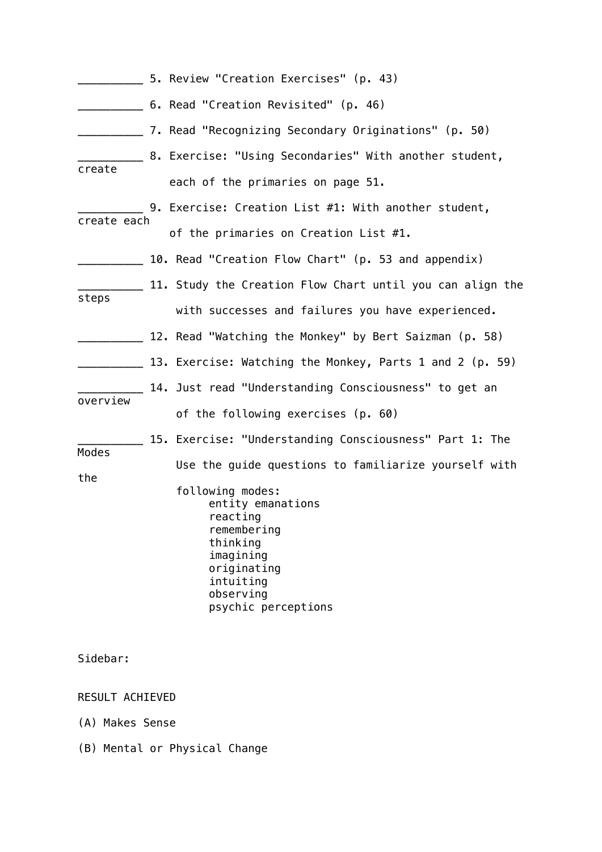|                 | 5. Review "Creation Exercises" (p. 43)                                                                                                                    |
|-----------------|-----------------------------------------------------------------------------------------------------------------------------------------------------------|
|                 | 6. Read "Creation Revisited" (p. 46)                                                                                                                      |
|                 | ______ 7. Read "Recognizing Secondary Originations" (p. 50)                                                                                               |
|                 | __ 8. Exercise: "Using Secondaries" With another student,                                                                                                 |
| create          | each of the primaries on page 51.                                                                                                                         |
|                 | 9. Exercise: Creation List #1: With another student,                                                                                                      |
| create each     | of the primaries on Creation List #1.                                                                                                                     |
|                 | 10. Read "Creation Flow Chart" (p. 53 and appendix)                                                                                                       |
|                 | 11. Study the Creation Flow Chart until you can align the                                                                                                 |
| steps           | with successes and failures you have experienced.                                                                                                         |
|                 | 12. Read "Watching the Monkey" by Bert Saizman (p. 58)                                                                                                    |
|                 | 13. Exercise: Watching the Monkey, Parts 1 and 2 (p. 59)                                                                                                  |
| overview        | 14. Just read "Understanding Consciousness" to get an                                                                                                     |
|                 | of the following exercises (p. 60)                                                                                                                        |
| Modes           | 15. Exercise: "Understanding Consciousness" Part 1: The                                                                                                   |
| the             | Use the guide questions to familiarize yourself with                                                                                                      |
|                 | following modes:<br>entity emanations<br>reacting<br>remembering<br>thinking<br>imagining<br>originating<br>intuiting<br>observing<br>psychic perceptions |
| Sidebar:        |                                                                                                                                                           |
| RESULT ACHIEVED |                                                                                                                                                           |
| (A) Makes Sense |                                                                                                                                                           |

(B) Mental or Physical Change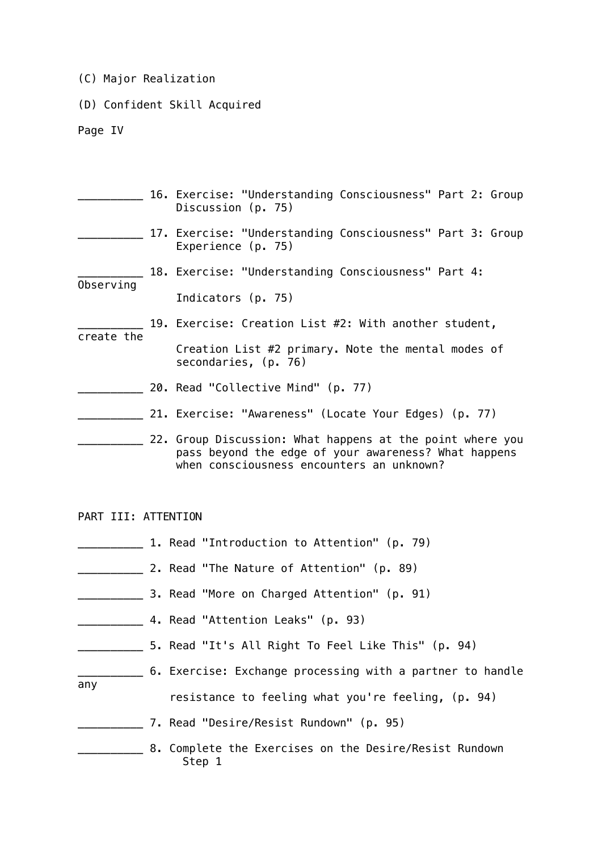- (C) Major Realization
- (D) Confident Skill Acquired

Page IV

|            | 16. Exercise: "Understanding Consciousness" Part 2: Group<br>Discussion (p. 75)                                                                                |
|------------|----------------------------------------------------------------------------------------------------------------------------------------------------------------|
|            | 17. Exercise: "Understanding Consciousness" Part 3: Group<br>Experience $(p. 75)$                                                                              |
| Observing  | 18. Exercise: "Understanding Consciousness" Part 4:                                                                                                            |
|            | Indicators (p. 75)                                                                                                                                             |
| create the | 19. Exercise: Creation List #2: With another student,                                                                                                          |
|            | Creation List #2 primary. Note the mental modes of<br>secondaries, (p. 76)                                                                                     |
|            | 20. Read "Collective Mind" (p. 77)                                                                                                                             |
|            | 21. Exercise: "Awareness" (Locate Your Edges) (p. 77)                                                                                                          |
|            | 22. Group Discussion: What happens at the point where you<br>pass beyond the edge of your awareness? What happens<br>when consciousness encounters an unknown? |

PART III: ATTENTION

- \_\_\_\_\_\_\_\_\_\_ 1. Read "Introduction to Attention" (p. 79)
- \_\_\_\_\_\_\_\_\_\_ 2. Read "The Nature of Attention" (p. 89)
- **EXALLE 2. Read "More on Charged Attention" (p. 91)**
- \_\_\_\_\_\_\_\_\_\_ 4. Read "Attention Leaks" (p. 93)
- \_\_\_\_\_\_\_\_\_\_ 5. Read "It's All Right To Feel Like This" (p. 94)
- \_\_\_\_\_\_\_\_\_\_ 6. Exercise: Exchange processing with a partner to handle any resistance to feeling what you're feeling, (p. 94)
	- \_\_\_\_\_\_\_\_\_\_ 7. Read "Desire/Resist Rundown" (p. 95)
	- \_\_\_\_\_\_\_\_\_\_ 8. Complete the Exercises on the Desire/Resist Rundown Step 1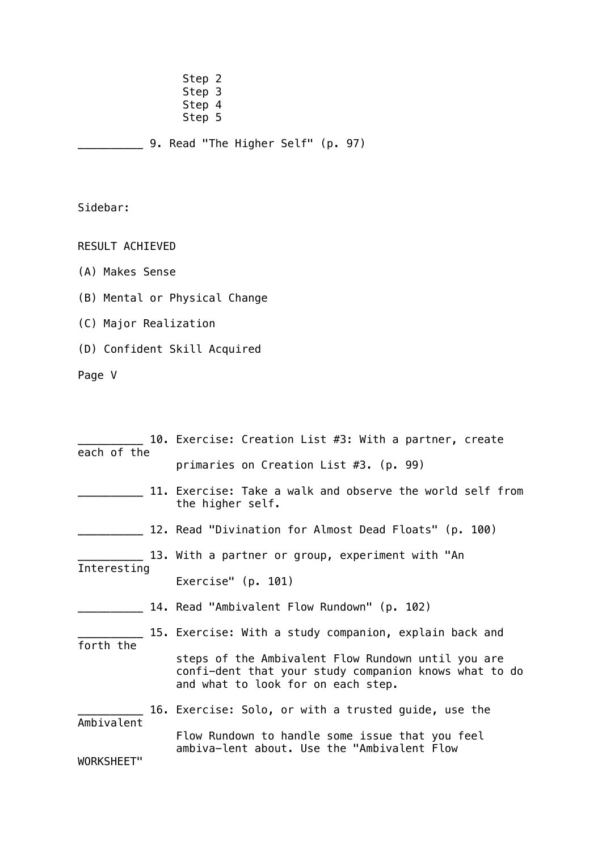Step 2 Step 3 en and Step 4 Step 5 (Step 5 (Step 5  $\sim$ \_\_\_\_\_\_\_\_\_\_ 9. Read "The Higher Self" (p. 97)

Sidebar:

RESULT ACHIEVED

- (A) Makes Sense
- (B) Mental or Physical Change
- (C) Major Realization
- (D) Confident Skill Acquired

Page V

|                          |  | 10. Exercise: Creation List #3: With a partner, create                                                                                            |
|--------------------------|--|---------------------------------------------------------------------------------------------------------------------------------------------------|
| each of the              |  | primaries on Creation List #3. (p. 99)                                                                                                            |
|                          |  | 11. Exercise: Take a walk and observe the world self from<br>the higher self.                                                                     |
|                          |  | 12. Read "Divination for Almost Dead Floats" (p. 100)                                                                                             |
| Interesting              |  | 13. With a partner or group, experiment with "An                                                                                                  |
|                          |  | Exercise" $(p. 101)$                                                                                                                              |
|                          |  | 14. Read "Ambivalent Flow Rundown" (p. 102)                                                                                                       |
| forth the                |  | 15. Exercise: With a study companion, explain back and                                                                                            |
|                          |  | steps of the Ambivalent Flow Rundown until you are<br>confi-dent that your study companion knows what to do<br>and what to look for on each step. |
|                          |  | 16. Exercise: Solo, or with a trusted guide, use the                                                                                              |
| Ambivalent<br>WORKSHEET" |  | Flow Rundown to handle some issue that you feel<br>ambiva-lent about. Use the "Ambivalent Flow                                                    |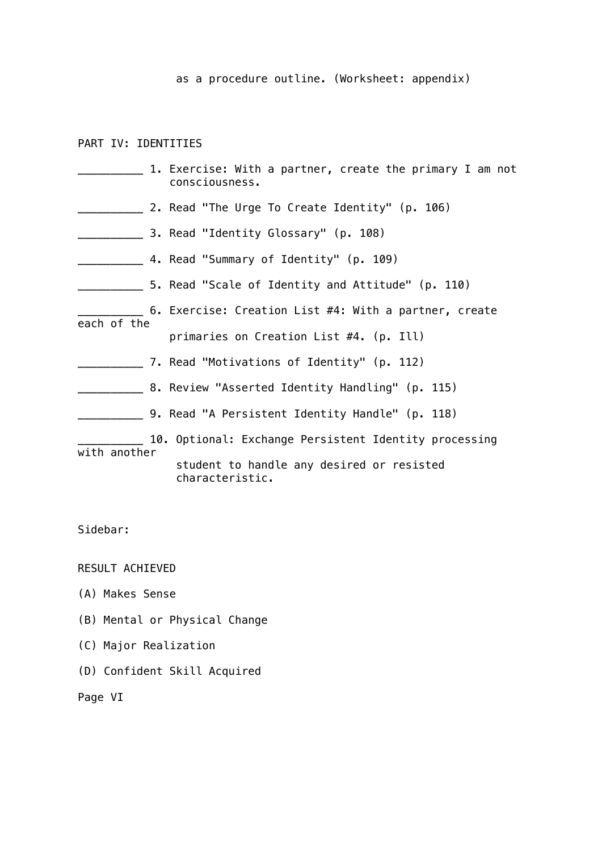as a procedure outline. (Worksheet: appendix)

PART IV: IDENTITIES

|              | 1. Exercise: With a partner, create the primary I am not<br>consciousness. |
|--------------|----------------------------------------------------------------------------|
|              | 2. Read "The Urge To Create Identity" (p. 106)                             |
|              | ____ 3. Read "Identity Glossary" (p. 108)                                  |
|              | _______ 4. Read "Summary of Identity" (p. 109)                             |
|              | _____ 5. Read "Scale of Identity and Attitude" (p. 110)                    |
| each of the  | 6. Exercise: Creation List #4: With a partner, create                      |
|              | primaries on Creation List #4. (p. Ill)                                    |
|              | 7. Read "Motivations of Identity" (p. 112)                                 |
|              | ____ 8. Review "Asserted Identity Handling" (p. 115)                       |
|              | __ 9. Read "A Persistent Identity Handle" (p. 118)                         |
| with another | 10. Optional: Exchange Persistent Identity processing                      |
|              | student to handle any desired or resisted<br>characteristic.               |

Sidebar:

RESULT ACHIEVED

- (A) Makes Sense
- (B) Mental or Physical Change
- (C) Major Realization
- (D) Confident Skill Acquired

Page VI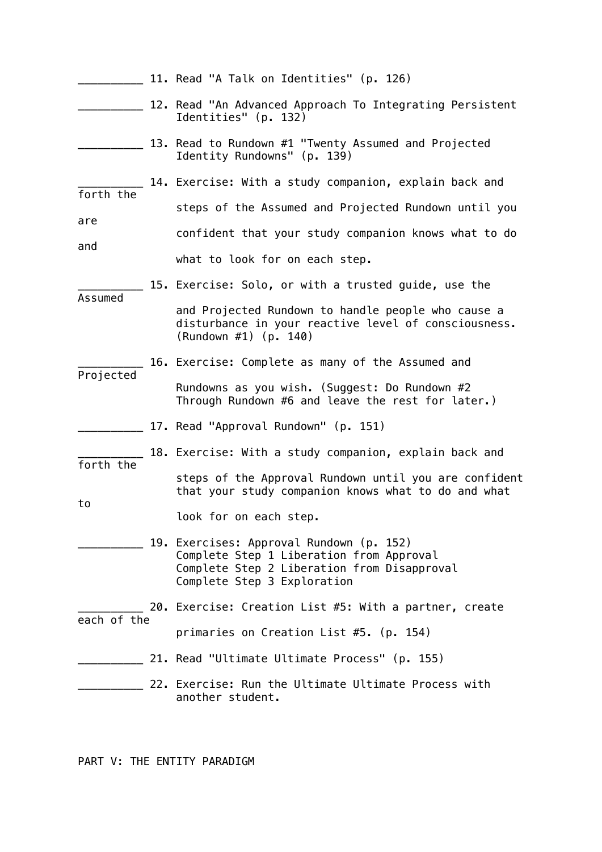|             | 11. Read "A Talk on Identities" (p. 126)                                                                                                                           |
|-------------|--------------------------------------------------------------------------------------------------------------------------------------------------------------------|
|             | 12. Read "An Advanced Approach To Integrating Persistent<br>Identities" (p. 132)                                                                                   |
|             | 13. Read to Rundown #1 "Twenty Assumed and Projected<br>Identity Rundowns" (p. 139)                                                                                |
| forth the   | 14. Exercise: With a study companion, explain back and                                                                                                             |
| are         | steps of the Assumed and Projected Rundown until you                                                                                                               |
| and         | confident that your study companion knows what to do                                                                                                               |
|             | what to look for on each step.                                                                                                                                     |
| Assumed     | 15. Exercise: Solo, or with a trusted guide, use the                                                                                                               |
|             | and Projected Rundown to handle people who cause a<br>disturbance in your reactive level of consciousness.<br>$(Rundown #1)$ (p. 140)                              |
| Projected   | 16. Exercise: Complete as many of the Assumed and                                                                                                                  |
|             | Rundowns as you wish. (Suggest: Do Rundown #2<br>Through Rundown #6 and leave the rest for later.)                                                                 |
|             | 17. Read "Approval Rundown" (p. 151)                                                                                                                               |
| forth the   | 18. Exercise: With a study companion, explain back and                                                                                                             |
| to          | steps of the Approval Rundown until you are confident<br>that your study companion knows what to do and what                                                       |
|             | look for on each step.                                                                                                                                             |
|             | 19. Exercises: Approval Rundown (p. 152)<br>Complete Step 1 Liberation from Approval<br>Complete Step 2 Liberation from Disapproval<br>Complete Step 3 Exploration |
| each of the | 20. Exercise: Creation List #5: With a partner, create                                                                                                             |
|             | primaries on Creation List #5. (p. 154)                                                                                                                            |
|             | 21. Read "Ultimate Ultimate Process" (p. 155)                                                                                                                      |
|             | 22. Exercise: Run the Ultimate Ultimate Process with<br>another student.                                                                                           |

PART V: THE ENTITY PARADIGM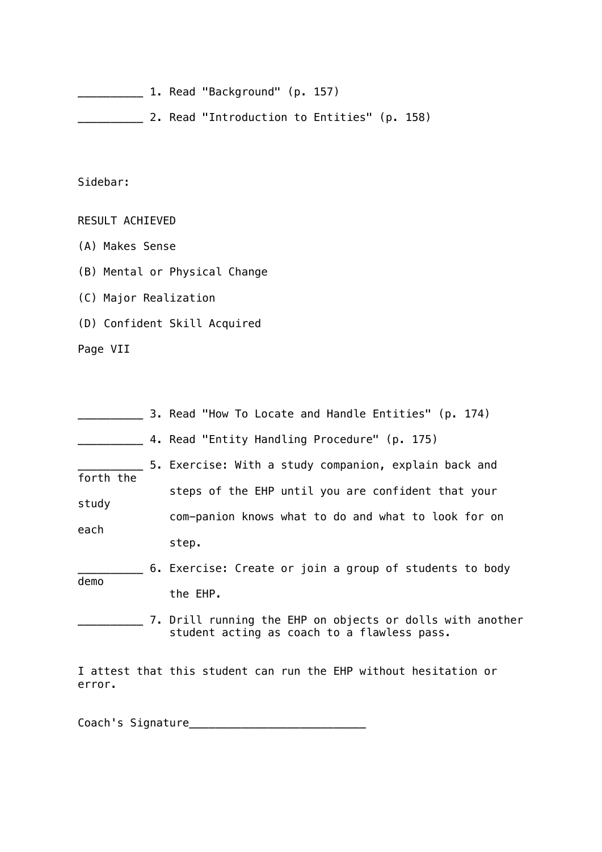\_\_\_\_\_\_\_\_\_\_ 1. Read "Background" (p. 157)

\_\_\_\_\_\_\_\_\_\_ 2. Read "Introduction to Entities" (p. 158)

Sidebar:

RESULT ACHIEVED

(A) Makes Sense

(B) Mental or Physical Change

(C) Major Realization

(D) Confident Skill Acquired

Page VII

|           | 3. Read "How To Locate and Handle Entities" (p. 174)                                                     |
|-----------|----------------------------------------------------------------------------------------------------------|
|           | 4. Read "Entity Handling Procedure" (p. 175)                                                             |
| forth the | 5. Exercise: With a study companion, explain back and                                                    |
|           | steps of the EHP until you are confident that your                                                       |
| study     | com-panion knows what to do and what to look for on                                                      |
| each      | step.                                                                                                    |
| demo      | 6. Exercise: Create or join a group of students to body                                                  |
|           | the EHP.                                                                                                 |
|           | 7. Drill running the EHP on objects or dolls with another<br>student acting as coach to a flawless pass. |
| error.    | I attest that this student can run the EHP without hesitation or                                         |

Coach's Signature\_\_\_\_\_\_\_\_\_\_\_\_\_\_\_\_\_\_\_\_\_\_\_\_\_\_\_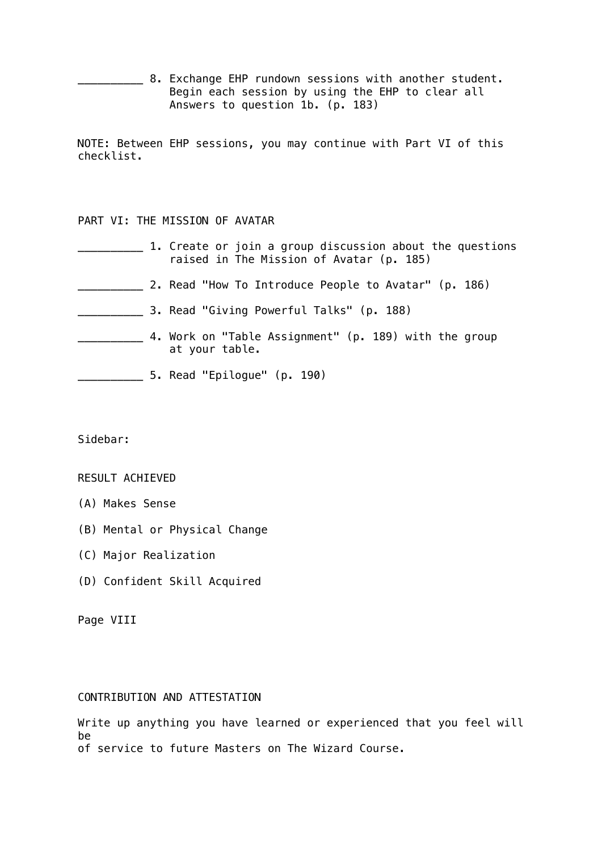**EXECT** 8. Exchange EHP rundown sessions with another student. Begin each session by using the EHP to clear all Answers to question 1b. (p. 183)

NOTE: Between EHP sessions, you may continue with Part VI of this checklist.

# PART VI: THE MISSION OF AVATAR

|  | 1. Create or join a group discussion about the questions<br>raised in The Mission of Avatar (p. 185) |
|--|------------------------------------------------------------------------------------------------------|
|  | 2. Read "How To Introduce People to Avatar" (p. 186)                                                 |
|  | 3. Read "Giving Powerful Talks" (p. 188)                                                             |
|  | 4. Work on "Table Assignment" (p. 189) with the group<br>at your table.                              |
|  | 5. Read "Epilogue" (p. 190)                                                                          |

Sidebar:

# RESULT ACHIEVED

- (A) Makes Sense
- (B) Mental or Physical Change
- (C) Major Realization
- (D) Confident Skill Acquired

Page VIII

# CONTRIBUTION AND ATTESTATION

Write up anything you have learned or experienced that you feel will be of service to future Masters on The Wizard Course.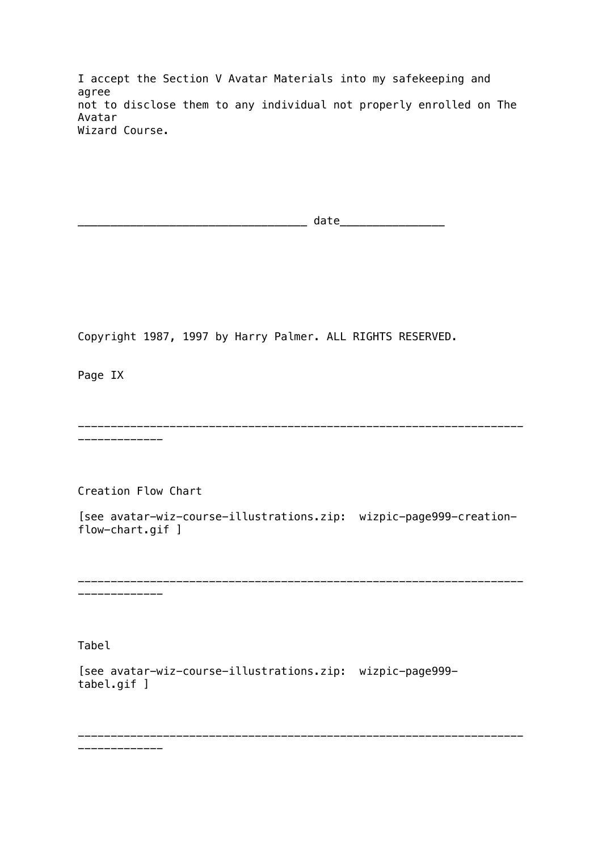I accept the Section V Avatar Materials into my safekeeping and agree not to disclose them to any individual not properly enrolled on The Avatar Wizard Course.

\_\_\_\_\_\_\_\_\_\_\_\_\_\_\_\_\_\_\_\_\_\_\_\_\_\_\_\_\_\_\_\_\_\_\_ date\_\_\_\_\_\_\_\_\_\_\_\_\_\_\_\_

Copyright 1987, 1997 by Harry Palmer. ALL RIGHTS RESERVED.

Page IX

-------------------------------------------------------------------- -------------

Creation Flow Chart

[see avatar-wiz-course-illustrations.zip: wizpic-page999-creationflow-chart.gif ]

-------------------------------------------------------------------- -------------

--------------------------------------------------------------------

Tabel

[see avatar-wiz-course-illustrations.zip: wizpic-page999 tabel.gif ]

-------------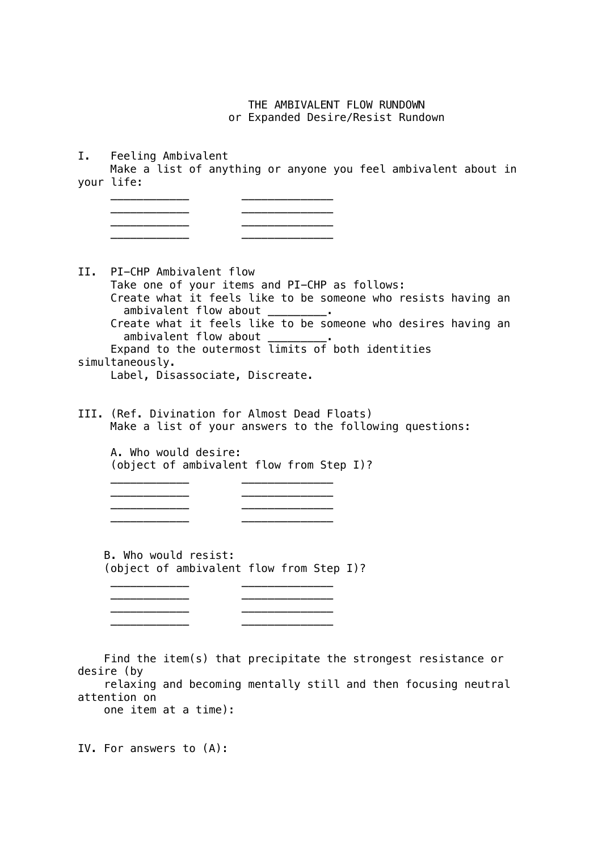THE AMBIVALENT FLOW RUNDOWN or Expanded Desire/Resist Rundown

I. Feeling Ambivalent

 Make a list of anything or anyone you feel ambivalent about in your life:

| _____________________________ | ________________  |
|-------------------------------|-------------------|
| ________________              |                   |
|                               |                   |
| _______________               | _________________ |

II. PI-CHP Ambivalent flow Take one of your items and PI-CHP as follows: Create what it feels like to be someone who resists having an ambivalent flow about \_\_\_\_\_\_\_\_\_. Create what it feels like to be someone who desires having an ambivalent flow about \_\_\_\_\_\_ Expand to the outermost limits of both identities simultaneously.

Label, Disassociate, Discreate.

III. (Ref. Divination for Almost Dead Floats) Make a list of your answers to the following questions:

 $\frac{\partial u_{\mu\nu}}{\partial \nu}$  , we are the set of  $\mu$ 

 $\frac{1}{\sqrt{2}}$  ,  $\frac{1}{\sqrt{2}}$  ,  $\frac{1}{\sqrt{2}}$  ,  $\frac{1}{\sqrt{2}}$  ,  $\frac{1}{\sqrt{2}}$  ,  $\frac{1}{\sqrt{2}}$  ,  $\frac{1}{\sqrt{2}}$  ,  $\frac{1}{\sqrt{2}}$  ,  $\frac{1}{\sqrt{2}}$  ,  $\frac{1}{\sqrt{2}}$  ,  $\frac{1}{\sqrt{2}}$  ,  $\frac{1}{\sqrt{2}}$  ,  $\frac{1}{\sqrt{2}}$  ,  $\frac{1}{\sqrt{2}}$  ,  $\frac{1}{\sqrt{2}}$ 

 A. Who would desire: (object of ambivalent flow from Step I)?

 B. Who would resist: (object of ambivalent flow from Step I)?

\_\_\_\_\_\_\_\_\_\_\_\_ \_\_\_\_\_\_\_\_\_\_\_\_\_\_

\_\_\_\_\_\_\_\_\_\_\_\_ \_\_\_\_\_\_\_\_\_\_\_\_\_\_

 \_\_\_\_\_\_\_\_\_\_\_\_ \_\_\_\_\_\_\_\_\_\_\_\_\_\_ \_\_\_\_\_\_\_\_\_\_\_\_ \_\_\_\_\_\_\_\_\_\_\_\_\_\_

\_\_\_\_\_\_\_\_\_\_\_\_ \_\_\_\_\_\_\_\_\_\_\_\_\_\_

\_\_\_\_\_\_\_\_\_\_\_\_ \_\_\_\_\_\_\_\_\_\_\_\_\_\_

 Find the item(s) that precipitate the strongest resistance or desire (by

 relaxing and becoming mentally still and then focusing neutral attention on one item at a time):

IV. For answers to (A):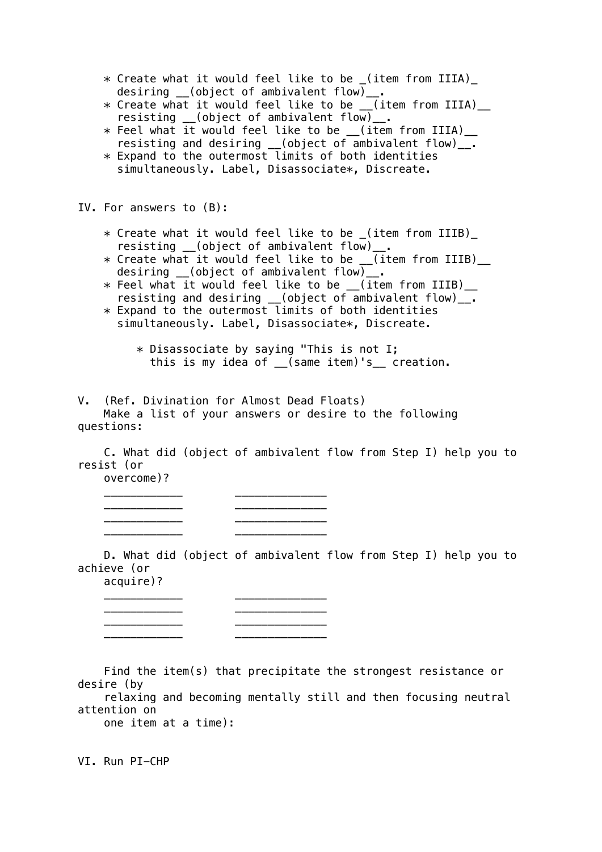- \* Create what it would feel like to be \_(item from IIIA)\_ desiring \_\_(object of ambivalent flow)\_\_.
- \* Create what it would feel like to be \_\_(item from IIIA)\_\_ resisting \_(object of ambivalent flow)\_.
- $\ast$  Feel what it would feel like to be  $\_$ (item from IIIA) $\_$ resisting and desiring \_\_(object of ambivalent flow)\_\_.
- $\ast$  Expand to the outermost limits of both identities simultaneously. Label, Disassociate\*, Discreate.

IV. For answers to (B):

- \* Create what it would feel like to be \_(item from IIIB)\_ resisting \_\_(object of ambivalent flow)\_.
- $\ast$  Create what it would feel like to be  $\_$ (item from IIIB) $\_$  desiring \_\_(object of ambivalent flow)\_\_.
	- \* Feel what it would feel like to be \_\_(item from IIIB)\_\_ resisting and desiring \_\_(object of ambivalent flow)\_\_.
	- $*$  Expand to the outermost limits of both identities simultaneously. Label, Disassociate\*, Discreate.
		- $*$  Disassociate by saying "This is not I; this is my idea of (same item)'s creation.

V. (Ref. Divination for Almost Dead Floats)

 Make a list of your answers or desire to the following questions:

 C. What did (object of ambivalent flow from Step I) help you to resist (or

overcome)?

| _____________        |                  |
|----------------------|------------------|
| ____<br>____________ |                  |
| ______________       | ________________ |
| ____<br>____________ | _______________  |

 D. What did (object of ambivalent flow from Step I) help you to achieve (or acquire)?

| _______________ |                   |
|-----------------|-------------------|
|                 |                   |
| _______________ |                   |
| _______________ |                   |
| _______________ | _________________ |

 Find the item(s) that precipitate the strongest resistance or desire (by

 relaxing and becoming mentally still and then focusing neutral attention on one item at a time):

VI. Run PI-CHP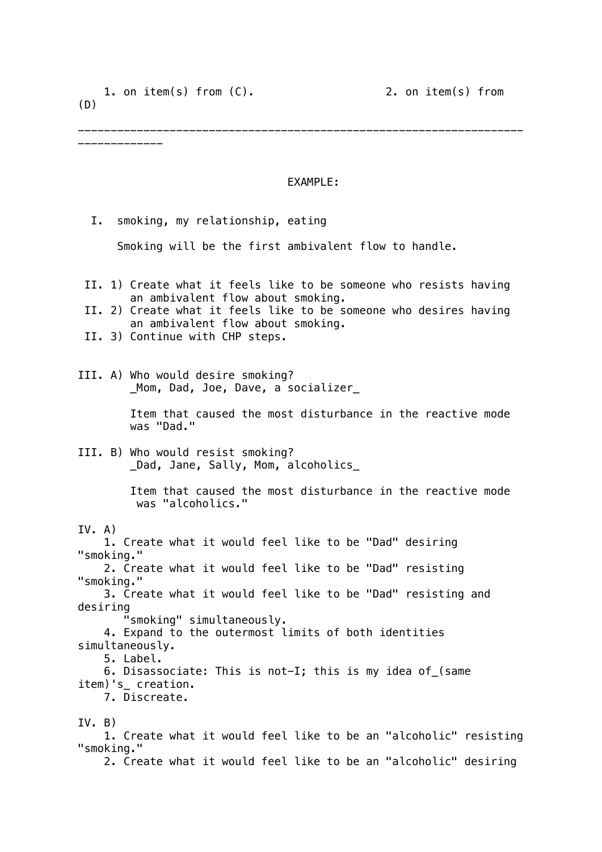-------------

--------------------------------------------------------------------

## EXAMPLE:

 I. smoking, my relationship, eating Smoking will be the first ambivalent flow to handle. II. 1) Create what it feels like to be someone who resists having an ambivalent flow about smoking. II. 2) Create what it feels like to be someone who desires having an ambivalent flow about smoking. II. 3) Continue with CHP steps. III. A) Who would desire smoking? \_Mom, Dad, Joe, Dave, a socializer\_ Item that caused the most disturbance in the reactive mode was "Dad." III. B) Who would resist smoking? \_Dad, Jane, Sally, Mom, alcoholics\_ Item that caused the most disturbance in the reactive mode was "alcoholics."  $IV. A)$  1. Create what it would feel like to be "Dad" desiring "smoking." 2. Create what it would feel like to be "Dad" resisting "smoking." 3. Create what it would feel like to be "Dad" resisting and desiring "smoking" simultaneously. 4. Expand to the outermost limits of both identities simultaneously. 5. Label. 6. Disassociate: This is not-I; this is my idea of\_(same item)'s\_ creation. 7. Discreate. IV. B) 1. Create what it would feel like to be an "alcoholic" resisting "smoking."

2. Create what it would feel like to be an "alcoholic" desiring